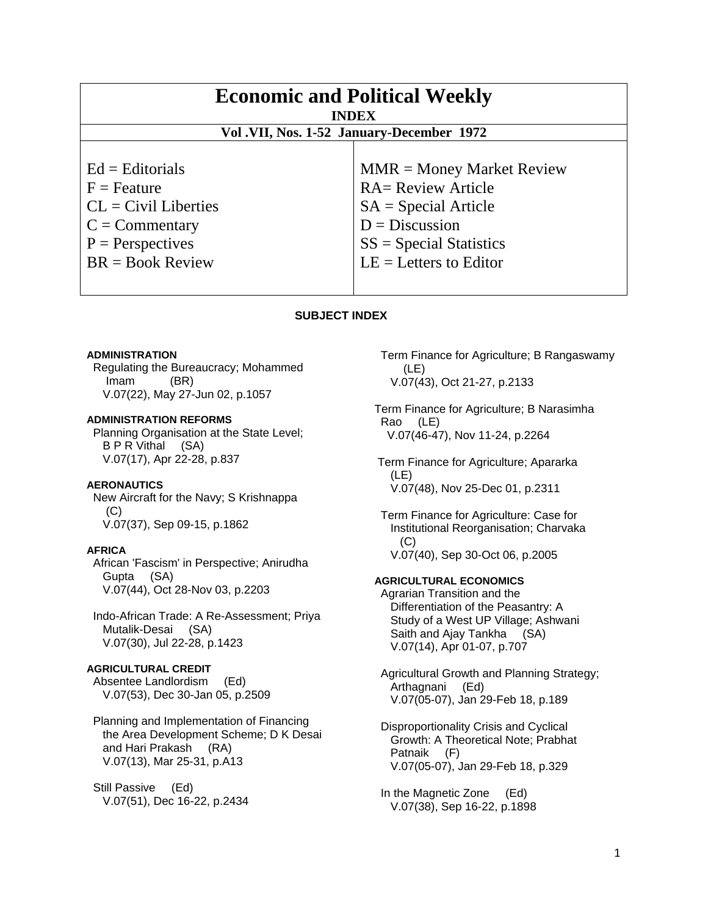| <b>Economic and Political Weekly</b><br><b>INDEX</b><br>Vol.VII, Nos. 1-52 January-December 1972 |                             |
|--------------------------------------------------------------------------------------------------|-----------------------------|
| $Ed =$ Editorials                                                                                | $MMR = Money Market Review$ |
| $F =$ Feature                                                                                    | <b>RA= Review Article</b>   |
| $CL = Civil\:$                                                                                   | $SA = Special Article$      |
| $C = \text{Commentary}$                                                                          | $D = Discussion$            |
| $P =$ Perspectives                                                                               | $SS = Special Statistics$   |
| $BR = Book Review$                                                                               | $LE = Letters to Editor$    |

#### **SUBJECT INDEX**

#### **ADMINISTRATION**

 Regulating the Bureaucracy; Mohammed Imam (BR) V.07(22), May 27-Jun 02, p.1057

## **ADMINISTRATION REFORMS**

 Planning Organisation at the State Level; B P R Vithal (SA) V.07(17), Apr 22-28, p.837

#### **AERONAUTICS**

 New Aircraft for the Navy; S Krishnappa (C) V.07(37), Sep 09-15, p.1862

# **AFRICA**

 African 'Fascism' in Perspective; Anirudha Gupta (SA) V.07(44), Oct 28-Nov 03, p.2203

 Indo-African Trade: A Re-Assessment; Priya Mutalik-Desai (SA) V.07(30), Jul 22-28, p.1423

# **AGRICULTURAL CREDIT**

 Absentee Landlordism (Ed) V.07(53), Dec 30-Jan 05, p.2509

 Planning and Implementation of Financing the Area Development Scheme; D K Desai and Hari Prakash (RA) V.07(13), Mar 25-31, p.A13

 Still Passive (Ed) V.07(51), Dec 16-22, p.2434  Term Finance for Agriculture; B Rangaswamy (LE) V.07(43), Oct 21-27, p.2133

Term Finance for Agriculture; B Narasimha Rao (LE) V.07(46-47), Nov 11-24, p.2264

 Term Finance for Agriculture; Apararka (LE) V.07(48), Nov 25-Dec 01, p.2311

 Term Finance for Agriculture: Case for Institutional Reorganisation; Charvaka (C) V.07(40), Sep 30-Oct 06, p.2005

#### **AGRICULTURAL ECONOMICS**

 Agrarian Transition and the Differentiation of the Peasantry: A Study of a West UP Village; Ashwani Saith and Ajay Tankha (SA) V.07(14), Apr 01-07, p.707

 Agricultural Growth and Planning Strategy; Arthagnani (Ed) V.07(05-07), Jan 29-Feb 18, p.189

 Disproportionality Crisis and Cyclical Growth: A Theoretical Note; Prabhat Patnaik (F) V.07(05-07), Jan 29-Feb 18, p.329

 In the Magnetic Zone (Ed) V.07(38), Sep 16-22, p.1898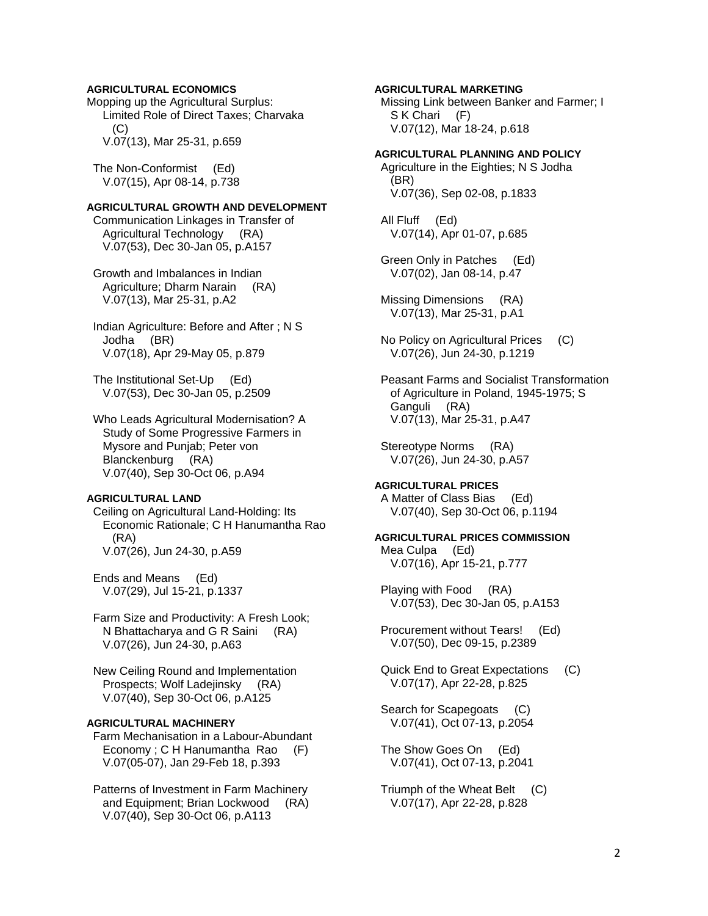## **AGRICULTURAL ECONOMICS**

Mopping up the Agricultural Surplus: Limited Role of Direct Taxes; Charvaka (C) V.07(13), Mar 25-31, p.659

 The Non-Conformist (Ed) V.07(15), Apr 08-14, p.738

#### **AGRICULTURAL GROWTH AND DEVELOPMENT**

 Communication Linkages in Transfer of Agricultural Technology (RA) V.07(53), Dec 30-Jan 05, p.A157

 Growth and Imbalances in Indian Agriculture; Dharm Narain (RA) V.07(13), Mar 25-31, p.A2

 Indian Agriculture: Before and After ; N S Jodha (BR) V.07(18), Apr 29-May 05, p.879

 The Institutional Set-Up (Ed) V.07(53), Dec 30-Jan 05, p.2509

 Who Leads Agricultural Modernisation? A Study of Some Progressive Farmers in Mysore and Punjab; Peter von Blanckenburg (RA) V.07(40), Sep 30-Oct 06, p.A94

## **AGRICULTURAL LAND**

 Ceiling on Agricultural Land-Holding: Its Economic Rationale; C H Hanumantha Rao (RA) V.07(26), Jun 24-30, p.A59

 Ends and Means (Ed) V.07(29), Jul 15-21, p.1337

 Farm Size and Productivity: A Fresh Look; N Bhattacharya and G R Saini (RA) V.07(26), Jun 24-30, p.A63

 New Ceiling Round and Implementation Prospects; Wolf Ladejinsky (RA) V.07(40), Sep 30-Oct 06, p.A125

#### **AGRICULTURAL MACHINERY**

 Farm Mechanisation in a Labour-Abundant Economy ; C H Hanumantha Rao (F) V.07(05-07), Jan 29-Feb 18, p.393

 Patterns of Investment in Farm Machinery and Equipment; Brian Lockwood (RA) V.07(40), Sep 30-Oct 06, p.A113

## **AGRICULTURAL MARKETING**

 Missing Link between Banker and Farmer; I S K Chari (F) V.07(12), Mar 18-24, p.618

#### **AGRICULTURAL PLANNING AND POLICY**

 Agriculture in the Eighties; N S Jodha (BR) V.07(36), Sep 02-08, p.1833

 All Fluff (Ed) V.07(14), Apr 01-07, p.685

 Green Only in Patches (Ed) V.07(02), Jan 08-14, p.47

 Missing Dimensions (RA) V.07(13), Mar 25-31, p.A1

 No Policy on Agricultural Prices (C) V.07(26), Jun 24-30, p.1219

 Peasant Farms and Socialist Transformation of Agriculture in Poland, 1945-1975; S Ganguli (RA) V.07(13), Mar 25-31, p.A47

 Stereotype Norms (RA) V.07(26), Jun 24-30, p.A57

**AGRICULTURAL PRICES**  A Matter of Class Bias (Ed) V.07(40), Sep 30-Oct 06, p.1194

**AGRICULTURAL PRICES COMMISSION**  Mea Culpa (Ed) V.07(16), Apr 15-21, p.777

 Playing with Food (RA) V.07(53), Dec 30-Jan 05, p.A153

 Procurement without Tears! (Ed) V.07(50), Dec 09-15, p.2389

 Quick End to Great Expectations (C) V.07(17), Apr 22-28, p.825

 Search for Scapegoats (C) V.07(41), Oct 07-13, p.2054

 The Show Goes On (Ed) V.07(41), Oct 07-13, p.2041

 Triumph of the Wheat Belt (C) V.07(17), Apr 22-28, p.828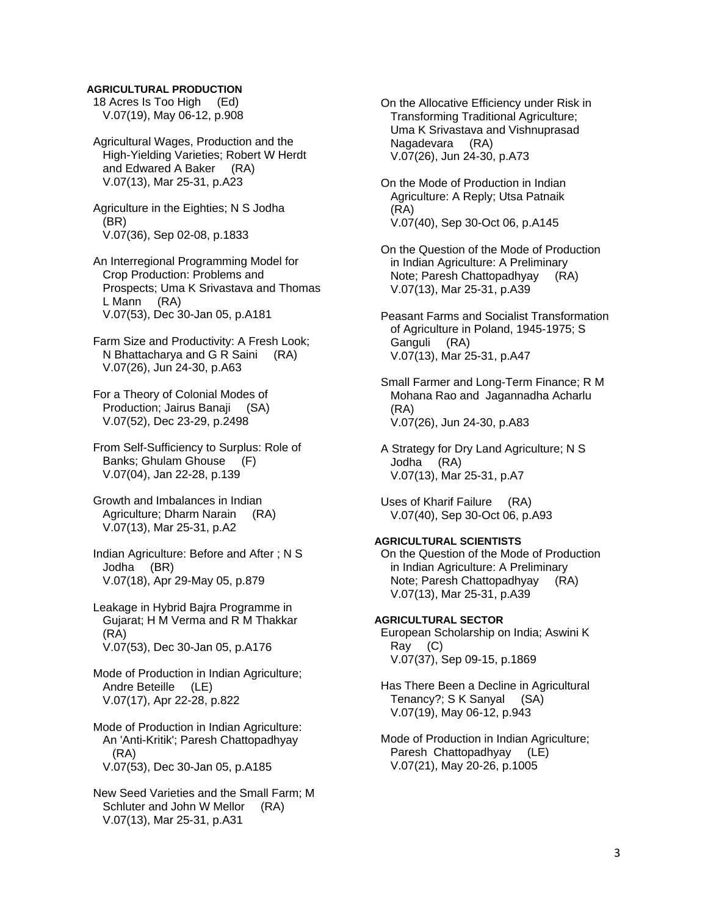#### **AGRICULTURAL PRODUCTION**

 18 Acres Is Too High (Ed) V.07(19), May 06-12, p.908

 Agricultural Wages, Production and the High-Yielding Varieties; Robert W Herdt and Edwared A Baker (RA) V.07(13), Mar 25-31, p.A23

 Agriculture in the Eighties; N S Jodha (BR) V.07(36), Sep 02-08, p.1833

 An Interregional Programming Model for Crop Production: Problems and Prospects; Uma K Srivastava and Thomas L Mann (RA) V.07(53), Dec 30-Jan 05, p.A181

 Farm Size and Productivity: A Fresh Look; N Bhattacharya and G R Saini (RA) V.07(26), Jun 24-30, p.A63

 For a Theory of Colonial Modes of Production; Jairus Banaji (SA) V.07(52), Dec 23-29, p.2498

 From Self-Sufficiency to Surplus: Role of Banks; Ghulam Ghouse (F) V.07(04), Jan 22-28, p.139

 Growth and Imbalances in Indian Agriculture; Dharm Narain (RA) V.07(13), Mar 25-31, p.A2

 Indian Agriculture: Before and After ; N S Jodha (BR) V.07(18), Apr 29-May 05, p.879

 Leakage in Hybrid Bajra Programme in Gujarat; H M Verma and R M Thakkar (RA) V.07(53), Dec 30-Jan 05, p.A176

 Mode of Production in Indian Agriculture; Andre Beteille (LE) V.07(17), Apr 22-28, p.822

 Mode of Production in Indian Agriculture: An 'Anti-Kritik'; Paresh Chattopadhyay (RA) V.07(53), Dec 30-Jan 05, p.A185

 New Seed Varieties and the Small Farm; M Schluter and John W Mellor (RA) V.07(13), Mar 25-31, p.A31

 On the Allocative Efficiency under Risk in Transforming Traditional Agriculture; Uma K Srivastava and Vishnuprasad Nagadevara (RA) V.07(26), Jun 24-30, p.A73

 On the Mode of Production in Indian Agriculture: A Reply; Utsa Patnaik (RA) V.07(40), Sep 30-Oct 06, p.A145

 On the Question of the Mode of Production in Indian Agriculture: A Preliminary Note; Paresh Chattopadhyay (RA) V.07(13), Mar 25-31, p.A39

 Peasant Farms and Socialist Transformation of Agriculture in Poland, 1945-1975; S Ganguli (RA) V.07(13), Mar 25-31, p.A47

 Small Farmer and Long-Term Finance; R M Mohana Rao and Jagannadha Acharlu (RA) V.07(26), Jun 24-30, p.A83

 A Strategy for Dry Land Agriculture; N S Jodha (RA) V.07(13), Mar 25-31, p.A7

 Uses of Kharif Failure (RA) V.07(40), Sep 30-Oct 06, p.A93

# **AGRICULTURAL SCIENTISTS**

 On the Question of the Mode of Production in Indian Agriculture: A Preliminary Note; Paresh Chattopadhyay (RA) V.07(13), Mar 25-31, p.A39

**AGRICULTURAL SECTOR**  European Scholarship on India; Aswini K Ray (C) V.07(37), Sep 09-15, p.1869

 Has There Been a Decline in Agricultural Tenancy?; S K Sanyal (SA) V.07(19), May 06-12, p.943

 Mode of Production in Indian Agriculture; Paresh Chattopadhyay (LE) V.07(21), May 20-26, p.1005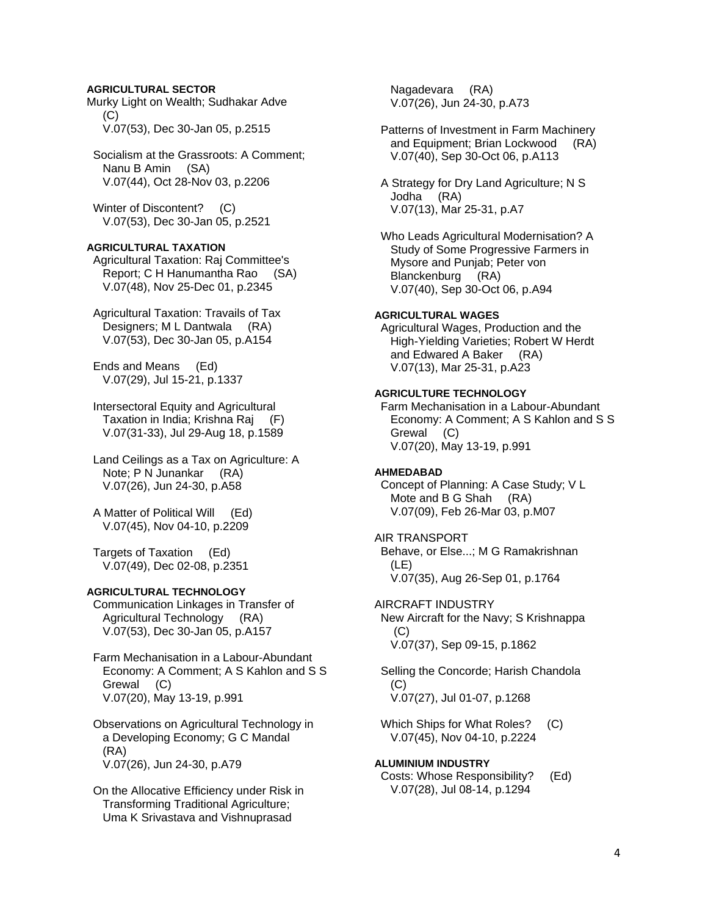## **AGRICULTURAL SECTOR**

Murky Light on Wealth; Sudhakar Adve  $(C)$ V.07(53), Dec 30-Jan 05, p.2515

 Socialism at the Grassroots: A Comment; Nanu B Amin (SA) V.07(44), Oct 28-Nov 03, p.2206

Winter of Discontent? (C) V.07(53), Dec 30-Jan 05, p.2521

#### **AGRICULTURAL TAXATION**

 Agricultural Taxation: Raj Committee's Report; C H Hanumantha Rao (SA) V.07(48), Nov 25-Dec 01, p.2345

 Agricultural Taxation: Travails of Tax Designers; M L Dantwala (RA) V.07(53), Dec 30-Jan 05, p.A154

 Ends and Means (Ed) V.07(29), Jul 15-21, p.1337

 Intersectoral Equity and Agricultural Taxation in India; Krishna Raj (F) V.07(31-33), Jul 29-Aug 18, p.1589

 Land Ceilings as a Tax on Agriculture: A Note; P N Junankar (RA) V.07(26), Jun 24-30, p.A58

 A Matter of Political Will (Ed) V.07(45), Nov 04-10, p.2209

 Targets of Taxation (Ed) V.07(49), Dec 02-08, p.2351

## **AGRICULTURAL TECHNOLOGY**

 Communication Linkages in Transfer of Agricultural Technology (RA) V.07(53), Dec 30-Jan 05, p.A157

 Farm Mechanisation in a Labour-Abundant Economy: A Comment; A S Kahlon and S S Grewal (C) V.07(20), May 13-19, p.991

 Observations on Agricultural Technology in a Developing Economy; G C Mandal (RA) V.07(26), Jun 24-30, p.A79

 On the Allocative Efficiency under Risk in Transforming Traditional Agriculture; Uma K Srivastava and Vishnuprasad

 Nagadevara (RA) V.07(26), Jun 24-30, p.A73

 Patterns of Investment in Farm Machinery and Equipment; Brian Lockwood (RA) V.07(40), Sep 30-Oct 06, p.A113

 A Strategy for Dry Land Agriculture; N S Jodha (RA) V.07(13), Mar 25-31, p.A7

 Who Leads Agricultural Modernisation? A Study of Some Progressive Farmers in Mysore and Punjab; Peter von Blanckenburg (RA) V.07(40), Sep 30-Oct 06, p.A94

## **AGRICULTURAL WAGES**

 Agricultural Wages, Production and the High-Yielding Varieties; Robert W Herdt and Edwared A Baker (RA) V.07(13), Mar 25-31, p.A23

#### **AGRICULTURE TECHNOLOGY**

 Farm Mechanisation in a Labour-Abundant Economy: A Comment; A S Kahlon and S S Grewal (C) V.07(20), May 13-19, p.991

#### **AHMEDABAD**

 Concept of Planning: A Case Study; V L Mote and B G Shah (RA) V.07(09), Feb 26-Mar 03, p.M07

## AIR TRANSPORT

 Behave, or Else...; M G Ramakrishnan (LE) V.07(35), Aug 26-Sep 01, p.1764

AIRCRAFT INDUSTRY New Aircraft for the Navy; S Krishnappa  $(C)$ V.07(37), Sep 09-15, p.1862

 Selling the Concorde; Harish Chandola (C) V.07(27), Jul 01-07, p.1268

 Which Ships for What Roles? (C) V.07(45), Nov 04-10, p.2224

**ALUMINIUM INDUSTRY**  Costs: Whose Responsibility? (Ed) V.07(28), Jul 08-14, p.1294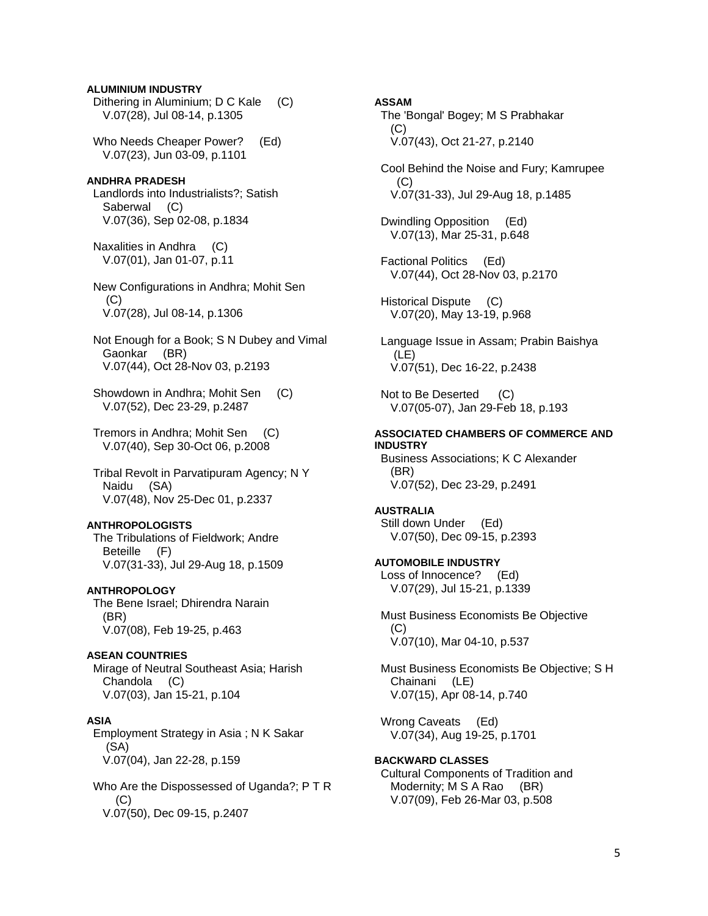## **ALUMINIUM INDUSTRY**

 Dithering in Aluminium; D C Kale (C) V.07(28), Jul 08-14, p.1305

 Who Needs Cheaper Power? (Ed) V.07(23), Jun 03-09, p.1101

#### **ANDHRA PRADESH**

 Landlords into Industrialists?; Satish Saberwal (C) V.07(36), Sep 02-08, p.1834

 Naxalities in Andhra (C) V.07(01), Jan 01-07, p.11

 New Configurations in Andhra; Mohit Sen (C) V.07(28), Jul 08-14, p.1306

 Not Enough for a Book; S N Dubey and Vimal Gaonkar (BR) V.07(44), Oct 28-Nov 03, p.2193

 Showdown in Andhra; Mohit Sen (C) V.07(52), Dec 23-29, p.2487

 Tremors in Andhra; Mohit Sen (C) V.07(40), Sep 30-Oct 06, p.2008

 Tribal Revolt in Parvatipuram Agency; N Y Naidu (SA) V.07(48), Nov 25-Dec 01, p.2337

#### **ANTHROPOLOGISTS**

 The Tribulations of Fieldwork; Andre Beteille (F) V.07(31-33), Jul 29-Aug 18, p.1509

## **ANTHROPOLOGY**

 The Bene Israel; Dhirendra Narain (BR) V.07(08), Feb 19-25, p.463

#### **ASEAN COUNTRIES**

 Mirage of Neutral Southeast Asia; Harish Chandola (C) V.07(03), Jan 15-21, p.104

#### **ASIA**

 Employment Strategy in Asia ; N K Sakar (SA) V.07(04), Jan 22-28, p.159

 Who Are the Dispossessed of Uganda?; P T R (C) V.07(50), Dec 09-15, p.2407

#### **ASSAM**

 The 'Bongal' Bogey; M S Prabhakar (C) V.07(43), Oct 21-27, p.2140

 Cool Behind the Noise and Fury; Kamrupee  $(C)$ V.07(31-33), Jul 29-Aug 18, p.1485

 Dwindling Opposition (Ed) V.07(13), Mar 25-31, p.648

 Factional Politics (Ed) V.07(44), Oct 28-Nov 03, p.2170

 Historical Dispute (C) V.07(20), May 13-19, p.968

 Language Issue in Assam; Prabin Baishya (LE) V.07(51), Dec 16-22, p.2438

Not to Be Deserted (C) V.07(05-07), Jan 29-Feb 18, p.193

## **ASSOCIATED CHAMBERS OF COMMERCE AND INDUSTRY**

 Business Associations; K C Alexander (BR) V.07(52), Dec 23-29, p.2491

#### **AUSTRALIA**

 Still down Under (Ed) V.07(50), Dec 09-15, p.2393

# **AUTOMOBILE INDUSTRY**

 Loss of Innocence? (Ed) V.07(29), Jul 15-21, p.1339

 Must Business Economists Be Objective  $(C)$ V.07(10), Mar 04-10, p.537

 Must Business Economists Be Objective; S H Chainani (LE) V.07(15), Apr 08-14, p.740

 Wrong Caveats (Ed) V.07(34), Aug 19-25, p.1701

**BACKWARD CLASSES**  Cultural Components of Tradition and Modernity; M S A Rao (BR) V.07(09), Feb 26-Mar 03, p.508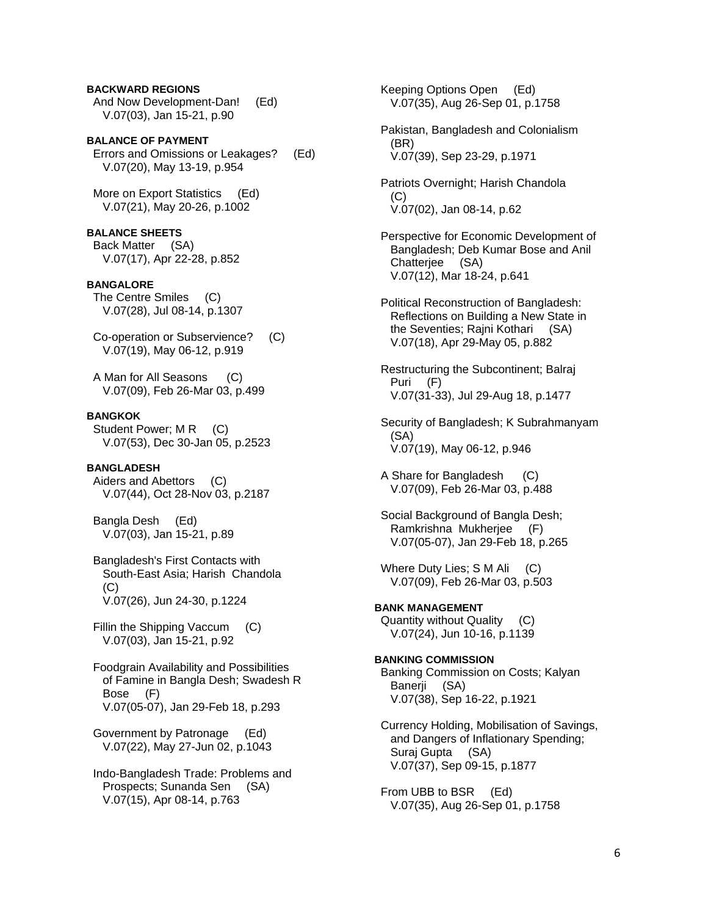## **BACKWARD REGIONS**

 And Now Development-Dan! (Ed) V.07(03), Jan 15-21, p.90

**BALANCE OF PAYMENT**  Errors and Omissions or Leakages? (Ed) V.07(20), May 13-19, p.954

 More on Export Statistics (Ed) V.07(21), May 20-26, p.1002

## **BALANCE SHEETS**

 Back Matter (SA) V.07(17), Apr 22-28, p.852

#### **BANGALORE**

 The Centre Smiles (C) V.07(28), Jul 08-14, p.1307

 Co-operation or Subservience? (C) V.07(19), May 06-12, p.919

 A Man for All Seasons (C) V.07(09), Feb 26-Mar 03, p.499

#### **BANGKOK**

Student Power; M R (C) V.07(53), Dec 30-Jan 05, p.2523

#### **BANGLADESH**

 Aiders and Abettors (C) V.07(44), Oct 28-Nov 03, p.2187

 Bangla Desh (Ed) V.07(03), Jan 15-21, p.89

 Bangladesh's First Contacts with South-East Asia; Harish Chandola (C) V.07(26), Jun 24-30, p.1224

 Fillin the Shipping Vaccum (C) V.07(03), Jan 15-21, p.92

 Foodgrain Availability and Possibilities of Famine in Bangla Desh; Swadesh R Bose (F) V.07(05-07), Jan 29-Feb 18, p.293

 Government by Patronage (Ed) V.07(22), May 27-Jun 02, p.1043

 Indo-Bangladesh Trade: Problems and Prospects; Sunanda Sen (SA) V.07(15), Apr 08-14, p.763

 Keeping Options Open (Ed) V.07(35), Aug 26-Sep 01, p.1758

 Pakistan, Bangladesh and Colonialism (BR) V.07(39), Sep 23-29, p.1971

 Patriots Overnight; Harish Chandola (C) V.07(02), Jan 08-14, p.62

 Perspective for Economic Development of Bangladesh; Deb Kumar Bose and Anil Chatterjee (SA) V.07(12), Mar 18-24, p.641

 Political Reconstruction of Bangladesh: Reflections on Building a New State in the Seventies; Rajni Kothari (SA) V.07(18), Apr 29-May 05, p.882

 Restructuring the Subcontinent; Balraj Puri (F) V.07(31-33), Jul 29-Aug 18, p.1477

 Security of Bangladesh; K Subrahmanyam (SA) V.07(19), May 06-12, p.946

 A Share for Bangladesh (C) V.07(09), Feb 26-Mar 03, p.488

 Social Background of Bangla Desh; Ramkrishna Mukherjee (F) V.07(05-07), Jan 29-Feb 18, p.265

Where Duty Lies; S M Ali (C) V.07(09), Feb 26-Mar 03, p.503

**BANK MANAGEMENT**  Quantity without Quality (C) V.07(24), Jun 10-16, p.1139

**BANKING COMMISSION**  Banking Commission on Costs; Kalyan Banerji (SA) V.07(38), Sep 16-22, p.1921

 Currency Holding, Mobilisation of Savings, and Dangers of Inflationary Spending; Suraj Gupta (SA) V.07(37), Sep 09-15, p.1877

 From UBB to BSR (Ed) V.07(35), Aug 26-Sep 01, p.1758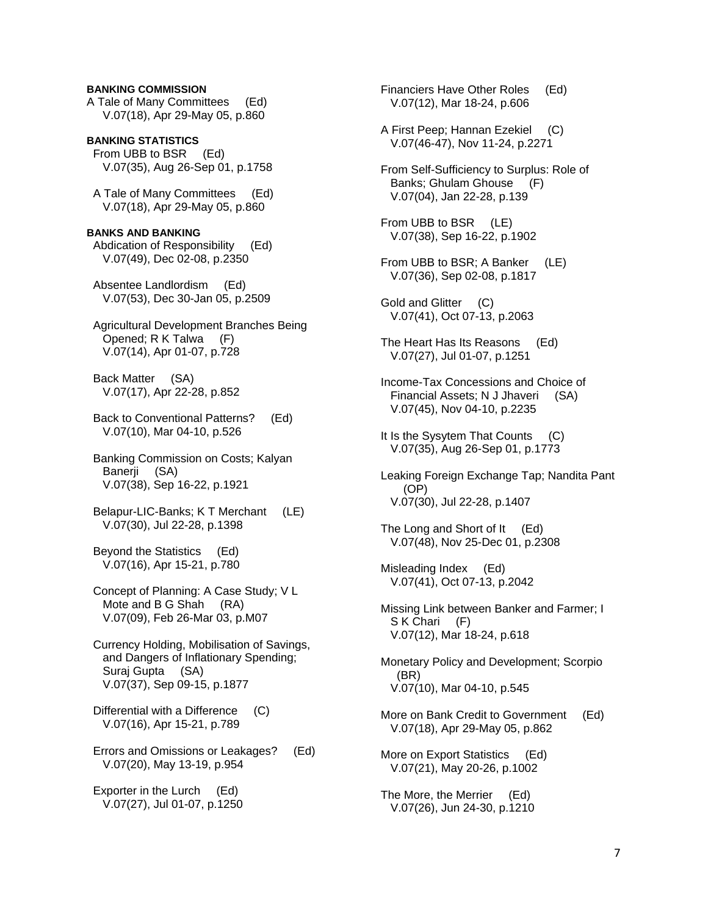## **BANKING COMMISSION**

A Tale of Many Committees (Ed) V.07(18), Apr 29-May 05, p.860

**BANKING STATISTICS**  From UBB to BSR (Ed) V.07(35), Aug 26-Sep 01, p.1758

 A Tale of Many Committees (Ed) V.07(18), Apr 29-May 05, p.860

#### **BANKS AND BANKING**  Abdication of Responsibility (Ed) V.07(49), Dec 02-08, p.2350

 Absentee Landlordism (Ed) V.07(53), Dec 30-Jan 05, p.2509

 Agricultural Development Branches Being Opened; R K Talwa (F) V.07(14), Apr 01-07, p.728

 Back Matter (SA) V.07(17), Apr 22-28, p.852

 Back to Conventional Patterns? (Ed) V.07(10), Mar 04-10, p.526

 Banking Commission on Costs; Kalyan Banerji (SA) V.07(38), Sep 16-22, p.1921

 Belapur-LIC-Banks; K T Merchant (LE) V.07(30), Jul 22-28, p.1398

 Beyond the Statistics (Ed) V.07(16), Apr 15-21, p.780

 Concept of Planning: A Case Study; V L Mote and B G Shah (RA) V.07(09), Feb 26-Mar 03, p.M07

 Currency Holding, Mobilisation of Savings, and Dangers of Inflationary Spending; Suraj Gupta (SA) V.07(37), Sep 09-15, p.1877

 Differential with a Difference (C) V.07(16), Apr 15-21, p.789

 Errors and Omissions or Leakages? (Ed) V.07(20), May 13-19, p.954

 Exporter in the Lurch (Ed) V.07(27), Jul 01-07, p.1250  Financiers Have Other Roles (Ed) V.07(12), Mar 18-24, p.606

- A First Peep; Hannan Ezekiel (C) V.07(46-47), Nov 11-24, p.2271
- From Self-Sufficiency to Surplus: Role of Banks; Ghulam Ghouse (F) V.07(04), Jan 22-28, p.139

 From UBB to BSR (LE) V.07(38), Sep 16-22, p.1902

From UBB to BSR; A Banker (LE) V.07(36), Sep 02-08, p.1817

 Gold and Glitter (C) V.07(41), Oct 07-13, p.2063

 The Heart Has Its Reasons (Ed) V.07(27), Jul 01-07, p.1251

- Income-Tax Concessions and Choice of Financial Assets; N J Jhaveri (SA) V.07(45), Nov 04-10, p.2235
- It Is the Sysytem That Counts (C) V.07(35), Aug 26-Sep 01, p.1773
- Leaking Foreign Exchange Tap; Nandita Pant (OP) V.07(30), Jul 22-28, p.1407

 The Long and Short of It (Ed) V.07(48), Nov 25-Dec 01, p.2308

 Misleading Index (Ed) V.07(41), Oct 07-13, p.2042

 Missing Link between Banker and Farmer; I S K Chari (F) V.07(12), Mar 18-24, p.618

 Monetary Policy and Development; Scorpio (BR) V.07(10), Mar 04-10, p.545

- More on Bank Credit to Government (Ed) V.07(18), Apr 29-May 05, p.862
- More on Export Statistics (Ed) V.07(21), May 20-26, p.1002
- The More, the Merrier (Ed) V.07(26), Jun 24-30, p.1210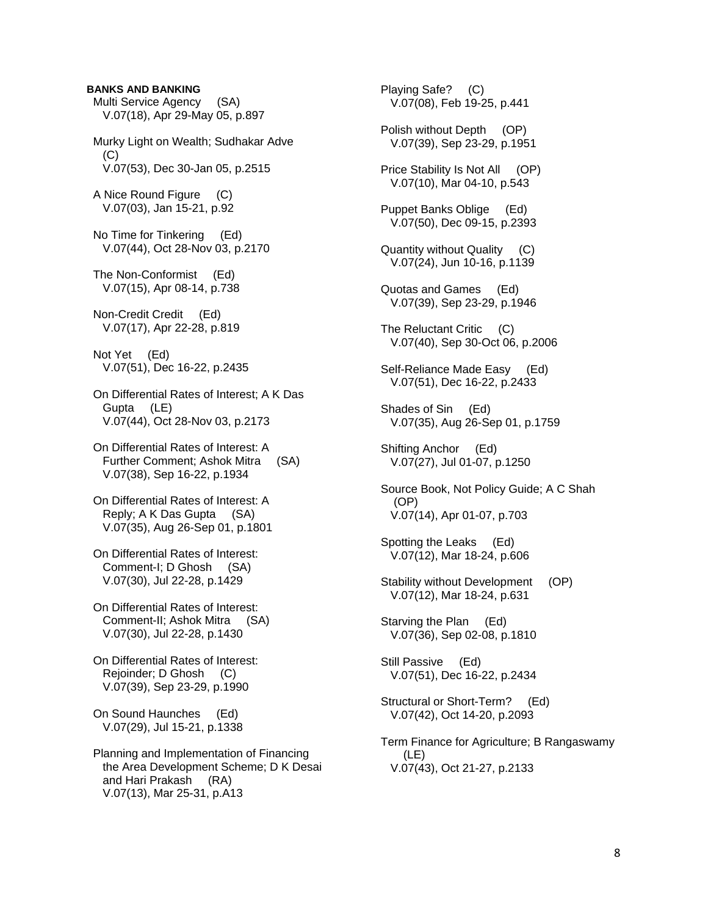## **BANKS AND BANKING**

 Multi Service Agency (SA) V.07(18), Apr 29-May 05, p.897 Murky Light on Wealth; Sudhakar Adve  $(C)$  V.07(53), Dec 30-Jan 05, p.2515 A Nice Round Figure (C) V.07(03), Jan 15-21, p.92 No Time for Tinkering (Ed) V.07(44), Oct 28-Nov 03, p.2170 The Non-Conformist (Ed) V.07(15), Apr 08-14, p.738 Non-Credit Credit (Ed) V.07(17), Apr 22-28, p.819 Not Yet (Ed) V.07(51), Dec 16-22, p.2435 On Differential Rates of Interest; A K Das Gupta (LE) V.07(44), Oct 28-Nov 03, p.2173 On Differential Rates of Interest: A Further Comment; Ashok Mitra (SA) V.07(38), Sep 16-22, p.1934 On Differential Rates of Interest: A Reply; A K Das Gupta (SA) V.07(35), Aug 26-Sep 01, p.1801 On Differential Rates of Interest: Comment-I; D Ghosh (SA) V.07(30), Jul 22-28, p.1429 On Differential Rates of Interest: Comment-II; Ashok Mitra (SA) V.07(30), Jul 22-28, p.1430 On Differential Rates of Interest: Rejoinder; D Ghosh (C) V.07(39), Sep 23-29, p.1990 On Sound Haunches (Ed) V.07(29), Jul 15-21, p.1338 Planning and Implementation of Financing the Area Development Scheme; D K Desai and Hari Prakash (RA) V.07(13), Mar 25-31, p.A13

 Playing Safe? (C) V.07(08), Feb 19-25, p.441 Polish without Depth (OP) V.07(39), Sep 23-29, p.1951 Price Stability Is Not All (OP) V.07(10), Mar 04-10, p.543 Puppet Banks Oblige (Ed) V.07(50), Dec 09-15, p.2393 Quantity without Quality (C) V.07(24), Jun 10-16, p.1139 Quotas and Games (Ed) V.07(39), Sep 23-29, p.1946 The Reluctant Critic (C) V.07(40), Sep 30-Oct 06, p.2006 Self-Reliance Made Easy (Ed) V.07(51), Dec 16-22, p.2433 Shades of Sin (Ed) V.07(35), Aug 26-Sep 01, p.1759 Shifting Anchor (Ed) V.07(27), Jul 01-07, p.1250 Source Book, Not Policy Guide; A C Shah (OP) V.07(14), Apr 01-07, p.703 Spotting the Leaks (Ed) V.07(12), Mar 18-24, p.606 Stability without Development (OP) V.07(12), Mar 18-24, p.631 Starving the Plan (Ed) V.07(36), Sep 02-08, p.1810 Still Passive (Ed) V.07(51), Dec 16-22, p.2434 Structural or Short-Term? (Ed) V.07(42), Oct 14-20, p.2093 Term Finance for Agriculture; B Rangaswamy (LE) V.07(43), Oct 21-27, p.2133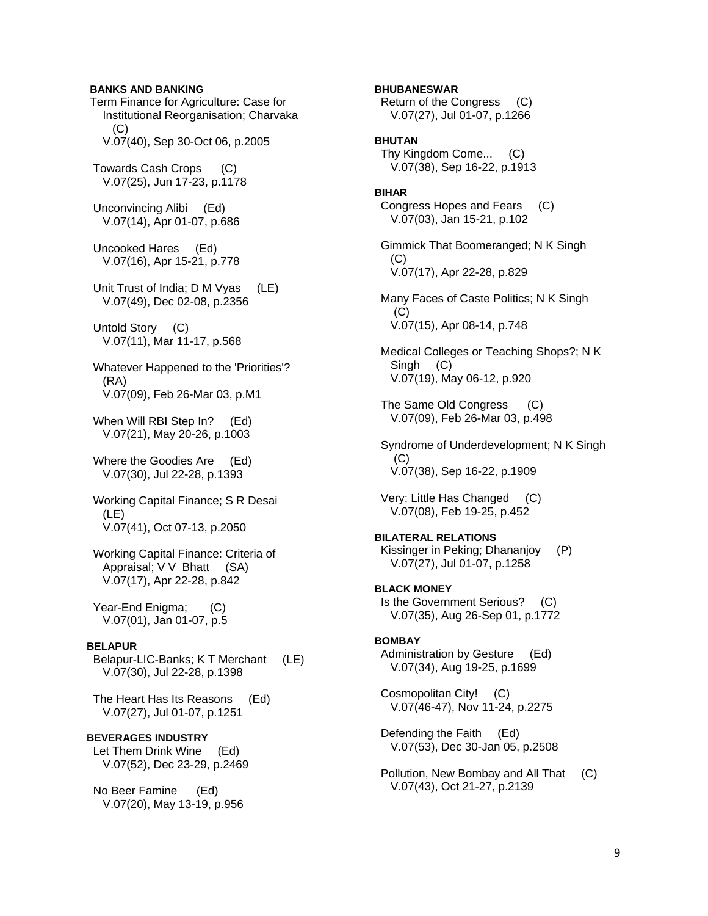## **BANKS AND BANKING**

 Term Finance for Agriculture: Case for Institutional Reorganisation; Charvaka (C) V.07(40), Sep 30-Oct 06, p.2005 Towards Cash Crops (C) V.07(25), Jun 17-23, p.1178

 Unconvincing Alibi (Ed) V.07(14), Apr 01-07, p.686

 Uncooked Hares (Ed) V.07(16), Apr 15-21, p.778

 Unit Trust of India; D M Vyas (LE) V.07(49), Dec 02-08, p.2356

 Untold Story (C) V.07(11), Mar 11-17, p.568

 Whatever Happened to the 'Priorities'? (RA) V.07(09), Feb 26-Mar 03, p.M1

When Will RBI Step In? (Ed) V.07(21), May 20-26, p.1003

 Where the Goodies Are (Ed) V.07(30), Jul 22-28, p.1393

 Working Capital Finance; S R Desai (LE) V.07(41), Oct 07-13, p.2050

 Working Capital Finance: Criteria of Appraisal; V V Bhatt (SA) V.07(17), Apr 22-28, p.842

 Year-End Enigma; (C) V.07(01), Jan 01-07, p.5

## **BELAPUR**

 Belapur-LIC-Banks; K T Merchant (LE) V.07(30), Jul 22-28, p.1398

 The Heart Has Its Reasons (Ed) V.07(27), Jul 01-07, p.1251

# **BEVERAGES INDUSTRY**

 Let Them Drink Wine (Ed) V.07(52), Dec 23-29, p.2469

 No Beer Famine (Ed) V.07(20), May 13-19, p.956

# **BHUBANESWAR**

 Return of the Congress (C) V.07(27), Jul 01-07, p.1266

## **BHUTAN**

 Thy Kingdom Come... (C) V.07(38), Sep 16-22, p.1913

#### **BIHAR**

 Congress Hopes and Fears (C) V.07(03), Jan 15-21, p.102

 Gimmick That Boomeranged; N K Singh (C) V.07(17), Apr 22-28, p.829

 Many Faces of Caste Politics; N K Singh  $(C)$ V.07(15), Apr 08-14, p.748

 Medical Colleges or Teaching Shops?; N K Singh (C) V.07(19), May 06-12, p.920

 The Same Old Congress (C) V.07(09), Feb 26-Mar 03, p.498

 Syndrome of Underdevelopment; N K Singh (C) V.07(38), Sep 16-22, p.1909

 Very: Little Has Changed (C) V.07(08), Feb 19-25, p.452

**BILATERAL RELATIONS**  Kissinger in Peking; Dhananjoy (P) V.07(27), Jul 01-07, p.1258

**BLACK MONEY**  Is the Government Serious? (C) V.07(35), Aug 26-Sep 01, p.1772

#### **BOMBAY**

 Administration by Gesture (Ed) V.07(34), Aug 19-25, p.1699

 Cosmopolitan City! (C) V.07(46-47), Nov 11-24, p.2275

 Defending the Faith (Ed) V.07(53), Dec 30-Jan 05, p.2508

 Pollution, New Bombay and All That (C) V.07(43), Oct 21-27, p.2139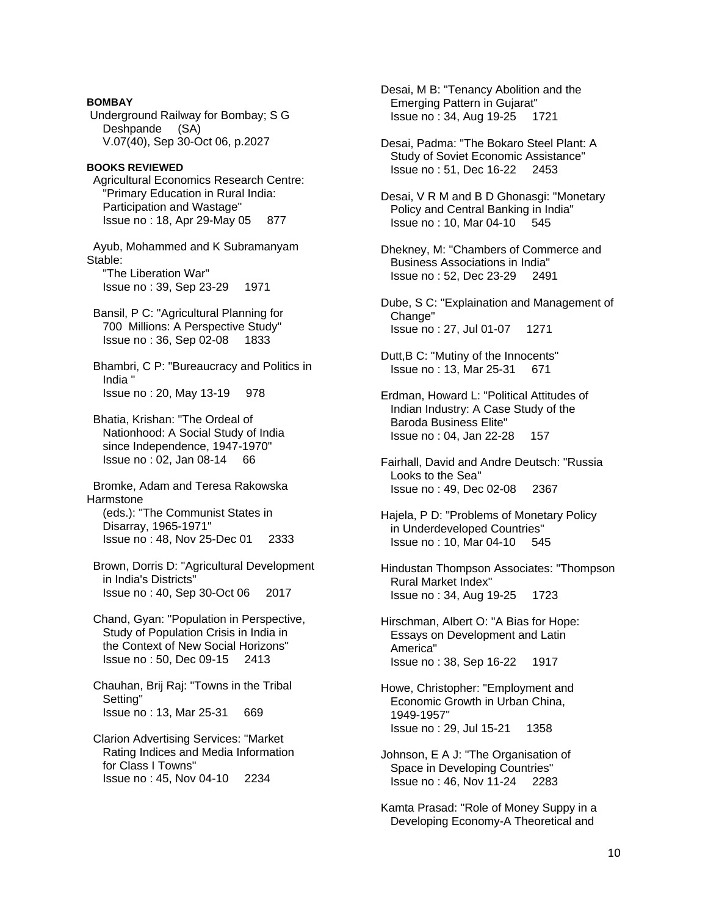# **BOMBAY**  Underground Railway for Bombay; S G Deshpande (SA) V.07(40), Sep 30-Oct 06, p.2027 **BOOKS REVIEWED**  Agricultural Economics Research Centre: "Primary Education in Rural India: Participation and Wastage" Issue no : 18, Apr 29-May 05 877 Ayub, Mohammed and K Subramanyam Stable: "The Liberation War" Issue no : 39, Sep 23-29 1971 Bansil, P C: "Agricultural Planning for 700 Millions: A Perspective Study" Issue no : 36, Sep 02-08 1833 Bhambri, C P: "Bureaucracy and Politics in India " Issue no : 20, May 13-19 978 Bhatia, Krishan: "The Ordeal of Nationhood: A Social Study of India since Independence, 1947-1970" Issue no : 02, Jan 08-14 66 Bromke, Adam and Teresa Rakowska **Harmstone**  (eds.): "The Communist States in Disarray, 1965-1971" Issue no : 48, Nov 25-Dec 01 2333 Brown, Dorris D: "Agricultural Development in India's Districts" Issue no : 40, Sep 30-Oct 06 2017

- Chand, Gyan: "Population in Perspective, Study of Population Crisis in India in the Context of New Social Horizons" Issue no : 50, Dec 09-15 2413
- Chauhan, Brij Raj: "Towns in the Tribal Setting" Issue no : 13, Mar 25-31 669
- Clarion Advertising Services: "Market Rating Indices and Media Information for Class I Towns" Issue no : 45, Nov 04-10 2234

 Desai, M B: "Tenancy Abolition and the Emerging Pattern in Gujarat" Issue no : 34, Aug 19-25 1721

 Desai, Padma: "The Bokaro Steel Plant: A Study of Soviet Economic Assistance" Issue no : 51, Dec 16-22 2453

 Desai, V R M and B D Ghonasgi: "Monetary Policy and Central Banking in India" Issue no : 10, Mar 04-10 545

 Dhekney, M: "Chambers of Commerce and Business Associations in India" Issue no : 52, Dec 23-29 2491

 Dube, S C: "Explaination and Management of Change" Issue no : 27, Jul 01-07 1271

 Dutt,B C: "Mutiny of the Innocents" Issue no : 13, Mar 25-31 671

 Erdman, Howard L: "Political Attitudes of Indian Industry: A Case Study of the Baroda Business Elite" Issue no : 04, Jan 22-28 157

 Fairhall, David and Andre Deutsch: "Russia Looks to the Sea" Issue no : 49, Dec 02-08 2367

 Hajela, P D: "Problems of Monetary Policy in Underdeveloped Countries" Issue no : 10, Mar 04-10 545

 Hindustan Thompson Associates: "Thompson Rural Market Index" Issue no : 34, Aug 19-25 1723

 Hirschman, Albert O: "A Bias for Hope: Essays on Development and Latin America" Issue no : 38, Sep 16-22 1917

 Howe, Christopher: "Employment and Economic Growth in Urban China, 1949-1957" Issue no : 29, Jul 15-21 1358

 Johnson, E A J: "The Organisation of Space in Developing Countries" Issue no : 46, Nov 11-24 2283

 Kamta Prasad: "Role of Money Suppy in a Developing Economy-A Theoretical and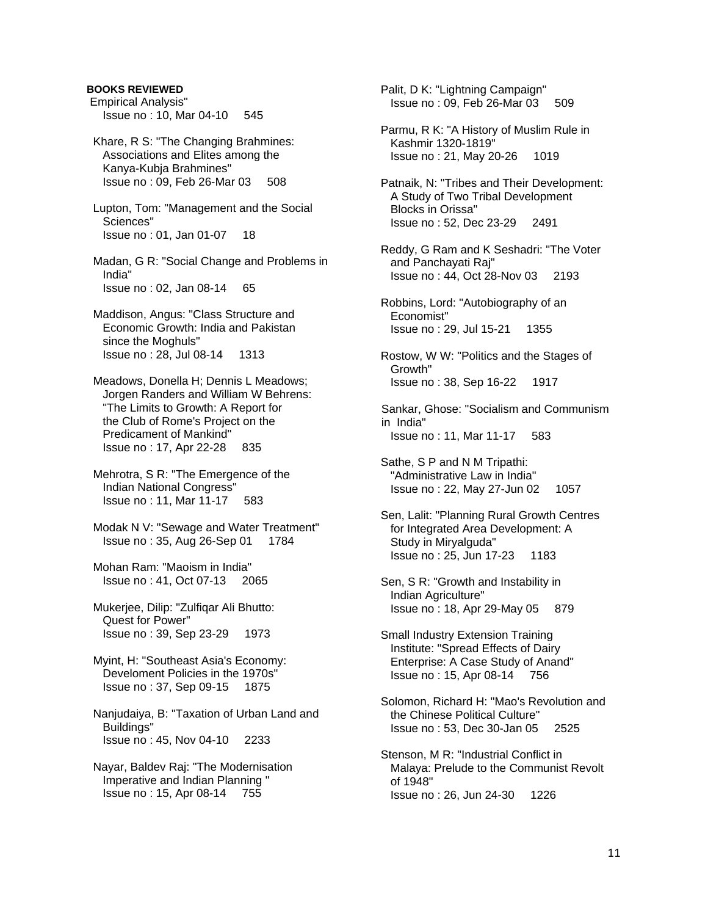Empirical Analysis" Issue no : 10, Mar 04-10 545 Khare, R S: "The Changing Brahmines: Associations and Elites among the Kanya-Kubja Brahmines" Issue no : 09, Feb 26-Mar 03 508 Lupton, Tom: "Management and the Social Sciences" Issue no : 01, Jan 01-07 18 Madan, G R: "Social Change and Problems in India" Issue no : 02, Jan 08-14 65 Maddison, Angus: "Class Structure and Economic Growth: India and Pakistan since the Moghuls" Issue no : 28, Jul 08-14 1313 Meadows, Donella H; Dennis L Meadows; Jorgen Randers and William W Behrens: "The Limits to Growth: A Report for the Club of Rome's Project on the Predicament of Mankind" Issue no : 17, Apr 22-28 835 Mehrotra, S R: "The Emergence of the Indian National Congress" Issue no : 11, Mar 11-17 583 Modak N V: "Sewage and Water Treatment" Issue no : 35, Aug 26-Sep 01 1784 Mohan Ram: "Maoism in India" Issue no : 41, Oct 07-13 2065 Mukerjee, Dilip: "Zulfiqar Ali Bhutto: Quest for Power" Issue no : 39, Sep 23-29 1973 Myint, H: "Southeast Asia's Economy: Develoment Policies in the 1970s" Issue no : 37, Sep 09-15 1875 Nanjudaiya, B: "Taxation of Urban Land and Buildings" Issue no : 45, Nov 04-10 2233 Nayar, Baldev Raj: "The Modernisation Imperative and Indian Planning " Issue no : 15, Apr 08-14 755

**BOOKS REVIEWED** 

 Palit, D K: "Lightning Campaign" Issue no : 09, Feb 26-Mar 03 509

 Parmu, R K: "A History of Muslim Rule in Kashmir 1320-1819" Issue no : 21, May 20-26 1019

 Patnaik, N: "Tribes and Their Development: A Study of Two Tribal Development Blocks in Orissa" Issue no : 52, Dec 23-29 2491

 Reddy, G Ram and K Seshadri: "The Voter and Panchayati Raj" Issue no : 44, Oct 28-Nov 03 2193

 Robbins, Lord: "Autobiography of an Economist" Issue no : 29, Jul 15-21 1355

 Rostow, W W: "Politics and the Stages of Growth" Issue no : 38, Sep 16-22 1917

Sankar, Ghose: "Socialism and Communism in India" Issue no : 11, Mar 11-17 583

 Sathe, S P and N M Tripathi: "Administrative Law in India" Issue no : 22, May 27-Jun 02 1057

 Sen, Lalit: "Planning Rural Growth Centres for Integrated Area Development: A Study in Miryalguda" Issue no : 25, Jun 17-23 1183

 Sen, S R: "Growth and Instability in Indian Agriculture" Issue no : 18, Apr 29-May 05 879

 Small Industry Extension Training Institute: "Spread Effects of Dairy Enterprise: A Case Study of Anand" Issue no : 15, Apr 08-14 756

 Solomon, Richard H: "Mao's Revolution and the Chinese Political Culture" Issue no : 53, Dec 30-Jan 05 2525

 Stenson, M R: "Industrial Conflict in Malaya: Prelude to the Communist Revolt of 1948" Issue no : 26, Jun 24-30 1226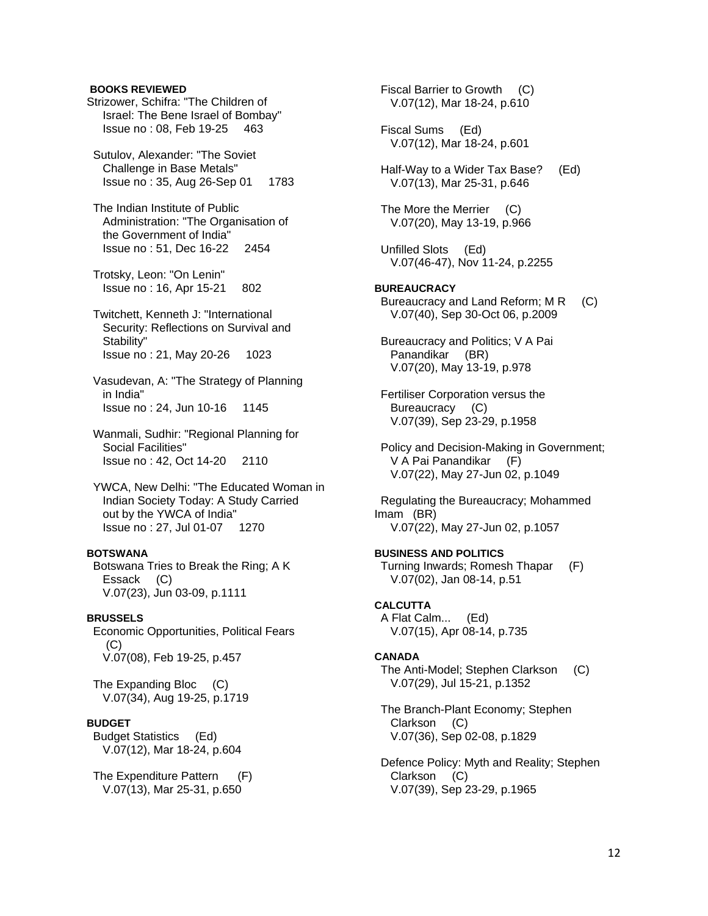#### **BOOKS REVIEWED**

- Strizower, Schifra: "The Children of Israel: The Bene Israel of Bombay" Issue no : 08, Feb 19-25 463
- Sutulov, Alexander: "The Soviet Challenge in Base Metals" Issue no : 35, Aug 26-Sep 01 1783
- The Indian Institute of Public Administration: "The Organisation of the Government of India" Issue no : 51, Dec 16-22 2454
- Trotsky, Leon: "On Lenin" Issue no : 16, Apr 15-21 802
- Twitchett, Kenneth J: "International Security: Reflections on Survival and Stability" Issue no : 21, May 20-26 1023
- Vasudevan, A: "The Strategy of Planning in India" Issue no : 24, Jun 10-16 1145
- Wanmali, Sudhir: "Regional Planning for Social Facilities" Issue no : 42, Oct 14-20 2110
- YWCA, New Delhi: "The Educated Woman in Indian Society Today: A Study Carried out by the YWCA of India" Issue no : 27, Jul 01-07 1270

## **BOTSWANA**

 Botswana Tries to Break the Ring; A K Essack (C) V.07(23), Jun 03-09, p.1111

## **BRUSSELS**

 Economic Opportunities, Political Fears (C) V.07(08), Feb 19-25, p.457

 The Expanding Bloc (C) V.07(34), Aug 19-25, p.1719

## **BUDGET**

 Budget Statistics (Ed) V.07(12), Mar 18-24, p.604

The Expenditure Pattern (F) V.07(13), Mar 25-31, p.650

 Fiscal Barrier to Growth (C) V.07(12), Mar 18-24, p.610

 Fiscal Sums (Ed) V.07(12), Mar 18-24, p.601

- Half-Way to a Wider Tax Base? (Ed) V.07(13), Mar 25-31, p.646
- The More the Merrier (C) V.07(20), May 13-19, p.966
- Unfilled Slots (Ed) V.07(46-47), Nov 11-24, p.2255

## **BUREAUCRACY**

- Bureaucracy and Land Reform; M R (C) V.07(40), Sep 30-Oct 06, p.2009
- Bureaucracy and Politics; V A Pai Panandikar (BR) V.07(20), May 13-19, p.978
- Fertiliser Corporation versus the Bureaucracy (C) V.07(39), Sep 23-29, p.1958
- Policy and Decision-Making in Government; V A Pai Panandikar (F) V.07(22), May 27-Jun 02, p.1049

 Regulating the Bureaucracy; Mohammed Imam (BR) V.07(22), May 27-Jun 02, p.1057

# **BUSINESS AND POLITICS**

 Turning Inwards; Romesh Thapar (F) V.07(02), Jan 08-14, p.51

# **CALCUTTA**

 A Flat Calm... (Ed) V.07(15), Apr 08-14, p.735

#### **CANADA**

- The Anti-Model; Stephen Clarkson (C) V.07(29), Jul 15-21, p.1352
- The Branch-Plant Economy; Stephen Clarkson (C) V.07(36), Sep 02-08, p.1829
- Defence Policy: Myth and Reality; Stephen Clarkson (C) V.07(39), Sep 23-29, p.1965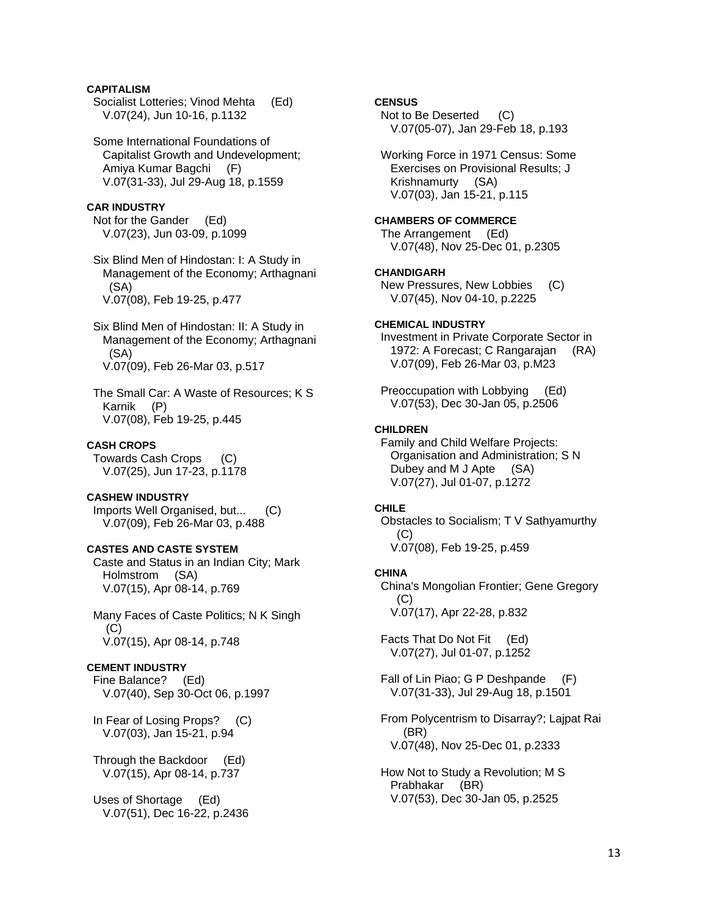## **CAPITALISM**

 Socialist Lotteries; Vinod Mehta (Ed) V.07(24), Jun 10-16, p.1132

 Some International Foundations of Capitalist Growth and Undevelopment; Amiya Kumar Bagchi (F) V.07(31-33), Jul 29-Aug 18, p.1559

## **CAR INDUSTRY**

 Not for the Gander (Ed) V.07(23), Jun 03-09, p.1099

 Six Blind Men of Hindostan: I: A Study in Management of the Economy; Arthagnani (SA) V.07(08), Feb 19-25, p.477

 Six Blind Men of Hindostan: II: A Study in Management of the Economy; Arthagnani (SA) V.07(09), Feb 26-Mar 03, p.517

 The Small Car: A Waste of Resources; K S Karnik (P) V.07(08), Feb 19-25, p.445

## **CASH CROPS**

 Towards Cash Crops (C) V.07(25), Jun 17-23, p.1178

## **CASHEW INDUSTRY**

 Imports Well Organised, but... (C) V.07(09), Feb 26-Mar 03, p.488

## **CASTES AND CASTE SYSTEM**

 Caste and Status in an Indian City; Mark Holmstrom (SA) V.07(15), Apr 08-14, p.769

 Many Faces of Caste Politics; N K Singh  $(C)$ V.07(15), Apr 08-14, p.748

## **CEMENT INDUSTRY**

 Fine Balance? (Ed) V.07(40), Sep 30-Oct 06, p.1997

 In Fear of Losing Props? (C) V.07(03), Jan 15-21, p.94

 Through the Backdoor (Ed) V.07(15), Apr 08-14, p.737

 Uses of Shortage (Ed) V.07(51), Dec 16-22, p.2436

## **CENSUS**

Not to Be Deserted (C) V.07(05-07), Jan 29-Feb 18, p.193

 Working Force in 1971 Census: Some Exercises on Provisional Results; J Krishnamurty (SA) V.07(03), Jan 15-21, p.115

#### **CHAMBERS OF COMMERCE**

 The Arrangement (Ed) V.07(48), Nov 25-Dec 01, p.2305

#### **CHANDIGARH**

 New Pressures, New Lobbies (C) V.07(45), Nov 04-10, p.2225

## **CHEMICAL INDUSTRY**

 Investment in Private Corporate Sector in 1972: A Forecast; C Rangarajan (RA) V.07(09), Feb 26-Mar 03, p.M23

 Preoccupation with Lobbying (Ed) V.07(53), Dec 30-Jan 05, p.2506

#### **CHILDREN**

 Family and Child Welfare Projects: Organisation and Administration; S N Dubey and M J Apte (SA) V.07(27), Jul 01-07, p.1272

#### **CHILE**

 Obstacles to Socialism; T V Sathyamurthy  $(C)$ V.07(08), Feb 19-25, p.459

# **CHINA**

 China's Mongolian Frontier; Gene Gregory  $(C)$ V.07(17), Apr 22-28, p.832

 Facts That Do Not Fit (Ed) V.07(27), Jul 01-07, p.1252

 Fall of Lin Piao; G P Deshpande (F) V.07(31-33), Jul 29-Aug 18, p.1501

 From Polycentrism to Disarray?; Lajpat Rai (BR) V.07(48), Nov 25-Dec 01, p.2333

 How Not to Study a Revolution; M S Prabhakar (BR) V.07(53), Dec 30-Jan 05, p.2525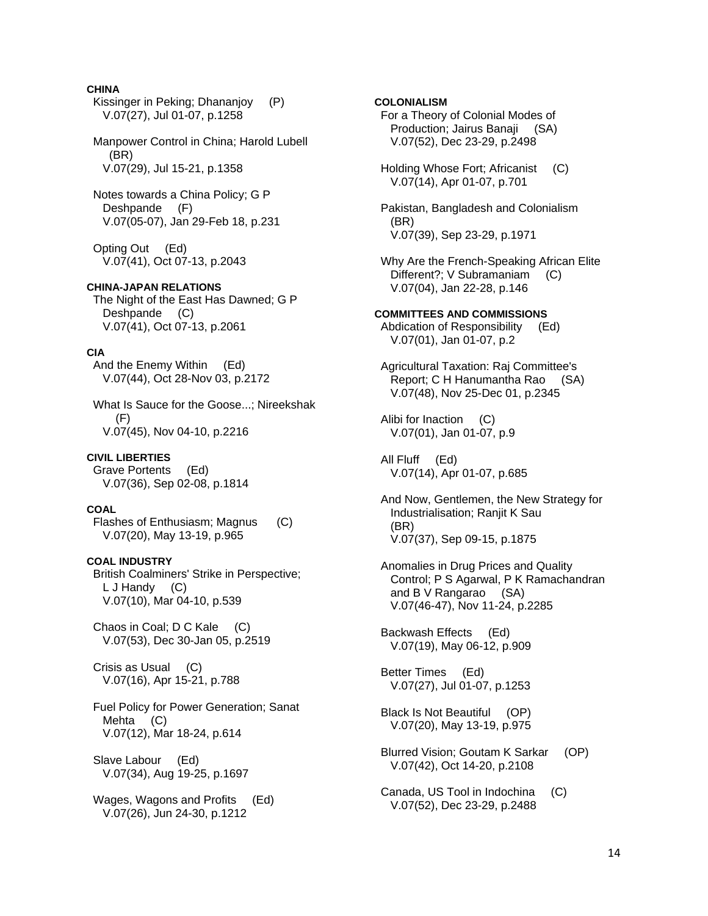## **CHINA**

 Kissinger in Peking; Dhananjoy (P) V.07(27), Jul 01-07, p.1258

 Manpower Control in China; Harold Lubell (BR) V.07(29), Jul 15-21, p.1358

 Notes towards a China Policy; G P Deshpande (F) V.07(05-07), Jan 29-Feb 18, p.231

 Opting Out (Ed) V.07(41), Oct 07-13, p.2043

## **CHINA-JAPAN RELATIONS**

 The Night of the East Has Dawned; G P Deshpande (C) V.07(41), Oct 07-13, p.2061

#### **CIA**

 And the Enemy Within (Ed) V.07(44), Oct 28-Nov 03, p.2172

 What Is Sauce for the Goose...; Nireekshak  $(F)$ V.07(45), Nov 04-10, p.2216

#### **CIVIL LIBERTIES**

 Grave Portents (Ed) V.07(36), Sep 02-08, p.1814

#### **COAL**

 Flashes of Enthusiasm; Magnus (C) V.07(20), May 13-19, p.965

## **COAL INDUSTRY**

 British Coalminers' Strike in Perspective; L J Handy (C) V.07(10), Mar 04-10, p.539

 Chaos in Coal; D C Kale (C) V.07(53), Dec 30-Jan 05, p.2519

 Crisis as Usual (C) V.07(16), Apr 15-21, p.788

 Fuel Policy for Power Generation; Sanat Mehta (C) V.07(12), Mar 18-24, p.614

 Slave Labour (Ed) V.07(34), Aug 19-25, p.1697

 Wages, Wagons and Profits (Ed) V.07(26), Jun 24-30, p.1212

## **COLONIALISM**

 For a Theory of Colonial Modes of Production; Jairus Banaji (SA) V.07(52), Dec 23-29, p.2498

 Holding Whose Fort; Africanist (C) V.07(14), Apr 01-07, p.701

 Pakistan, Bangladesh and Colonialism (BR) V.07(39), Sep 23-29, p.1971

 Why Are the French-Speaking African Elite Different?; V Subramaniam (C) V.07(04), Jan 22-28, p.146

#### **COMMITTEES AND COMMISSIONS**

 Abdication of Responsibility (Ed) V.07(01), Jan 01-07, p.2

 Agricultural Taxation: Raj Committee's Report; C H Hanumantha Rao (SA) V.07(48), Nov 25-Dec 01, p.2345

 Alibi for Inaction (C) V.07(01), Jan 01-07, p.9

 All Fluff (Ed) V.07(14), Apr 01-07, p.685

 And Now, Gentlemen, the New Strategy for Industrialisation; Ranjit K Sau (BR) V.07(37), Sep 09-15, p.1875

 Anomalies in Drug Prices and Quality Control; P S Agarwal, P K Ramachandran and B V Rangarao (SA) V.07(46-47), Nov 11-24, p.2285

 Backwash Effects (Ed) V.07(19), May 06-12, p.909

 Better Times (Ed) V.07(27), Jul 01-07, p.1253

 Black Is Not Beautiful (OP) V.07(20), May 13-19, p.975

 Blurred Vision; Goutam K Sarkar (OP) V.07(42), Oct 14-20, p.2108

 Canada, US Tool in Indochina (C) V.07(52), Dec 23-29, p.2488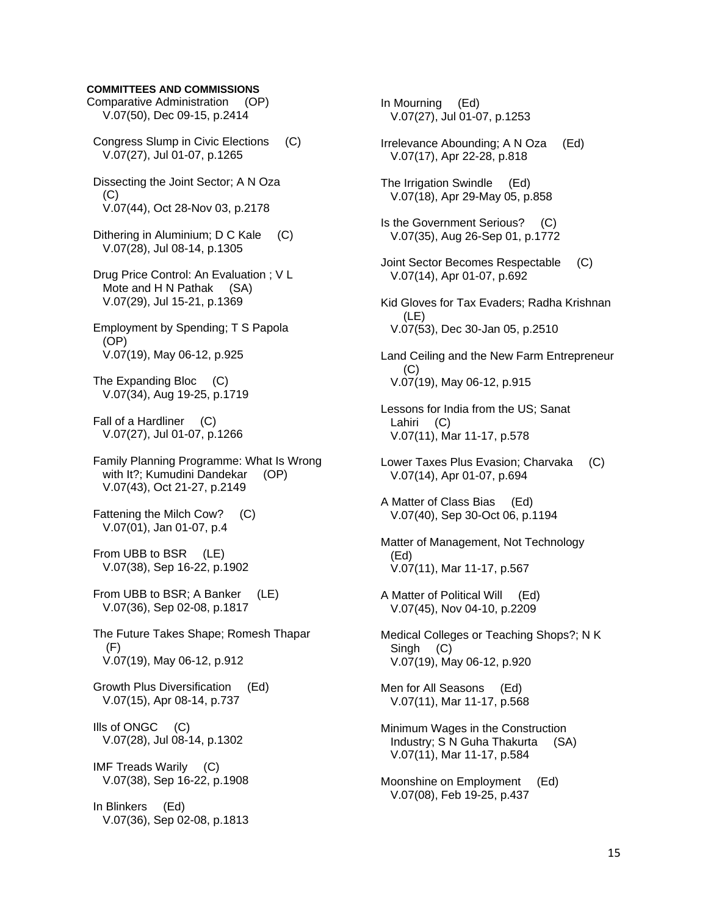**COMMITTEES AND COMMISSIONS**  Comparative Administration (OP) V.07(50), Dec 09-15, p.2414 Congress Slump in Civic Elections (C) V.07(27), Jul 01-07, p.1265 Dissecting the Joint Sector; A N Oza  $(C)$  V.07(44), Oct 28-Nov 03, p.2178 Dithering in Aluminium; D C Kale (C) V.07(28), Jul 08-14, p.1305 Drug Price Control: An Evaluation ; V L Mote and H N Pathak (SA) V.07(29), Jul 15-21, p.1369 Employment by Spending; T S Papola (OP) V.07(19), May 06-12, p.925 The Expanding Bloc (C) V.07(34), Aug 19-25, p.1719 Fall of a Hardliner (C) V.07(27), Jul 01-07, p.1266 Family Planning Programme: What Is Wrong with It?; Kumudini Dandekar (OP) V.07(43), Oct 21-27, p.2149 Fattening the Milch Cow? (C) V.07(01), Jan 01-07, p.4 From UBB to BSR (LE) V.07(38), Sep 16-22, p.1902 From UBB to BSR; A Banker (LE) V.07(36), Sep 02-08, p.1817 The Future Takes Shape; Romesh Thapar (F) V.07(19), May 06-12, p.912 Growth Plus Diversification (Ed) V.07(15), Apr 08-14, p.737 Ills of ONGC (C) V.07(28), Jul 08-14, p.1302

 IMF Treads Warily (C) V.07(38), Sep 16-22, p.1908

 In Blinkers (Ed) V.07(36), Sep 02-08, p.1813  In Mourning (Ed) V.07(27), Jul 01-07, p.1253 Irrelevance Abounding; A N Oza (Ed) V.07(17), Apr 22-28, p.818 The Irrigation Swindle (Ed) V.07(18), Apr 29-May 05, p.858 Is the Government Serious? (C) V.07(35), Aug 26-Sep 01, p.1772 Joint Sector Becomes Respectable (C) V.07(14), Apr 01-07, p.692 Kid Gloves for Tax Evaders; Radha Krishnan (LE) V.07(53), Dec 30-Jan 05, p.2510 Land Ceiling and the New Farm Entrepreneur (C) V.07(19), May 06-12, p.915 Lessons for India from the US; Sanat Lahiri (C) V.07(11), Mar 11-17, p.578 Lower Taxes Plus Evasion; Charvaka (C) V.07(14), Apr 01-07, p.694 A Matter of Class Bias (Ed) V.07(40), Sep 30-Oct 06, p.1194 Matter of Management, Not Technology (Ed) V.07(11), Mar 11-17, p.567 A Matter of Political Will (Ed) V.07(45), Nov 04-10, p.2209 Medical Colleges or Teaching Shops?; N K Singh (C) V.07(19), May 06-12, p.920 Men for All Seasons (Ed) V.07(11), Mar 11-17, p.568 Minimum Wages in the Construction Industry; S N Guha Thakurta (SA) V.07(11), Mar 11-17, p.584 Moonshine on Employment (Ed) V.07(08), Feb 19-25, p.437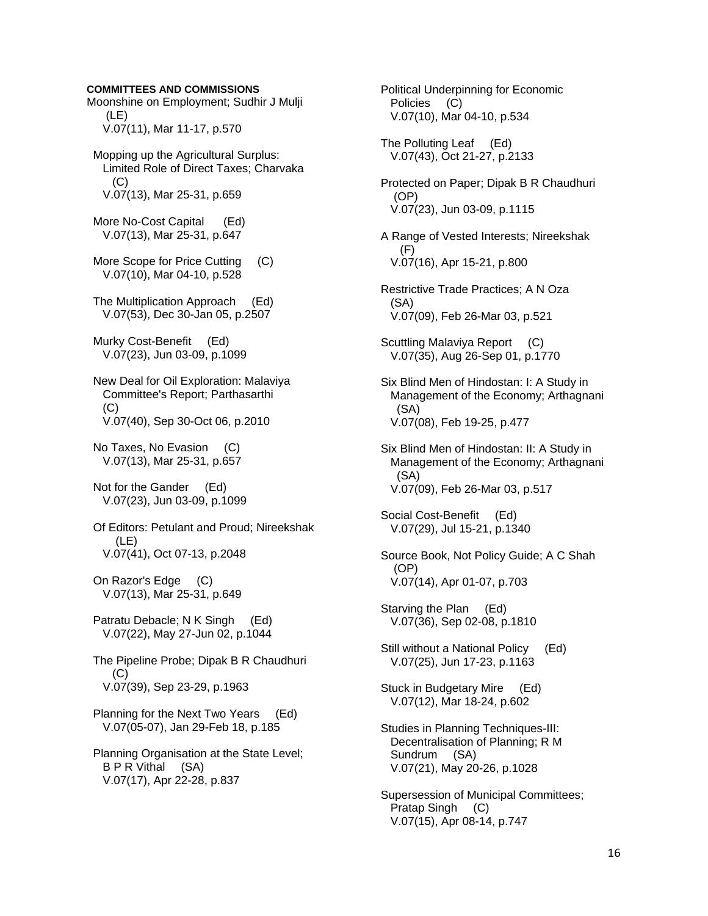#### **COMMITTEES AND COMMISSIONS**

Moonshine on Employment; Sudhir J Mulji (LE) V.07(11), Mar 11-17, p.570

 Mopping up the Agricultural Surplus: Limited Role of Direct Taxes; Charvaka  $(C)$ V.07(13), Mar 25-31, p.659

 More No-Cost Capital (Ed) V.07(13), Mar 25-31, p.647

More Scope for Price Cutting (C) V.07(10), Mar 04-10, p.528

 The Multiplication Approach (Ed) V.07(53), Dec 30-Jan 05, p.2507

 Murky Cost-Benefit (Ed) V.07(23), Jun 03-09, p.1099

 New Deal for Oil Exploration: Malaviya Committee's Report; Parthasarthi (C) V.07(40), Sep 30-Oct 06, p.2010

 No Taxes, No Evasion (C) V.07(13), Mar 25-31, p.657

 Not for the Gander (Ed) V.07(23), Jun 03-09, p.1099

 Of Editors: Petulant and Proud; Nireekshak (LE) V.07(41), Oct 07-13, p.2048

On Razor's Edge (C) V.07(13), Mar 25-31, p.649

Patratu Debacle; N K Singh (Ed) V.07(22), May 27-Jun 02, p.1044

 The Pipeline Probe; Dipak B R Chaudhuri  $(C)$ V.07(39), Sep 23-29, p.1963

 Planning for the Next Two Years (Ed) V.07(05-07), Jan 29-Feb 18, p.185

 Planning Organisation at the State Level; B P R Vithal (SA) V.07(17), Apr 22-28, p.837

 Policies (C) V.07(10), Mar 04-10, p.534 The Polluting Leaf (Ed) V.07(43), Oct 21-27, p.2133 Protected on Paper; Dipak B R Chaudhuri (OP) V.07(23), Jun 03-09, p.1115 A Range of Vested Interests; Nireekshak (F) V.07(16), Apr 15-21, p.800 Restrictive Trade Practices; A N Oza (SA) V.07(09), Feb 26-Mar 03, p.521 Scuttling Malaviya Report (C) V.07(35), Aug 26-Sep 01, p.1770 Six Blind Men of Hindostan: I: A Study in Management of the Economy; Arthagnani (SA) V.07(08), Feb 19-25, p.477 Six Blind Men of Hindostan: II: A Study in Management of the Economy; Arthagnani (SA) V.07(09), Feb 26-Mar 03, p.517 Social Cost-Benefit (Ed) V.07(29), Jul 15-21, p.1340 Source Book, Not Policy Guide; A C Shah (OP) V.07(14), Apr 01-07, p.703 Starving the Plan (Ed) V.07(36), Sep 02-08, p.1810 Still without a National Policy (Ed) V.07(25), Jun 17-23, p.1163 Stuck in Budgetary Mire (Ed) V.07(12), Mar 18-24, p.602 Studies in Planning Techniques-III: Decentralisation of Planning; R M Sundrum (SA) V.07(21), May 20-26, p.1028

Political Underpinning for Economic

 Supersession of Municipal Committees; Pratap Singh (C) V.07(15), Apr 08-14, p.747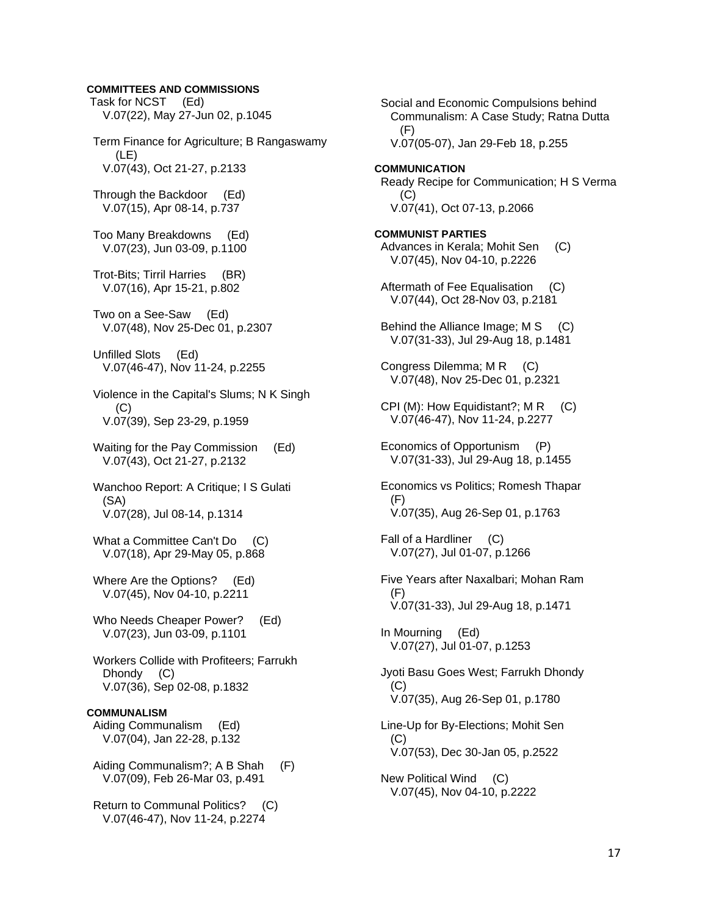#### **COMMITTEES AND COMMISSIONS**

 Task for NCST (Ed) V.07(22), May 27-Jun 02, p.1045 Term Finance for Agriculture; B Rangaswamy (LE) V.07(43), Oct 21-27, p.2133 Through the Backdoor (Ed) V.07(15), Apr 08-14, p.737 Too Many Breakdowns (Ed) V.07(23), Jun 03-09, p.1100 Trot-Bits; Tirril Harries (BR) V.07(16), Apr 15-21, p.802 Two on a See-Saw (Ed) V.07(48), Nov 25-Dec 01, p.2307 Unfilled Slots (Ed) V.07(46-47), Nov 11-24, p.2255 Violence in the Capital's Slums; N K Singh (C) V.07(39), Sep 23-29, p.1959 Waiting for the Pay Commission (Ed) V.07(43), Oct 21-27, p.2132 Wanchoo Report: A Critique; I S Gulati (SA) V.07(28), Jul 08-14, p.1314 What a Committee Can't Do (C) V.07(18), Apr 29-May 05, p.868 Where Are the Options? (Ed) V.07(45), Nov 04-10, p.2211 Who Needs Cheaper Power? (Ed) V.07(23), Jun 03-09, p.1101 Workers Collide with Profiteers; Farrukh Dhondy (C) V.07(36), Sep 02-08, p.1832 **COMMUNALISM**  Aiding Communalism (Ed) V.07(04), Jan 22-28, p.132 Aiding Communalism?; A B Shah (F) V.07(09), Feb 26-Mar 03, p.491 Return to Communal Politics? (C) V.07(46-47), Nov 11-24, p.2274

 Social and Economic Compulsions behind Communalism: A Case Study; Ratna Dutta (F) V.07(05-07), Jan 29-Feb 18, p.255 **COMMUNICATION**  Ready Recipe for Communication; H S Verma  $(C)$  V.07(41), Oct 07-13, p.2066 **COMMUNIST PARTIES**  Advances in Kerala; Mohit Sen (C) V.07(45), Nov 04-10, p.2226 Aftermath of Fee Equalisation (C) V.07(44), Oct 28-Nov 03, p.2181 Behind the Alliance Image: M S (C) V.07(31-33), Jul 29-Aug 18, p.1481 Congress Dilemma; M R (C) V.07(48), Nov 25-Dec 01, p.2321 CPI (M): How Equidistant?;  $MR$  (C) V.07(46-47), Nov 11-24, p.2277 Economics of Opportunism (P) V.07(31-33), Jul 29-Aug 18, p.1455 Economics vs Politics; Romesh Thapar (F) V.07(35), Aug 26-Sep 01, p.1763 Fall of a Hardliner (C) V.07(27), Jul 01-07, p.1266 Five Years after Naxalbari; Mohan Ram (F) V.07(31-33), Jul 29-Aug 18, p.1471 In Mourning (Ed) V.07(27), Jul 01-07, p.1253 Jyoti Basu Goes West; Farrukh Dhondy  $(C)$  V.07(35), Aug 26-Sep 01, p.1780 Line-Up for By-Elections; Mohit Sen (C) V.07(53), Dec 30-Jan 05, p.2522 New Political Wind (C) V.07(45), Nov 04-10, p.2222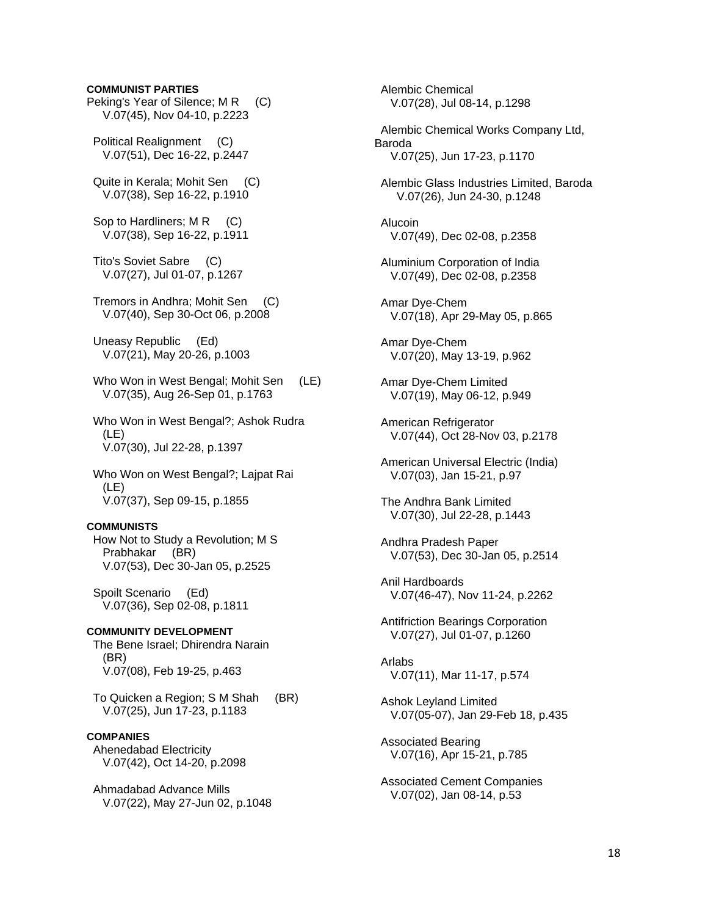## **COMMUNIST PARTIES**

- Peking's Year of Silence; M R (C) V.07(45), Nov 04-10, p.2223
- Political Realignment (C) V.07(51), Dec 16-22, p.2447
- Quite in Kerala; Mohit Sen (C) V.07(38), Sep 16-22, p.1910
- Sop to Hardliners; M R (C) V.07(38), Sep 16-22, p.1911
- Tito's Soviet Sabre (C) V.07(27), Jul 01-07, p.1267
- Tremors in Andhra; Mohit Sen (C) V.07(40), Sep 30-Oct 06, p.2008
- Uneasy Republic (Ed) V.07(21), May 20-26, p.1003
- Who Won in West Bengal; Mohit Sen (LE) V.07(35), Aug 26-Sep 01, p.1763
- Who Won in West Bengal?; Ashok Rudra (LE) V.07(30), Jul 22-28, p.1397
- Who Won on West Bengal?; Lajpat Rai (LE) V.07(37), Sep 09-15, p.1855

#### **COMMUNISTS**

- How Not to Study a Revolution; M S Prabhakar (BR) V.07(53), Dec 30-Jan 05, p.2525
- Spoilt Scenario (Ed) V.07(36), Sep 02-08, p.1811
- **COMMUNITY DEVELOPMENT**  The Bene Israel; Dhirendra Narain (BR) V.07(08), Feb 19-25, p.463
- To Quicken a Region; S M Shah (BR) V.07(25), Jun 17-23, p.1183

## **COMPANIES**

- Ahenedabad Electricity V.07(42), Oct 14-20, p.2098
- Ahmadabad Advance Mills V.07(22), May 27-Jun 02, p.1048

 Alembic Chemical V.07(28), Jul 08-14, p.1298

- Alembic Chemical Works Company Ltd, Baroda V.07(25), Jun 17-23, p.1170
- Alembic Glass Industries Limited, Baroda V.07(26), Jun 24-30, p.1248
- Alucoin V.07(49), Dec 02-08, p.2358
- Aluminium Corporation of India V.07(49), Dec 02-08, p.2358
- Amar Dye-Chem V.07(18), Apr 29-May 05, p.865
- Amar Dye-Chem V.07(20), May 13-19, p.962
- Amar Dye-Chem Limited V.07(19), May 06-12, p.949
- American Refrigerator V.07(44), Oct 28-Nov 03, p.2178
- American Universal Electric (India) V.07(03), Jan 15-21, p.97
- The Andhra Bank Limited V.07(30), Jul 22-28, p.1443
- Andhra Pradesh Paper V.07(53), Dec 30-Jan 05, p.2514
- Anil Hardboards V.07(46-47), Nov 11-24, p.2262
- Antifriction Bearings Corporation V.07(27), Jul 01-07, p.1260
- Arlabs V.07(11), Mar 11-17, p.574
- Ashok Leyland Limited V.07(05-07), Jan 29-Feb 18, p.435
- Associated Bearing V.07(16), Apr 15-21, p.785
- Associated Cement Companies V.07(02), Jan 08-14, p.53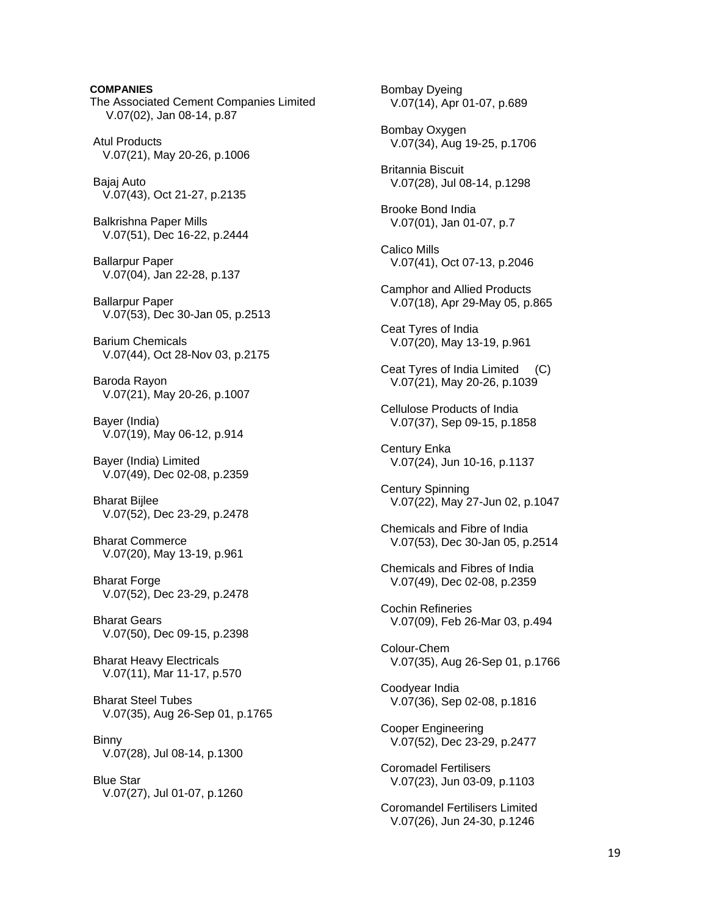**COMPANIES**  The Associated Cement Companies Limited V.07(02), Jan 08-14, p.87 Atul Products V.07(21), May 20-26, p.1006 Bajaj Auto V.07(43), Oct 21-27, p.2135 Balkrishna Paper Mills V.07(51), Dec 16-22, p.2444 Ballarpur Paper V.07(04), Jan 22-28, p.137 Ballarpur Paper V.07(53), Dec 30-Jan 05, p.2513 Barium Chemicals V.07(44), Oct 28-Nov 03, p.2175 Baroda Rayon V.07(21), May 20-26, p.1007 Bayer (India) V.07(19), May 06-12, p.914 Bayer (India) Limited V.07(49), Dec 02-08, p.2359 Bharat Bijlee V.07(52), Dec 23-29, p.2478 Bharat Commerce V.07(20), May 13-19, p.961 **Bharat Forge**  V.07(52), Dec 23-29, p.2478 Bharat Gears V.07(50), Dec 09-15, p.2398 Bharat Heavy Electricals V.07(11), Mar 11-17, p.570 Bharat Steel Tubes V.07(35), Aug 26-Sep 01, p.1765 **Binny**  V.07(28), Jul 08-14, p.1300 Blue Star V.07(27), Jul 01-07, p.1260

 Bombay Dyeing V.07(14), Apr 01-07, p.689 Bombay Oxygen V.07(34), Aug 19-25, p.1706 Britannia Biscuit V.07(28), Jul 08-14, p.1298 Brooke Bond India V.07(01), Jan 01-07, p.7 Calico Mills V.07(41), Oct 07-13, p.2046 Camphor and Allied Products V.07(18), Apr 29-May 05, p.865 Ceat Tyres of India V.07(20), May 13-19, p.961 Ceat Tyres of India Limited (C) V.07(21), May 20-26, p.1039 Cellulose Products of India V.07(37), Sep 09-15, p.1858 Century Enka V.07(24), Jun 10-16, p.1137 Century Spinning V.07(22), May 27-Jun 02, p.1047 Chemicals and Fibre of India V.07(53), Dec 30-Jan 05, p.2514 Chemicals and Fibres of India V.07(49), Dec 02-08, p.2359 Cochin Refineries V.07(09), Feb 26-Mar 03, p.494 Colour-Chem V.07(35), Aug 26-Sep 01, p.1766 Coodyear India V.07(36), Sep 02-08, p.1816 Cooper Engineering V.07(52), Dec 23-29, p.2477 Coromadel Fertilisers V.07(23), Jun 03-09, p.1103 Coromandel Fertilisers Limited V.07(26), Jun 24-30, p.1246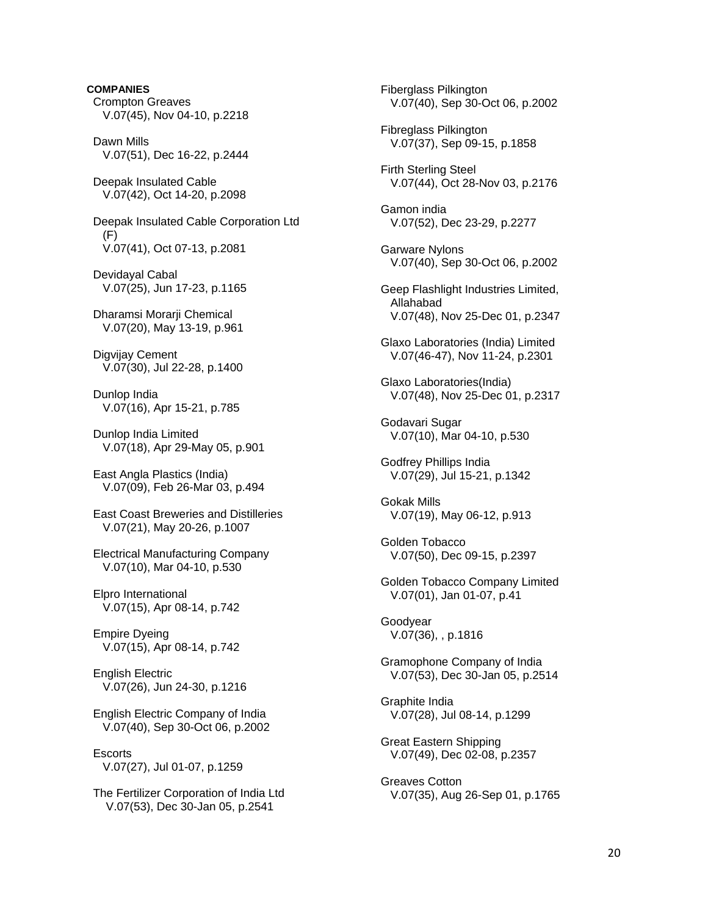**COMPANIES**  Crompton Greaves V.07(45), Nov 04-10, p.2218 Dawn Mills V.07(51), Dec 16-22, p.2444 Deepak Insulated Cable V.07(42), Oct 14-20, p.2098 Deepak Insulated Cable Corporation Ltd (F) V.07(41), Oct 07-13, p.2081 Devidayal Cabal V.07(25), Jun 17-23, p.1165 Dharamsi Morarii Chemical V.07(20), May 13-19, p.961 Digvijay Cement V.07(30), Jul 22-28, p.1400 Dunlop India V.07(16), Apr 15-21, p.785 Dunlop India Limited V.07(18), Apr 29-May 05, p.901 East Angla Plastics (India) V.07(09), Feb 26-Mar 03, p.494 East Coast Breweries and Distilleries V.07(21), May 20-26, p.1007 Electrical Manufacturing Company V.07(10), Mar 04-10, p.530 Elpro International V.07(15), Apr 08-14, p.742 Empire Dyeing V.07(15), Apr 08-14, p.742 English Electric V.07(26), Jun 24-30, p.1216 English Electric Company of India V.07(40), Sep 30-Oct 06, p.2002 **Escorts** V.07(27), Jul 01-07, p.1259

 The Fertilizer Corporation of India Ltd V.07(53), Dec 30-Jan 05, p.2541

 Fiberglass Pilkington V.07(40), Sep 30-Oct 06, p.2002 Fibreglass Pilkington V.07(37), Sep 09-15, p.1858 Firth Sterling Steel V.07(44), Oct 28-Nov 03, p.2176 Gamon india V.07(52), Dec 23-29, p.2277 Garware Nylons V.07(40), Sep 30-Oct 06, p.2002 Geep Flashlight Industries Limited, Allahabad V.07(48), Nov 25-Dec 01, p.2347 Glaxo Laboratories (India) Limited V.07(46-47), Nov 11-24, p.2301 Glaxo Laboratories(India) V.07(48), Nov 25-Dec 01, p.2317 Godavari Sugar V.07(10), Mar 04-10, p.530 Godfrey Phillips India V.07(29), Jul 15-21, p.1342 Gokak Mills V.07(19), May 06-12, p.913 Golden Tobacco V.07(50), Dec 09-15, p.2397 Golden Tobacco Company Limited V.07(01), Jan 01-07, p.41 Goodyear V.07(36), , p.1816 Gramophone Company of India V.07(53), Dec 30-Jan 05, p.2514 Graphite India V.07(28), Jul 08-14, p.1299 Great Eastern Shipping V.07(49), Dec 02-08, p.2357 Greaves Cotton V.07(35), Aug 26-Sep 01, p.1765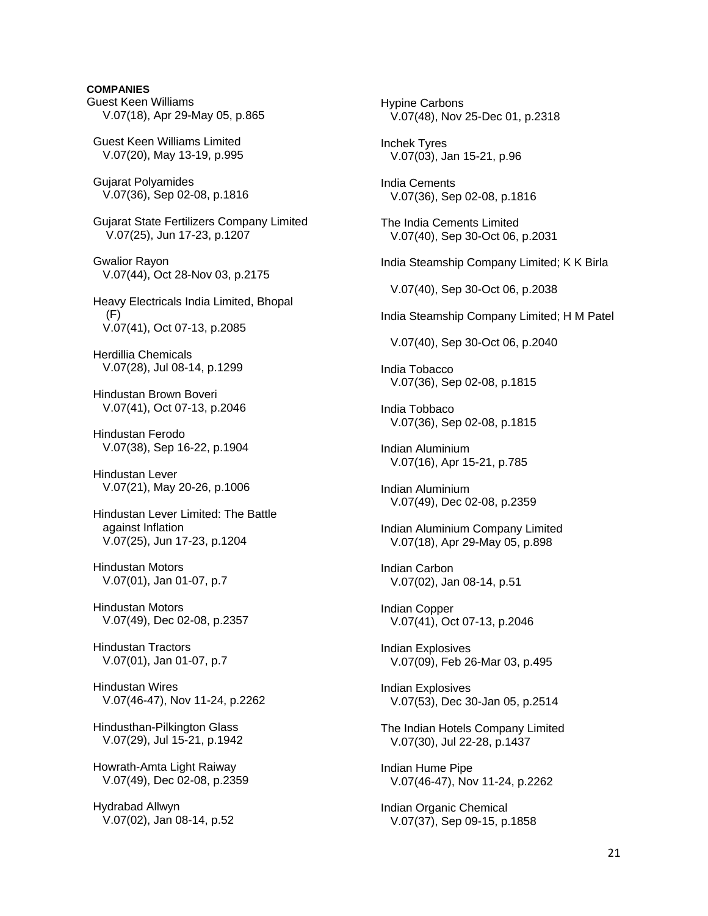## **COMPANIES**

Guest Keen Williams V.07(18), Apr 29-May 05, p.865 Guest Keen Williams Limited V.07(20), May 13-19, p.995 Gujarat Polyamides V.07(36), Sep 02-08, p.1816 Gujarat State Fertilizers Company Limited V.07(25), Jun 17-23, p.1207 Gwalior Rayon V.07(44), Oct 28-Nov 03, p.2175 Heavy Electricals India Limited, Bhopal (F) V.07(41), Oct 07-13, p.2085 Herdillia Chemicals V.07(28), Jul 08-14, p.1299 Hindustan Brown Boveri V.07(41), Oct 07-13, p.2046 Hindustan Ferodo V.07(38), Sep 16-22, p.1904 Hindustan Lever V.07(21), May 20-26, p.1006 Hindustan Lever Limited: The Battle against Inflation V.07(25), Jun 17-23, p.1204 Hindustan Motors V.07(01), Jan 01-07, p.7 Hindustan Motors V.07(49), Dec 02-08, p.2357 Hindustan Tractors V.07(01), Jan 01-07, p.7 Hindustan Wires V.07(46-47), Nov 11-24, p.2262 Hindusthan-Pilkington Glass V.07(29), Jul 15-21, p.1942 Howrath-Amta Light Raiway V.07(49), Dec 02-08, p.2359

 Hydrabad Allwyn V.07(02), Jan 08-14, p.52  Hypine Carbons V.07(48), Nov 25-Dec 01, p.2318 Inchek Tyres V.07(03), Jan 15-21, p.96 India Cements V.07(36), Sep 02-08, p.1816 The India Cements Limited V.07(40), Sep 30-Oct 06, p.2031 India Steamship Company Limited; K K Birla V.07(40), Sep 30-Oct 06, p.2038 India Steamship Company Limited; H M Patel V.07(40), Sep 30-Oct 06, p.2040 India Tobacco V.07(36), Sep 02-08, p.1815 India Tobbaco V.07(36), Sep 02-08, p.1815 Indian Aluminium V.07(16), Apr 15-21, p.785 Indian Aluminium V.07(49), Dec 02-08, p.2359 Indian Aluminium Company Limited V.07(18), Apr 29-May 05, p.898 Indian Carbon V.07(02), Jan 08-14, p.51 Indian Copper V.07(41), Oct 07-13, p.2046 Indian Explosives V.07(09), Feb 26-Mar 03, p.495 Indian Explosives V.07(53), Dec 30-Jan 05, p.2514 The Indian Hotels Company Limited V.07(30), Jul 22-28, p.1437 Indian Hume Pipe V.07(46-47), Nov 11-24, p.2262 Indian Organic Chemical V.07(37), Sep 09-15, p.1858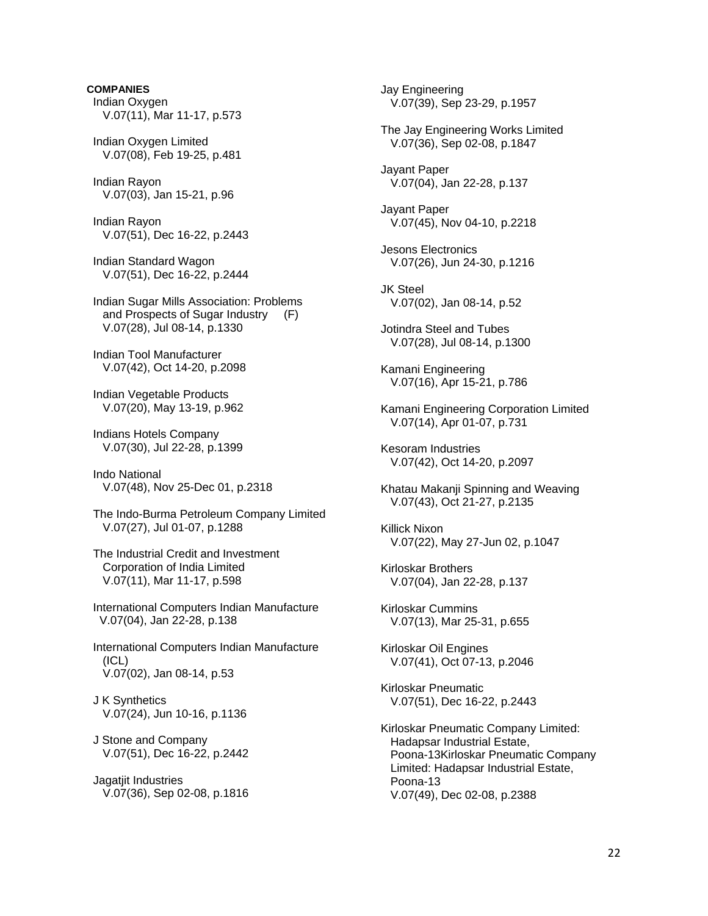# **COMPANIES**  Indian Oxygen V.07(11), Mar 11-17, p.573

 Indian Oxygen Limited V.07(08), Feb 19-25, p.481

 Indian Rayon V.07(03), Jan 15-21, p.96

 Indian Rayon V.07(51), Dec 16-22, p.2443

 Indian Standard Wagon V.07(51), Dec 16-22, p.2444

 Indian Sugar Mills Association: Problems and Prospects of Sugar Industry (F) V.07(28), Jul 08-14, p.1330

 Indian Tool Manufacturer V.07(42), Oct 14-20, p.2098

 Indian Vegetable Products V.07(20), May 13-19, p.962

 Indians Hotels Company V.07(30), Jul 22-28, p.1399

 Indo National V.07(48), Nov 25-Dec 01, p.2318

 The Indo-Burma Petroleum Company Limited V.07(27), Jul 01-07, p.1288

 The Industrial Credit and Investment Corporation of India Limited V.07(11), Mar 11-17, p.598

 International Computers Indian Manufacture V.07(04), Jan 22-28, p.138

 International Computers Indian Manufacture (ICL) V.07(02), Jan 08-14, p.53

 J K Synthetics V.07(24), Jun 10-16, p.1136

 J Stone and Company V.07(51), Dec 16-22, p.2442

 Jagatjit Industries V.07(36), Sep 02-08, p.1816  Jay Engineering V.07(39), Sep 23-29, p.1957 The Jay Engineering Works Limited V.07(36), Sep 02-08, p.1847 Jayant Paper V.07(04), Jan 22-28, p.137 Jayant Paper V.07(45), Nov 04-10, p.2218 Jesons Electronics V.07(26), Jun 24-30, p.1216 JK Steel V.07(02), Jan 08-14, p.52 Jotindra Steel and Tubes V.07(28), Jul 08-14, p.1300 Kamani Engineering V.07(16), Apr 15-21, p.786 Kamani Engineering Corporation Limited V.07(14), Apr 01-07, p.731 Kesoram Industries V.07(42), Oct 14-20, p.2097 Khatau Makanji Spinning and Weaving V.07(43), Oct 21-27, p.2135 Killick Nixon V.07(22), May 27-Jun 02, p.1047 Kirloskar Brothers V.07(04), Jan 22-28, p.137 Kirloskar Cummins V.07(13), Mar 25-31, p.655 Kirloskar Oil Engines V.07(41), Oct 07-13, p.2046 Kirloskar Pneumatic V.07(51), Dec 16-22, p.2443 Kirloskar Pneumatic Company Limited: Hadapsar Industrial Estate, Poona-13Kirloskar Pneumatic Company Limited: Hadapsar Industrial Estate, Poona-13 V.07(49), Dec 02-08, p.2388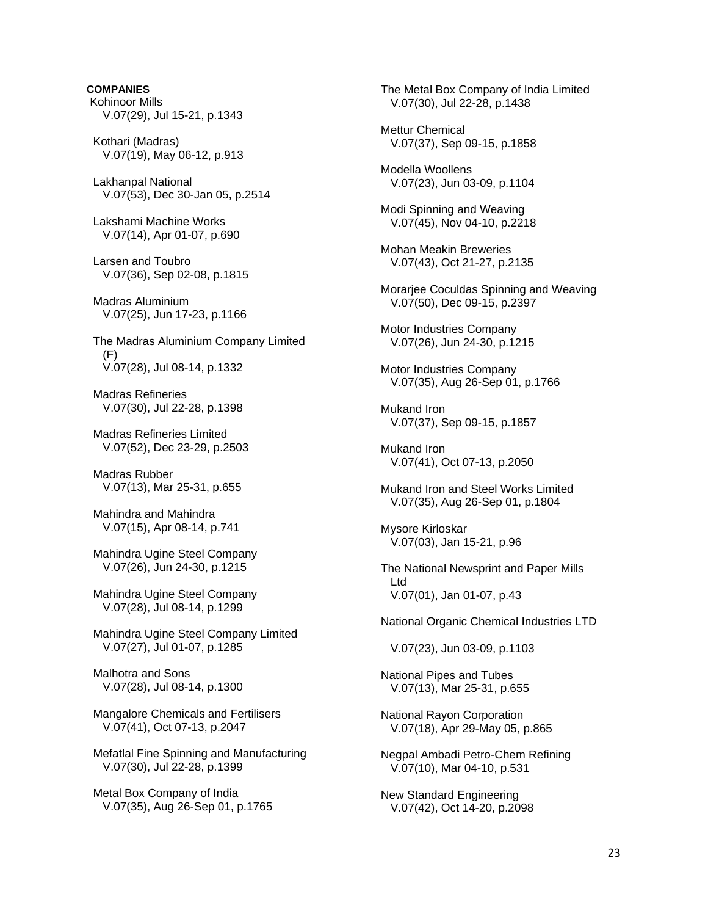# **COMPANIES**

 Kohinoor Mills V.07(29), Jul 15-21, p.1343

 Kothari (Madras) V.07(19), May 06-12, p.913

 Lakhanpal National V.07(53), Dec 30-Jan 05, p.2514

 Lakshami Machine Works V.07(14), Apr 01-07, p.690

 Larsen and Toubro V.07(36), Sep 02-08, p.1815

 Madras Aluminium V.07(25), Jun 17-23, p.1166

 The Madras Aluminium Company Limited  $(F)$ V.07(28), Jul 08-14, p.1332

 Madras Refineries V.07(30), Jul 22-28, p.1398

 Madras Refineries Limited V.07(52), Dec 23-29, p.2503

 Madras Rubber V.07(13), Mar 25-31, p.655

 Mahindra and Mahindra V.07(15), Apr 08-14, p.741

 Mahindra Ugine Steel Company V.07(26), Jun 24-30, p.1215

 Mahindra Ugine Steel Company V.07(28), Jul 08-14, p.1299

 Mahindra Ugine Steel Company Limited V.07(27), Jul 01-07, p.1285

 Malhotra and Sons V.07(28), Jul 08-14, p.1300

 Mangalore Chemicals and Fertilisers V.07(41), Oct 07-13, p.2047

 Mefatlal Fine Spinning and Manufacturing V.07(30), Jul 22-28, p.1399

 Metal Box Company of India V.07(35), Aug 26-Sep 01, p.1765  The Metal Box Company of India Limited V.07(30), Jul 22-28, p.1438

 Mettur Chemical V.07(37), Sep 09-15, p.1858

 Modella Woollens V.07(23), Jun 03-09, p.1104

 Modi Spinning and Weaving V.07(45), Nov 04-10, p.2218

 Mohan Meakin Breweries V.07(43), Oct 21-27, p.2135

 Morarjee Coculdas Spinning and Weaving V.07(50), Dec 09-15, p.2397

 Motor Industries Company V.07(26), Jun 24-30, p.1215

 Motor Industries Company V.07(35), Aug 26-Sep 01, p.1766

 Mukand Iron V.07(37), Sep 09-15, p.1857

 Mukand Iron V.07(41), Oct 07-13, p.2050

 Mukand Iron and Steel Works Limited V.07(35), Aug 26-Sep 01, p.1804

 Mysore Kirloskar V.07(03), Jan 15-21, p.96

 The National Newsprint and Paper Mills Ltd V.07(01), Jan 01-07, p.43

National Organic Chemical Industries LTD

V.07(23), Jun 03-09, p.1103

 National Pipes and Tubes V.07(13), Mar 25-31, p.655

 National Rayon Corporation V.07(18), Apr 29-May 05, p.865

 Negpal Ambadi Petro-Chem Refining V.07(10), Mar 04-10, p.531

 New Standard Engineering V.07(42), Oct 14-20, p.2098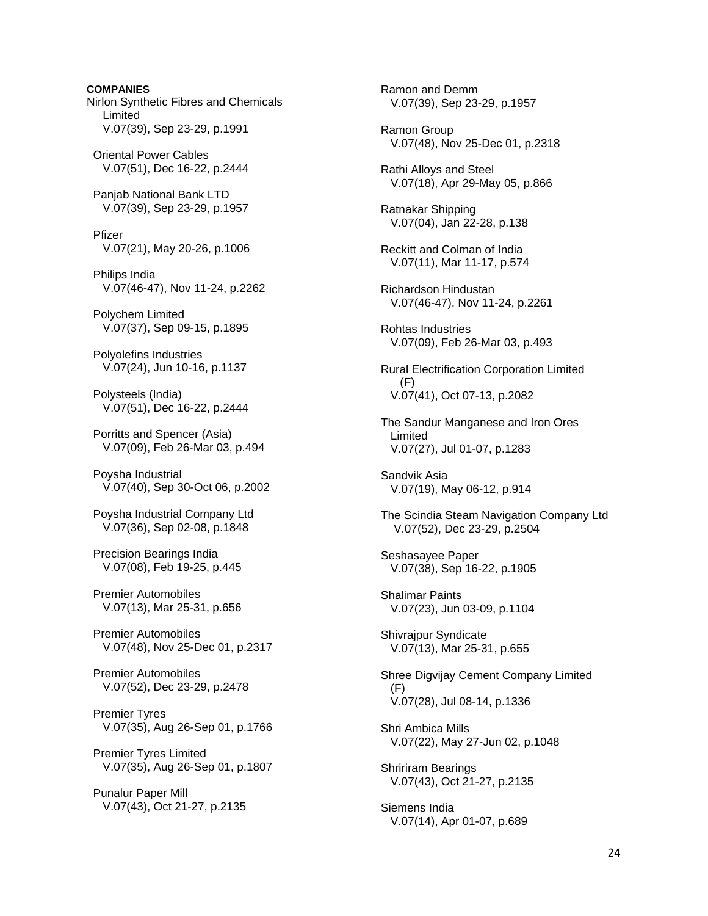**COMPANIES**  Nirlon Synthetic Fibres and Chemicals Limited V.07(39), Sep 23-29, p.1991 Oriental Power Cables V.07(51), Dec 16-22, p.2444 Panjab National Bank LTD V.07(39), Sep 23-29, p.1957 Pfizer V.07(21), May 20-26, p.1006 Philips India V.07(46-47), Nov 11-24, p.2262 Polychem Limited V.07(37), Sep 09-15, p.1895 Polyolefins Industries V.07(24), Jun 10-16, p.1137 Polysteels (India) V.07(51), Dec 16-22, p.2444 Porritts and Spencer (Asia) V.07(09), Feb 26-Mar 03, p.494 Poysha Industrial V.07(40), Sep 30-Oct 06, p.2002 Poysha Industrial Company Ltd V.07(36), Sep 02-08, p.1848 Precision Bearings India V.07(08), Feb 19-25, p.445 Premier Automobiles V.07(13), Mar 25-31, p.656 Premier Automobiles V.07(48), Nov 25-Dec 01, p.2317 Premier Automobiles V.07(52), Dec 23-29, p.2478 Premier Tyres V.07(35), Aug 26-Sep 01, p.1766 Premier Tyres Limited V.07(35), Aug 26-Sep 01, p.1807 Punalur Paper Mill V.07(43), Oct 21-27, p.2135

 Ramon and Demm V.07(39), Sep 23-29, p.1957 Ramon Group V.07(48), Nov 25-Dec 01, p.2318 Rathi Alloys and Steel V.07(18), Apr 29-May 05, p.866 Ratnakar Shipping V.07(04), Jan 22-28, p.138 Reckitt and Colman of India V.07(11), Mar 11-17, p.574 Richardson Hindustan V.07(46-47), Nov 11-24, p.2261 Rohtas Industries V.07(09), Feb 26-Mar 03, p.493 Rural Electrification Corporation Limited (F) V.07(41), Oct 07-13, p.2082 The Sandur Manganese and Iron Ores Limited V.07(27), Jul 01-07, p.1283 Sandvik Asia V.07(19), May 06-12, p.914 The Scindia Steam Navigation Company Ltd V.07(52), Dec 23-29, p.2504 Seshasayee Paper V.07(38), Sep 16-22, p.1905 Shalimar Paints V.07(23), Jun 03-09, p.1104 Shivrajpur Syndicate V.07(13), Mar 25-31, p.655 Shree Digvijay Cement Company Limited (F) V.07(28), Jul 08-14, p.1336 Shri Ambica Mills V.07(22), May 27-Jun 02, p.1048 Shririram Bearings V.07(43), Oct 21-27, p.2135 Siemens India V.07(14), Apr 01-07, p.689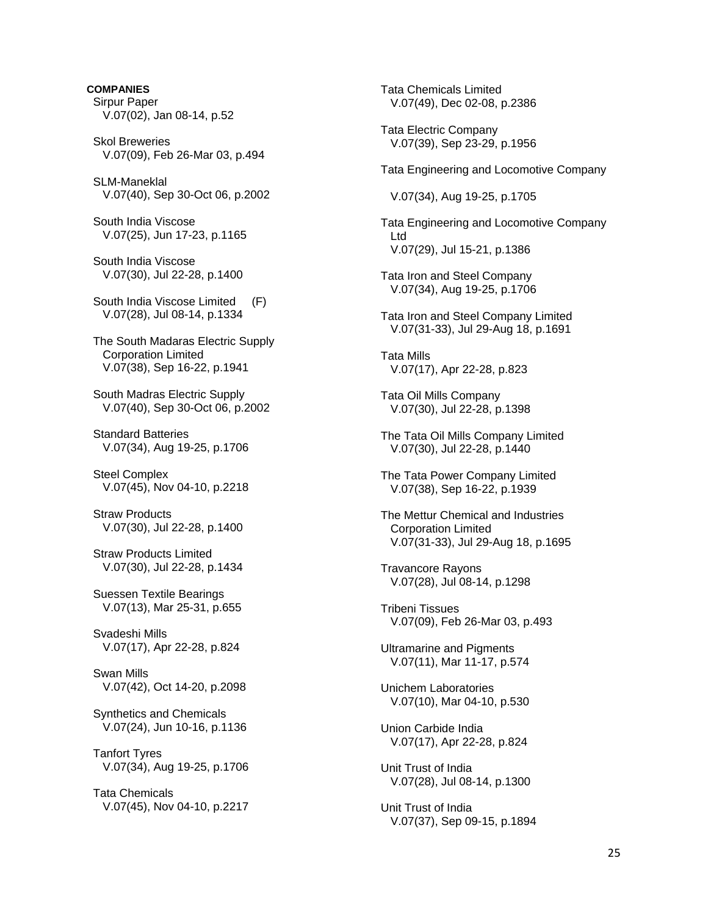**COMPANIES**  Sirpur Paper V.07(02), Jan 08-14, p.52 Skol Breweries V.07(09), Feb 26-Mar 03, p.494 SLM-Maneklal V.07(40), Sep 30-Oct 06, p.2002 South India Viscose V.07(25), Jun 17-23, p.1165 South India Viscose V.07(30), Jul 22-28, p.1400 South India Viscose Limited (F) V.07(28), Jul 08-14, p.1334 The South Madaras Electric Supply Corporation Limited V.07(38), Sep 16-22, p.1941 South Madras Electric Supply V.07(40), Sep 30-Oct 06, p.2002 Standard Batteries V.07(34), Aug 19-25, p.1706 Steel Complex V.07(45), Nov 04-10, p.2218 Straw Products V.07(30), Jul 22-28, p.1400 Straw Products Limited V.07(30), Jul 22-28, p.1434 Suessen Textile Bearings V.07(13), Mar 25-31, p.655 Svadeshi Mills V.07(17), Apr 22-28, p.824 Swan Mills V.07(42), Oct 14-20, p.2098 Synthetics and Chemicals V.07(24), Jun 10-16, p.1136 Tanfort Tyres V.07(34), Aug 19-25, p.1706 Tata Chemicals V.07(45), Nov 04-10, p.2217

 Tata Chemicals Limited V.07(49), Dec 02-08, p.2386 Tata Electric Company V.07(39), Sep 23-29, p.1956 Tata Engineering and Locomotive Company V.07(34), Aug 19-25, p.1705 Tata Engineering and Locomotive Company Ltd V.07(29), Jul 15-21, p.1386 Tata Iron and Steel Company V.07(34), Aug 19-25, p.1706 Tata Iron and Steel Company Limited V.07(31-33), Jul 29-Aug 18, p.1691 Tata Mills V.07(17), Apr 22-28, p.823 Tata Oil Mills Company V.07(30), Jul 22-28, p.1398 The Tata Oil Mills Company Limited V.07(30), Jul 22-28, p.1440 The Tata Power Company Limited V.07(38), Sep 16-22, p.1939 The Mettur Chemical and Industries Corporation Limited V.07(31-33), Jul 29-Aug 18, p.1695 Travancore Rayons V.07(28), Jul 08-14, p.1298 Tribeni Tissues V.07(09), Feb 26-Mar 03, p.493 Ultramarine and Pigments V.07(11), Mar 11-17, p.574 Unichem Laboratories V.07(10), Mar 04-10, p.530 Union Carbide India V.07(17), Apr 22-28, p.824 Unit Trust of India V.07(28), Jul 08-14, p.1300 Unit Trust of India V.07(37), Sep 09-15, p.1894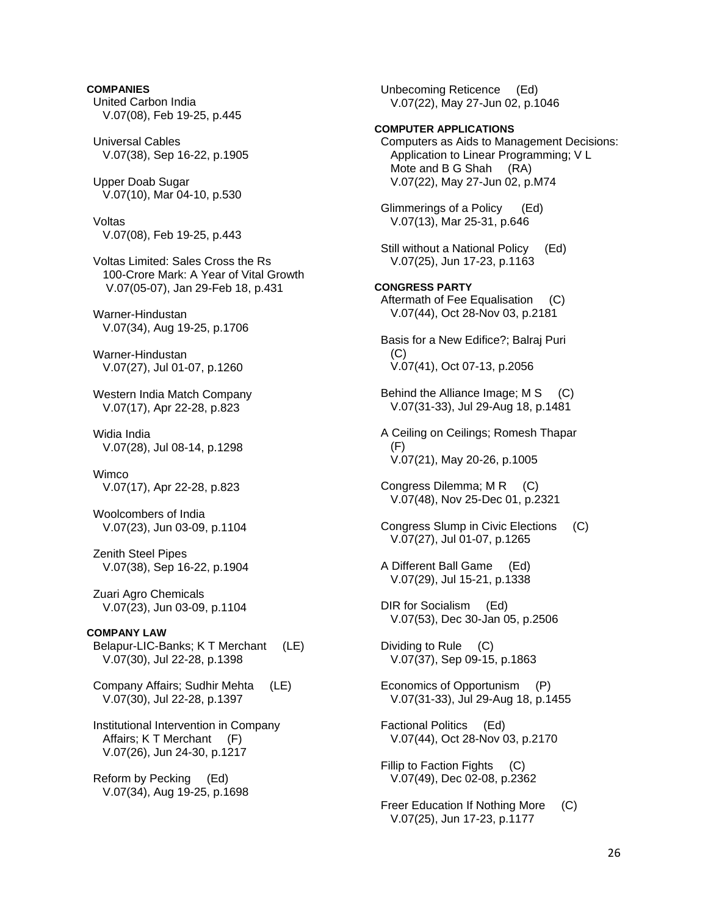# **COMPANIES**

- United Carbon India V.07(08), Feb 19-25, p.445
- Universal Cables V.07(38), Sep 16-22, p.1905
- Upper Doab Sugar V.07(10), Mar 04-10, p.530
- Voltas V.07(08), Feb 19-25, p.443
- Voltas Limited: Sales Cross the Rs 100-Crore Mark: A Year of Vital Growth V.07(05-07), Jan 29-Feb 18, p.431
- Warner-Hindustan V.07(34), Aug 19-25, p.1706
- Warner-Hindustan V.07(27), Jul 01-07, p.1260
- Western India Match Company V.07(17), Apr 22-28, p.823
- Widia India V.07(28), Jul 08-14, p.1298
- **Wimco** V.07(17), Apr 22-28, p.823
- Woolcombers of India V.07(23), Jun 03-09, p.1104
- Zenith Steel Pipes V.07(38), Sep 16-22, p.1904
- Zuari Agro Chemicals V.07(23), Jun 03-09, p.1104
- **COMPANY LAW**  Belapur-LIC-Banks; K T Merchant (LE) V.07(30), Jul 22-28, p.1398
- Company Affairs; Sudhir Mehta (LE) V.07(30), Jul 22-28, p.1397
- Institutional Intervention in Company Affairs; K T Merchant (F) V.07(26), Jun 24-30, p.1217
- Reform by Pecking (Ed) V.07(34), Aug 19-25, p.1698

 Unbecoming Reticence (Ed) V.07(22), May 27-Jun 02, p.1046

## **COMPUTER APPLICATIONS**

 Computers as Aids to Management Decisions: Application to Linear Programming; V L Mote and B G Shah (RA) V.07(22), May 27-Jun 02, p.M74 Glimmerings of a Policy (Ed) V.07(13), Mar 25-31, p.646

 Still without a National Policy (Ed) V.07(25), Jun 17-23, p.1163

## **CONGRESS PARTY**

- Aftermath of Fee Equalisation (C) V.07(44), Oct 28-Nov 03, p.2181
- Basis for a New Edifice?; Balraj Puri (C) V.07(41), Oct 07-13, p.2056
- Behind the Alliance Image; M S (C) V.07(31-33), Jul 29-Aug 18, p.1481
- A Ceiling on Ceilings; Romesh Thapar (F) V.07(21), May 20-26, p.1005
- Congress Dilemma; M R (C) V.07(48), Nov 25-Dec 01, p.2321
- Congress Slump in Civic Elections (C) V.07(27), Jul 01-07, p.1265
- A Different Ball Game (Ed) V.07(29), Jul 15-21, p.1338
- DIR for Socialism (Ed) V.07(53), Dec 30-Jan 05, p.2506
- Dividing to Rule (C) V.07(37), Sep 09-15, p.1863
- Economics of Opportunism (P) V.07(31-33), Jul 29-Aug 18, p.1455
- Factional Politics (Ed) V.07(44), Oct 28-Nov 03, p.2170
- Fillip to Faction Fights (C) V.07(49), Dec 02-08, p.2362
- Freer Education If Nothing More (C) V.07(25), Jun 17-23, p.1177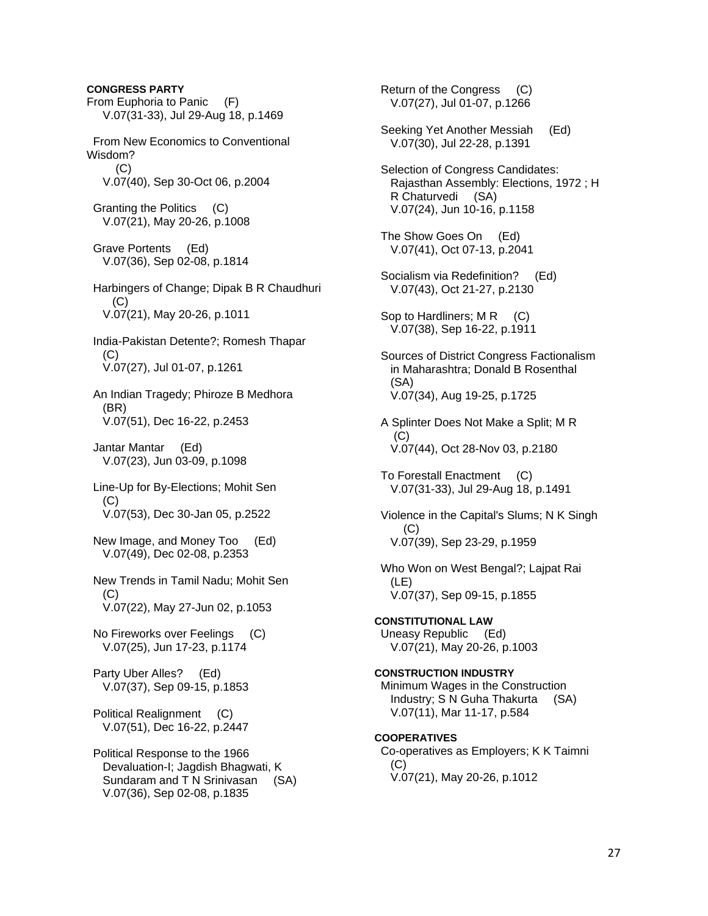**CONGRESS PARTY**  From Euphoria to Panic (F) V.07(31-33), Jul 29-Aug 18, p.1469 From New Economics to Conventional Wisdom?  $(C)$  V.07(40), Sep 30-Oct 06, p.2004 Granting the Politics (C) V.07(21), May 20-26, p.1008 Grave Portents (Ed) V.07(36), Sep 02-08, p.1814 Harbingers of Change; Dipak B R Chaudhuri (C) V.07(21), May 20-26, p.1011 India-Pakistan Detente?; Romesh Thapar  $(C)$  V.07(27), Jul 01-07, p.1261 An Indian Tragedy; Phiroze B Medhora (BR) V.07(51), Dec 16-22, p.2453 Jantar Mantar (Ed) V.07(23), Jun 03-09, p.1098 Line-Up for By-Elections; Mohit Sen  $(C)$  V.07(53), Dec 30-Jan 05, p.2522 New Image, and Money Too (Ed) V.07(49), Dec 02-08, p.2353 New Trends in Tamil Nadu; Mohit Sen  $(C)$  V.07(22), May 27-Jun 02, p.1053 No Fireworks over Feelings (C) V.07(25), Jun 17-23, p.1174 Party Uber Alles? (Ed) V.07(37), Sep 09-15, p.1853 Political Realignment (C) V.07(51), Dec 16-22, p.2447 Political Response to the 1966 Devaluation-I; Jagdish Bhagwati, K Sundaram and T N Srinivasan (SA) V.07(36), Sep 02-08, p.1835

 Return of the Congress (C) V.07(27), Jul 01-07, p.1266 Seeking Yet Another Messiah (Ed) V.07(30), Jul 22-28, p.1391 Selection of Congress Candidates: Rajasthan Assembly: Elections, 1972 ; H R Chaturvedi (SA) V.07(24), Jun 10-16, p.1158 The Show Goes On (Ed) V.07(41), Oct 07-13, p.2041 Socialism via Redefinition? (Ed) V.07(43), Oct 21-27, p.2130 Sop to Hardliners; M R (C) V.07(38), Sep 16-22, p.1911 Sources of District Congress Factionalism in Maharashtra; Donald B Rosenthal (SA) V.07(34), Aug 19-25, p.1725 A Splinter Does Not Make a Split; M R  $(C)$  V.07(44), Oct 28-Nov 03, p.2180 To Forestall Enactment (C) V.07(31-33), Jul 29-Aug 18, p.1491 Violence in the Capital's Slums; N K Singh  $(C)$  V.07(39), Sep 23-29, p.1959 Who Won on West Bengal?; Lajpat Rai (LE) V.07(37), Sep 09-15, p.1855 **CONSTITUTIONAL LAW**  Uneasy Republic (Ed) V.07(21), May 20-26, p.1003 **CONSTRUCTION INDUSTRY**  Minimum Wages in the Construction Industry; S N Guha Thakurta (SA) V.07(11), Mar 11-17, p.584 **COOPERATIVES**  Co-operatives as Employers; K K Taimni (C) V.07(21), May 20-26, p.1012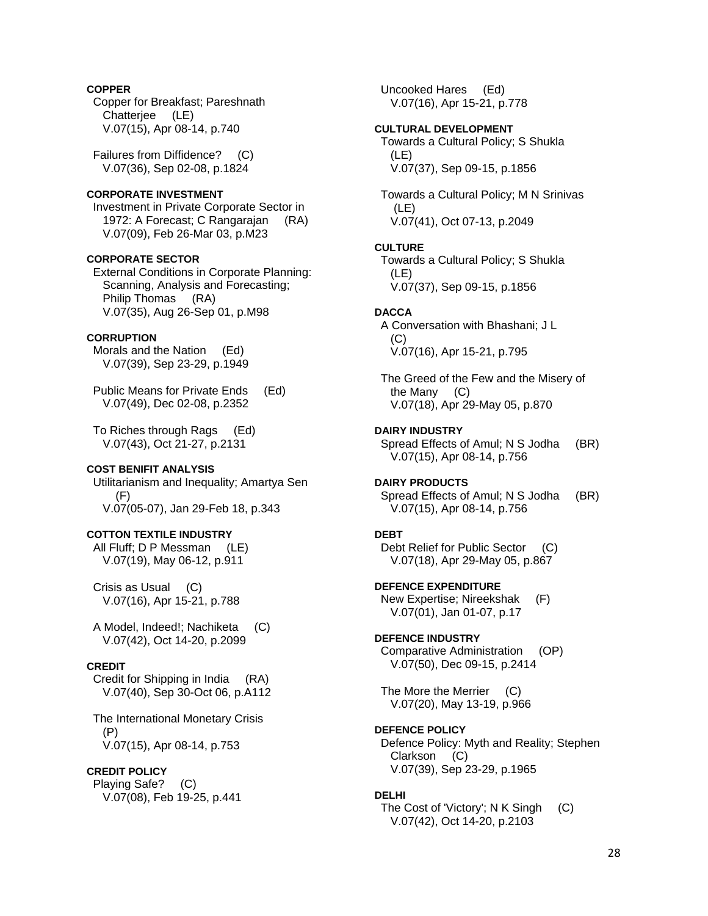## **COPPER**

 Copper for Breakfast; Pareshnath Chatterjee (LE) V.07(15), Apr 08-14, p.740

 Failures from Diffidence? (C) V.07(36), Sep 02-08, p.1824

# **CORPORATE INVESTMENT**

 Investment in Private Corporate Sector in 1972: A Forecast; C Rangarajan (RA) V.07(09), Feb 26-Mar 03, p.M23

#### **CORPORATE SECTOR**

 External Conditions in Corporate Planning: Scanning, Analysis and Forecasting; Philip Thomas (RA) V.07(35), Aug 26-Sep 01, p.M98

## **CORRUPTION**

 Morals and the Nation (Ed) V.07(39), Sep 23-29, p.1949

 Public Means for Private Ends (Ed) V.07(49), Dec 02-08, p.2352

 To Riches through Rags (Ed) V.07(43), Oct 21-27, p.2131

## **COST BENIFIT ANALYSIS**

 Utilitarianism and Inequality; Amartya Sen (F) V.07(05-07), Jan 29-Feb 18, p.343

## **COTTON TEXTILE INDUSTRY**

 All Fluff; D P Messman (LE) V.07(19), May 06-12, p.911

 Crisis as Usual (C) V.07(16), Apr 15-21, p.788

 A Model, Indeed!; Nachiketa (C) V.07(42), Oct 14-20, p.2099

## **CREDIT**

 Credit for Shipping in India (RA) V.07(40), Sep 30-Oct 06, p.A112

 The International Monetary Crisis (P) V.07(15), Apr 08-14, p.753

# **CREDIT POLICY**

 Playing Safe? (C) V.07(08), Feb 19-25, p.441  Uncooked Hares (Ed) V.07(16), Apr 15-21, p.778

#### **CULTURAL DEVELOPMENT**

 Towards a Cultural Policy; S Shukla (LE) V.07(37), Sep 09-15, p.1856

 Towards a Cultural Policy; M N Srinivas (LE) V.07(41), Oct 07-13, p.2049

#### **CULTURE**

 Towards a Cultural Policy; S Shukla (LE) V.07(37), Sep 09-15, p.1856

#### **DACCA**

 A Conversation with Bhashani; J L (C) V.07(16), Apr 15-21, p.795

 The Greed of the Few and the Misery of the Many (C) V.07(18), Apr 29-May 05, p.870

#### **DAIRY INDUSTRY**

 Spread Effects of Amul; N S Jodha (BR) V.07(15), Apr 08-14, p.756

#### **DAIRY PRODUCTS**  Spread Effects of Amul; N S Jodha (BR)

V.07(15), Apr 08-14, p.756

## **DEBT**

 Debt Relief for Public Sector (C) V.07(18), Apr 29-May 05, p.867

**DEFENCE EXPENDITURE**  New Expertise; Nireekshak (F) V.07(01), Jan 01-07, p.17

#### **DEFENCE INDUSTRY**  Comparative Administration (OP)

V.07(50), Dec 09-15, p.2414

 The More the Merrier (C) V.07(20), May 13-19, p.966

#### **DEFENCE POLICY**

 Defence Policy: Myth and Reality; Stephen Clarkson (C) V.07(39), Sep 23-29, p.1965

#### **DELHI**

 The Cost of 'Victory'; N K Singh (C) V.07(42), Oct 14-20, p.2103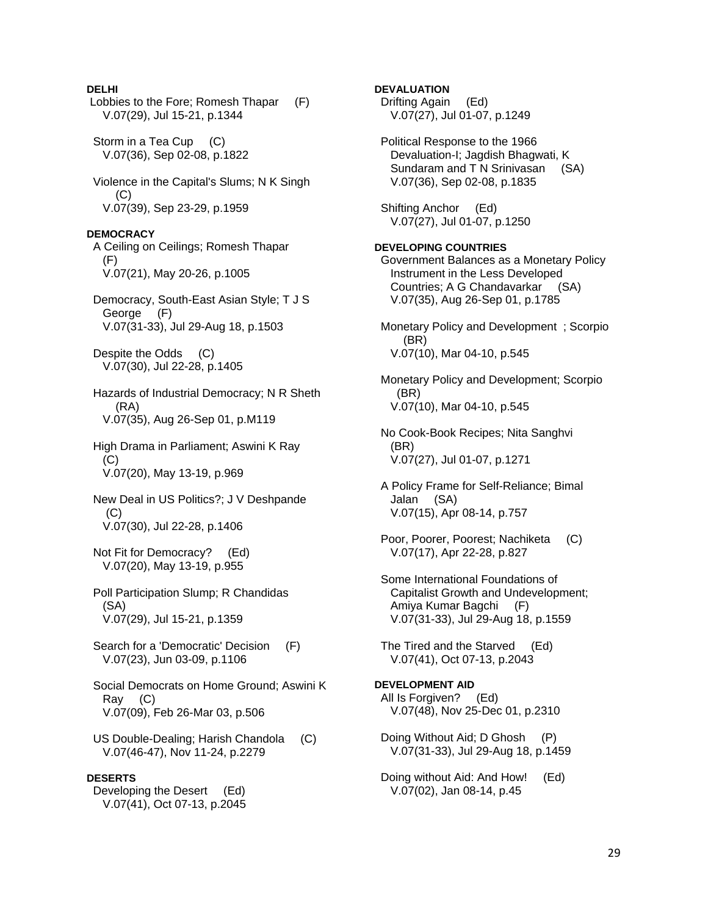## **DELHI**

 Lobbies to the Fore; Romesh Thapar (F) V.07(29), Jul 15-21, p.1344 Storm in a Tea Cup (C) V.07(36), Sep 02-08, p.1822 Violence in the Capital's Slums; N K Singh (C) V.07(39), Sep 23-29, p.1959 **DEMOCRACY**  A Ceiling on Ceilings; Romesh Thapar (F) V.07(21), May 20-26, p.1005 Democracy, South-East Asian Style; T J S George (F) V.07(31-33), Jul 29-Aug 18, p.1503 Despite the Odds (C) V.07(30), Jul 22-28, p.1405 Hazards of Industrial Democracy; N R Sheth (RA) V.07(35), Aug 26-Sep 01, p.M119 High Drama in Parliament; Aswini K Ray (C) V.07(20), May 13-19, p.969 New Deal in US Politics?; J V Deshpande (C) V.07(30), Jul 22-28, p.1406 Not Fit for Democracy? (Ed) V.07(20), May 13-19, p.955 Poll Participation Slump; R Chandidas (SA) V.07(29), Jul 15-21, p.1359 Search for a 'Democratic' Decision (F) V.07(23), Jun 03-09, p.1106 Social Democrats on Home Ground; Aswini K Ray (C) V.07(09), Feb 26-Mar 03, p.506 US Double-Dealing; Harish Chandola (C) V.07(46-47), Nov 11-24, p.2279 **DESERTS** 

Developing the Desert (Ed) V.07(41), Oct 07-13, p.2045 **DEVALUATION** 

 Drifting Again (Ed) V.07(27), Jul 01-07, p.1249

 Political Response to the 1966 Devaluation-I; Jagdish Bhagwati, K Sundaram and T N Srinivasan (SA) V.07(36), Sep 02-08, p.1835

 Shifting Anchor (Ed) V.07(27), Jul 01-07, p.1250

#### **DEVELOPING COUNTRIES**

 Government Balances as a Monetary Policy Instrument in the Less Developed Countries; A G Chandavarkar (SA) V.07(35), Aug 26-Sep 01, p.1785

 Monetary Policy and Development ; Scorpio (BR) V.07(10), Mar 04-10, p.545

 Monetary Policy and Development; Scorpio (BR) V.07(10), Mar 04-10, p.545

 No Cook-Book Recipes; Nita Sanghvi (BR) V.07(27), Jul 01-07, p.1271

 A Policy Frame for Self-Reliance; Bimal Jalan (SA) V.07(15), Apr 08-14, p.757

 Poor, Poorer, Poorest; Nachiketa (C) V.07(17), Apr 22-28, p.827

 Some International Foundations of Capitalist Growth and Undevelopment; Amiya Kumar Bagchi (F) V.07(31-33), Jul 29-Aug 18, p.1559

 The Tired and the Starved (Ed) V.07(41), Oct 07-13, p.2043

**DEVELOPMENT AID**  All Is Forgiven? (Ed) V.07(48), Nov 25-Dec 01, p.2310

 Doing Without Aid; D Ghosh (P) V.07(31-33), Jul 29-Aug 18, p.1459

 Doing without Aid: And How! (Ed) V.07(02), Jan 08-14, p.45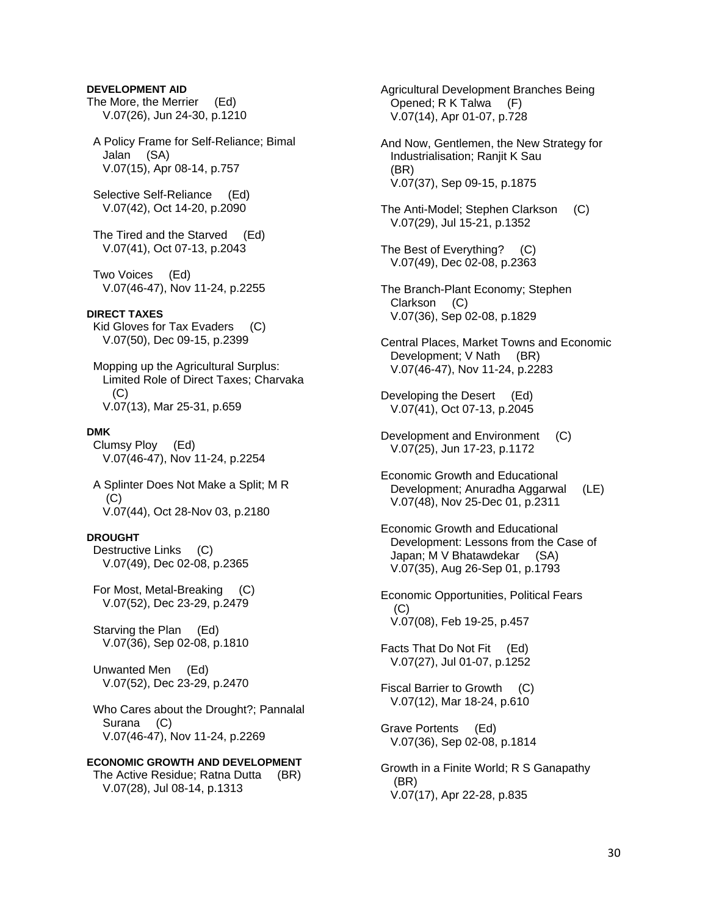## **DEVELOPMENT AID**

The More, the Merrier (Ed) V.07(26), Jun 24-30, p.1210

 A Policy Frame for Self-Reliance; Bimal Jalan (SA) V.07(15), Apr 08-14, p.757

 Selective Self-Reliance (Ed) V.07(42), Oct 14-20, p.2090

 The Tired and the Starved (Ed) V.07(41), Oct 07-13, p.2043

 Two Voices (Ed) V.07(46-47), Nov 11-24, p.2255

#### **DIRECT TAXES**

 Kid Gloves for Tax Evaders (C) V.07(50), Dec 09-15, p.2399

 Mopping up the Agricultural Surplus: Limited Role of Direct Taxes; Charvaka  $(C)$ V.07(13), Mar 25-31, p.659

#### **DMK**

 Clumsy Ploy (Ed) V.07(46-47), Nov 11-24, p.2254

 A Splinter Does Not Make a Split; M R (C) V.07(44), Oct 28-Nov 03, p.2180

#### **DROUGHT**

 Destructive Links (C) V.07(49), Dec 02-08, p.2365

 For Most, Metal-Breaking (C) V.07(52), Dec 23-29, p.2479

 Starving the Plan (Ed) V.07(36), Sep 02-08, p.1810

 Unwanted Men (Ed) V.07(52), Dec 23-29, p.2470

 Who Cares about the Drought?; Pannalal Surana (C) V.07(46-47), Nov 11-24, p.2269

**ECONOMIC GROWTH AND DEVELOPMENT**  The Active Residue; Ratna Dutta (BR) V.07(28), Jul 08-14, p.1313

 Agricultural Development Branches Being Opened; R K Talwa (F) V.07(14), Apr 01-07, p.728

 And Now, Gentlemen, the New Strategy for Industrialisation; Ranjit K Sau (BR) V.07(37), Sep 09-15, p.1875

 The Anti-Model; Stephen Clarkson (C) V.07(29), Jul 15-21, p.1352

 The Best of Everything? (C) V.07(49), Dec 02-08, p.2363

 The Branch-Plant Economy; Stephen Clarkson (C) V.07(36), Sep 02-08, p.1829

 Central Places, Market Towns and Economic Development; V Nath (BR) V.07(46-47), Nov 11-24, p.2283

 Developing the Desert (Ed) V.07(41), Oct 07-13, p.2045

 Development and Environment (C) V.07(25), Jun 17-23, p.1172

 Economic Growth and Educational Development; Anuradha Aggarwal (LE) V.07(48), Nov 25-Dec 01, p.2311

 Economic Growth and Educational Development: Lessons from the Case of Japan; M V Bhatawdekar (SA) V.07(35), Aug 26-Sep 01, p.1793

 Economic Opportunities, Political Fears (C) V.07(08), Feb 19-25, p.457

 Facts That Do Not Fit (Ed) V.07(27), Jul 01-07, p.1252

 Fiscal Barrier to Growth (C) V.07(12), Mar 18-24, p.610

 Grave Portents (Ed) V.07(36), Sep 02-08, p.1814

 Growth in a Finite World; R S Ganapathy (BR) V.07(17), Apr 22-28, p.835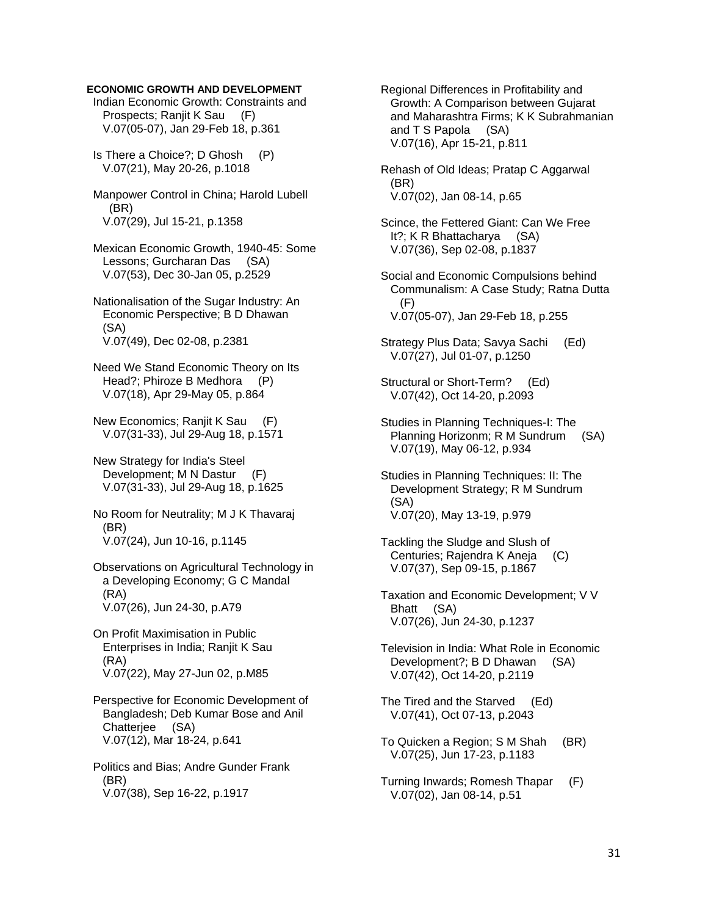## **ECONOMIC GROWTH AND DEVELOPMENT**

 Indian Economic Growth: Constraints and Prospects; Ranjit K Sau (F) V.07(05-07), Jan 29-Feb 18, p.361

 Is There a Choice?; D Ghosh (P) V.07(21), May 20-26, p.1018

 Manpower Control in China; Harold Lubell (BR) V.07(29), Jul 15-21, p.1358

 Mexican Economic Growth, 1940-45: Some Lessons; Gurcharan Das (SA) V.07(53), Dec 30-Jan 05, p.2529

 Nationalisation of the Sugar Industry: An Economic Perspective; B D Dhawan (SA) V.07(49), Dec 02-08, p.2381

 Need We Stand Economic Theory on Its Head?; Phiroze B Medhora (P) V.07(18), Apr 29-May 05, p.864

 New Economics; Ranjit K Sau (F) V.07(31-33), Jul 29-Aug 18, p.1571

 New Strategy for India's Steel Development; M N Dastur (F) V.07(31-33), Jul 29-Aug 18, p.1625

 No Room for Neutrality; M J K Thavaraj (BR) V.07(24), Jun 10-16, p.1145

 Observations on Agricultural Technology in a Developing Economy; G C Mandal (RA) V.07(26), Jun 24-30, p.A79

 On Profit Maximisation in Public Enterprises in India; Ranjit K Sau (RA) V.07(22), May 27-Jun 02, p.M85

 Perspective for Economic Development of Bangladesh; Deb Kumar Bose and Anil Chatterjee (SA) V.07(12), Mar 18-24, p.641

 Politics and Bias; Andre Gunder Frank (BR) V.07(38), Sep 16-22, p.1917

 Regional Differences in Profitability and Growth: A Comparison between Gujarat and Maharashtra Firms; K K Subrahmanian and T S Papola (SA) V.07(16), Apr 15-21, p.811

 Rehash of Old Ideas; Pratap C Aggarwal (BR) V.07(02), Jan 08-14, p.65

 Scince, the Fettered Giant: Can We Free It?; K R Bhattacharya (SA) V.07(36), Sep 02-08, p.1837

 Social and Economic Compulsions behind Communalism: A Case Study; Ratna Dutta (F) V.07(05-07), Jan 29-Feb 18, p.255

 Strategy Plus Data; Savya Sachi (Ed) V.07(27), Jul 01-07, p.1250

 Structural or Short-Term? (Ed) V.07(42), Oct 14-20, p.2093

 Studies in Planning Techniques-I: The Planning Horizonm; R M Sundrum (SA) V.07(19), May 06-12, p.934

 Studies in Planning Techniques: II: The Development Strategy; R M Sundrum (SA) V.07(20), May 13-19, p.979

 Tackling the Sludge and Slush of Centuries; Rajendra K Aneja (C) V.07(37), Sep 09-15, p.1867

 Taxation and Economic Development; V V Bhatt (SA) V.07(26), Jun 24-30, p.1237

 Television in India: What Role in Economic Development?; B D Dhawan (SA) V.07(42), Oct 14-20, p.2119

 The Tired and the Starved (Ed) V.07(41), Oct 07-13, p.2043

 To Quicken a Region; S M Shah (BR) V.07(25), Jun 17-23, p.1183

 Turning Inwards; Romesh Thapar (F) V.07(02), Jan 08-14, p.51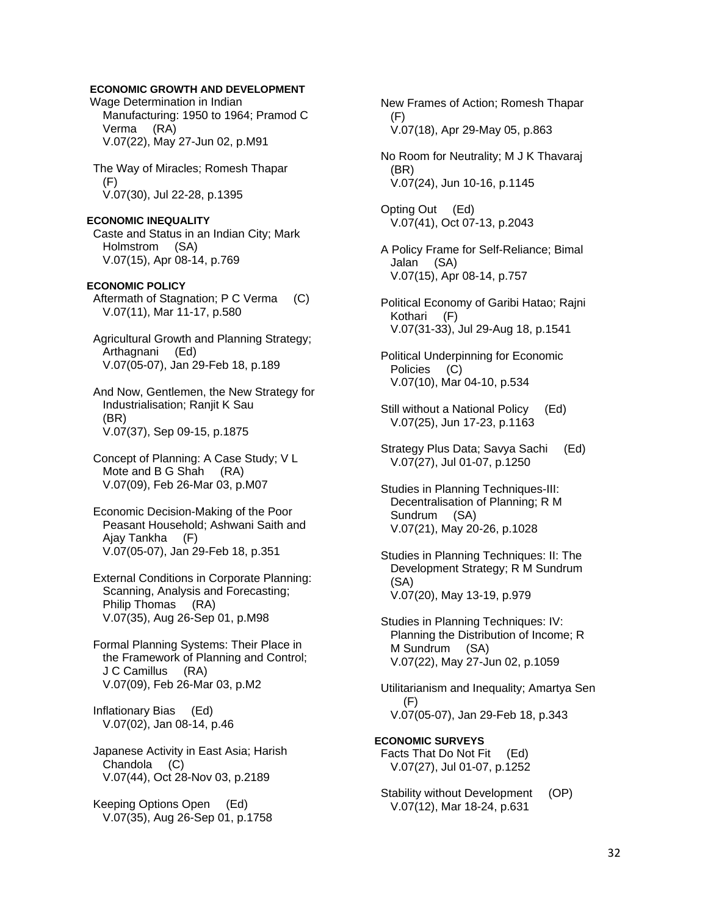## **ECONOMIC GROWTH AND DEVELOPMENT**

 Wage Determination in Indian Manufacturing: 1950 to 1964; Pramod C Verma (RA) V.07(22), May 27-Jun 02, p.M91

 The Way of Miracles; Romesh Thapar (F) V.07(30), Jul 22-28, p.1395

#### **ECONOMIC INEQUALITY**

 Caste and Status in an Indian City; Mark Holmstrom (SA) V.07(15), Apr 08-14, p.769

#### **ECONOMIC POLICY**

Aftermath of Stagnation; P C Verma (C) V.07(11), Mar 11-17, p.580

 Agricultural Growth and Planning Strategy; Arthagnani (Ed) V.07(05-07), Jan 29-Feb 18, p.189

 And Now, Gentlemen, the New Strategy for Industrialisation; Ranjit K Sau (BR) V.07(37), Sep 09-15, p.1875

 Concept of Planning: A Case Study; V L Mote and B G Shah (RA) V.07(09), Feb 26-Mar 03, p.M07

 Economic Decision-Making of the Poor Peasant Household; Ashwani Saith and Ajay Tankha (F) V.07(05-07), Jan 29-Feb 18, p.351

 External Conditions in Corporate Planning: Scanning, Analysis and Forecasting; Philip Thomas (RA) V.07(35), Aug 26-Sep 01, p.M98

 Formal Planning Systems: Their Place in the Framework of Planning and Control; J C Camillus (RA) V.07(09), Feb 26-Mar 03, p.M2

 Inflationary Bias (Ed) V.07(02), Jan 08-14, p.46

 Japanese Activity in East Asia; Harish Chandola (C) V.07(44), Oct 28-Nov 03, p.2189

 Keeping Options Open (Ed) V.07(35), Aug 26-Sep 01, p.1758  New Frames of Action; Romesh Thapar (F) V.07(18), Apr 29-May 05, p.863

 No Room for Neutrality; M J K Thavaraj (BR) V.07(24), Jun 10-16, p.1145

 Opting Out (Ed) V.07(41), Oct 07-13, p.2043

 A Policy Frame for Self-Reliance; Bimal Jalan (SA) V.07(15), Apr 08-14, p.757

 Political Economy of Garibi Hatao; Rajni Kothari (F) V.07(31-33), Jul 29-Aug 18, p.1541

 Political Underpinning for Economic Policies (C) V.07(10), Mar 04-10, p.534

- Still without a National Policy (Ed) V.07(25), Jun 17-23, p.1163
- Strategy Plus Data; Savya Sachi (Ed) V.07(27), Jul 01-07, p.1250
- Studies in Planning Techniques-III: Decentralisation of Planning; R M Sundrum (SA) V.07(21), May 20-26, p.1028
- Studies in Planning Techniques: II: The Development Strategy; R M Sundrum (SA) V.07(20), May 13-19, p.979
- Studies in Planning Techniques: IV: Planning the Distribution of Income; R M Sundrum (SA) V.07(22), May 27-Jun 02, p.1059
- Utilitarianism and Inequality; Amartya Sen (F) V.07(05-07), Jan 29-Feb 18, p.343

**ECONOMIC SURVEYS**  Facts That Do Not Fit (Ed) V.07(27), Jul 01-07, p.1252

Stability without Development (OP) V.07(12), Mar 18-24, p.631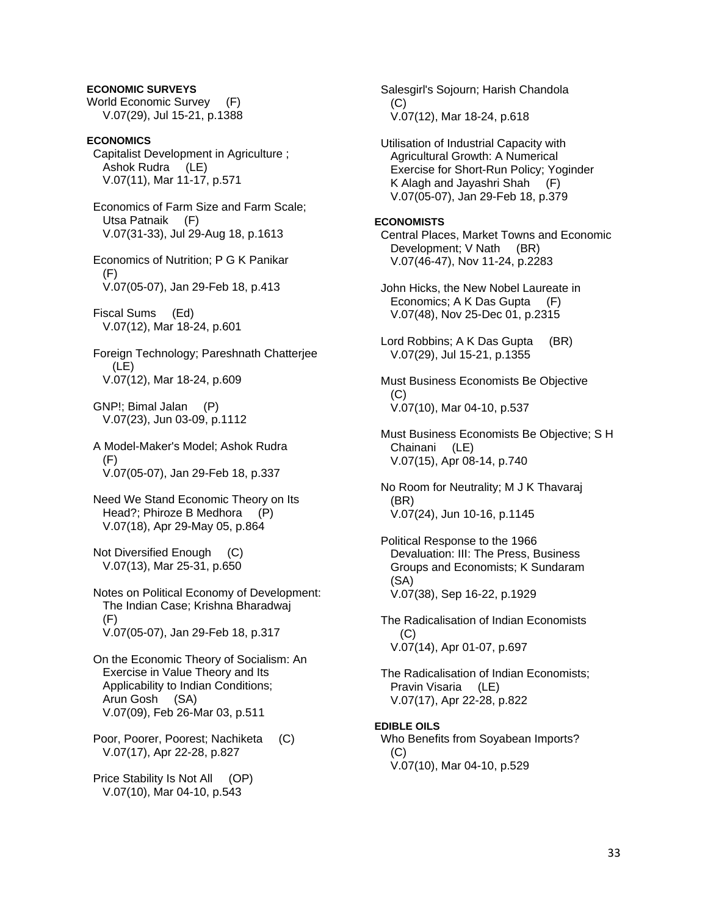## **ECONOMIC SURVEYS**

World Economic Survey (F) V.07(29), Jul 15-21, p.1388

## **ECONOMICS**

 Capitalist Development in Agriculture ; Ashok Rudra (LE) V.07(11), Mar 11-17, p.571

 Economics of Farm Size and Farm Scale; Utsa Patnaik (F) V.07(31-33), Jul 29-Aug 18, p.1613

 Economics of Nutrition; P G K Panikar (F) V.07(05-07), Jan 29-Feb 18, p.413

 Fiscal Sums (Ed) V.07(12), Mar 18-24, p.601

 Foreign Technology; Pareshnath Chatterjee (LE) V.07(12), Mar 18-24, p.609

 GNP!; Bimal Jalan (P) V.07(23), Jun 03-09, p.1112

 A Model-Maker's Model; Ashok Rudra (F) V.07(05-07), Jan 29-Feb 18, p.337

 Need We Stand Economic Theory on Its Head?; Phiroze B Medhora (P) V.07(18), Apr 29-May 05, p.864

 Not Diversified Enough (C) V.07(13), Mar 25-31, p.650

 Notes on Political Economy of Development: The Indian Case; Krishna Bharadwaj (F) V.07(05-07), Jan 29-Feb 18, p.317

 On the Economic Theory of Socialism: An Exercise in Value Theory and Its Applicability to Indian Conditions; Arun Gosh (SA) V.07(09), Feb 26-Mar 03, p.511

 Poor, Poorer, Poorest; Nachiketa (C) V.07(17), Apr 22-28, p.827

 Price Stability Is Not All (OP) V.07(10), Mar 04-10, p.543

 Salesgirl's Sojourn; Harish Chandola (C) V.07(12), Mar 18-24, p.618

 Utilisation of Industrial Capacity with Agricultural Growth: A Numerical Exercise for Short-Run Policy; Yoginder K Alagh and Jayashri Shah (F) V.07(05-07), Jan 29-Feb 18, p.379

## **ECONOMISTS**

 Central Places, Market Towns and Economic Development; V Nath (BR) V.07(46-47), Nov 11-24, p.2283

 John Hicks, the New Nobel Laureate in Economics; A K Das Gupta (F) V.07(48), Nov 25-Dec 01, p.2315

 Lord Robbins; A K Das Gupta (BR) V.07(29), Jul 15-21, p.1355

 Must Business Economists Be Objective  $(C)$ V.07(10), Mar 04-10, p.537

 Must Business Economists Be Objective; S H Chainani (LE) V.07(15), Apr 08-14, p.740

 No Room for Neutrality; M J K Thavaraj (BR) V.07(24), Jun 10-16, p.1145

 Political Response to the 1966 Devaluation: III: The Press, Business Groups and Economists; K Sundaram (SA) V.07(38), Sep 16-22, p.1929

 The Radicalisation of Indian Economists  $(C)$ V.07(14), Apr 01-07, p.697

 The Radicalisation of Indian Economists; Pravin Visaria (LE) V.07(17), Apr 22-28, p.822

# **EDIBLE OILS**

 Who Benefits from Soyabean Imports? (C) V.07(10), Mar 04-10, p.529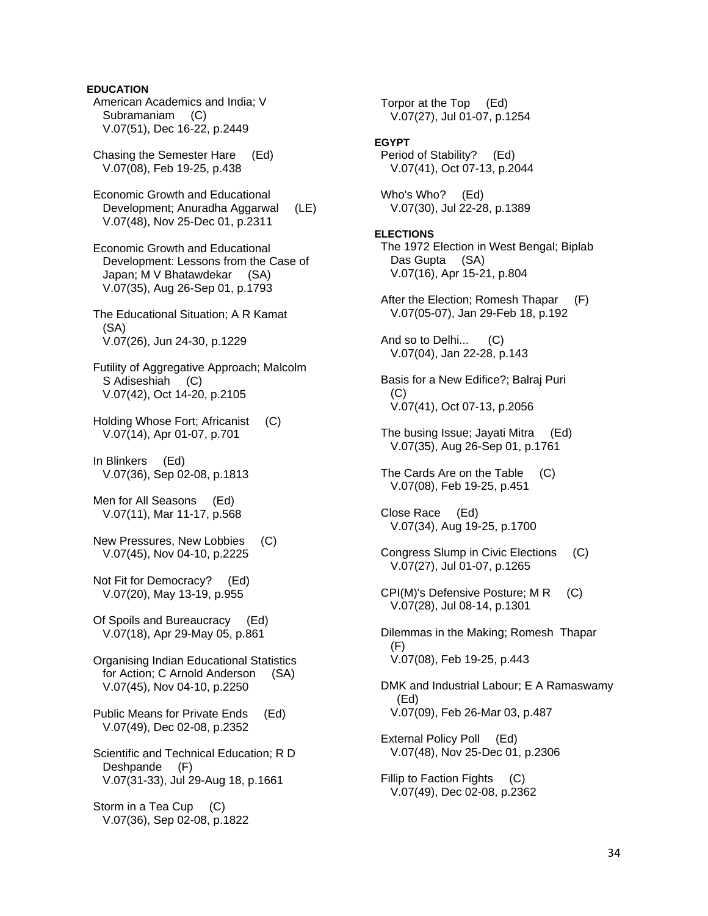**EDUCATION**  American Academics and India; V Subramaniam (C) V.07(51), Dec 16-22, p.2449 Chasing the Semester Hare (Ed) V.07(08), Feb 19-25, p.438 Economic Growth and Educational Development; Anuradha Aggarwal (LE) V.07(48), Nov 25-Dec 01, p.2311 Economic Growth and Educational Development: Lessons from the Case of Japan; M V Bhatawdekar (SA) V.07(35), Aug 26-Sep 01, p.1793 The Educational Situation; A R Kamat (SA) V.07(26), Jun 24-30, p.1229 Futility of Aggregative Approach; Malcolm S Adiseshiah (C) V.07(42), Oct 14-20, p.2105 Holding Whose Fort; Africanist (C) V.07(14), Apr 01-07, p.701 In Blinkers (Ed) V.07(36), Sep 02-08, p.1813 Men for All Seasons (Ed) V.07(11), Mar 11-17, p.568 New Pressures, New Lobbies (C) V.07(45), Nov 04-10, p.2225 Not Fit for Democracy? (Ed) V.07(20), May 13-19, p.955 Of Spoils and Bureaucracy (Ed) V.07(18), Apr 29-May 05, p.861 Organising Indian Educational Statistics for Action; C Arnold Anderson (SA) V.07(45), Nov 04-10, p.2250 Public Means for Private Ends (Ed) V.07(49), Dec 02-08, p.2352 Scientific and Technical Education; R D Deshpande (F)

 Storm in a Tea Cup (C) V.07(36), Sep 02-08, p.1822

V.07(31-33), Jul 29-Aug 18, p.1661

 Torpor at the Top (Ed) V.07(27), Jul 01-07, p.1254 **EGYPT**  Period of Stability? (Ed) V.07(41), Oct 07-13, p.2044 Who's Who? (Ed) V.07(30), Jul 22-28, p.1389 **ELECTIONS**  The 1972 Election in West Bengal; Biplab Das Gupta (SA) V.07(16), Apr 15-21, p.804 After the Election; Romesh Thapar (F) V.07(05-07), Jan 29-Feb 18, p.192 And so to Delhi... (C) V.07(04), Jan 22-28, p.143 Basis for a New Edifice?; Balraj Puri (C) V.07(41), Oct 07-13, p.2056 The busing Issue; Jayati Mitra (Ed) V.07(35), Aug 26-Sep 01, p.1761 The Cards Are on the Table (C) V.07(08), Feb 19-25, p.451 Close Race (Ed) V.07(34), Aug 19-25, p.1700 Congress Slump in Civic Elections (C) V.07(27), Jul 01-07, p.1265 CPI(M)'s Defensive Posture; M R (C) V.07(28), Jul 08-14, p.1301 Dilemmas in the Making; Romesh Thapar (F) V.07(08), Feb 19-25, p.443 DMK and Industrial Labour; E A Ramaswamy (Ed) V.07(09), Feb 26-Mar 03, p.487 External Policy Poll (Ed) V.07(48), Nov 25-Dec 01, p.2306 Fillip to Faction Fights (C) V.07(49), Dec 02-08, p.2362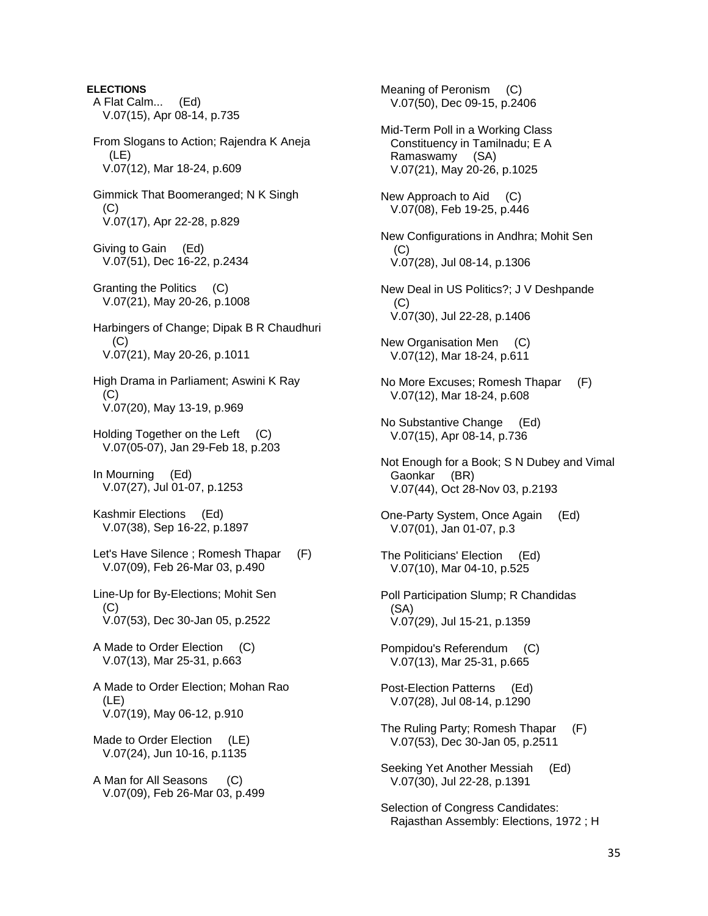**ELECTIONS**  A Flat Calm... (Ed) V.07(15), Apr 08-14, p.735 From Slogans to Action; Rajendra K Aneja (LE) V.07(12), Mar 18-24, p.609 Gimmick That Boomeranged; N K Singh (C) V.07(17), Apr 22-28, p.829 Giving to Gain (Ed) V.07(51), Dec 16-22, p.2434 Granting the Politics (C) V.07(21), May 20-26, p.1008 Harbingers of Change; Dipak B R Chaudhuri  $(C)$  V.07(21), May 20-26, p.1011 High Drama in Parliament; Aswini K Ray  $(C)$  V.07(20), May 13-19, p.969 Holding Together on the Left (C) V.07(05-07), Jan 29-Feb 18, p.203 In Mourning (Ed) V.07(27), Jul 01-07, p.1253 Kashmir Elections (Ed) V.07(38), Sep 16-22, p.1897 Let's Have Silence ; Romesh Thapar (F) V.07(09), Feb 26-Mar 03, p.490 Line-Up for By-Elections; Mohit Sen (C) V.07(53), Dec 30-Jan 05, p.2522 A Made to Order Election (C) V.07(13), Mar 25-31, p.663 A Made to Order Election; Mohan Rao (LE) V.07(19), May 06-12, p.910 Made to Order Election (LE) V.07(24), Jun 10-16, p.1135 A Man for All Seasons (C) V.07(09), Feb 26-Mar 03, p.499

 Meaning of Peronism (C) V.07(50), Dec 09-15, p.2406 Mid-Term Poll in a Working Class Constituency in Tamilnadu; E A Ramaswamy (SA) V.07(21), May 20-26, p.1025 New Approach to Aid (C) V.07(08), Feb 19-25, p.446 New Configurations in Andhra; Mohit Sen  $(C)$  V.07(28), Jul 08-14, p.1306 New Deal in US Politics?; J V Deshpande (C) V.07(30), Jul 22-28, p.1406 New Organisation Men (C) V.07(12), Mar 18-24, p.611 No More Excuses; Romesh Thapar (F) V.07(12), Mar 18-24, p.608 No Substantive Change (Ed) V.07(15), Apr 08-14, p.736 Not Enough for a Book; S N Dubey and Vimal Gaonkar (BR) V.07(44), Oct 28-Nov 03, p.2193 One-Party System, Once Again (Ed) V.07(01), Jan 01-07, p.3 The Politicians' Election (Ed) V.07(10), Mar 04-10, p.525 Poll Participation Slump; R Chandidas (SA) V.07(29), Jul 15-21, p.1359 Pompidou's Referendum (C) V.07(13), Mar 25-31, p.665 Post-Election Patterns (Ed) V.07(28), Jul 08-14, p.1290 The Ruling Party; Romesh Thapar (F) V.07(53), Dec 30-Jan 05, p.2511 Seeking Yet Another Messiah (Ed) V.07(30), Jul 22-28, p.1391 Selection of Congress Candidates: Rajasthan Assembly: Elections, 1972 ; H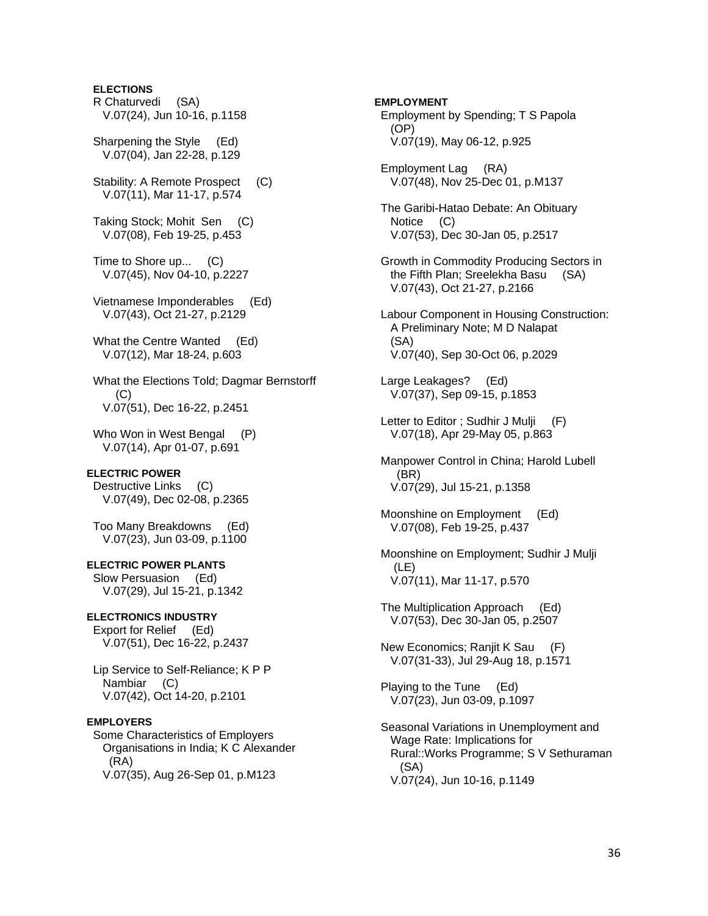# **ELECTIONS**

- R Chaturvedi (SA) V.07(24), Jun 10-16, p.1158
- Sharpening the Style (Ed) V.07(04), Jan 22-28, p.129
- Stability: A Remote Prospect (C) V.07(11), Mar 11-17, p.574
- Taking Stock; Mohit Sen (C) V.07(08), Feb 19-25, p.453
- Time to Shore up... (C) V.07(45), Nov 04-10, p.2227
- Vietnamese Imponderables (Ed) V.07(43), Oct 21-27, p.2129
- What the Centre Wanted (Ed) V.07(12), Mar 18-24, p.603
- What the Elections Told; Dagmar Bernstorff (C) V.07(51), Dec 16-22, p.2451
- Who Won in West Bengal (P) V.07(14), Apr 01-07, p.691

#### **ELECTRIC POWER**

 Destructive Links (C) V.07(49), Dec 02-08, p.2365

 Too Many Breakdowns (Ed) V.07(23), Jun 03-09, p.1100

## **ELECTRIC POWER PLANTS**

 Slow Persuasion (Ed) V.07(29), Jul 15-21, p.1342

## **ELECTRONICS INDUSTRY**

 Export for Relief (Ed) V.07(51), Dec 16-22, p.2437

 Lip Service to Self-Reliance; K P P Nambiar (C) V.07(42), Oct 14-20, p.2101

#### **EMPLOYERS**

 Some Characteristics of Employers Organisations in India; K C Alexander (RA) V.07(35), Aug 26-Sep 01, p.M123

# **EMPLOYMENT**  Employment by Spending; T S Papola (OP) V.07(19), May 06-12, p.925

- Employment Lag (RA) V.07(48), Nov 25-Dec 01, p.M137
- The Garibi-Hatao Debate: An Obituary Notice (C) V.07(53), Dec 30-Jan 05, p.2517
- Growth in Commodity Producing Sectors in the Fifth Plan; Sreelekha Basu (SA) V.07(43), Oct 21-27, p.2166
- Labour Component in Housing Construction: A Preliminary Note; M D Nalapat (SA) V.07(40), Sep 30-Oct 06, p.2029
- Large Leakages? (Ed) V.07(37), Sep 09-15, p.1853
- Letter to Editor ; Sudhir J Mulji (F) V.07(18), Apr 29-May 05, p.863
- Manpower Control in China; Harold Lubell (BR) V.07(29), Jul 15-21, p.1358
- Moonshine on Employment (Ed) V.07(08), Feb 19-25, p.437
- Moonshine on Employment; Sudhir J Mulji (LE) V.07(11), Mar 11-17, p.570
- The Multiplication Approach (Ed) V.07(53), Dec 30-Jan 05, p.2507
- New Economics; Ranjit K Sau (F) V.07(31-33), Jul 29-Aug 18, p.1571

 Playing to the Tune (Ed) V.07(23), Jun 03-09, p.1097

 Seasonal Variations in Unemployment and Wage Rate: Implications for Rural::Works Programme; S V Sethuraman (SA) V.07(24), Jun 10-16, p.1149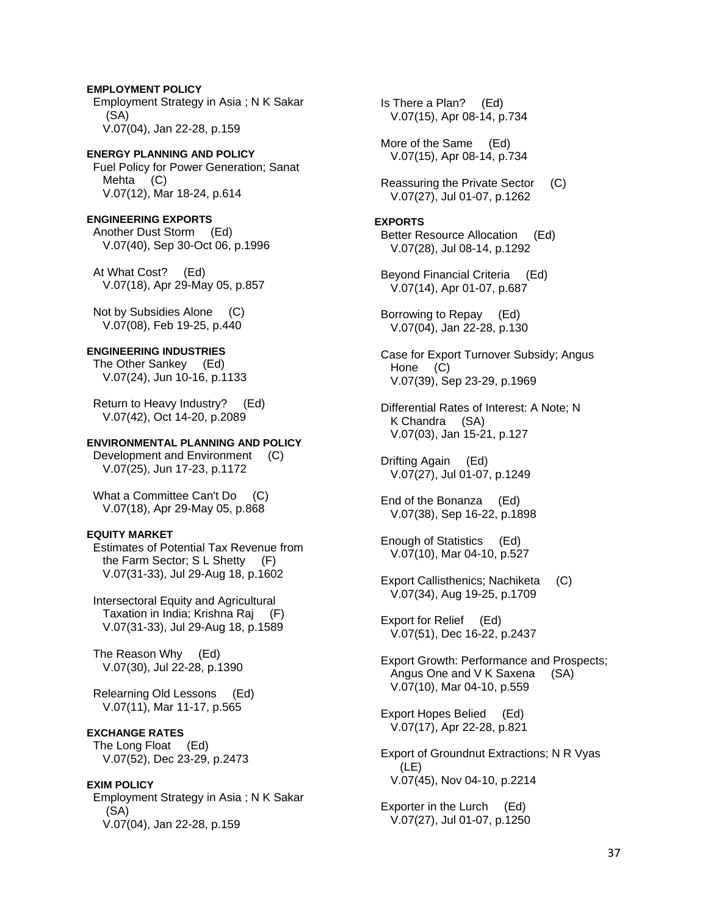# **EMPLOYMENT POLICY**  Employment Strategy in Asia ; N K Sakar (SA) V.07(04), Jan 22-28, p.159

# **ENERGY PLANNING AND POLICY**  Fuel Policy for Power Generation; Sanat Mehta (C) V.07(12), Mar 18-24, p.614

**ENGINEERING EXPORTS**  Another Dust Storm (Ed) V.07(40), Sep 30-Oct 06, p.1996

 At What Cost? (Ed) V.07(18), Apr 29-May 05, p.857

 Not by Subsidies Alone (C) V.07(08), Feb 19-25, p.440

# **ENGINEERING INDUSTRIES**

 The Other Sankey (Ed) V.07(24), Jun 10-16, p.1133

 Return to Heavy Industry? (Ed) V.07(42), Oct 14-20, p.2089

# **ENVIRONMENTAL PLANNING AND POLICY**

 Development and Environment (C) V.07(25), Jun 17-23, p.1172

What a Committee Can't Do (C) V.07(18), Apr 29-May 05, p.868

# **EQUITY MARKET**

 Estimates of Potential Tax Revenue from the Farm Sector; S L Shetty (F) V.07(31-33), Jul 29-Aug 18, p.1602

 Intersectoral Equity and Agricultural Taxation in India; Krishna Raj (F) V.07(31-33), Jul 29-Aug 18, p.1589

 The Reason Why (Ed) V.07(30), Jul 22-28, p.1390

 Relearning Old Lessons (Ed) V.07(11), Mar 11-17, p.565

# **EXCHANGE RATES**

 The Long Float (Ed) V.07(52), Dec 23-29, p.2473

# **EXIM POLICY**

 Employment Strategy in Asia ; N K Sakar (SA) V.07(04), Jan 22-28, p.159

 Is There a Plan? (Ed) V.07(15), Apr 08-14, p.734

 More of the Same (Ed) V.07(15), Apr 08-14, p.734

 Reassuring the Private Sector (C) V.07(27), Jul 01-07, p.1262

# **EXPORTS**

 Better Resource Allocation (Ed) V.07(28), Jul 08-14, p.1292

 Beyond Financial Criteria (Ed) V.07(14), Apr 01-07, p.687

 Borrowing to Repay (Ed) V.07(04), Jan 22-28, p.130

 Case for Export Turnover Subsidy; Angus Hone (C) V.07(39), Sep 23-29, p.1969

 Differential Rates of Interest: A Note; N K Chandra (SA) V.07(03), Jan 15-21, p.127

 Drifting Again (Ed) V.07(27), Jul 01-07, p.1249

 End of the Bonanza (Ed) V.07(38), Sep 16-22, p.1898

 Enough of Statistics (Ed) V.07(10), Mar 04-10, p.527

 Export Callisthenics; Nachiketa (C) V.07(34), Aug 19-25, p.1709

 Export for Relief (Ed) V.07(51), Dec 16-22, p.2437

 Export Growth: Performance and Prospects; Angus One and V K Saxena (SA) V.07(10), Mar 04-10, p.559

 Export Hopes Belied (Ed) V.07(17), Apr 22-28, p.821

 Export of Groundnut Extractions; N R Vyas (LE) V.07(45), Nov 04-10, p.2214

 Exporter in the Lurch (Ed) V.07(27), Jul 01-07, p.1250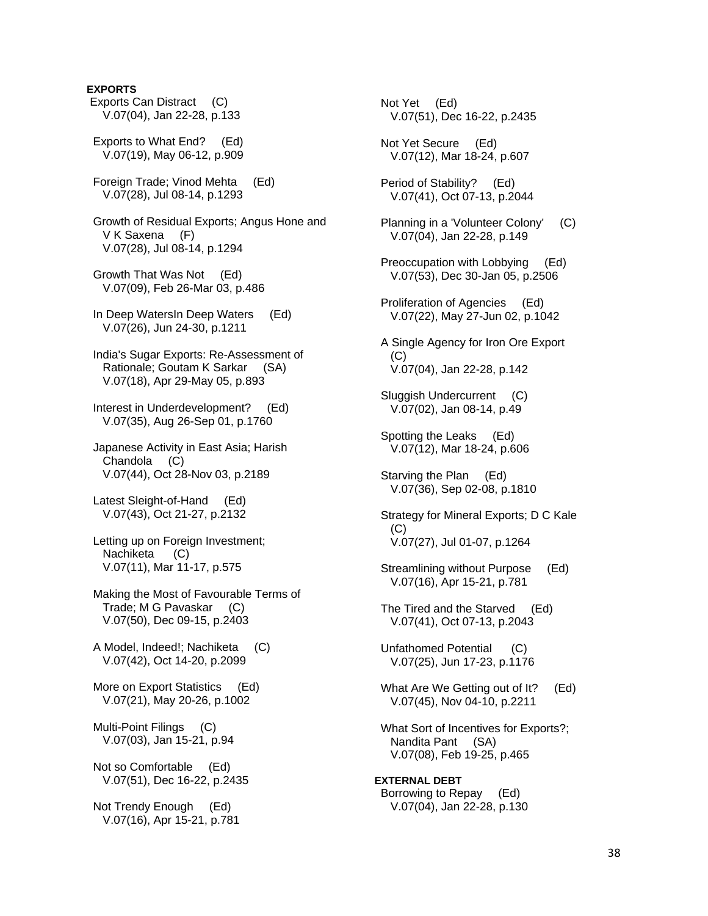# **EXPORTS**

 Exports Can Distract (C) V.07(04), Jan 22-28, p.133

 Exports to What End? (Ed) V.07(19), May 06-12, p.909

 Foreign Trade; Vinod Mehta (Ed) V.07(28), Jul 08-14, p.1293

 Growth of Residual Exports; Angus Hone and V K Saxena (F) V.07(28), Jul 08-14, p.1294

 Growth That Was Not (Ed) V.07(09), Feb 26-Mar 03, p.486

 In Deep WatersIn Deep Waters (Ed) V.07(26), Jun 24-30, p.1211

 India's Sugar Exports: Re-Assessment of Rationale; Goutam K Sarkar (SA) V.07(18), Apr 29-May 05, p.893

 Interest in Underdevelopment? (Ed) V.07(35), Aug 26-Sep 01, p.1760

 Japanese Activity in East Asia; Harish Chandola (C) V.07(44), Oct 28-Nov 03, p.2189

 Latest Sleight-of-Hand (Ed) V.07(43), Oct 21-27, p.2132

 Letting up on Foreign Investment; Nachiketa (C) V.07(11), Mar 11-17, p.575

 Making the Most of Favourable Terms of Trade; M G Pavaskar (C) V.07(50), Dec 09-15, p.2403

 A Model, Indeed!; Nachiketa (C) V.07(42), Oct 14-20, p.2099

 More on Export Statistics (Ed) V.07(21), May 20-26, p.1002

 Multi-Point Filings (C) V.07(03), Jan 15-21, p.94

 Not so Comfortable (Ed) V.07(51), Dec 16-22, p.2435

 Not Trendy Enough (Ed) V.07(16), Apr 15-21, p.781  Not Yet (Ed) V.07(51), Dec 16-22, p.2435

 Not Yet Secure (Ed) V.07(12), Mar 18-24, p.607

 Period of Stability? (Ed) V.07(41), Oct 07-13, p.2044

 Planning in a 'Volunteer Colony' (C) V.07(04), Jan 22-28, p.149

 Preoccupation with Lobbying (Ed) V.07(53), Dec 30-Jan 05, p.2506

 Proliferation of Agencies (Ed) V.07(22), May 27-Jun 02, p.1042

 A Single Agency for Iron Ore Export (C) V.07(04), Jan 22-28, p.142

 Sluggish Undercurrent (C) V.07(02), Jan 08-14, p.49

 Spotting the Leaks (Ed) V.07(12), Mar 18-24, p.606

 Starving the Plan (Ed) V.07(36), Sep 02-08, p.1810

 Strategy for Mineral Exports; D C Kale (C) V.07(27), Jul 01-07, p.1264

 Streamlining without Purpose (Ed) V.07(16), Apr 15-21, p.781

 The Tired and the Starved (Ed) V.07(41), Oct 07-13, p.2043

 Unfathomed Potential (C) V.07(25), Jun 17-23, p.1176

What Are We Getting out of It? (Ed) V.07(45), Nov 04-10, p.2211

 What Sort of Incentives for Exports?; Nandita Pant (SA) V.07(08), Feb 19-25, p.465

**EXTERNAL DEBT**  Borrowing to Repay (Ed) V.07(04), Jan 22-28, p.130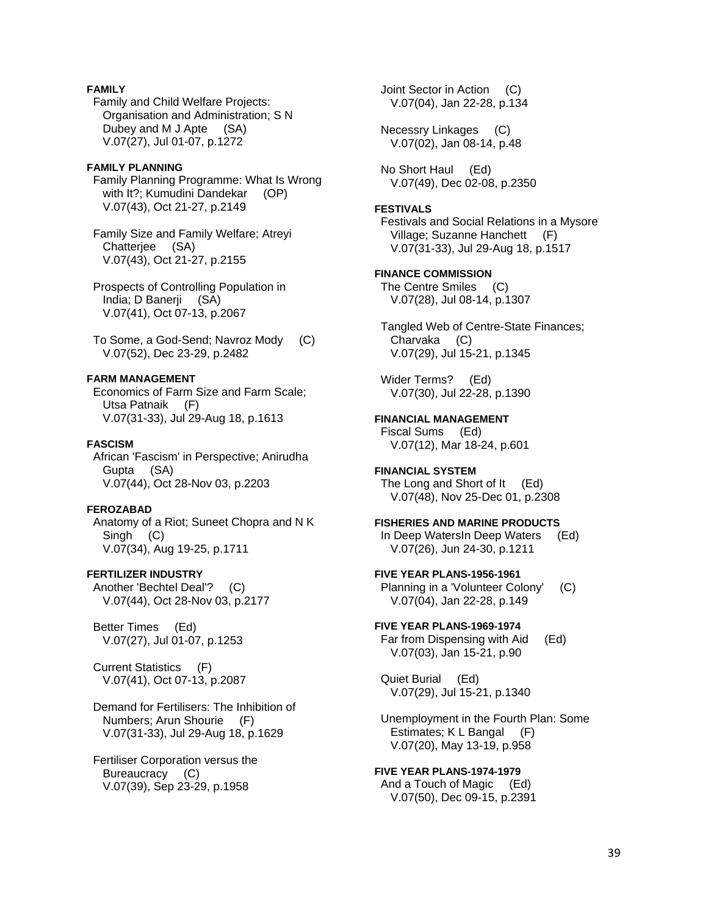# **FAMILY**

 Family and Child Welfare Projects: Organisation and Administration; S N Dubey and M J Apte (SA) V.07(27), Jul 01-07, p.1272

#### **FAMILY PLANNING**

 Family Planning Programme: What Is Wrong with It?; Kumudini Dandekar (OP) V.07(43), Oct 21-27, p.2149

 Family Size and Family Welfare; Atreyi Chatterjee (SA) V.07(43), Oct 21-27, p.2155

 Prospects of Controlling Population in India; D Banerji (SA) V.07(41), Oct 07-13, p.2067

 To Some, a God-Send; Navroz Mody (C) V.07(52), Dec 23-29, p.2482

# **FARM MANAGEMENT**

 Economics of Farm Size and Farm Scale; Utsa Patnaik (F) V.07(31-33), Jul 29-Aug 18, p.1613

## **FASCISM**

 African 'Fascism' in Perspective; Anirudha Gupta (SA) V.07(44), Oct 28-Nov 03, p.2203

#### **FEROZABAD**

 Anatomy of a Riot; Suneet Chopra and N K Singh (C) V.07(34), Aug 19-25, p.1711

# **FERTILIZER INDUSTRY**

 Another 'Bechtel Deal'? (C) V.07(44), Oct 28-Nov 03, p.2177

 Better Times (Ed) V.07(27), Jul 01-07, p.1253

 Current Statistics (F) V.07(41), Oct 07-13, p.2087

 Demand for Fertilisers: The Inhibition of Numbers; Arun Shourie (F) V.07(31-33), Jul 29-Aug 18, p.1629

 Fertiliser Corporation versus the Bureaucracy (C) V.07(39), Sep 23-29, p.1958

 Joint Sector in Action (C) V.07(04), Jan 22-28, p.134

 Necessry Linkages (C) V.07(02), Jan 08-14, p.48

 No Short Haul (Ed) V.07(49), Dec 02-08, p.2350

#### **FESTIVALS**

 Festivals and Social Relations in a Mysore Village; Suzanne Hanchett (F) V.07(31-33), Jul 29-Aug 18, p.1517

**FINANCE COMMISSION**  The Centre Smiles (C) V.07(28), Jul 08-14, p.1307

 Tangled Web of Centre-State Finances; Charvaka (C) V.07(29), Jul 15-21, p.1345

 Wider Terms? (Ed) V.07(30), Jul 22-28, p.1390

**FINANCIAL MANAGEMENT**  Fiscal Sums (Ed) V.07(12), Mar 18-24, p.601

**FINANCIAL SYSTEM**  The Long and Short of It (Ed) V.07(48), Nov 25-Dec 01, p.2308

**FISHERIES AND MARINE PRODUCTS**  In Deep WatersIn Deep Waters (Ed) V.07(26), Jun 24-30, p.1211

**FIVE YEAR PLANS-1956-1961**  Planning in a 'Volunteer Colony' (C) V.07(04), Jan 22-28, p.149

**FIVE YEAR PLANS-1969-1974**  Far from Dispensing with Aid (Ed) V.07(03), Jan 15-21, p.90

 Quiet Burial (Ed) V.07(29), Jul 15-21, p.1340

 Unemployment in the Fourth Plan: Some Estimates; K L Bangal (F) V.07(20), May 13-19, p.958

**FIVE YEAR PLANS-1974-1979**  And a Touch of Magic (Ed) V.07(50), Dec 09-15, p.2391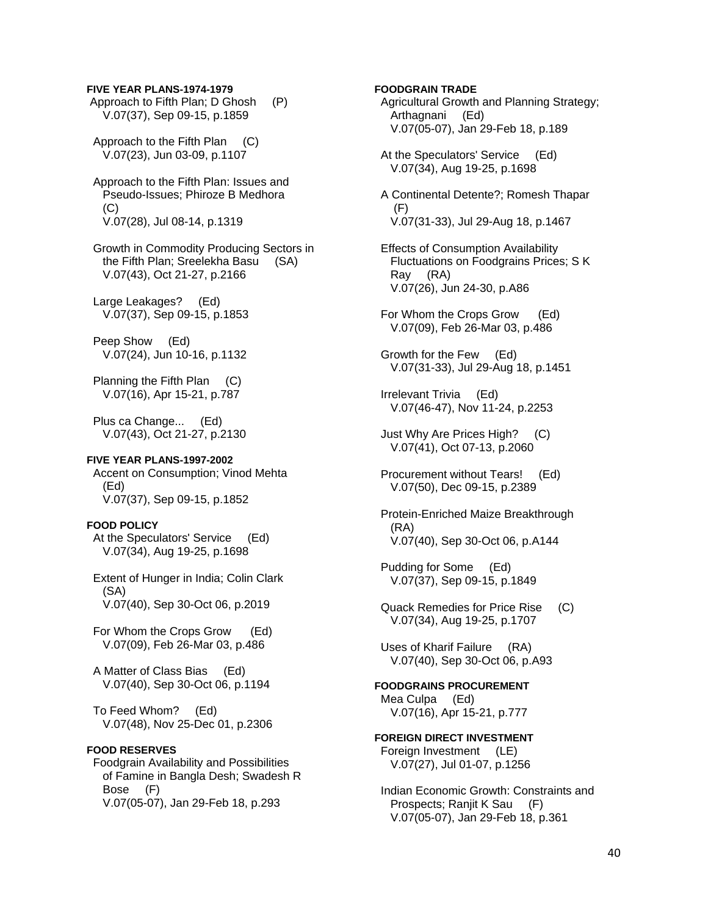#### **FIVE YEAR PLANS-1974-1979**

 Approach to Fifth Plan; D Ghosh (P) V.07(37), Sep 09-15, p.1859

 Approach to the Fifth Plan (C) V.07(23), Jun 03-09, p.1107

 Approach to the Fifth Plan: Issues and Pseudo-Issues; Phiroze B Medhora (C) V.07(28), Jul 08-14, p.1319

 Growth in Commodity Producing Sectors in the Fifth Plan; Sreelekha Basu (SA) V.07(43), Oct 21-27, p.2166

Large Leakages? (Ed) V.07(37), Sep 09-15, p.1853

 Peep Show (Ed) V.07(24), Jun 10-16, p.1132

 Planning the Fifth Plan (C) V.07(16), Apr 15-21, p.787

 Plus ca Change... (Ed) V.07(43), Oct 21-27, p.2130

# **FIVE YEAR PLANS-1997-2002**

 Accent on Consumption; Vinod Mehta (Ed) V.07(37), Sep 09-15, p.1852

#### **FOOD POLICY**

 At the Speculators' Service (Ed) V.07(34), Aug 19-25, p.1698

 Extent of Hunger in India; Colin Clark (SA) V.07(40), Sep 30-Oct 06, p.2019

 For Whom the Crops Grow (Ed) V.07(09), Feb 26-Mar 03, p.486

 A Matter of Class Bias (Ed) V.07(40), Sep 30-Oct 06, p.1194

 To Feed Whom? (Ed) V.07(48), Nov 25-Dec 01, p.2306

# **FOOD RESERVES**

 Foodgrain Availability and Possibilities of Famine in Bangla Desh; Swadesh R Bose (F) V.07(05-07), Jan 29-Feb 18, p.293

# **FOODGRAIN TRADE**

 Agricultural Growth and Planning Strategy; Arthagnani (Ed) V.07(05-07), Jan 29-Feb 18, p.189

 At the Speculators' Service (Ed) V.07(34), Aug 19-25, p.1698

 A Continental Detente?; Romesh Thapar (F) V.07(31-33), Jul 29-Aug 18, p.1467

 Effects of Consumption Availability Fluctuations on Foodgrains Prices; S K Ray (RA) V.07(26), Jun 24-30, p.A86

For Whom the Crops Grow (Ed) V.07(09), Feb 26-Mar 03, p.486

 Growth for the Few (Ed) V.07(31-33), Jul 29-Aug 18, p.1451

 Irrelevant Trivia (Ed) V.07(46-47), Nov 11-24, p.2253

 Just Why Are Prices High? (C) V.07(41), Oct 07-13, p.2060

 Procurement without Tears! (Ed) V.07(50), Dec 09-15, p.2389

 Protein-Enriched Maize Breakthrough (RA) V.07(40), Sep 30-Oct 06, p.A144

 Pudding for Some (Ed) V.07(37), Sep 09-15, p.1849

 Quack Remedies for Price Rise (C) V.07(34), Aug 19-25, p.1707

 Uses of Kharif Failure (RA) V.07(40), Sep 30-Oct 06, p.A93

**FOODGRAINS PROCUREMENT**  Mea Culpa (Ed) V.07(16), Apr 15-21, p.777

#### **FOREIGN DIRECT INVESTMENT**  Foreign Investment (LE) V.07(27), Jul 01-07, p.1256

 Indian Economic Growth: Constraints and Prospects; Ranjit K Sau (F) V.07(05-07), Jan 29-Feb 18, p.361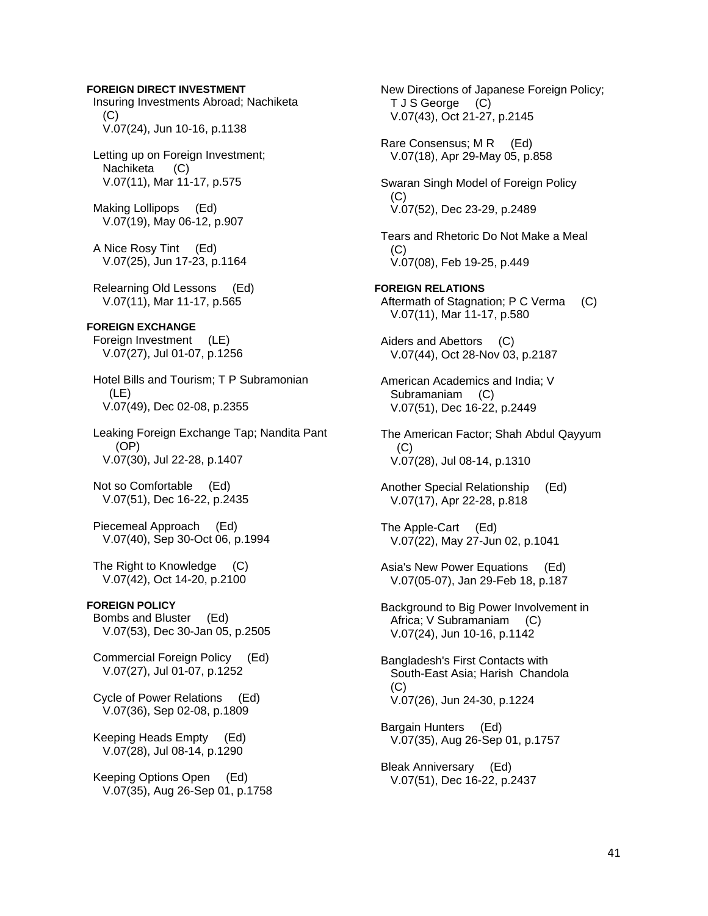**FOREIGN DIRECT INVESTMENT**  Insuring Investments Abroad; Nachiketa  $(C)$  V.07(24), Jun 10-16, p.1138 Letting up on Foreign Investment; Nachiketa (C) V.07(11), Mar 11-17, p.575 Making Lollipops (Ed) V.07(19), May 06-12, p.907 A Nice Rosy Tint (Ed) V.07(25), Jun 17-23, p.1164 Relearning Old Lessons (Ed) V.07(11), Mar 11-17, p.565 **FOREIGN EXCHANGE**  Foreign Investment (LE) V.07(27), Jul 01-07, p.1256 Hotel Bills and Tourism; T P Subramonian (LE) V.07(49), Dec 02-08, p.2355 Leaking Foreign Exchange Tap; Nandita Pant (OP) V.07(30), Jul 22-28, p.1407 Not so Comfortable (Ed) V.07(51), Dec 16-22, p.2435 Piecemeal Approach (Ed) V.07(40), Sep 30-Oct 06, p.1994 The Right to Knowledge (C) V.07(42), Oct 14-20, p.2100 **FOREIGN POLICY**  Bombs and Bluster (Ed) V.07(53), Dec 30-Jan 05, p.2505 Commercial Foreign Policy (Ed) V.07(27), Jul 01-07, p.1252 Cycle of Power Relations (Ed) V.07(36), Sep 02-08, p.1809 Keeping Heads Empty (Ed) V.07(28), Jul 08-14, p.1290 Keeping Options Open (Ed) V.07(35), Aug 26-Sep 01, p.1758

 New Directions of Japanese Foreign Policy; T J S George (C) V.07(43), Oct 21-27, p.2145 Rare Consensus; M R (Ed) V.07(18), Apr 29-May 05, p.858 Swaran Singh Model of Foreign Policy (C) V.07(52), Dec 23-29, p.2489 Tears and Rhetoric Do Not Make a Meal  $(C)$  V.07(08), Feb 19-25, p.449 **FOREIGN RELATIONS**  Aftermath of Stagnation; P C Verma (C) V.07(11), Mar 11-17, p.580 Aiders and Abettors (C) V.07(44), Oct 28-Nov 03, p.2187 American Academics and India; V Subramaniam (C) V.07(51), Dec 16-22, p.2449 The American Factor; Shah Abdul Qayyum (C) V.07(28), Jul 08-14, p.1310 Another Special Relationship (Ed) V.07(17), Apr 22-28, p.818 The Apple-Cart (Ed) V.07(22), May 27-Jun 02, p.1041 Asia's New Power Equations (Ed) V.07(05-07), Jan 29-Feb 18, p.187 Background to Big Power Involvement in Africa; V Subramaniam (C) V.07(24), Jun 10-16, p.1142 Bangladesh's First Contacts with South-East Asia; Harish Chandola  $(C)$  V.07(26), Jun 24-30, p.1224 Bargain Hunters (Ed) V.07(35), Aug 26-Sep 01, p.1757 Bleak Anniversary (Ed) V.07(51), Dec 16-22, p.2437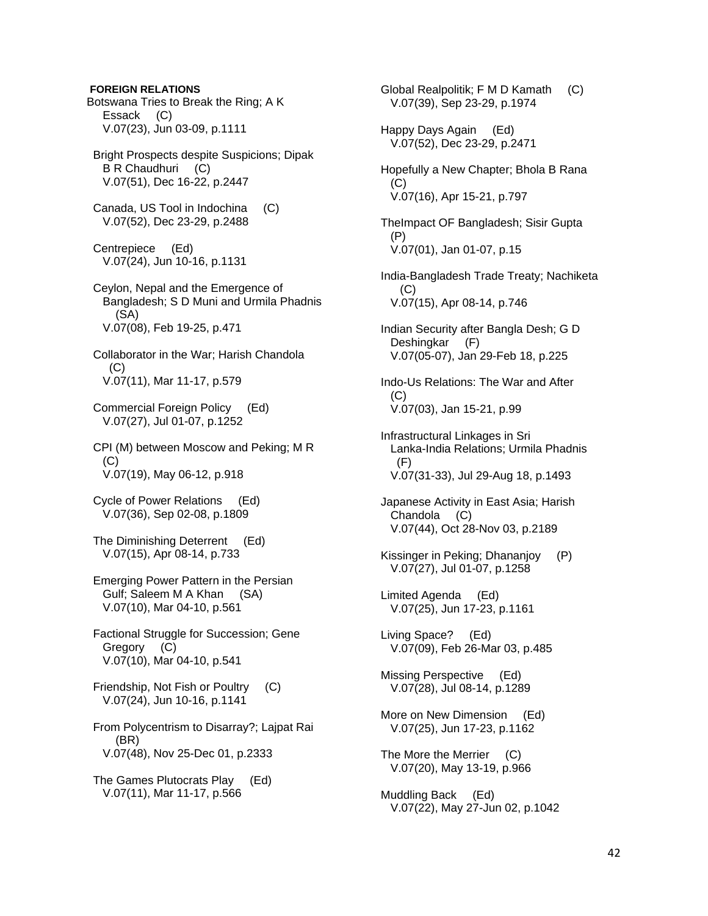# **FOREIGN RELATIONS**

Botswana Tries to Break the Ring; A K Essack (C) V.07(23), Jun 03-09, p.1111

 Bright Prospects despite Suspicions; Dipak B R Chaudhuri (C) V.07(51), Dec 16-22, p.2447

 Canada, US Tool in Indochina (C) V.07(52), Dec 23-29, p.2488

 Centrepiece (Ed) V.07(24), Jun 10-16, p.1131

 Ceylon, Nepal and the Emergence of Bangladesh; S D Muni and Urmila Phadnis (SA) V.07(08), Feb 19-25, p.471

 Collaborator in the War; Harish Chandola (C) V.07(11), Mar 11-17, p.579

 Commercial Foreign Policy (Ed) V.07(27), Jul 01-07, p.1252

 CPI (M) between Moscow and Peking; M R  $(C)$ V.07(19), May 06-12, p.918

 Cycle of Power Relations (Ed) V.07(36), Sep 02-08, p.1809

 The Diminishing Deterrent (Ed) V.07(15), Apr 08-14, p.733

 Emerging Power Pattern in the Persian Gulf; Saleem M A Khan (SA) V.07(10), Mar 04-10, p.561

 Factional Struggle for Succession; Gene Gregory (C) V.07(10), Mar 04-10, p.541

 Friendship, Not Fish or Poultry (C) V.07(24), Jun 10-16, p.1141

 From Polycentrism to Disarray?; Lajpat Rai (BR) V.07(48), Nov 25-Dec 01, p.2333

 The Games Plutocrats Play (Ed) V.07(11), Mar 11-17, p.566

 Global Realpolitik; F M D Kamath (C) V.07(39), Sep 23-29, p.1974 Happy Days Again (Ed) V.07(52), Dec 23-29, p.2471 Hopefully a New Chapter; Bhola B Rana (C) V.07(16), Apr 15-21, p.797 TheImpact OF Bangladesh; Sisir Gupta (P) V.07(01), Jan 01-07, p.15 India-Bangladesh Trade Treaty; Nachiketa  $(C)$  V.07(15), Apr 08-14, p.746 Indian Security after Bangla Desh; G D Deshingkar (F) V.07(05-07), Jan 29-Feb 18, p.225 Indo-Us Relations: The War and After (C) V.07(03), Jan 15-21, p.99 Infrastructural Linkages in Sri Lanka-India Relations; Urmila Phadnis (F) V.07(31-33), Jul 29-Aug 18, p.1493 Japanese Activity in East Asia; Harish Chandola (C) V.07(44), Oct 28-Nov 03, p.2189 Kissinger in Peking; Dhananjoy (P) V.07(27), Jul 01-07, p.1258 Limited Agenda (Ed) V.07(25), Jun 17-23, p.1161 Living Space? (Ed) V.07(09), Feb 26-Mar 03, p.485 Missing Perspective (Ed) V.07(28), Jul 08-14, p.1289 More on New Dimension (Ed) V.07(25), Jun 17-23, p.1162 The More the Merrier (C) V.07(20), May 13-19, p.966 Muddling Back (Ed) V.07(22), May 27-Jun 02, p.1042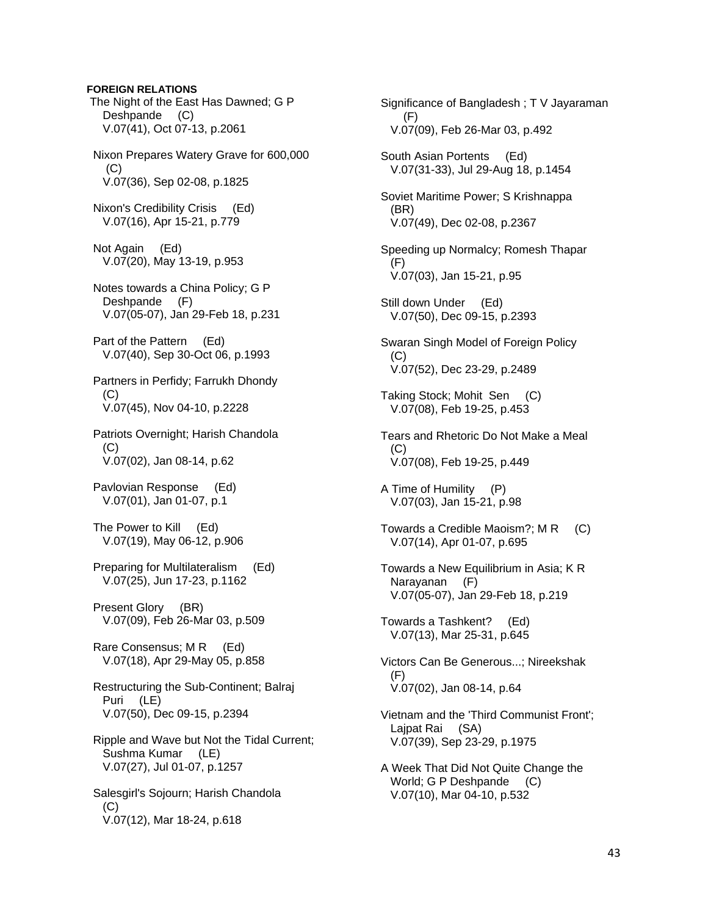# **FOREIGN RELATIONS**

 The Night of the East Has Dawned; G P Deshpande (C) V.07(41), Oct 07-13, p.2061 Nixon Prepares Watery Grave for 600,000  $(C)$  V.07(36), Sep 02-08, p.1825 Nixon's Credibility Crisis (Ed) V.07(16), Apr 15-21, p.779 Not Again (Ed) V.07(20), May 13-19, p.953 Notes towards a China Policy; G P Deshpande (F) V.07(05-07), Jan 29-Feb 18, p.231 Part of the Pattern (Ed) V.07(40), Sep 30-Oct 06, p.1993 Partners in Perfidy; Farrukh Dhondy  $(C)$  V.07(45), Nov 04-10, p.2228 Patriots Overnight; Harish Chandola  $(C)$  V.07(02), Jan 08-14, p.62 Pavlovian Response (Ed) V.07(01), Jan 01-07, p.1 The Power to Kill (Ed) V.07(19), May 06-12, p.906 Preparing for Multilateralism (Ed) V.07(25), Jun 17-23, p.1162 Present Glory (BR) V.07(09), Feb 26-Mar 03, p.509 Rare Consensus; M R (Ed) V.07(18), Apr 29-May 05, p.858 Restructuring the Sub-Continent; Balraj Puri (LE) V.07(50), Dec 09-15, p.2394 Ripple and Wave but Not the Tidal Current; Sushma Kumar (LE) V.07(27), Jul 01-07, p.1257 Salesgirl's Sojourn; Harish Chandola (C) V.07(12), Mar 18-24, p.618

 Significance of Bangladesh ; T V Jayaraman (F) V.07(09), Feb 26-Mar 03, p.492 South Asian Portents (Ed) V.07(31-33), Jul 29-Aug 18, p.1454 Soviet Maritime Power; S Krishnappa (BR) V.07(49), Dec 02-08, p.2367 Speeding up Normalcy; Romesh Thapar (F) V.07(03), Jan 15-21, p.95 Still down Under (Ed) V.07(50), Dec 09-15, p.2393 Swaran Singh Model of Foreign Policy (C) V.07(52), Dec 23-29, p.2489 Taking Stock; Mohit Sen (C) V.07(08), Feb 19-25, p.453 Tears and Rhetoric Do Not Make a Meal  $(C)$  V.07(08), Feb 19-25, p.449 A Time of Humility (P) V.07(03), Jan 15-21, p.98 Towards a Credible Maoism?; M R (C) V.07(14), Apr 01-07, p.695 Towards a New Equilibrium in Asia; K R Narayanan (F) V.07(05-07), Jan 29-Feb 18, p.219 Towards a Tashkent? (Ed) V.07(13), Mar 25-31, p.645 Victors Can Be Generous...; Nireekshak (F) V.07(02), Jan 08-14, p.64 Vietnam and the 'Third Communist Front'; Lajpat Rai (SA) V.07(39), Sep 23-29, p.1975 A Week That Did Not Quite Change the World; G P Deshpande (C) V.07(10), Mar 04-10, p.532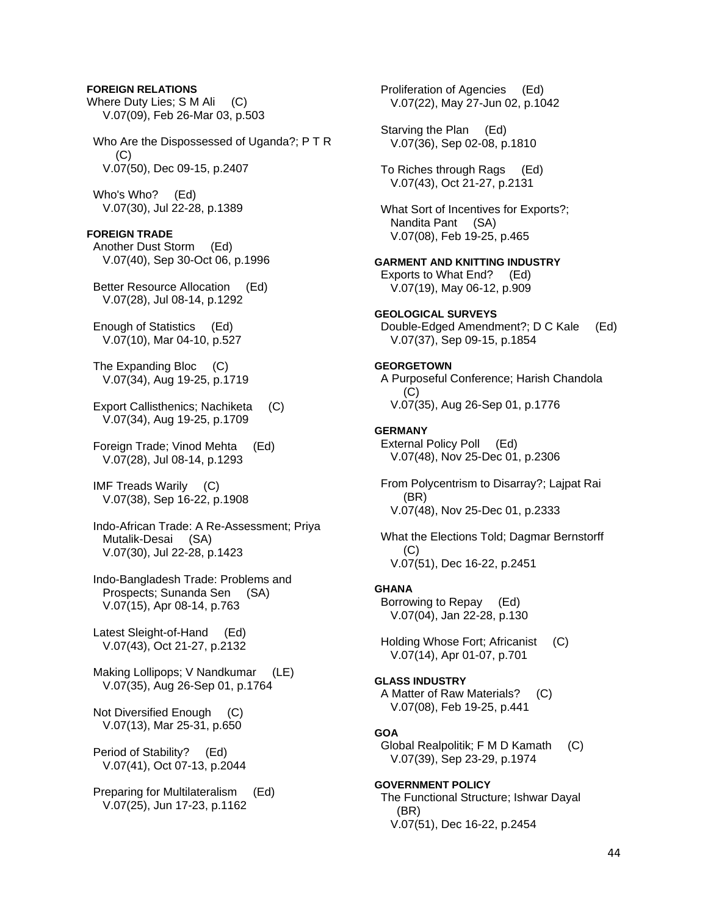# **FOREIGN RELATIONS**

Where Duty Lies; S M Ali (C) V.07(09), Feb 26-Mar 03, p.503 Who Are the Dispossessed of Uganda?; P T R  $(C)$  V.07(50), Dec 09-15, p.2407 Who's Who? (Ed) V.07(30), Jul 22-28, p.1389 **FOREIGN TRADE**  Another Dust Storm (Ed) V.07(40), Sep 30-Oct 06, p.1996 Better Resource Allocation (Ed) V.07(28), Jul 08-14, p.1292 Enough of Statistics (Ed) V.07(10), Mar 04-10, p.527 The Expanding Bloc (C) V.07(34), Aug 19-25, p.1719 Export Callisthenics; Nachiketa (C) V.07(34), Aug 19-25, p.1709 Foreign Trade; Vinod Mehta (Ed) V.07(28), Jul 08-14, p.1293 IMF Treads Warily (C) V.07(38), Sep 16-22, p.1908 Indo-African Trade: A Re-Assessment; Priya Mutalik-Desai (SA) V.07(30), Jul 22-28, p.1423 Indo-Bangladesh Trade: Problems and Prospects; Sunanda Sen (SA) V.07(15), Apr 08-14, p.763 Latest Sleight-of-Hand (Ed) V.07(43), Oct 21-27, p.2132 Making Lollipops; V Nandkumar (LE) V.07(35), Aug 26-Sep 01, p.1764 Not Diversified Enough (C) V.07(13), Mar 25-31, p.650 Period of Stability? (Ed) V.07(41), Oct 07-13, p.2044 Preparing for Multilateralism (Ed) V.07(25), Jun 17-23, p.1162

 V.07(22), May 27-Jun 02, p.1042 Starving the Plan (Ed) V.07(36), Sep 02-08, p.1810 To Riches through Rags (Ed) V.07(43), Oct 21-27, p.2131 What Sort of Incentives for Exports?; Nandita Pant (SA) V.07(08), Feb 19-25, p.465 **GARMENT AND KNITTING INDUSTRY**  Exports to What End? (Ed) V.07(19), May 06-12, p.909 **GEOLOGICAL SURVEYS**  Double-Edged Amendment?; D C Kale (Ed) V.07(37), Sep 09-15, p.1854 **GEORGETOWN**  A Purposeful Conference; Harish Chandola (C) V.07(35), Aug 26-Sep 01, p.1776 **GERMANY**  External Policy Poll (Ed) V.07(48), Nov 25-Dec 01, p.2306 From Polycentrism to Disarray?; Lajpat Rai (BR) V.07(48), Nov 25-Dec 01, p.2333 What the Elections Told; Dagmar Bernstorff (C) V.07(51), Dec 16-22, p.2451 **GHANA**  Borrowing to Repay (Ed) V.07(04), Jan 22-28, p.130 Holding Whose Fort; Africanist (C) V.07(14), Apr 01-07, p.701 **GLASS INDUSTRY**  A Matter of Raw Materials? (C) V.07(08), Feb 19-25, p.441 **GOA**  Global Realpolitik; F M D Kamath (C) V.07(39), Sep 23-29, p.1974 **GOVERNMENT POLICY**  The Functional Structure; Ishwar Dayal (BR) V.07(51), Dec 16-22, p.2454

Proliferation of Agencies (Ed)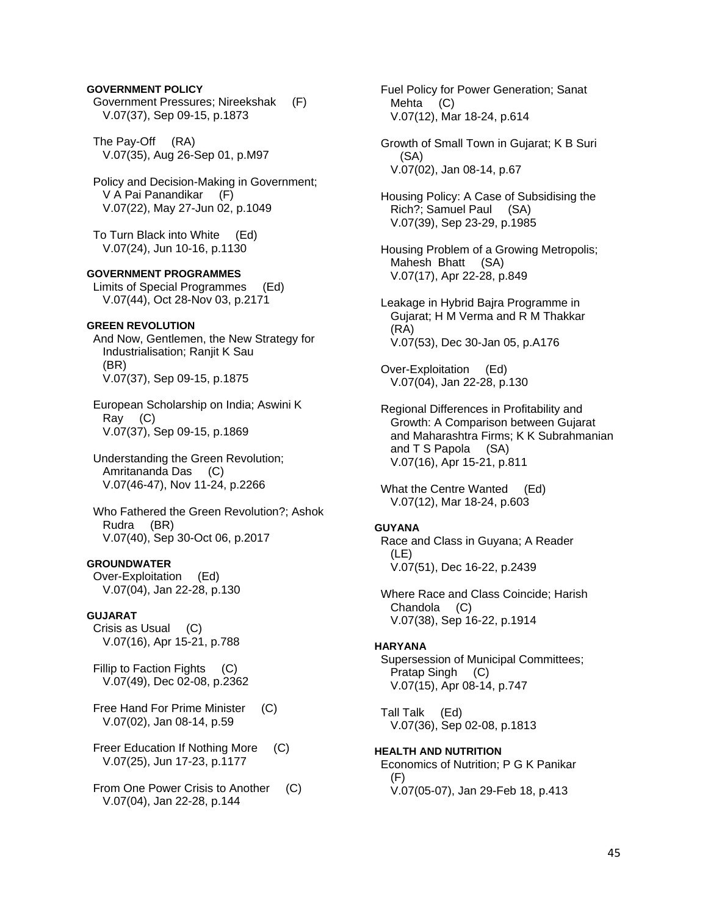# **GOVERNMENT POLICY**

 Government Pressures; Nireekshak (F) V.07(37), Sep 09-15, p.1873

 The Pay-Off (RA) V.07(35), Aug 26-Sep 01, p.M97

 Policy and Decision-Making in Government; V A Pai Panandikar (F) V.07(22), May 27-Jun 02, p.1049

 To Turn Black into White (Ed) V.07(24), Jun 10-16, p.1130

# **GOVERNMENT PROGRAMMES**

 Limits of Special Programmes (Ed) V.07(44), Oct 28-Nov 03, p.2171

# **GREEN REVOLUTION**

 And Now, Gentlemen, the New Strategy for Industrialisation; Ranjit K Sau (BR) V.07(37), Sep 09-15, p.1875

 European Scholarship on India; Aswini K Ray (C) V.07(37), Sep 09-15, p.1869

 Understanding the Green Revolution; Amritananda Das (C) V.07(46-47), Nov 11-24, p.2266

 Who Fathered the Green Revolution?; Ashok Rudra (BR) V.07(40), Sep 30-Oct 06, p.2017

# **GROUNDWATER**

 Over-Exploitation (Ed) V.07(04), Jan 22-28, p.130

## **GUJARAT**

 Crisis as Usual (C) V.07(16), Apr 15-21, p.788

 Fillip to Faction Fights (C) V.07(49), Dec 02-08, p.2362

- Free Hand For Prime Minister (C) V.07(02), Jan 08-14, p.59
- Freer Education If Nothing More (C) V.07(25), Jun 17-23, p.1177

From One Power Crisis to Another (C) V.07(04), Jan 22-28, p.144

 Fuel Policy for Power Generation; Sanat Mehta (C) V.07(12), Mar 18-24, p.614

- Growth of Small Town in Gujarat; K B Suri (SA) V.07(02), Jan 08-14, p.67
- Housing Policy: A Case of Subsidising the Rich?; Samuel Paul (SA) V.07(39), Sep 23-29, p.1985
- Housing Problem of a Growing Metropolis; Mahesh Bhatt (SA) V.07(17), Apr 22-28, p.849
- Leakage in Hybrid Bajra Programme in Gujarat; H M Verma and R M Thakkar (RA) V.07(53), Dec 30-Jan 05, p.A176

 Over-Exploitation (Ed) V.07(04), Jan 22-28, p.130

 Regional Differences in Profitability and Growth: A Comparison between Gujarat and Maharashtra Firms; K K Subrahmanian and T S Papola (SA) V.07(16), Apr 15-21, p.811

What the Centre Wanted (Ed) V.07(12), Mar 18-24, p.603

#### **GUYANA**

 Race and Class in Guyana; A Reader (LE) V.07(51), Dec 16-22, p.2439

 Where Race and Class Coincide; Harish Chandola (C) V.07(38), Sep 16-22, p.1914

#### **HARYANA**

 Supersession of Municipal Committees; Pratap Singh (C) V.07(15), Apr 08-14, p.747

 Tall Talk (Ed) V.07(36), Sep 02-08, p.1813

**HEALTH AND NUTRITION**  Economics of Nutrition; P G K Panikar (F) V.07(05-07), Jan 29-Feb 18, p.413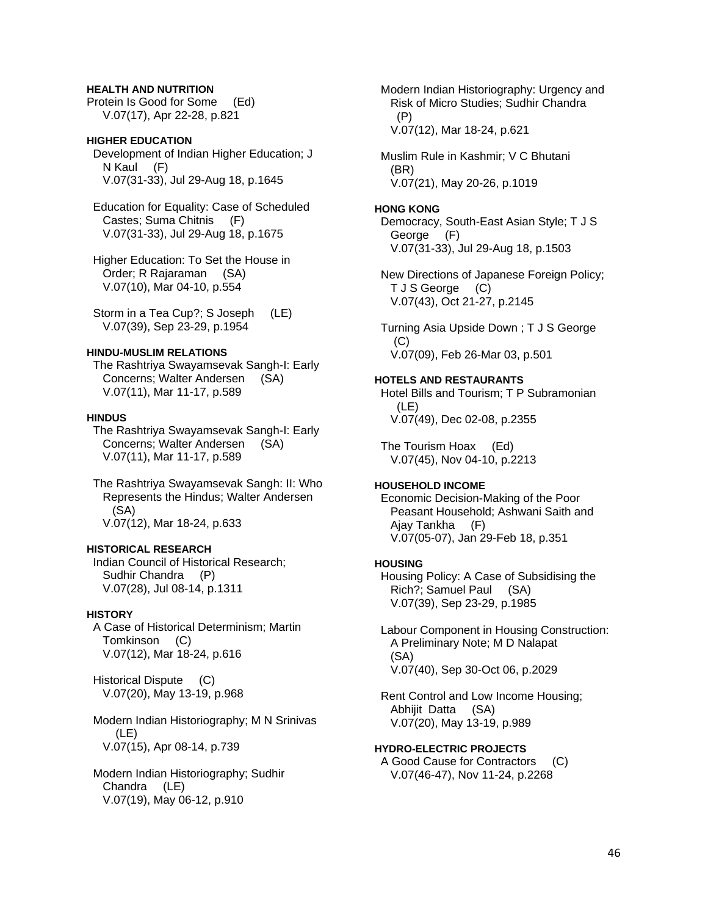# **HEALTH AND NUTRITION**

Protein Is Good for Some (Ed) V.07(17), Apr 22-28, p.821

# **HIGHER EDUCATION**

 Development of Indian Higher Education; J N Kaul (F) V.07(31-33), Jul 29-Aug 18, p.1645

 Education for Equality: Case of Scheduled Castes; Suma Chitnis (F) V.07(31-33), Jul 29-Aug 18, p.1675

 Higher Education: To Set the House in Order; R Rajaraman (SA) V.07(10), Mar 04-10, p.554

 Storm in a Tea Cup?; S Joseph (LE) V.07(39), Sep 23-29, p.1954

# **HINDU-MUSLIM RELATIONS**

 The Rashtriya Swayamsevak Sangh-I: Early Concerns; Walter Andersen (SA) V.07(11), Mar 11-17, p.589

#### **HINDUS**

 The Rashtriya Swayamsevak Sangh-I: Early Concerns; Walter Andersen (SA) V.07(11), Mar 11-17, p.589

 The Rashtriya Swayamsevak Sangh: II: Who Represents the Hindus; Walter Andersen (SA) V.07(12), Mar 18-24, p.633

#### **HISTORICAL RESEARCH**

 Indian Council of Historical Research; Sudhir Chandra (P) V.07(28), Jul 08-14, p.1311

# **HISTORY**

 A Case of Historical Determinism; Martin Tomkinson (C) V.07(12), Mar 18-24, p.616

 Historical Dispute (C) V.07(20), May 13-19, p.968

 Modern Indian Historiography; M N Srinivas (LE) V.07(15), Apr 08-14, p.739

 Modern Indian Historiography; Sudhir Chandra (LE) V.07(19), May 06-12, p.910

 Modern Indian Historiography: Urgency and Risk of Micro Studies; Sudhir Chandra (P) V.07(12), Mar 18-24, p.621

 Muslim Rule in Kashmir; V C Bhutani (BR) V.07(21), May 20-26, p.1019

# **HONG KONG**

 Democracy, South-East Asian Style; T J S George (F) V.07(31-33), Jul 29-Aug 18, p.1503

 New Directions of Japanese Foreign Policy; T J S George (C) V.07(43), Oct 21-27, p.2145

 Turning Asia Upside Down ; T J S George  $(C)$ V.07(09), Feb 26-Mar 03, p.501

#### **HOTELS AND RESTAURANTS**

 Hotel Bills and Tourism; T P Subramonian (LE) V.07(49), Dec 02-08, p.2355

 The Tourism Hoax (Ed) V.07(45), Nov 04-10, p.2213

#### **HOUSEHOLD INCOME**

 Economic Decision-Making of the Poor Peasant Household; Ashwani Saith and Ajay Tankha (F) V.07(05-07), Jan 29-Feb 18, p.351

#### **HOUSING**

 Housing Policy: A Case of Subsidising the Rich?; Samuel Paul (SA) V.07(39), Sep 23-29, p.1985

 Labour Component in Housing Construction: A Preliminary Note; M D Nalapat (SA) V.07(40), Sep 30-Oct 06, p.2029

 Rent Control and Low Income Housing; Abhijit Datta (SA) V.07(20), May 13-19, p.989

#### **HYDRO-ELECTRIC PROJECTS**

 A Good Cause for Contractors (C) V.07(46-47), Nov 11-24, p.2268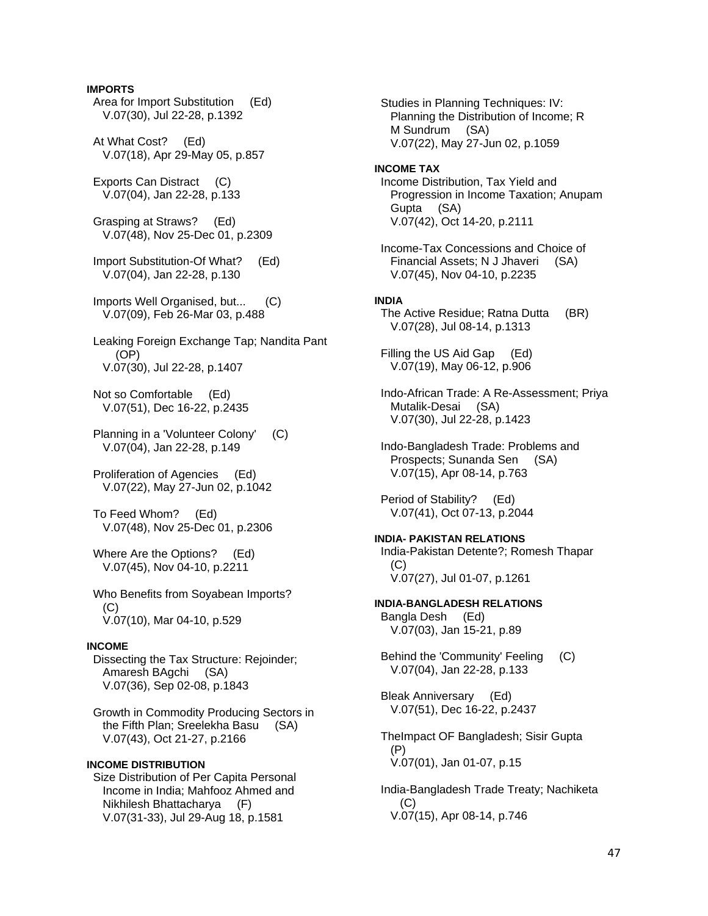# **IMPORTS**

- Area for Import Substitution (Ed) V.07(30), Jul 22-28, p.1392
- At What Cost? (Ed) V.07(18), Apr 29-May 05, p.857
- Exports Can Distract (C) V.07(04), Jan 22-28, p.133
- Grasping at Straws? (Ed) V.07(48), Nov 25-Dec 01, p.2309
- Import Substitution-Of What? (Ed) V.07(04), Jan 22-28, p.130
- Imports Well Organised, but... (C) V.07(09), Feb 26-Mar 03, p.488
- Leaking Foreign Exchange Tap; Nandita Pant (OP) V.07(30), Jul 22-28, p.1407
- Not so Comfortable (Ed) V.07(51), Dec 16-22, p.2435
- Planning in a 'Volunteer Colony' (C) V.07(04), Jan 22-28, p.149
- Proliferation of Agencies (Ed) V.07(22), May 27-Jun 02, p.1042
- To Feed Whom? (Ed) V.07(48), Nov 25-Dec 01, p.2306
- Where Are the Options? (Ed) V.07(45), Nov 04-10, p.2211
- Who Benefits from Soyabean Imports? (C) V.07(10), Mar 04-10, p.529

# **INCOME**

 Dissecting the Tax Structure: Rejoinder; Amaresh BAgchi (SA) V.07(36), Sep 02-08, p.1843

 Growth in Commodity Producing Sectors in the Fifth Plan; Sreelekha Basu (SA) V.07(43), Oct 21-27, p.2166

# **INCOME DISTRIBUTION**

 Size Distribution of Per Capita Personal Income in India; Mahfooz Ahmed and Nikhilesh Bhattacharya (F) V.07(31-33), Jul 29-Aug 18, p.1581

 Studies in Planning Techniques: IV: Planning the Distribution of Income; R M Sundrum (SA) V.07(22), May 27-Jun 02, p.1059 **INCOME TAX** 

- Income Distribution, Tax Yield and Progression in Income Taxation; Anupam Gupta (SA) V.07(42), Oct 14-20, p.2111
- Income-Tax Concessions and Choice of Financial Assets; N J Jhaveri (SA) V.07(45), Nov 04-10, p.2235

## **INDIA**

- The Active Residue; Ratna Dutta (BR) V.07(28), Jul 08-14, p.1313
- Filling the US Aid Gap (Ed) V.07(19), May 06-12, p.906
- Indo-African Trade: A Re-Assessment; Priya Mutalik-Desai (SA) V.07(30), Jul 22-28, p.1423
- Indo-Bangladesh Trade: Problems and Prospects; Sunanda Sen (SA) V.07(15), Apr 08-14, p.763
- Period of Stability? (Ed) V.07(41), Oct 07-13, p.2044
- **INDIA- PAKISTAN RELATIONS**  India-Pakistan Detente?; Romesh Thapar (C) V.07(27), Jul 01-07, p.1261
- **INDIA-BANGLADESH RELATIONS**  Bangla Desh (Ed) V.07(03), Jan 15-21, p.89
	- Behind the 'Community' Feeling (C) V.07(04), Jan 22-28, p.133
	- Bleak Anniversary (Ed) V.07(51), Dec 16-22, p.2437
	- TheImpact OF Bangladesh; Sisir Gupta (P) V.07(01), Jan 01-07, p.15
	- India-Bangladesh Trade Treaty; Nachiketa (C) V.07(15), Apr 08-14, p.746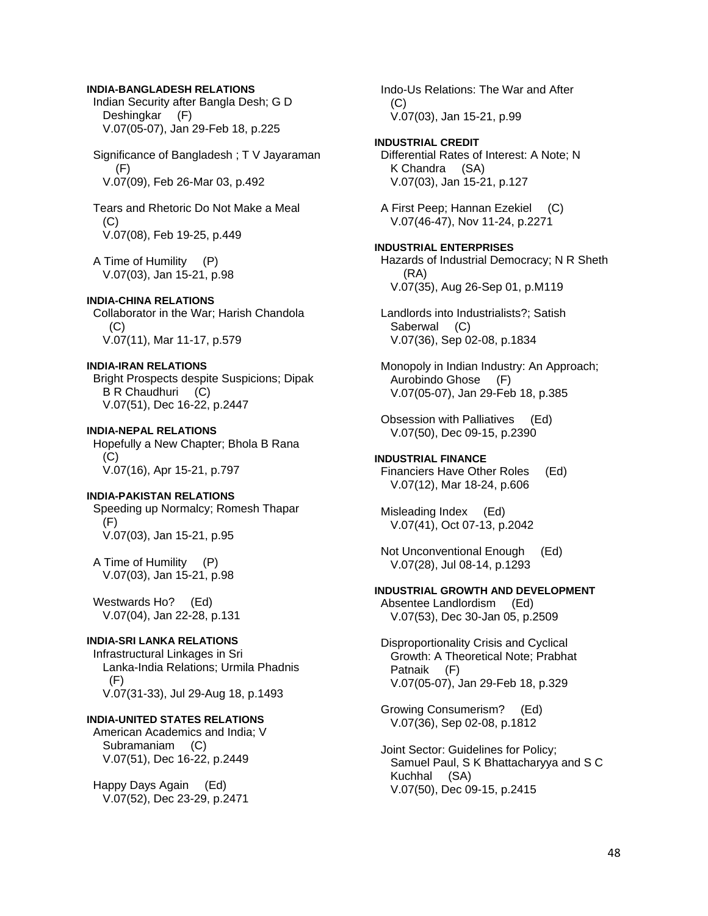#### **INDIA-BANGLADESH RELATIONS**

 Indian Security after Bangla Desh; G D Deshingkar (F) V.07(05-07), Jan 29-Feb 18, p.225

 Significance of Bangladesh ; T V Jayaraman  $(F)$ V.07(09), Feb 26-Mar 03, p.492

 Tears and Rhetoric Do Not Make a Meal (C) V.07(08), Feb 19-25, p.449

 A Time of Humility (P) V.07(03), Jan 15-21, p.98

**INDIA-CHINA RELATIONS**  Collaborator in the War; Harish Chandola  $(C)$ V.07(11), Mar 11-17, p.579

**INDIA-IRAN RELATIONS**  Bright Prospects despite Suspicions; Dipak B R Chaudhuri (C) V.07(51), Dec 16-22, p.2447

**INDIA-NEPAL RELATIONS**  Hopefully a New Chapter; Bhola B Rana (C) V.07(16), Apr 15-21, p.797

# **INDIA-PAKISTAN RELATIONS**

 Speeding up Normalcy; Romesh Thapar (F) V.07(03), Jan 15-21, p.95

 A Time of Humility (P) V.07(03), Jan 15-21, p.98

 Westwards Ho? (Ed) V.07(04), Jan 22-28, p.131

#### **INDIA-SRI LANKA RELATIONS**

 Infrastructural Linkages in Sri Lanka-India Relations; Urmila Phadnis  $(F)$ V.07(31-33), Jul 29-Aug 18, p.1493

# **INDIA-UNITED STATES RELATIONS**

 American Academics and India; V Subramaniam (C) V.07(51), Dec 16-22, p.2449

 Happy Days Again (Ed) V.07(52), Dec 23-29, p.2471  Indo-Us Relations: The War and After (C) V.07(03), Jan 15-21, p.99

**INDUSTRIAL CREDIT**  Differential Rates of Interest: A Note; N K Chandra (SA) V.07(03), Jan 15-21, p.127

 A First Peep; Hannan Ezekiel (C) V.07(46-47), Nov 11-24, p.2271

**INDUSTRIAL ENTERPRISES**  Hazards of Industrial Democracy; N R Sheth (RA) V.07(35), Aug 26-Sep 01, p.M119

 Landlords into Industrialists?; Satish Saberwal (C) V.07(36), Sep 02-08, p.1834

 Monopoly in Indian Industry: An Approach; Aurobindo Ghose (F) V.07(05-07), Jan 29-Feb 18, p.385

 Obsession with Palliatives (Ed) V.07(50), Dec 09-15, p.2390

#### **INDUSTRIAL FINANCE**  Financiers Have Other Roles (Ed) V.07(12), Mar 18-24, p.606

 Misleading Index (Ed) V.07(41), Oct 07-13, p.2042

 Not Unconventional Enough (Ed) V.07(28), Jul 08-14, p.1293

**INDUSTRIAL GROWTH AND DEVELOPMENT**  Absentee Landlordism (Ed)

V.07(53), Dec 30-Jan 05, p.2509

 Disproportionality Crisis and Cyclical Growth: A Theoretical Note; Prabhat Patnaik (F) V.07(05-07), Jan 29-Feb 18, p.329

 Growing Consumerism? (Ed) V.07(36), Sep 02-08, p.1812

 Joint Sector: Guidelines for Policy; Samuel Paul, S K Bhattacharyya and S C Kuchhal (SA) V.07(50), Dec 09-15, p.2415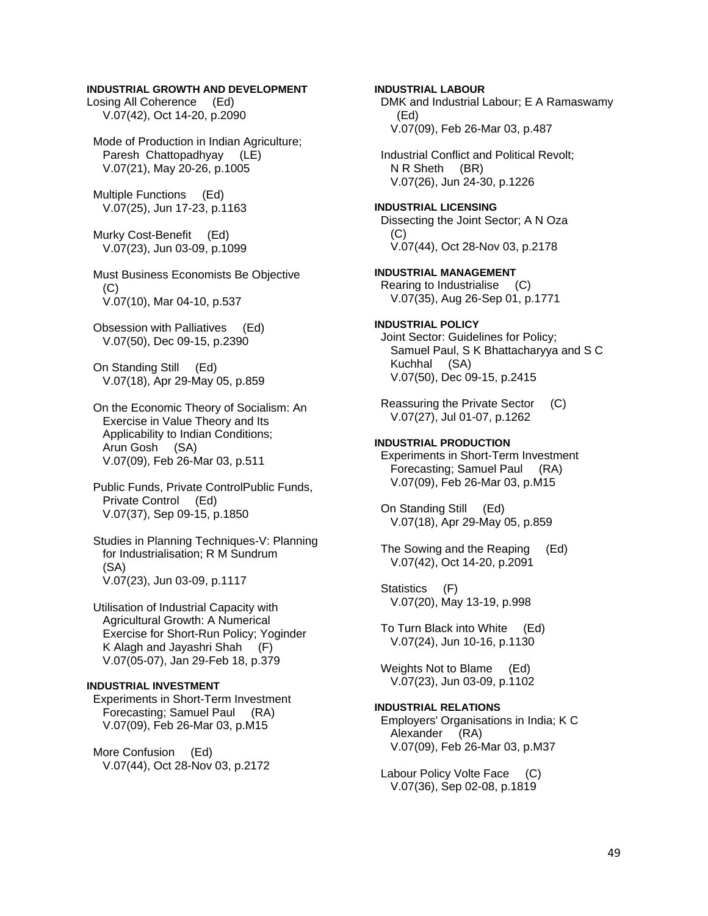# **INDUSTRIAL GROWTH AND DEVELOPMENT**

Losing All Coherence (Ed) V.07(42), Oct 14-20, p.2090

 Mode of Production in Indian Agriculture; Paresh Chattopadhyay (LE) V.07(21), May 20-26, p.1005

 Multiple Functions (Ed) V.07(25), Jun 17-23, p.1163

 Murky Cost-Benefit (Ed) V.07(23), Jun 03-09, p.1099

 Must Business Economists Be Objective (C) V.07(10), Mar 04-10, p.537

 Obsession with Palliatives (Ed) V.07(50), Dec 09-15, p.2390

 On Standing Still (Ed) V.07(18), Apr 29-May 05, p.859

 On the Economic Theory of Socialism: An Exercise in Value Theory and Its Applicability to Indian Conditions; Arun Gosh (SA) V.07(09), Feb 26-Mar 03, p.511

 Public Funds, Private ControlPublic Funds, Private Control (Ed) V.07(37), Sep 09-15, p.1850

 Studies in Planning Techniques-V: Planning for Industrialisation; R M Sundrum (SA) V.07(23), Jun 03-09, p.1117

 Utilisation of Industrial Capacity with Agricultural Growth: A Numerical Exercise for Short-Run Policy; Yoginder K Alagh and Jayashri Shah (F) V.07(05-07), Jan 29-Feb 18, p.379

# **INDUSTRIAL INVESTMENT**

 Experiments in Short-Term Investment Forecasting; Samuel Paul (RA) V.07(09), Feb 26-Mar 03, p.M15

 More Confusion (Ed) V.07(44), Oct 28-Nov 03, p.2172 **INDUSTRIAL LABOUR**  DMK and Industrial Labour; E A Ramaswamy (Ed) V.07(09), Feb 26-Mar 03, p.487 Industrial Conflict and Political Revolt; N R Sheth (BR) V.07(26), Jun 24-30, p.1226 **INDUSTRIAL LICENSING**  Dissecting the Joint Sector; A N Oza (C) V.07(44), Oct 28-Nov 03, p.2178 **INDUSTRIAL MANAGEMENT**  Rearing to Industrialise (C) V.07(35), Aug 26-Sep 01, p.1771 **INDUSTRIAL POLICY**  Joint Sector: Guidelines for Policy; Samuel Paul, S K Bhattacharyya and S C Kuchhal (SA) V.07(50), Dec 09-15, p.2415 Reassuring the Private Sector (C) V.07(27), Jul 01-07, p.1262 **INDUSTRIAL PRODUCTION**  Experiments in Short-Term Investment Forecasting; Samuel Paul (RA) V.07(09), Feb 26-Mar 03, p.M15 On Standing Still (Ed) V.07(18), Apr 29-May 05, p.859 The Sowing and the Reaping (Ed) V.07(42), Oct 14-20, p.2091 Statistics (F) V.07(20), May 13-19, p.998 To Turn Black into White (Ed) V.07(24), Jun 10-16, p.1130 Weights Not to Blame (Ed) V.07(23), Jun 03-09, p.1102 **INDUSTRIAL RELATIONS**  Employers' Organisations in India; K C Alexander (RA) V.07(09), Feb 26-Mar 03, p.M37

 Labour Policy Volte Face (C) V.07(36), Sep 02-08, p.1819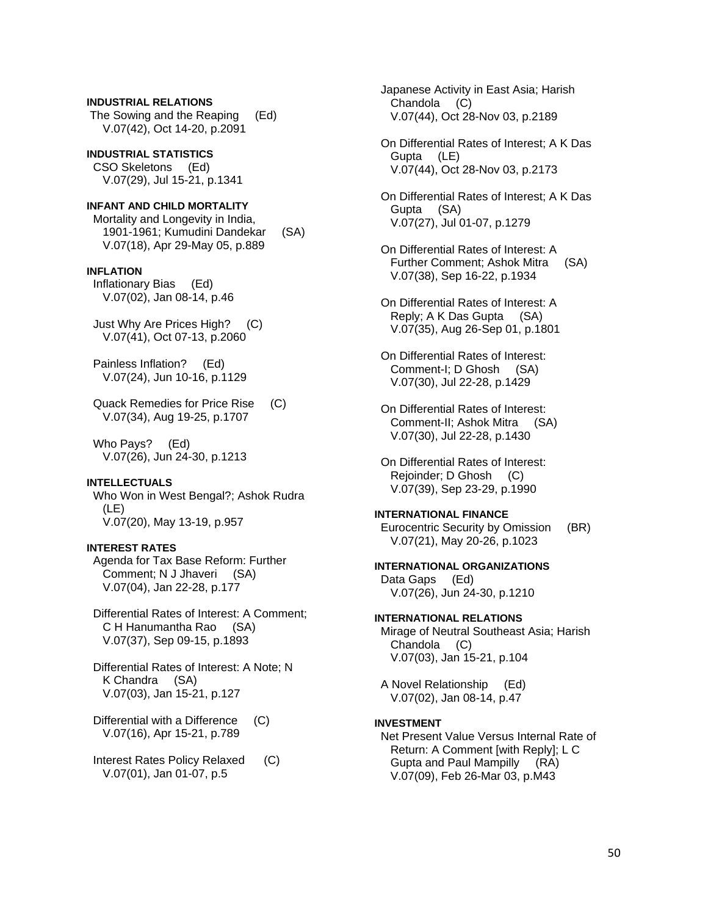**INDUSTRIAL RELATIONS**  The Sowing and the Reaping (Ed) V.07(42), Oct 14-20, p.2091

**INDUSTRIAL STATISTICS**  CSO Skeletons (Ed) V.07(29), Jul 15-21, p.1341

# **INFANT AND CHILD MORTALITY**  Mortality and Longevity in India,

 1901-1961; Kumudini Dandekar (SA) V.07(18), Apr 29-May 05, p.889

# **INFLATION**

 Inflationary Bias (Ed) V.07(02), Jan 08-14, p.46

 Just Why Are Prices High? (C) V.07(41), Oct 07-13, p.2060

 Painless Inflation? (Ed) V.07(24), Jun 10-16, p.1129

 Quack Remedies for Price Rise (C) V.07(34), Aug 19-25, p.1707

 Who Pays? (Ed) V.07(26), Jun 24-30, p.1213

# **INTELLECTUALS**

 Who Won in West Bengal?; Ashok Rudra (LE) V.07(20), May 13-19, p.957

# **INTEREST RATES**

 Agenda for Tax Base Reform: Further Comment; N J Jhaveri (SA) V.07(04), Jan 22-28, p.177

 Differential Rates of Interest: A Comment; C H Hanumantha Rao (SA) V.07(37), Sep 09-15, p.1893

 Differential Rates of Interest: A Note; N K Chandra (SA) V.07(03), Jan 15-21, p.127

 Differential with a Difference (C) V.07(16), Apr 15-21, p.789

 Interest Rates Policy Relaxed (C) V.07(01), Jan 01-07, p.5

 Japanese Activity in East Asia; Harish Chandola (C) V.07(44), Oct 28-Nov 03, p.2189

 On Differential Rates of Interest; A K Das Gupta (LE) V.07(44), Oct 28-Nov 03, p.2173

 On Differential Rates of Interest; A K Das Gupta (SA) V.07(27), Jul 01-07, p.1279

 On Differential Rates of Interest: A Further Comment; Ashok Mitra (SA) V.07(38), Sep 16-22, p.1934

 On Differential Rates of Interest: A Reply; A K Das Gupta (SA) V.07(35), Aug 26-Sep 01, p.1801

 On Differential Rates of Interest: Comment-I; D Ghosh (SA) V.07(30), Jul 22-28, p.1429

 On Differential Rates of Interest: Comment-II; Ashok Mitra (SA) V.07(30), Jul 22-28, p.1430

 On Differential Rates of Interest: Reioinder: D Ghosh (C) V.07(39), Sep 23-29, p.1990

# **INTERNATIONAL FINANCE**

 Eurocentric Security by Omission (BR) V.07(21), May 20-26, p.1023

# **INTERNATIONAL ORGANIZATIONS**

 Data Gaps (Ed) V.07(26), Jun 24-30, p.1210

# **INTERNATIONAL RELATIONS**

 Mirage of Neutral Southeast Asia; Harish Chandola (C) V.07(03), Jan 15-21, p.104

 A Novel Relationship (Ed) V.07(02), Jan 08-14, p.47

#### **INVESTMENT**

 Net Present Value Versus Internal Rate of Return: A Comment [with Reply]; L C Gupta and Paul Mampilly (RA) V.07(09), Feb 26-Mar 03, p.M43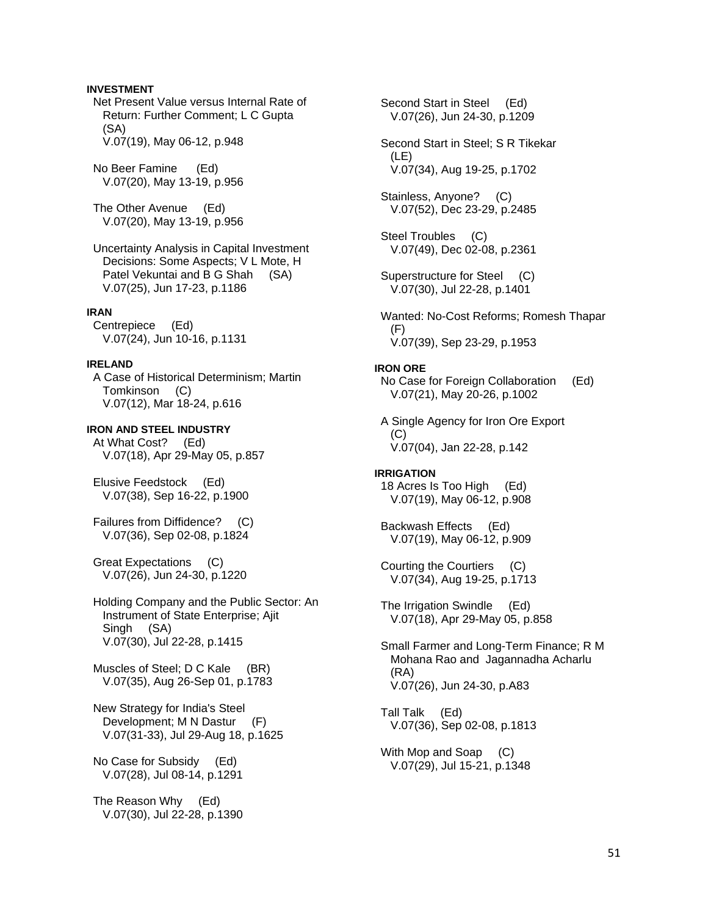# **INVESTMENT**

 Net Present Value versus Internal Rate of Return: Further Comment; L C Gupta (SA) V.07(19), May 06-12, p.948

 No Beer Famine (Ed) V.07(20), May 13-19, p.956

 The Other Avenue (Ed) V.07(20), May 13-19, p.956

 Uncertainty Analysis in Capital Investment Decisions: Some Aspects; V L Mote, H Patel Vekuntai and B G Shah (SA) V.07(25), Jun 17-23, p.1186

#### **IRAN**

 Centrepiece (Ed) V.07(24), Jun 10-16, p.1131

#### **IRELAND**

 A Case of Historical Determinism; Martin Tomkinson (C) V.07(12), Mar 18-24, p.616

**IRON AND STEEL INDUSTRY**  At What Cost? (Ed) V.07(18), Apr 29-May 05, p.857

 Elusive Feedstock (Ed) V.07(38), Sep 16-22, p.1900

 Failures from Diffidence? (C) V.07(36), Sep 02-08, p.1824

 Great Expectations (C) V.07(26), Jun 24-30, p.1220

 Holding Company and the Public Sector: An Instrument of State Enterprise; Ajit Singh (SA) V.07(30), Jul 22-28, p.1415

Muscles of Steel; D C Kale (BR) V.07(35), Aug 26-Sep 01, p.1783

 New Strategy for India's Steel Development; M N Dastur (F) V.07(31-33), Jul 29-Aug 18, p.1625

 No Case for Subsidy (Ed) V.07(28), Jul 08-14, p.1291

 The Reason Why (Ed) V.07(30), Jul 22-28, p.1390

 Second Start in Steel (Ed) V.07(26), Jun 24-30, p.1209 Second Start in Steel; S R Tikekar (LE) V.07(34), Aug 19-25, p.1702 Stainless, Anyone? (C) V.07(52), Dec 23-29, p.2485 Steel Troubles (C) V.07(49), Dec 02-08, p.2361 Superstructure for Steel (C) V.07(30), Jul 22-28, p.1401 Wanted: No-Cost Reforms; Romesh Thapar (F) V.07(39), Sep 23-29, p.1953 **IRON ORE**  No Case for Foreign Collaboration (Ed) V.07(21), May 20-26, p.1002 A Single Agency for Iron Ore Export  $(C)$  V.07(04), Jan 22-28, p.142 **IRRIGATION**  18 Acres Is Too High (Ed) V.07(19), May 06-12, p.908 Backwash Effects (Ed) V.07(19), May 06-12, p.909 Courting the Courtiers (C) V.07(34), Aug 19-25, p.1713 The Irrigation Swindle (Ed) V.07(18), Apr 29-May 05, p.858 Small Farmer and Long-Term Finance; R M Mohana Rao and Jagannadha Acharlu (RA) V.07(26), Jun 24-30, p.A83 Tall Talk (Ed) V.07(36), Sep 02-08, p.1813 With Mop and Soap (C) V.07(29), Jul 15-21, p.1348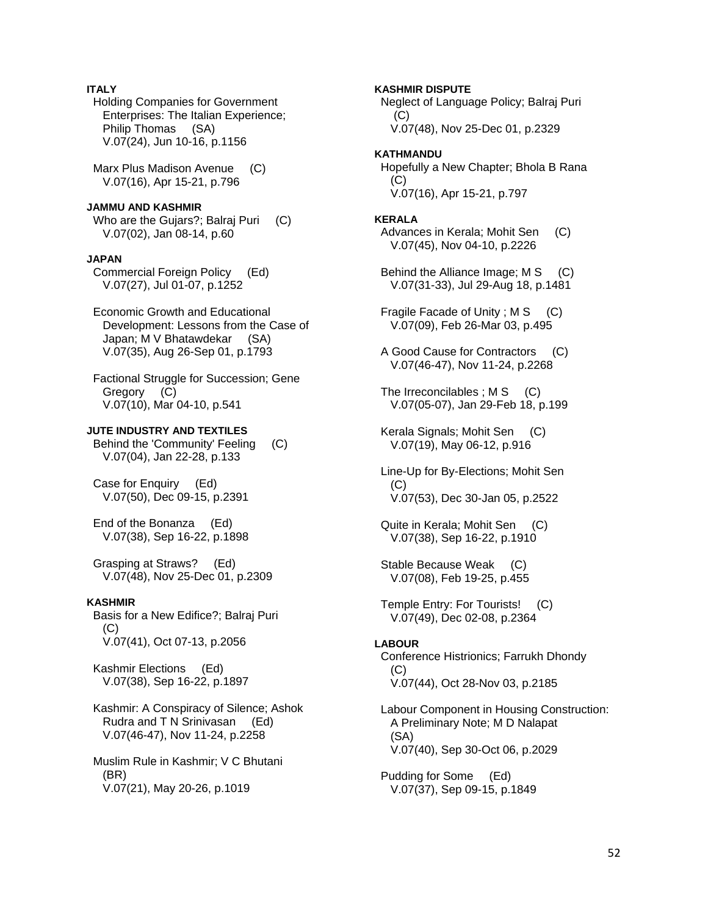# **ITALY**

 Holding Companies for Government Enterprises: The Italian Experience; Philip Thomas (SA) V.07(24), Jun 10-16, p.1156

 Marx Plus Madison Avenue (C) V.07(16), Apr 15-21, p.796

# **JAMMU AND KASHMIR**

Who are the Gujars?; Balraj Puri (C) V.07(02), Jan 08-14, p.60

#### **JAPAN**

 Commercial Foreign Policy (Ed) V.07(27), Jul 01-07, p.1252

 Economic Growth and Educational Development: Lessons from the Case of Japan; M V Bhatawdekar (SA) V.07(35), Aug 26-Sep 01, p.1793

 Factional Struggle for Succession; Gene Gregory (C) V.07(10), Mar 04-10, p.541

#### **JUTE INDUSTRY AND TEXTILES**

 Behind the 'Community' Feeling (C) V.07(04), Jan 22-28, p.133

 Case for Enquiry (Ed) V.07(50), Dec 09-15, p.2391

 End of the Bonanza (Ed) V.07(38), Sep 16-22, p.1898

 Grasping at Straws? (Ed) V.07(48), Nov 25-Dec 01, p.2309

#### **KASHMIR**

 Basis for a New Edifice?; Balraj Puri  $(C)$ V.07(41), Oct 07-13, p.2056

 Kashmir Elections (Ed) V.07(38), Sep 16-22, p.1897

 Kashmir: A Conspiracy of Silence; Ashok Rudra and T N Srinivasan (Ed) V.07(46-47), Nov 11-24, p.2258

 Muslim Rule in Kashmir; V C Bhutani (BR) V.07(21), May 20-26, p.1019

## **KASHMIR DISPUTE**

 Neglect of Language Policy; Balraj Puri  $(C)$ V.07(48), Nov 25-Dec 01, p.2329

# **KATHMANDU**

 Hopefully a New Chapter; Bhola B Rana  $(C)$ V.07(16), Apr 15-21, p.797

#### **KERALA**

Advances in Kerala: Mohit Sen (C) V.07(45), Nov 04-10, p.2226

 Behind the Alliance Image; M S (C) V.07(31-33), Jul 29-Aug 18, p.1481

Fragile Facade of Unity ; M S (C) V.07(09), Feb 26-Mar 03, p.495

 A Good Cause for Contractors (C) V.07(46-47), Nov 11-24, p.2268

The Irreconcilables ;  $M S$  (C) V.07(05-07), Jan 29-Feb 18, p.199

 Kerala Signals; Mohit Sen (C) V.07(19), May 06-12, p.916

 Line-Up for By-Elections; Mohit Sen (C) V.07(53), Dec 30-Jan 05, p.2522

 Quite in Kerala; Mohit Sen (C) V.07(38), Sep 16-22, p.1910

 Stable Because Weak (C) V.07(08), Feb 19-25, p.455

 Temple Entry: For Tourists! (C) V.07(49), Dec 02-08, p.2364

#### **LABOUR**

 Conference Histrionics; Farrukh Dhondy (C) V.07(44), Oct 28-Nov 03, p.2185

 Labour Component in Housing Construction: A Preliminary Note; M D Nalapat (SA) V.07(40), Sep 30-Oct 06, p.2029

 Pudding for Some (Ed) V.07(37), Sep 09-15, p.1849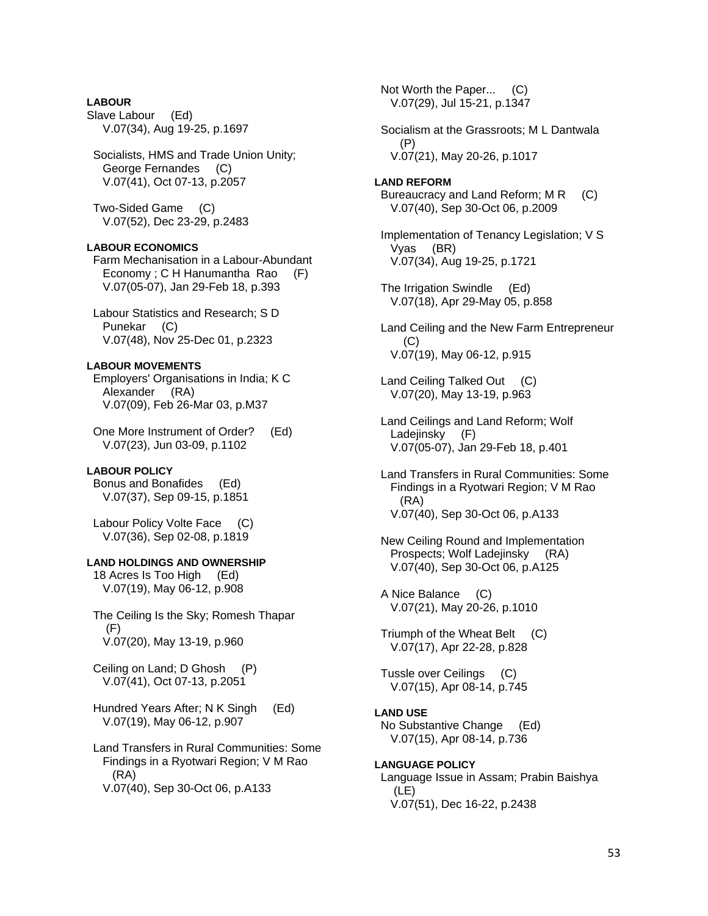# **LABOUR**

Slave Labour (Ed) V.07(34), Aug 19-25, p.1697

 Socialists, HMS and Trade Union Unity; George Fernandes (C) V.07(41), Oct 07-13, p.2057

 Two-Sided Game (C) V.07(52), Dec 23-29, p.2483

# **LABOUR ECONOMICS**

 Farm Mechanisation in a Labour-Abundant Economy ; C H Hanumantha Rao (F) V.07(05-07), Jan 29-Feb 18, p.393

 Labour Statistics and Research; S D Punekar (C) V.07(48), Nov 25-Dec 01, p.2323

# **LABOUR MOVEMENTS**

 Employers' Organisations in India; K C Alexander (RA) V.07(09), Feb 26-Mar 03, p.M37

 One More Instrument of Order? (Ed) V.07(23), Jun 03-09, p.1102

# **LABOUR POLICY**

 Bonus and Bonafides (Ed) V.07(37), Sep 09-15, p.1851

 Labour Policy Volte Face (C) V.07(36), Sep 02-08, p.1819

# **LAND HOLDINGS AND OWNERSHIP**

 18 Acres Is Too High (Ed) V.07(19), May 06-12, p.908

 The Ceiling Is the Sky; Romesh Thapar (F) V.07(20), May 13-19, p.960

 Ceiling on Land; D Ghosh (P) V.07(41), Oct 07-13, p.2051

 Hundred Years After; N K Singh (Ed) V.07(19), May 06-12, p.907

 Land Transfers in Rural Communities: Some Findings in a Ryotwari Region; V M Rao (RA) V.07(40), Sep 30-Oct 06, p.A133

 V.07(29), Jul 15-21, p.1347 Socialism at the Grassroots; M L Dantwala (P)

V.07(21), May 20-26, p.1017

Not Worth the Paper... (C)

# **LAND REFORM**

Bureaucracy and Land Reform; M R (C) V.07(40), Sep 30-Oct 06, p.2009

 Implementation of Tenancy Legislation; V S Vyas (BR) V.07(34), Aug 19-25, p.1721

 The Irrigation Swindle (Ed) V.07(18), Apr 29-May 05, p.858

 Land Ceiling and the New Farm Entrepreneur  $(C)$ V.07(19), May 06-12, p.915

Land Ceiling Talked Out (C) V.07(20), May 13-19, p.963

 Land Ceilings and Land Reform; Wolf Ladejinsky (F) V.07(05-07), Jan 29-Feb 18, p.401

 Land Transfers in Rural Communities: Some Findings in a Ryotwari Region; V M Rao (RA) V.07(40), Sep 30-Oct 06, p.A133

 New Ceiling Round and Implementation Prospects; Wolf Ladejinsky (RA) V.07(40), Sep 30-Oct 06, p.A125

 A Nice Balance (C) V.07(21), May 20-26, p.1010

 Triumph of the Wheat Belt (C) V.07(17), Apr 22-28, p.828

 Tussle over Ceilings (C) V.07(15), Apr 08-14, p.745

#### **LAND USE**

 No Substantive Change (Ed) V.07(15), Apr 08-14, p.736

# **LANGUAGE POLICY**

 Language Issue in Assam; Prabin Baishya (LE) V.07(51), Dec 16-22, p.2438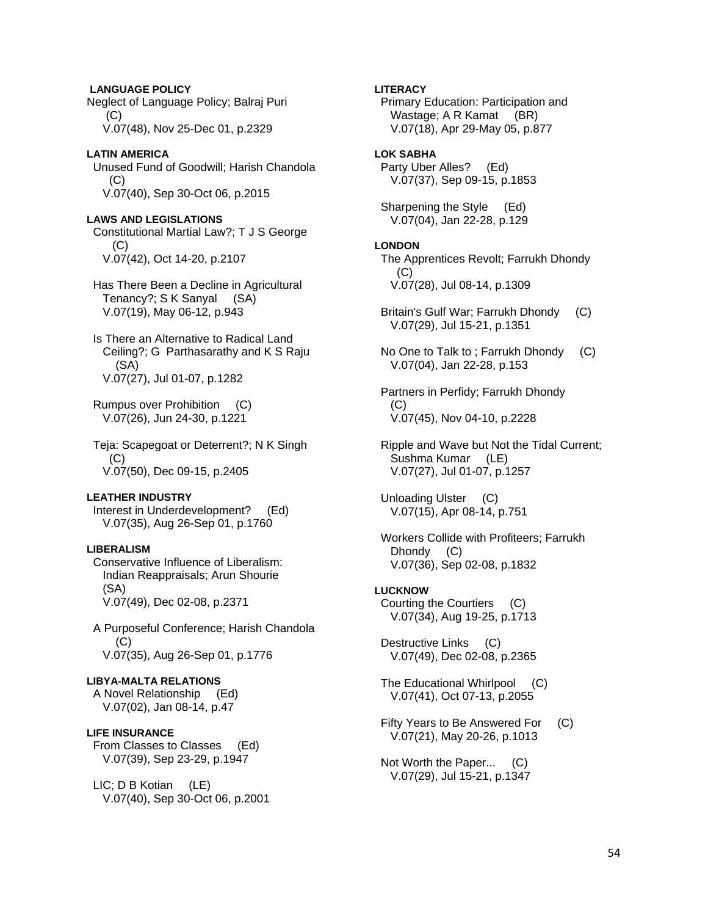**LANGUAGE POLICY**  Neglect of Language Policy; Balraj Puri (C) V.07(48), Nov 25-Dec 01, p.2329

## **LATIN AMERICA**

 Unused Fund of Goodwill; Harish Chandola  $(C)$ V.07(40), Sep 30-Oct 06, p.2015

## **LAWS AND LEGISLATIONS**

 Constitutional Martial Law?; T J S George (C) V.07(42), Oct 14-20, p.2107

 Has There Been a Decline in Agricultural Tenancy?; S K Sanyal (SA) V.07(19), May 06-12, p.943

 Is There an Alternative to Radical Land Ceiling?; G Parthasarathy and K S Raju (SA) V.07(27), Jul 01-07, p.1282

 Rumpus over Prohibition (C) V.07(26), Jun 24-30, p.1221

 Teja: Scapegoat or Deterrent?; N K Singh (C) V.07(50), Dec 09-15, p.2405

#### **LEATHER INDUSTRY**

 Interest in Underdevelopment? (Ed) V.07(35), Aug 26-Sep 01, p.1760

# **LIBERALISM**

 Conservative Influence of Liberalism: Indian Reappraisals; Arun Shourie (SA) V.07(49), Dec 02-08, p.2371

 A Purposeful Conference; Harish Chandola (C) V.07(35), Aug 26-Sep 01, p.1776

# **LIBYA-MALTA RELATIONS**

 A Novel Relationship (Ed) V.07(02), Jan 08-14, p.47

# **LIFE INSURANCE**

 From Classes to Classes (Ed) V.07(39), Sep 23-29, p.1947

 LIC; D B Kotian (LE) V.07(40), Sep 30-Oct 06, p.2001

# **LITERACY**

 Primary Education: Participation and Wastage; A R Kamat (BR) V.07(18), Apr 29-May 05, p.877

# **LOK SABHA**

 Party Uber Alles? (Ed) V.07(37), Sep 09-15, p.1853

 Sharpening the Style (Ed) V.07(04), Jan 22-28, p.129

#### **LONDON**

 The Apprentices Revolt; Farrukh Dhondy  $(C)$ V.07(28), Jul 08-14, p.1309

- Britain's Gulf War; Farrukh Dhondy (C) V.07(29), Jul 15-21, p.1351
- No One to Talk to ; Farrukh Dhondy (C) V.07(04), Jan 22-28, p.153

 Partners in Perfidy; Farrukh Dhondy (C) V.07(45), Nov 04-10, p.2228

 Ripple and Wave but Not the Tidal Current; Sushma Kumar (LE) V.07(27), Jul 01-07, p.1257

 Unloading Ulster (C) V.07(15), Apr 08-14, p.751

 Workers Collide with Profiteers; Farrukh Dhondy (C) V.07(36), Sep 02-08, p.1832

# **LUCKNOW**

 Courting the Courtiers (C) V.07(34), Aug 19-25, p.1713

 Destructive Links (C) V.07(49), Dec 02-08, p.2365

 The Educational Whirlpool (C) V.07(41), Oct 07-13, p.2055

 Fifty Years to Be Answered For (C) V.07(21), May 20-26, p.1013

 Not Worth the Paper... (C) V.07(29), Jul 15-21, p.1347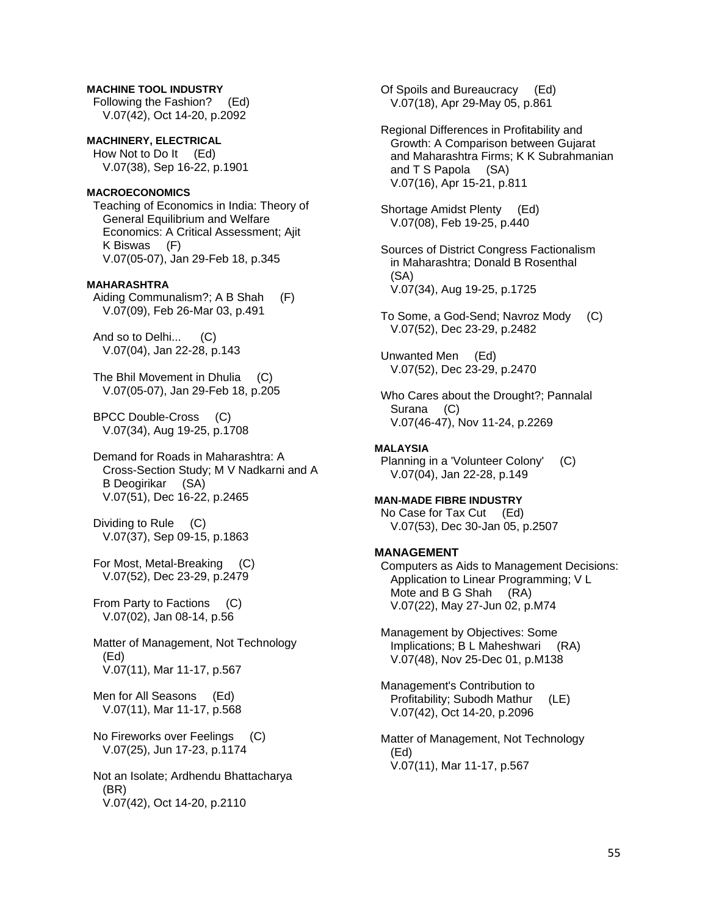# **MACHINE TOOL INDUSTRY**

 Following the Fashion? (Ed) V.07(42), Oct 14-20, p.2092

**MACHINERY, ELECTRICAL**  How Not to Do It (Ed) V.07(38), Sep 16-22, p.1901

## **MACROECONOMICS**

 Teaching of Economics in India: Theory of General Equilibrium and Welfare Economics: A Critical Assessment; Ajit K Biswas (F) V.07(05-07), Jan 29-Feb 18, p.345

# **MAHARASHTRA**

 Aiding Communalism?; A B Shah (F) V.07(09), Feb 26-Mar 03, p.491

 And so to Delhi... (C) V.07(04), Jan 22-28, p.143

 The Bhil Movement in Dhulia (C) V.07(05-07), Jan 29-Feb 18, p.205

 BPCC Double-Cross (C) V.07(34), Aug 19-25, p.1708

 Demand for Roads in Maharashtra: A Cross-Section Study; M V Nadkarni and A B Deogirikar (SA) V.07(51), Dec 16-22, p.2465

 Dividing to Rule (C) V.07(37), Sep 09-15, p.1863

 For Most, Metal-Breaking (C) V.07(52), Dec 23-29, p.2479

 From Party to Factions (C) V.07(02), Jan 08-14, p.56

 Matter of Management, Not Technology (Ed) V.07(11), Mar 11-17, p.567

 Men for All Seasons (Ed) V.07(11), Mar 11-17, p.568

 No Fireworks over Feelings (C) V.07(25), Jun 17-23, p.1174

 Not an Isolate; Ardhendu Bhattacharya (BR) V.07(42), Oct 14-20, p.2110

 Of Spoils and Bureaucracy (Ed) V.07(18), Apr 29-May 05, p.861

 Regional Differences in Profitability and Growth: A Comparison between Gujarat and Maharashtra Firms; K K Subrahmanian and T S Papola (SA) V.07(16), Apr 15-21, p.811

 Shortage Amidst Plenty (Ed) V.07(08), Feb 19-25, p.440

 Sources of District Congress Factionalism in Maharashtra; Donald B Rosenthal (SA) V.07(34), Aug 19-25, p.1725

 To Some, a God-Send; Navroz Mody (C) V.07(52), Dec 23-29, p.2482

 Unwanted Men (Ed) V.07(52), Dec 23-29, p.2470

 Who Cares about the Drought?; Pannalal Surana (C) V.07(46-47), Nov 11-24, p.2269

#### **MALAYSIA**

 Planning in a 'Volunteer Colony' (C) V.07(04), Jan 22-28, p.149

# **MAN-MADE FIBRE INDUSTRY**

 No Case for Tax Cut (Ed) V.07(53), Dec 30-Jan 05, p.2507

#### **MANAGEMENT**

 Computers as Aids to Management Decisions: Application to Linear Programming; V L Mote and B G Shah (RA) V.07(22), May 27-Jun 02, p.M74

 Management by Objectives: Some Implications; B L Maheshwari (RA) V.07(48), Nov 25-Dec 01, p.M138

 Management's Contribution to Profitability; Subodh Mathur (LE) V.07(42), Oct 14-20, p.2096

 Matter of Management, Not Technology (Ed) V.07(11), Mar 11-17, p.567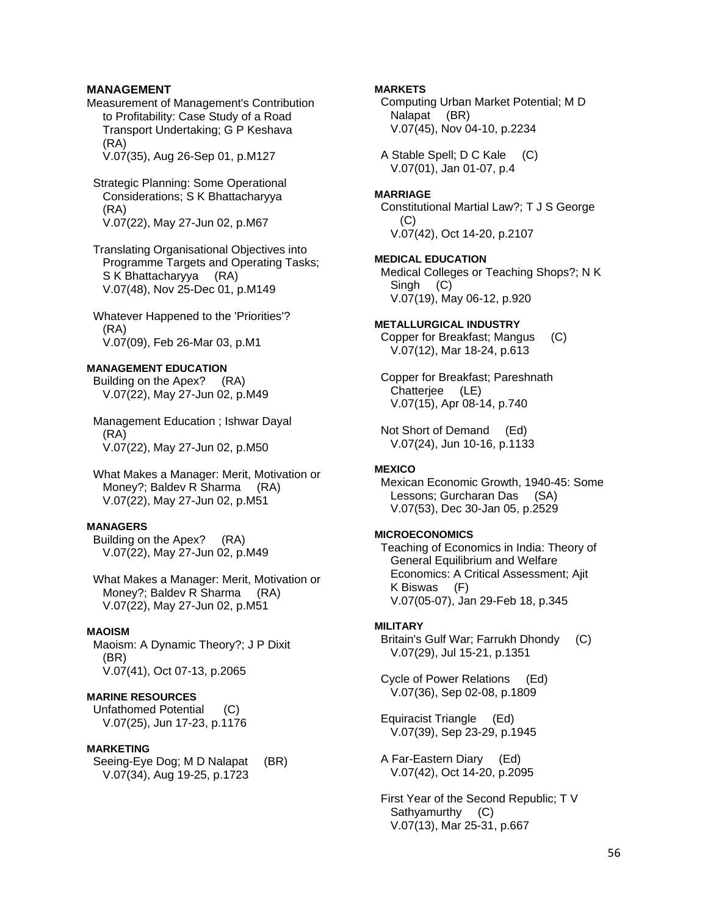# **MANAGEMENT**

Measurement of Management's Contribution to Profitability: Case Study of a Road Transport Undertaking; G P Keshava (RA)

V.07(35), Aug 26-Sep 01, p.M127

- Strategic Planning: Some Operational Considerations; S K Bhattacharyya (RA) V.07(22), May 27-Jun 02, p.M67
- Translating Organisational Objectives into Programme Targets and Operating Tasks; S K Bhattacharyya (RA) V.07(48), Nov 25-Dec 01, p.M149
- Whatever Happened to the 'Priorities'? (RA) V.07(09), Feb 26-Mar 03, p.M1

# **MANAGEMENT EDUCATION**

 Building on the Apex? (RA) V.07(22), May 27-Jun 02, p.M49

 Management Education ; Ishwar Dayal (RA) V.07(22), May 27-Jun 02, p.M50

 What Makes a Manager: Merit, Motivation or Money?; Baldev R Sharma (RA) V.07(22), May 27-Jun 02, p.M51

#### **MANAGERS**

 Building on the Apex? (RA) V.07(22), May 27-Jun 02, p.M49

 What Makes a Manager: Merit, Motivation or Money?; Baldev R Sharma (RA) V.07(22), May 27-Jun 02, p.M51

#### **MAOISM**

 Maoism: A Dynamic Theory?; J P Dixit (BR) V.07(41), Oct 07-13, p.2065

#### **MARINE RESOURCES**

 Unfathomed Potential (C) V.07(25), Jun 17-23, p.1176

#### **MARKETING**

 Seeing-Eye Dog; M D Nalapat (BR) V.07(34), Aug 19-25, p.1723

**MARKETS** 

 Computing Urban Market Potential; M D Nalapat (BR) V.07(45), Nov 04-10, p.2234

 A Stable Spell; D C Kale (C) V.07(01), Jan 01-07, p.4

#### **MARRIAGE**

 Constitutional Martial Law?; T J S George (C) V.07(42), Oct 14-20, p.2107

**MEDICAL EDUCATION** 

 Medical Colleges or Teaching Shops?; N K Singh (C) V.07(19), May 06-12, p.920

#### **METALLURGICAL INDUSTRY**

 Copper for Breakfast; Mangus (C) V.07(12), Mar 18-24, p.613

 Copper for Breakfast; Pareshnath Chatterjee (LE) V.07(15), Apr 08-14, p.740

 Not Short of Demand (Ed) V.07(24), Jun 10-16, p.1133

#### **MEXICO**

 Mexican Economic Growth, 1940-45: Some Lessons; Gurcharan Das (SA) V.07(53), Dec 30-Jan 05, p.2529

# **MICROECONOMICS**

 Teaching of Economics in India: Theory of General Equilibrium and Welfare Economics: A Critical Assessment; Ajit K Biswas (F) V.07(05-07), Jan 29-Feb 18, p.345

#### **MILITARY**

 Britain's Gulf War; Farrukh Dhondy (C) V.07(29), Jul 15-21, p.1351

 Cycle of Power Relations (Ed) V.07(36), Sep 02-08, p.1809

 Equiracist Triangle (Ed) V.07(39), Sep 23-29, p.1945

 A Far-Eastern Diary (Ed) V.07(42), Oct 14-20, p.2095

 First Year of the Second Republic; T V Sathyamurthy (C) V.07(13), Mar 25-31, p.667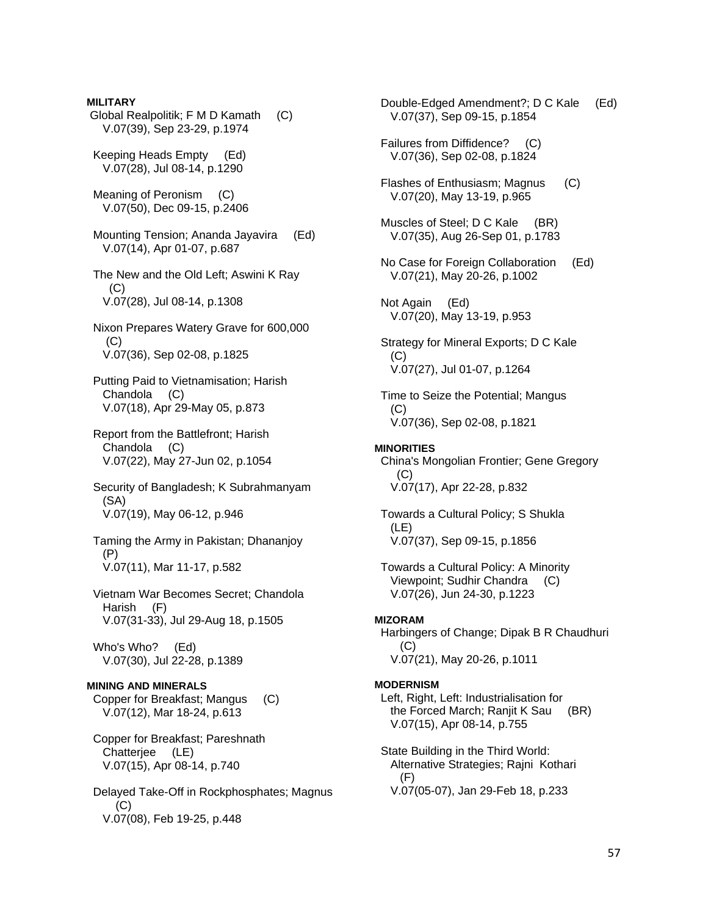**MILITARY**  Global Realpolitik; F M D Kamath (C) V.07(39), Sep 23-29, p.1974 Keeping Heads Empty (Ed) V.07(28), Jul 08-14, p.1290 Meaning of Peronism (C) V.07(50), Dec 09-15, p.2406 Mounting Tension; Ananda Jayavira (Ed) V.07(14), Apr 01-07, p.687 The New and the Old Left; Aswini K Ray  $(C)$  V.07(28), Jul 08-14, p.1308 Nixon Prepares Watery Grave for 600,000  $(C)$  V.07(36), Sep 02-08, p.1825 Putting Paid to Vietnamisation; Harish Chandola (C) V.07(18), Apr 29-May 05, p.873 Report from the Battlefront; Harish Chandola (C) V.07(22), May 27-Jun 02, p.1054 Security of Bangladesh; K Subrahmanyam (SA) V.07(19), May 06-12, p.946 Taming the Army in Pakistan; Dhananjoy (P) V.07(11), Mar 11-17, p.582 Vietnam War Becomes Secret; Chandola Harish (F) V.07(31-33), Jul 29-Aug 18, p.1505 Who's Who? (Ed) V.07(30), Jul 22-28, p.1389 **MINING AND MINERALS**  Copper for Breakfast; Mangus (C) V.07(12), Mar 18-24, p.613 Copper for Breakfast; Pareshnath Chatterjee (LE) V.07(15), Apr 08-14, p.740 Delayed Take-Off in Rockphosphates; Magnus  $(C)$ V.07(08), Feb 19-25, p.448

 Double-Edged Amendment?; D C Kale (Ed) V.07(37), Sep 09-15, p.1854 Failures from Diffidence? (C) V.07(36), Sep 02-08, p.1824 Flashes of Enthusiasm; Magnus (C) V.07(20), May 13-19, p.965 Muscles of Steel; D C Kale (BR) V.07(35), Aug 26-Sep 01, p.1783 No Case for Foreign Collaboration (Ed) V.07(21), May 20-26, p.1002 Not Again (Ed) V.07(20), May 13-19, p.953 Strategy for Mineral Exports; D C Kale (C) V.07(27), Jul 01-07, p.1264 Time to Seize the Potential; Mangus  $(C)$  V.07(36), Sep 02-08, p.1821 **MINORITIES**  China's Mongolian Frontier; Gene Gregory  $(C)$  V.07(17), Apr 22-28, p.832 Towards a Cultural Policy; S Shukla (LE) V.07(37), Sep 09-15, p.1856 Towards a Cultural Policy: A Minority Viewpoint; Sudhir Chandra (C) V.07(26), Jun 24-30, p.1223 **MIZORAM**  Harbingers of Change; Dipak B R Chaudhuri (C) V.07(21), May 20-26, p.1011 **MODERNISM**  Left, Right, Left: Industrialisation for the Forced March; Ranjit K Sau (BR) V.07(15), Apr 08-14, p.755 State Building in the Third World: Alternative Strategies; Rajni Kothari (F) V.07(05-07), Jan 29-Feb 18, p.233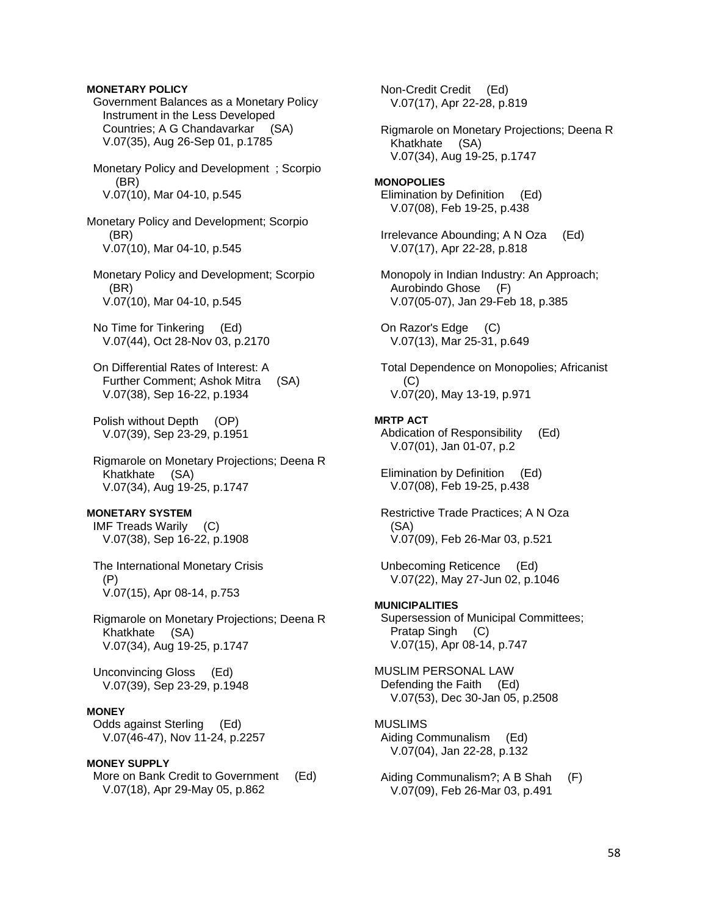# **MONETARY POLICY**

 Government Balances as a Monetary Policy Instrument in the Less Developed Countries; A G Chandavarkar (SA) V.07(35), Aug 26-Sep 01, p.1785

 Monetary Policy and Development ; Scorpio (BR) V.07(10), Mar 04-10, p.545

Monetary Policy and Development; Scorpio (BR) V.07(10), Mar 04-10, p.545

 Monetary Policy and Development; Scorpio (BR) V.07(10), Mar 04-10, p.545

 No Time for Tinkering (Ed) V.07(44), Oct 28-Nov 03, p.2170

 On Differential Rates of Interest: A Further Comment; Ashok Mitra (SA) V.07(38), Sep 16-22, p.1934

 Polish without Depth (OP) V.07(39), Sep 23-29, p.1951

 Rigmarole on Monetary Projections; Deena R Khatkhate (SA) V.07(34), Aug 19-25, p.1747

# **MONETARY SYSTEM**

 IMF Treads Warily (C) V.07(38), Sep 16-22, p.1908

 The International Monetary Crisis (P) V.07(15), Apr 08-14, p.753

 Rigmarole on Monetary Projections; Deena R Khatkhate (SA) V.07(34), Aug 19-25, p.1747

 Unconvincing Gloss (Ed) V.07(39), Sep 23-29, p.1948

# **MONEY**

 Odds against Sterling (Ed) V.07(46-47), Nov 11-24, p.2257

#### **MONEY SUPPLY**

More on Bank Credit to Government (Ed) V.07(18), Apr 29-May 05, p.862

 Non-Credit Credit (Ed) V.07(17), Apr 22-28, p.819

 Rigmarole on Monetary Projections; Deena R Khatkhate (SA) V.07(34), Aug 19-25, p.1747

**MONOPOLIES**  Elimination by Definition (Ed) V.07(08), Feb 19-25, p.438

 Irrelevance Abounding; A N Oza (Ed) V.07(17), Apr 22-28, p.818

 Monopoly in Indian Industry: An Approach; Aurobindo Ghose (F) V.07(05-07), Jan 29-Feb 18, p.385

 On Razor's Edge (C) V.07(13), Mar 25-31, p.649

 Total Dependence on Monopolies; Africanist  $(C)$ V.07(20), May 13-19, p.971

# **MRTP ACT**

 Abdication of Responsibility (Ed) V.07(01), Jan 01-07, p.2

 Elimination by Definition (Ed) V.07(08), Feb 19-25, p.438

 Restrictive Trade Practices; A N Oza (SA) V.07(09), Feb 26-Mar 03, p.521

 Unbecoming Reticence (Ed) V.07(22), May 27-Jun 02, p.1046

# **MUNICIPALITIES**

 Supersession of Municipal Committees; Pratap Singh (C) V.07(15), Apr 08-14, p.747

MUSLIM PERSONAL LAW Defending the Faith (Ed) V.07(53), Dec 30-Jan 05, p.2508

# MUSLIMS

 Aiding Communalism (Ed) V.07(04), Jan 22-28, p.132

 Aiding Communalism?; A B Shah (F) V.07(09), Feb 26-Mar 03, p.491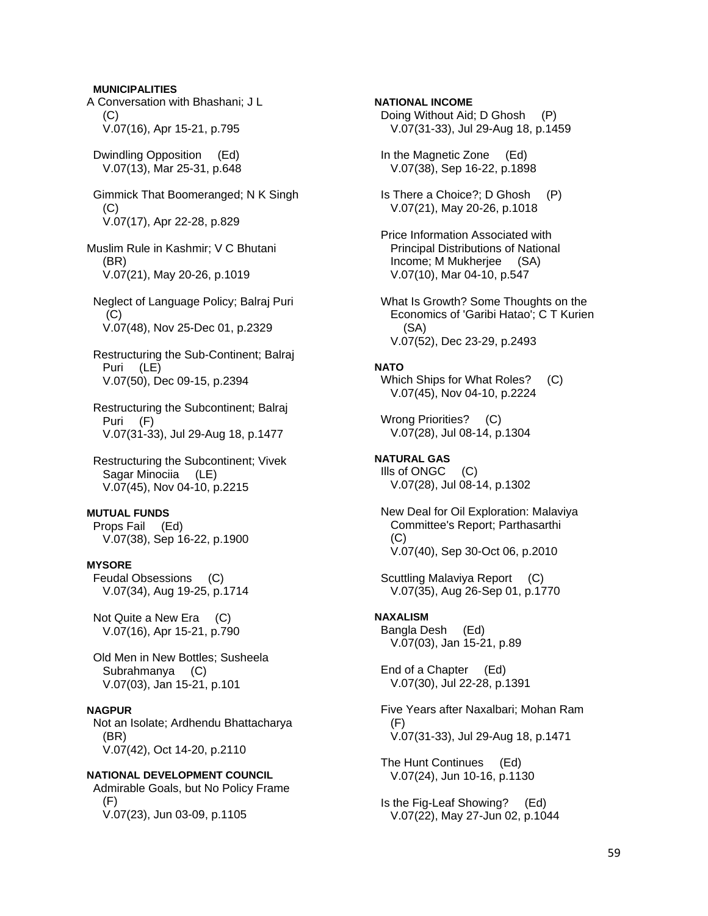A Conversation with Bhashani; J L  $(C)$  V.07(16), Apr 15-21, p.795 Dwindling Opposition (Ed) V.07(13), Mar 25-31, p.648 Gimmick That Boomeranged; N K Singh (C) V.07(17), Apr 22-28, p.829 Muslim Rule in Kashmir; V C Bhutani (BR) V.07(21), May 20-26, p.1019 Neglect of Language Policy; Balraj Puri  $(C)$  V.07(48), Nov 25-Dec 01, p.2329 Restructuring the Sub-Continent; Balraj Puri (LE) V.07(50), Dec 09-15, p.2394 Restructuring the Subcontinent; Balraj Puri (F) V.07(31-33), Jul 29-Aug 18, p.1477 Restructuring the Subcontinent; Vivek Sagar Minociia (LE) V.07(45), Nov 04-10, p.2215 **MUTUAL FUNDS**  Props Fail (Ed) V.07(38), Sep 16-22, p.1900 **MYSORE**  Feudal Obsessions (C) V.07(34), Aug 19-25, p.1714 Not Quite a New Era (C) V.07(16), Apr 15-21, p.790 Old Men in New Bottles; Susheela Subrahmanya (C) V.07(03), Jan 15-21, p.101 **NAGPUR**  Not an Isolate; Ardhendu Bhattacharya (BR) V.07(42), Oct 14-20, p.2110 **NATIONAL DEVELOPMENT COUNCIL** 

**MUNICIPALITIES** 

 Admirable Goals, but No Policy Frame (F) V.07(23), Jun 03-09, p.1105

**NATIONAL INCOME**  Doing Without Aid; D Ghosh (P) V.07(31-33), Jul 29-Aug 18, p.1459 In the Magnetic Zone (Ed) V.07(38), Sep 16-22, p.1898 Is There a Choice?; D Ghosh (P) V.07(21), May 20-26, p.1018 Price Information Associated with Principal Distributions of National Income; M Mukherjee (SA) V.07(10), Mar 04-10, p.547 What Is Growth? Some Thoughts on the Economics of 'Garibi Hatao'; C T Kurien (SA) V.07(52), Dec 23-29, p.2493 **NATO**  Which Ships for What Roles? (C) V.07(45), Nov 04-10, p.2224 Wrong Priorities? (C) V.07(28), Jul 08-14, p.1304 **NATURAL GAS**  Ills of ONGC (C) V.07(28), Jul 08-14, p.1302 New Deal for Oil Exploration: Malaviya Committee's Report; Parthasarthi  $(C)$  V.07(40), Sep 30-Oct 06, p.2010 Scuttling Malaviya Report (C) V.07(35), Aug 26-Sep 01, p.1770 **NAXALISM**  Bangla Desh (Ed) V.07(03), Jan 15-21, p.89 End of a Chapter (Ed) V.07(30), Jul 22-28, p.1391 Five Years after Naxalbari; Mohan Ram  $(F)$  V.07(31-33), Jul 29-Aug 18, p.1471 The Hunt Continues (Ed) V.07(24), Jun 10-16, p.1130 Is the Fig-Leaf Showing? (Ed) V.07(22), May 27-Jun 02, p.1044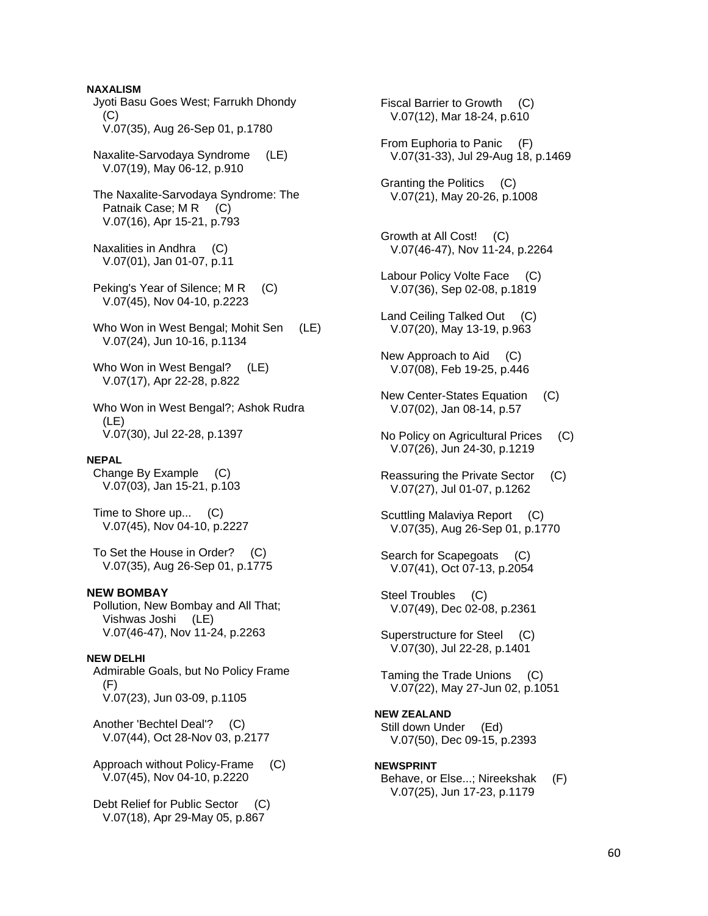**NAXALISM**  Jyoti Basu Goes West; Farrukh Dhondy  $(C)$  V.07(35), Aug 26-Sep 01, p.1780 Naxalite-Sarvodaya Syndrome (LE) V.07(19), May 06-12, p.910 The Naxalite-Sarvodaya Syndrome: The Patnaik Case; M R (C) V.07(16), Apr 15-21, p.793 Naxalities in Andhra (C) V.07(01), Jan 01-07, p.11 Peking's Year of Silence; M R (C) V.07(45), Nov 04-10, p.2223 Who Won in West Bengal; Mohit Sen (LE) V.07(24), Jun 10-16, p.1134 Who Won in West Bengal? (LE) V.07(17), Apr 22-28, p.822 Who Won in West Bengal?; Ashok Rudra (LE) V.07(30), Jul 22-28, p.1397 **NEPAL**  Change By Example (C) V.07(03), Jan 15-21, p.103 Time to Shore up... (C) V.07(45), Nov 04-10, p.2227 To Set the House in Order? (C) V.07(35), Aug 26-Sep 01, p.1775 **NEW BOMBAY**  Pollution, New Bombay and All That; Vishwas Joshi (LE) V.07(46-47), Nov 11-24, p.2263 **NEW DELHI**  Admirable Goals, but No Policy Frame (F) V.07(23), Jun 03-09, p.1105 Another 'Bechtel Deal'? (C) V.07(44), Oct 28-Nov 03, p.2177 Approach without Policy-Frame (C) V.07(45), Nov 04-10, p.2220 Debt Relief for Public Sector (C) V.07(18), Apr 29-May 05, p.867

 Fiscal Barrier to Growth (C) V.07(12), Mar 18-24, p.610 From Euphoria to Panic (F) V.07(31-33), Jul 29-Aug 18, p.1469 Granting the Politics (C) V.07(21), May 20-26, p.1008 Growth at All Cost! (C) V.07(46-47), Nov 11-24, p.2264 Labour Policy Volte Face (C) V.07(36), Sep 02-08, p.1819 Land Ceiling Talked Out (C) V.07(20), May 13-19, p.963 New Approach to Aid (C) V.07(08), Feb 19-25, p.446 New Center-States Equation (C) V.07(02), Jan 08-14, p.57 No Policy on Agricultural Prices (C) V.07(26), Jun 24-30, p.1219 Reassuring the Private Sector (C) V.07(27), Jul 01-07, p.1262 Scuttling Malaviya Report (C) V.07(35), Aug 26-Sep 01, p.1770 Search for Scapegoats (C) V.07(41), Oct 07-13, p.2054 Steel Troubles (C) V.07(49), Dec 02-08, p.2361 Superstructure for Steel (C) V.07(30), Jul 22-28, p.1401 Taming the Trade Unions (C) V.07(22), May 27-Jun 02, p.1051 **NEW ZEALAND**  Still down Under (Ed) V.07(50), Dec 09-15, p.2393 **NEWSPRINT**  Behave, or Else...; Nireekshak (F) V.07(25), Jun 17-23, p.1179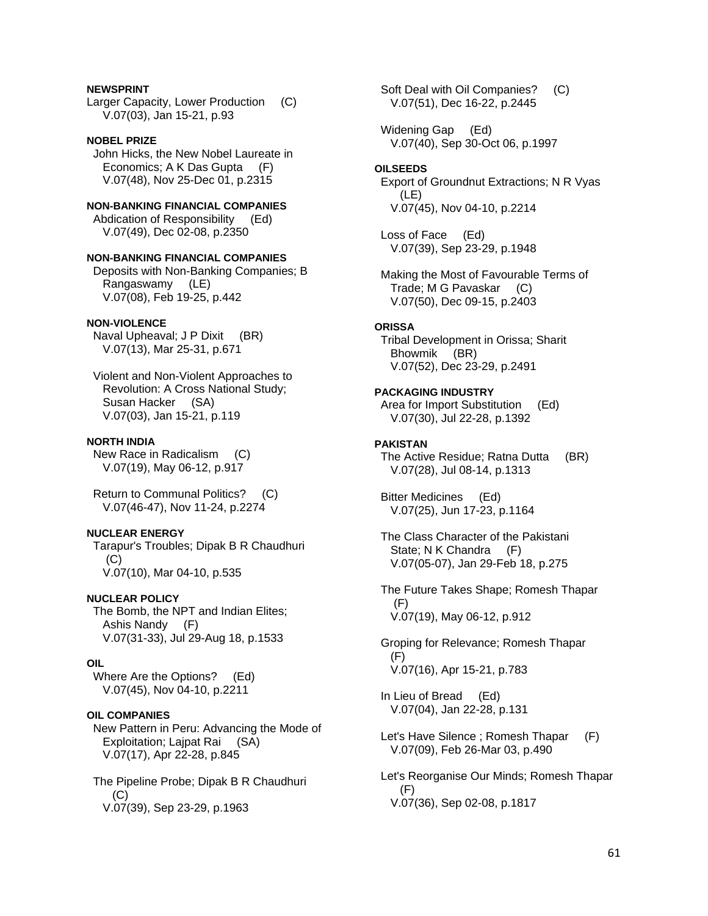# **NEWSPRINT**

Larger Capacity, Lower Production (C) V.07(03), Jan 15-21, p.93

# **NOBEL PRIZE**

 John Hicks, the New Nobel Laureate in Economics; A K Das Gupta (F) V.07(48), Nov 25-Dec 01, p.2315

#### **NON-BANKING FINANCIAL COMPANIES**  Abdication of Responsibility (Ed)

V.07(49), Dec 02-08, p.2350

# **NON-BANKING FINANCIAL COMPANIES**

 Deposits with Non-Banking Companies; B Rangaswamy (LE) V.07(08), Feb 19-25, p.442

# **NON-VIOLENCE**

 Naval Upheaval; J P Dixit (BR) V.07(13), Mar 25-31, p.671

 Violent and Non-Violent Approaches to Revolution: A Cross National Study; Susan Hacker (SA) V.07(03), Jan 15-21, p.119

#### **NORTH INDIA**

 New Race in Radicalism (C) V.07(19), May 06-12, p.917

 Return to Communal Politics? (C) V.07(46-47), Nov 11-24, p.2274

# **NUCLEAR ENERGY**

 Tarapur's Troubles; Dipak B R Chaudhuri (C) V.07(10), Mar 04-10, p.535

#### **NUCLEAR POLICY**

 The Bomb, the NPT and Indian Elites; Ashis Nandy (F) V.07(31-33), Jul 29-Aug 18, p.1533

#### **OIL**

 Where Are the Options? (Ed) V.07(45), Nov 04-10, p.2211

#### **OIL COMPANIES**

 New Pattern in Peru: Advancing the Mode of Exploitation; Lajpat Rai (SA) V.07(17), Apr 22-28, p.845

 The Pipeline Probe; Dipak B R Chaudhuri (C) V.07(39), Sep 23-29, p.1963

 Soft Deal with Oil Companies? (C) V.07(51), Dec 16-22, p.2445

 Widening Gap (Ed) V.07(40), Sep 30-Oct 06, p.1997

#### **OILSEEDS**

 Export of Groundnut Extractions; N R Vyas (LE) V.07(45), Nov 04-10, p.2214

 Loss of Face (Ed) V.07(39), Sep 23-29, p.1948

 Making the Most of Favourable Terms of Trade; M G Pavaskar (C) V.07(50), Dec 09-15, p.2403

#### **ORISSA**

 Tribal Development in Orissa; Sharit Bhowmik (BR) V.07(52), Dec 23-29, p.2491

# **PACKAGING INDUSTRY**

 Area for Import Substitution (Ed) V.07(30), Jul 22-28, p.1392

## **PAKISTAN**

 The Active Residue; Ratna Dutta (BR) V.07(28), Jul 08-14, p.1313

 Bitter Medicines (Ed) V.07(25), Jun 17-23, p.1164

 The Class Character of the Pakistani State; N K Chandra (F) V.07(05-07), Jan 29-Feb 18, p.275

 The Future Takes Shape; Romesh Thapar (F) V.07(19), May 06-12, p.912

 Groping for Relevance; Romesh Thapar (F) V.07(16), Apr 15-21, p.783

 In Lieu of Bread (Ed) V.07(04), Jan 22-28, p.131

 Let's Have Silence ; Romesh Thapar (F) V.07(09), Feb 26-Mar 03, p.490

 Let's Reorganise Our Minds; Romesh Thapar (F) V.07(36), Sep 02-08, p.1817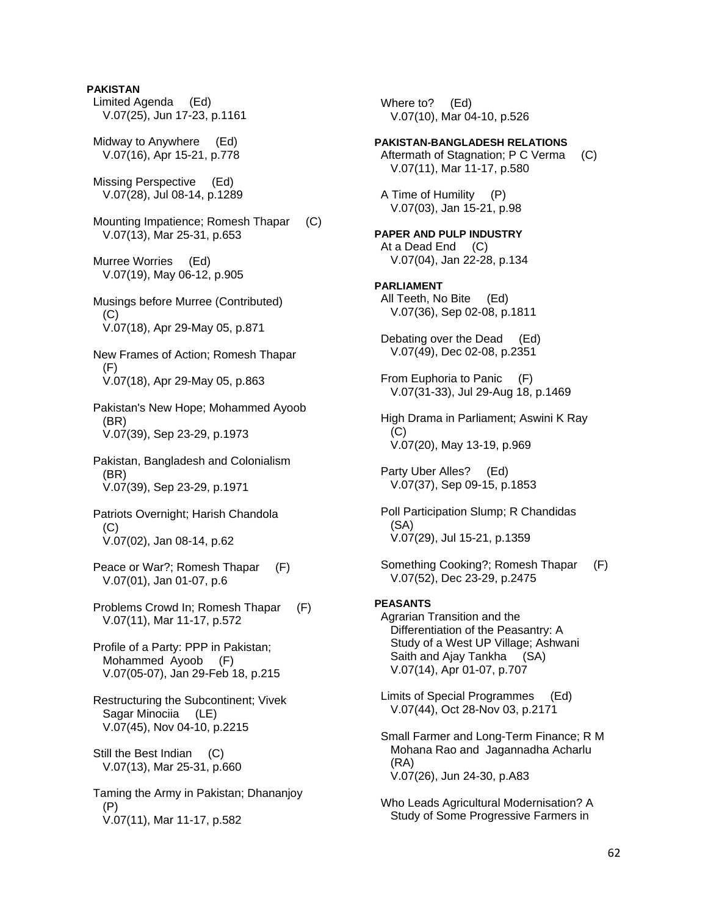- **PAKISTAN**  Limited Agenda (Ed) V.07(25), Jun 17-23, p.1161 Midway to Anywhere (Ed) V.07(16), Apr 15-21, p.778 Missing Perspective (Ed) V.07(28), Jul 08-14, p.1289 Mounting Impatience; Romesh Thapar (C) V.07(13), Mar 25-31, p.653 Murree Worries (Ed) V.07(19), May 06-12, p.905 Musings before Murree (Contributed)  $(C)$  V.07(18), Apr 29-May 05, p.871 New Frames of Action; Romesh Thapar (F) V.07(18), Apr 29-May 05, p.863 Pakistan's New Hope; Mohammed Ayoob (BR) V.07(39), Sep 23-29, p.1973 Pakistan, Bangladesh and Colonialism (BR) V.07(39), Sep 23-29, p.1971 Patriots Overnight; Harish Chandola (C) V.07(02), Jan 08-14, p.62 Peace or War?; Romesh Thapar (F) V.07(01), Jan 01-07, p.6 Problems Crowd In; Romesh Thapar (F) V.07(11), Mar 11-17, p.572 Profile of a Party: PPP in Pakistan; Mohammed Ayoob (F)
	- V.07(05-07), Jan 29-Feb 18, p.215 Restructuring the Subcontinent; Vivek
	- Sagar Minociia (LE) V.07(45), Nov 04-10, p.2215
	- Still the Best Indian (C) V.07(13), Mar 25-31, p.660
	- Taming the Army in Pakistan; Dhananjoy (P) V.07(11), Mar 11-17, p.582

 Where to? (Ed) V.07(10), Mar 04-10, p.526

# **PAKISTAN-BANGLADESH RELATIONS**

Aftermath of Stagnation: P C Verma (C) V.07(11), Mar 11-17, p.580

 A Time of Humility (P) V.07(03), Jan 15-21, p.98

# **PAPER AND PULP INDUSTRY**  At a Dead End (C) V.07(04), Jan 22-28, p.134

# **PARLIAMENT**

 All Teeth, No Bite (Ed) V.07(36), Sep 02-08, p.1811

 Debating over the Dead (Ed) V.07(49), Dec 02-08, p.2351

 From Euphoria to Panic (F) V.07(31-33), Jul 29-Aug 18, p.1469

 High Drama in Parliament; Aswini K Ray (C) V.07(20), May 13-19, p.969

 Party Uber Alles? (Ed) V.07(37), Sep 09-15, p.1853

 Poll Participation Slump; R Chandidas (SA) V.07(29), Jul 15-21, p.1359

 Something Cooking?; Romesh Thapar (F) V.07(52), Dec 23-29, p.2475

# **PEASANTS**

 Agrarian Transition and the Differentiation of the Peasantry: A Study of a West UP Village; Ashwani Saith and Ajay Tankha (SA) V.07(14), Apr 01-07, p.707

 Limits of Special Programmes (Ed) V.07(44), Oct 28-Nov 03, p.2171

 Small Farmer and Long-Term Finance; R M Mohana Rao and Jagannadha Acharlu (RA) V.07(26), Jun 24-30, p.A83

 Who Leads Agricultural Modernisation? A Study of Some Progressive Farmers in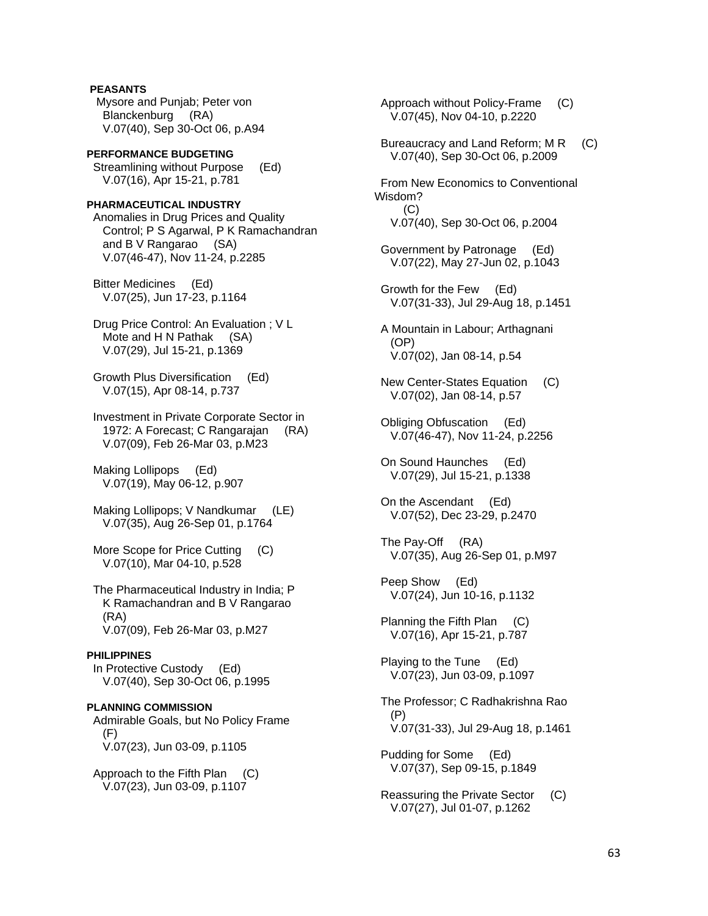**PEASANTS**  Mysore and Punjab; Peter von Blanckenburg (RA) V.07(40), Sep 30-Oct 06, p.A94

**PERFORMANCE BUDGETING**  Streamlining without Purpose (Ed) V.07(16), Apr 15-21, p.781

**PHARMACEUTICAL INDUSTRY**  Anomalies in Drug Prices and Quality Control; P S Agarwal, P K Ramachandran and B V Rangarao (SA) V.07(46-47), Nov 11-24, p.2285

 Bitter Medicines (Ed) V.07(25), Jun 17-23, p.1164

 Drug Price Control: An Evaluation ; V L Mote and H N Pathak (SA) V.07(29), Jul 15-21, p.1369

 Growth Plus Diversification (Ed) V.07(15), Apr 08-14, p.737

 Investment in Private Corporate Sector in 1972: A Forecast; C Rangarajan (RA) V.07(09), Feb 26-Mar 03, p.M23

 Making Lollipops (Ed) V.07(19), May 06-12, p.907

 Making Lollipops; V Nandkumar (LE) V.07(35), Aug 26-Sep 01, p.1764

More Scope for Price Cutting (C) V.07(10), Mar 04-10, p.528

 The Pharmaceutical Industry in India; P K Ramachandran and B V Rangarao (RA) V.07(09), Feb 26-Mar 03, p.M27

#### **PHILIPPINES**

 In Protective Custody (Ed) V.07(40), Sep 30-Oct 06, p.1995

**PLANNING COMMISSION**  Admirable Goals, but No Policy Frame  $(F)$ V.07(23), Jun 03-09, p.1105

 Approach to the Fifth Plan (C) V.07(23), Jun 03-09, p.1107

 Approach without Policy-Frame (C) V.07(45), Nov 04-10, p.2220 Bureaucracy and Land Reform; M R (C) V.07(40), Sep 30-Oct 06, p.2009 From New Economics to Conventional Wisdom?  $(C)$  V.07(40), Sep 30-Oct 06, p.2004 Government by Patronage (Ed) V.07(22), May 27-Jun 02, p.1043 Growth for the Few (Ed) V.07(31-33), Jul 29-Aug 18, p.1451 A Mountain in Labour; Arthagnani (OP) V.07(02), Jan 08-14, p.54 New Center-States Equation (C) V.07(02), Jan 08-14, p.57 Obliging Obfuscation (Ed) V.07(46-47), Nov 11-24, p.2256 On Sound Haunches (Ed) V.07(29), Jul 15-21, p.1338 On the Ascendant (Ed) V.07(52), Dec 23-29, p.2470 The Pay-Off (RA) V.07(35), Aug 26-Sep 01, p.M97 Peep Show (Ed) V.07(24), Jun 10-16, p.1132 Planning the Fifth Plan (C) V.07(16), Apr 15-21, p.787 Playing to the Tune (Ed) V.07(23), Jun 03-09, p.1097 The Professor; C Radhakrishna Rao (P) V.07(31-33), Jul 29-Aug 18, p.1461 Pudding for Some (Ed) V.07(37), Sep 09-15, p.1849 Reassuring the Private Sector (C) V.07(27), Jul 01-07, p.1262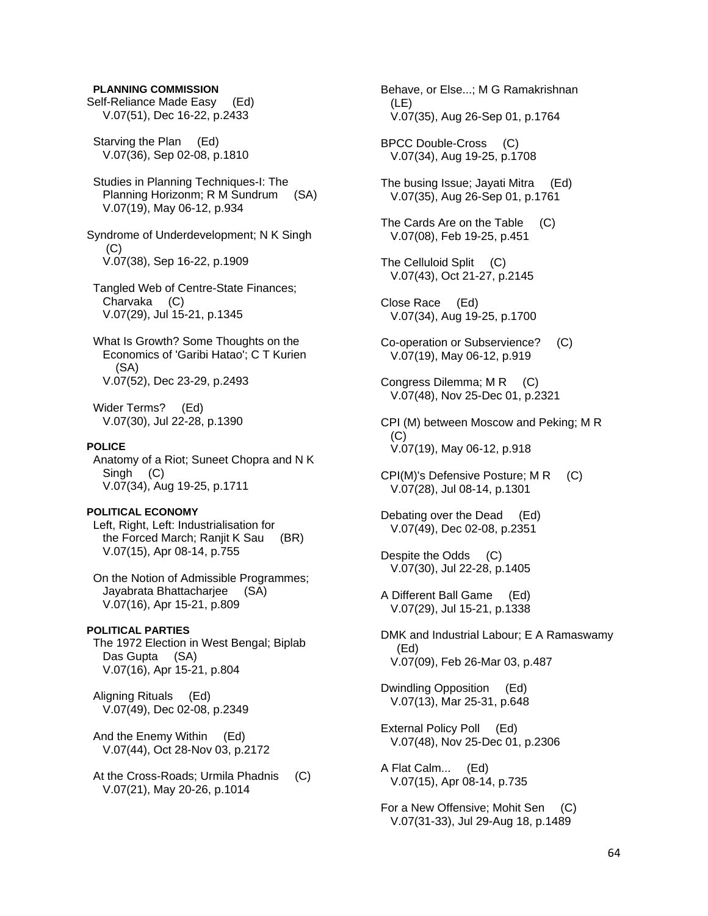#### **PLANNING COMMISSION**

Self-Reliance Made Easy (Ed) V.07(51), Dec 16-22, p.2433

 Starving the Plan (Ed) V.07(36), Sep 02-08, p.1810

 Studies in Planning Techniques-I: The Planning Horizonm; R M Sundrum (SA) V.07(19), May 06-12, p.934

Syndrome of Underdevelopment; N K Singh (C) V.07(38), Sep 16-22, p.1909

 Tangled Web of Centre-State Finances; Charvaka (C) V.07(29), Jul 15-21, p.1345

 What Is Growth? Some Thoughts on the Economics of 'Garibi Hatao'; C T Kurien (SA) V.07(52), Dec 23-29, p.2493

 Wider Terms? (Ed) V.07(30), Jul 22-28, p.1390

# **POLICE**

 Anatomy of a Riot; Suneet Chopra and N K Singh (C) V.07(34), Aug 19-25, p.1711

#### **POLITICAL ECONOMY**

 Left, Right, Left: Industrialisation for the Forced March; Ranjit K Sau (BR) V.07(15), Apr 08-14, p.755

 On the Notion of Admissible Programmes; Jayabrata Bhattacharjee (SA) V.07(16), Apr 15-21, p.809

#### **POLITICAL PARTIES**

 The 1972 Election in West Bengal; Biplab Das Gupta (SA) V.07(16), Apr 15-21, p.804

 Aligning Rituals (Ed) V.07(49), Dec 02-08, p.2349

 And the Enemy Within (Ed) V.07(44), Oct 28-Nov 03, p.2172

At the Cross-Roads; Urmila Phadnis (C) V.07(21), May 20-26, p.1014

 Behave, or Else...; M G Ramakrishnan (LE) V.07(35), Aug 26-Sep 01, p.1764

 BPCC Double-Cross (C) V.07(34), Aug 19-25, p.1708

 The busing Issue; Jayati Mitra (Ed) V.07(35), Aug 26-Sep 01, p.1761

 The Cards Are on the Table (C) V.07(08), Feb 19-25, p.451

- The Celluloid Split (C) V.07(43), Oct 21-27, p.2145
- Close Race (Ed) V.07(34), Aug 19-25, p.1700
- Co-operation or Subservience? (C) V.07(19), May 06-12, p.919
- Congress Dilemma; M R (C) V.07(48), Nov 25-Dec 01, p.2321

 CPI (M) between Moscow and Peking; M R  $(C)$ V.07(19), May 06-12, p.918

- CPI(M)'s Defensive Posture; M R (C) V.07(28), Jul 08-14, p.1301
- Debating over the Dead (Ed) V.07(49), Dec 02-08, p.2351
- Despite the Odds (C) V.07(30), Jul 22-28, p.1405
- A Different Ball Game (Ed) V.07(29), Jul 15-21, p.1338
- DMK and Industrial Labour; E A Ramaswamy (Ed) V.07(09), Feb 26-Mar 03, p.487

 Dwindling Opposition (Ed) V.07(13), Mar 25-31, p.648

 External Policy Poll (Ed) V.07(48), Nov 25-Dec 01, p.2306

 A Flat Calm... (Ed) V.07(15), Apr 08-14, p.735

 For a New Offensive; Mohit Sen (C) V.07(31-33), Jul 29-Aug 18, p.1489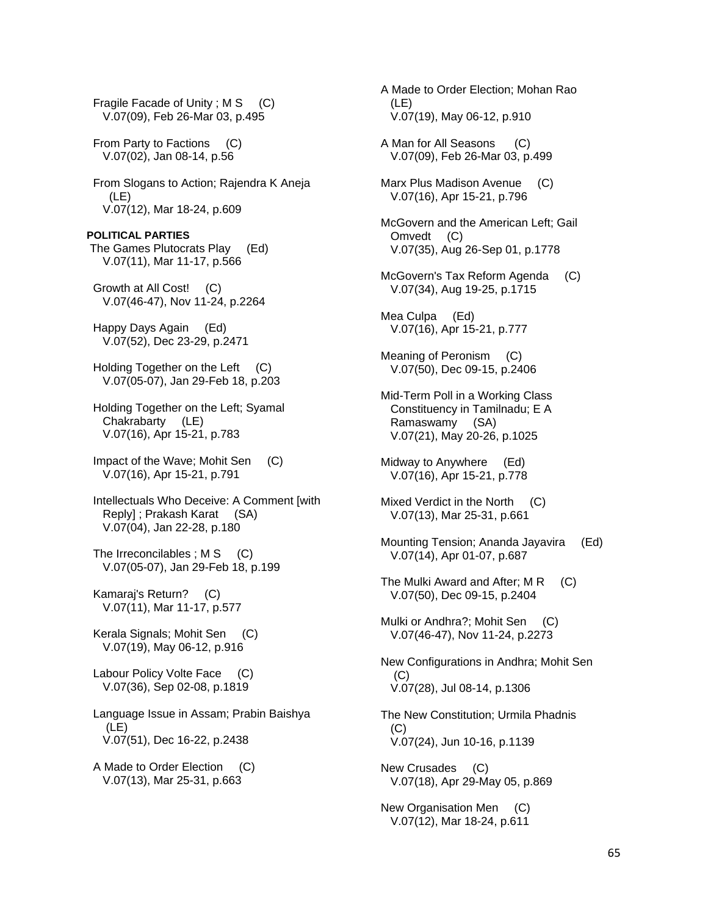Fragile Facade of Unity ; M S (C) V.07(09), Feb 26-Mar 03, p.495

 From Party to Factions (C) V.07(02), Jan 08-14, p.56

 From Slogans to Action; Rajendra K Aneja (LE) V.07(12), Mar 18-24, p.609

**POLITICAL PARTIES**  The Games Plutocrats Play (Ed) V.07(11), Mar 11-17, p.566

 Growth at All Cost! (C) V.07(46-47), Nov 11-24, p.2264

 Happy Days Again (Ed) V.07(52), Dec 23-29, p.2471

Holding Together on the Left (C) V.07(05-07), Jan 29-Feb 18, p.203

 Holding Together on the Left; Syamal Chakrabarty (LE) V.07(16), Apr 15-21, p.783

 Impact of the Wave; Mohit Sen (C) V.07(16), Apr 15-21, p.791

 Intellectuals Who Deceive: A Comment [with Reply] ; Prakash Karat (SA) V.07(04), Jan 22-28, p.180

The Irreconcilables; M S (C) V.07(05-07), Jan 29-Feb 18, p.199

 Kamaraj's Return? (C) V.07(11), Mar 11-17, p.577

 Kerala Signals; Mohit Sen (C) V.07(19), May 06-12, p.916

 Labour Policy Volte Face (C) V.07(36), Sep 02-08, p.1819

 Language Issue in Assam; Prabin Baishya (LE) V.07(51), Dec 16-22, p.2438

 A Made to Order Election (C) V.07(13), Mar 25-31, p.663

 A Made to Order Election; Mohan Rao (LE) V.07(19), May 06-12, p.910

 A Man for All Seasons (C) V.07(09), Feb 26-Mar 03, p.499

 Marx Plus Madison Avenue (C) V.07(16), Apr 15-21, p.796

 McGovern and the American Left; Gail Omvedt (C) V.07(35), Aug 26-Sep 01, p.1778

McGovern's Tax Reform Agenda (C) V.07(34), Aug 19-25, p.1715

 Mea Culpa (Ed) V.07(16), Apr 15-21, p.777

 Meaning of Peronism (C) V.07(50), Dec 09-15, p.2406

 Mid-Term Poll in a Working Class Constituency in Tamilnadu; E A Ramaswamy (SA) V.07(21), May 20-26, p.1025

 Midway to Anywhere (Ed) V.07(16), Apr 15-21, p.778

 Mixed Verdict in the North (C) V.07(13), Mar 25-31, p.661

 Mounting Tension; Ananda Jayavira (Ed) V.07(14), Apr 01-07, p.687

The Mulki Award and After; M R (C) V.07(50), Dec 09-15, p.2404

 Mulki or Andhra?; Mohit Sen (C) V.07(46-47), Nov 11-24, p.2273

 New Configurations in Andhra; Mohit Sen (C) V.07(28), Jul 08-14, p.1306

 The New Constitution; Urmila Phadnis (C) V.07(24), Jun 10-16, p.1139

 New Crusades (C) V.07(18), Apr 29-May 05, p.869

 New Organisation Men (C) V.07(12), Mar 18-24, p.611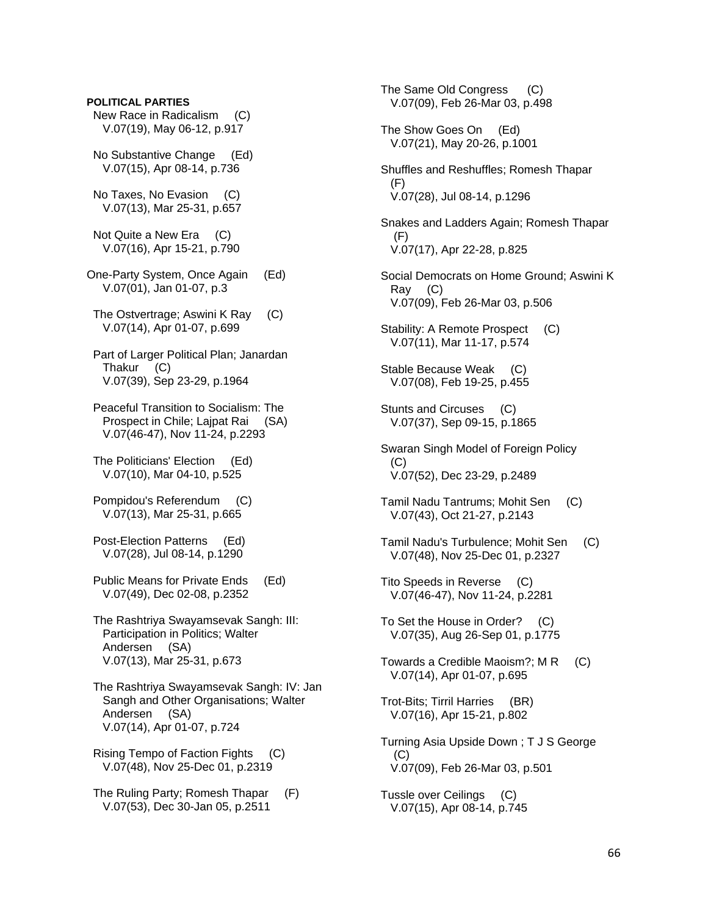# New Race in Radicalism (C) V.07(19), May 06-12, p.917 No Substantive Change (Ed) V.07(15), Apr 08-14, p.736 No Taxes, No Evasion (C) V.07(13), Mar 25-31, p.657 Not Quite a New Era (C) V.07(16), Apr 15-21, p.790 One-Party System, Once Again (Ed) V.07(01), Jan 01-07, p.3 The Ostvertrage; Aswini K Ray (C) V.07(14), Apr 01-07, p.699 Part of Larger Political Plan; Janardan Thakur (C) V.07(39), Sep 23-29, p.1964 Peaceful Transition to Socialism: The Prospect in Chile; Lajpat Rai (SA) V.07(46-47), Nov 11-24, p.2293 The Politicians' Election (Ed) V.07(10), Mar 04-10, p.525 Pompidou's Referendum (C) V.07(13), Mar 25-31, p.665 Post-Election Patterns (Ed) V.07(28), Jul 08-14, p.1290 Public Means for Private Ends (Ed) V.07(49), Dec 02-08, p.2352 The Rashtriya Swayamsevak Sangh: III: Participation in Politics; Walter Andersen (SA) V.07(13), Mar 25-31, p.673 The Rashtriya Swayamsevak Sangh: IV: Jan Sangh and Other Organisations; Walter Andersen (SA) V.07(14), Apr 01-07, p.724 Rising Tempo of Faction Fights (C) V.07(48), Nov 25-Dec 01, p.2319 The Ruling Party; Romesh Thapar (F) V.07(53), Dec 30-Jan 05, p.2511

**POLITICAL PARTIES** 

 The Same Old Congress (C) V.07(09), Feb 26-Mar 03, p.498 The Show Goes On (Ed) V.07(21), May 20-26, p.1001 Shuffles and Reshuffles; Romesh Thapar (F) V.07(28), Jul 08-14, p.1296 Snakes and Ladders Again; Romesh Thapar (F) V.07(17), Apr 22-28, p.825 Social Democrats on Home Ground; Aswini K Ray (C) V.07(09), Feb 26-Mar 03, p.506 Stability: A Remote Prospect (C) V.07(11), Mar 11-17, p.574 Stable Because Weak (C) V.07(08), Feb 19-25, p.455 Stunts and Circuses (C) V.07(37), Sep 09-15, p.1865 Swaran Singh Model of Foreign Policy (C) V.07(52), Dec 23-29, p.2489 Tamil Nadu Tantrums; Mohit Sen (C) V.07(43), Oct 21-27, p.2143 Tamil Nadu's Turbulence; Mohit Sen (C) V.07(48), Nov 25-Dec 01, p.2327 Tito Speeds in Reverse (C) V.07(46-47), Nov 11-24, p.2281 To Set the House in Order? (C) V.07(35), Aug 26-Sep 01, p.1775 Towards a Credible Maoism?; M R (C) V.07(14), Apr 01-07, p.695 Trot-Bits; Tirril Harries (BR) V.07(16), Apr 15-21, p.802 Turning Asia Upside Down ; T J S George (C) V.07(09), Feb 26-Mar 03, p.501 Tussle over Ceilings (C) V.07(15), Apr 08-14, p.745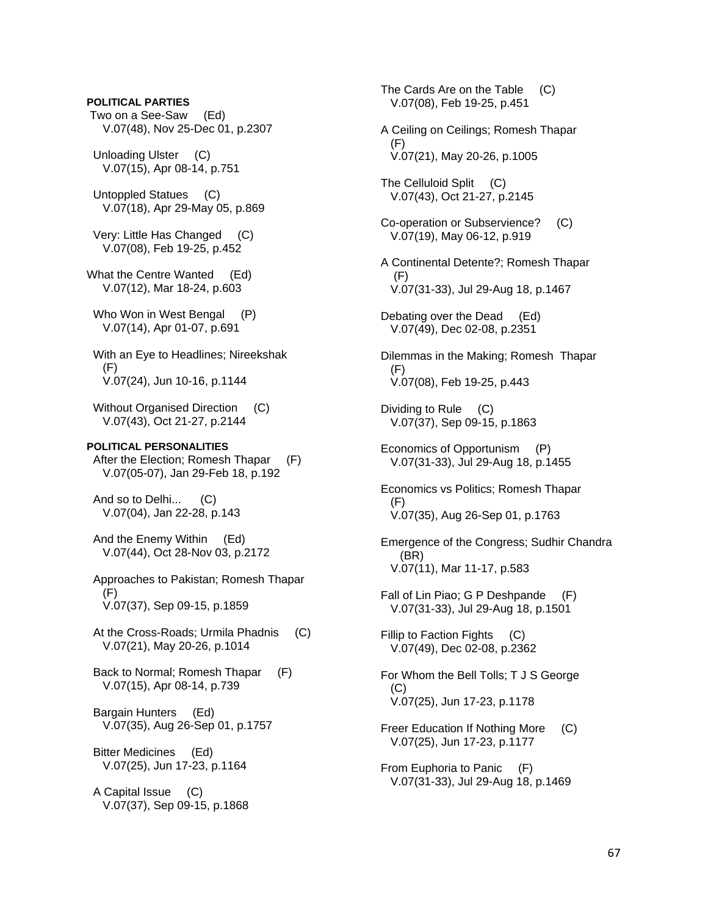# **POLITICAL PARTIES**

 Two on a See-Saw (Ed) V.07(48), Nov 25-Dec 01, p.2307

 Unloading Ulster (C) V.07(15), Apr 08-14, p.751

 Untoppled Statues (C) V.07(18), Apr 29-May 05, p.869

 Very: Little Has Changed (C) V.07(08), Feb 19-25, p.452

What the Centre Wanted (Ed) V.07(12), Mar 18-24, p.603

Who Won in West Bengal (P) V.07(14), Apr 01-07, p.691

 With an Eye to Headlines; Nireekshak (F) V.07(24), Jun 10-16, p.1144

Without Organised Direction (C) V.07(43), Oct 21-27, p.2144

# **POLITICAL PERSONALITIES**

 After the Election; Romesh Thapar (F) V.07(05-07), Jan 29-Feb 18, p.192

 And so to Delhi... (C) V.07(04), Jan 22-28, p.143

 And the Enemy Within (Ed) V.07(44), Oct 28-Nov 03, p.2172

 Approaches to Pakistan; Romesh Thapar (F) V.07(37), Sep 09-15, p.1859

 At the Cross-Roads; Urmila Phadnis (C) V.07(21), May 20-26, p.1014

 Back to Normal; Romesh Thapar (F) V.07(15), Apr 08-14, p.739

 Bargain Hunters (Ed) V.07(35), Aug 26-Sep 01, p.1757

 Bitter Medicines (Ed) V.07(25), Jun 17-23, p.1164

 A Capital Issue (C) V.07(37), Sep 09-15, p.1868

The Cards Are on the Table (C) V.07(08), Feb 19-25, p.451 A Ceiling on Ceilings; Romesh Thapar (F) V.07(21), May 20-26, p.1005 The Celluloid Split (C) V.07(43), Oct 21-27, p.2145 Co-operation or Subservience? (C) V.07(19), May 06-12, p.919 A Continental Detente?; Romesh Thapar (F) V.07(31-33), Jul 29-Aug 18, p.1467 Debating over the Dead (Ed) V.07(49), Dec 02-08, p.2351 Dilemmas in the Making; Romesh Thapar (F) V.07(08), Feb 19-25, p.443 Dividing to Rule (C) V.07(37), Sep 09-15, p.1863 Economics of Opportunism (P) V.07(31-33), Jul 29-Aug 18, p.1455 Economics vs Politics; Romesh Thapar (F) V.07(35), Aug 26-Sep 01, p.1763 Emergence of the Congress; Sudhir Chandra (BR) V.07(11), Mar 11-17, p.583 Fall of Lin Piao; G P Deshpande (F) V.07(31-33), Jul 29-Aug 18, p.1501 Fillip to Faction Fights (C) V.07(49), Dec 02-08, p.2362 For Whom the Bell Tolls; T J S George  $(C)$  V.07(25), Jun 17-23, p.1178 Freer Education If Nothing More (C) V.07(25), Jun 17-23, p.1177 From Euphoria to Panic (F) V.07(31-33), Jul 29-Aug 18, p.1469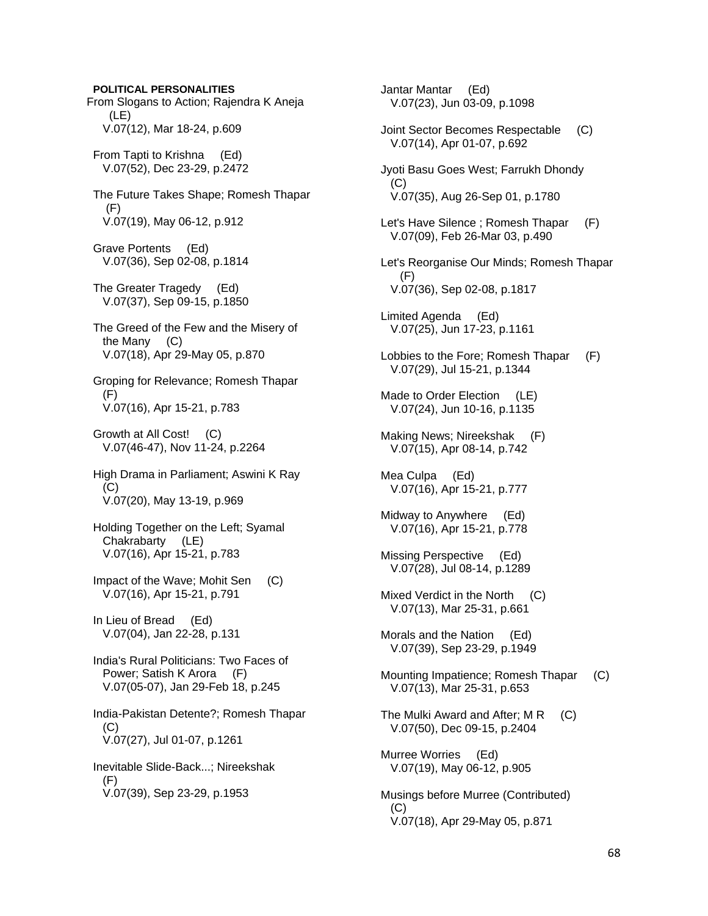**POLITICAL PERSONALITIES**  From Slogans to Action; Rajendra K Aneja (LE) V.07(12), Mar 18-24, p.609 From Tapti to Krishna (Ed) V.07(52), Dec 23-29, p.2472 The Future Takes Shape; Romesh Thapar (F) V.07(19), May 06-12, p.912 Grave Portents (Ed) V.07(36), Sep 02-08, p.1814 The Greater Tragedy (Ed) V.07(37), Sep 09-15, p.1850 The Greed of the Few and the Misery of the Many (C) V.07(18), Apr 29-May 05, p.870 Groping for Relevance; Romesh Thapar  $(F)$  V.07(16), Apr 15-21, p.783 Growth at All Cost! (C) V.07(46-47), Nov 11-24, p.2264 High Drama in Parliament; Aswini K Ray (C) V.07(20), May 13-19, p.969 Holding Together on the Left; Syamal Chakrabarty (LE) V.07(16), Apr 15-21, p.783 Impact of the Wave; Mohit Sen (C) V.07(16), Apr 15-21, p.791 In Lieu of Bread (Ed) V.07(04), Jan 22-28, p.131 India's Rural Politicians: Two Faces of Power; Satish K Arora (F) V.07(05-07), Jan 29-Feb 18, p.245 India-Pakistan Detente?; Romesh Thapar (C) V.07(27), Jul 01-07, p.1261 Inevitable Slide-Back...; Nireekshak (F) V.07(39), Sep 23-29, p.1953

 Jantar Mantar (Ed) V.07(23), Jun 03-09, p.1098 Joint Sector Becomes Respectable (C) V.07(14), Apr 01-07, p.692 Jyoti Basu Goes West; Farrukh Dhondy (C) V.07(35), Aug 26-Sep 01, p.1780 Let's Have Silence ; Romesh Thapar (F) V.07(09), Feb 26-Mar 03, p.490 Let's Reorganise Our Minds; Romesh Thapar (F) V.07(36), Sep 02-08, p.1817 Limited Agenda (Ed) V.07(25), Jun 17-23, p.1161 Lobbies to the Fore; Romesh Thapar (F) V.07(29), Jul 15-21, p.1344 Made to Order Election (LE) V.07(24), Jun 10-16, p.1135 Making News; Nireekshak (F) V.07(15), Apr 08-14, p.742 Mea Culpa (Ed) V.07(16), Apr 15-21, p.777 Midway to Anywhere (Ed) V.07(16), Apr 15-21, p.778 Missing Perspective (Ed) V.07(28), Jul 08-14, p.1289 Mixed Verdict in the North (C) V.07(13), Mar 25-31, p.661 Morals and the Nation (Ed) V.07(39), Sep 23-29, p.1949 Mounting Impatience; Romesh Thapar (C) V.07(13), Mar 25-31, p.653 The Mulki Award and After; M R (C) V.07(50), Dec 09-15, p.2404 Murree Worries (Ed) V.07(19), May 06-12, p.905 Musings before Murree (Contributed) (C) V.07(18), Apr 29-May 05, p.871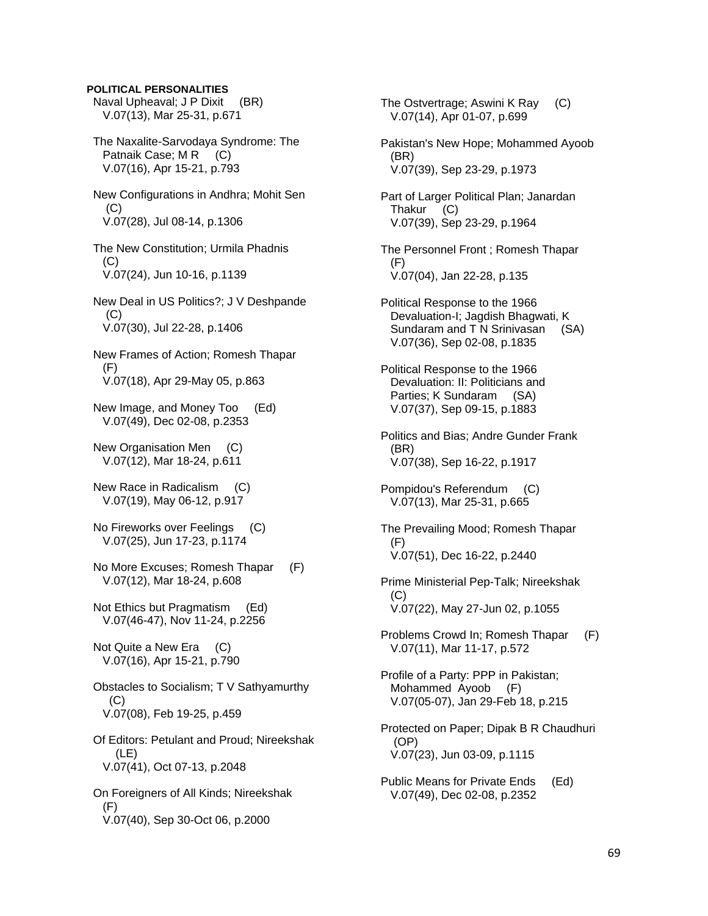**POLITICAL PERSONALITIES** 

 Naval Upheaval; J P Dixit (BR) V.07(13), Mar 25-31, p.671

 The Naxalite-Sarvodaya Syndrome: The Patnaik Case; M R (C) V.07(16), Apr 15-21, p.793

 New Configurations in Andhra; Mohit Sen (C) V.07(28), Jul 08-14, p.1306

 The New Constitution; Urmila Phadnis (C) V.07(24), Jun 10-16, p.1139

 New Deal in US Politics?; J V Deshpande  $(C)$ V.07(30), Jul 22-28, p.1406

 New Frames of Action; Romesh Thapar (F) V.07(18), Apr 29-May 05, p.863

 New Image, and Money Too (Ed) V.07(49), Dec 02-08, p.2353

 New Organisation Men (C) V.07(12), Mar 18-24, p.611

 New Race in Radicalism (C) V.07(19), May 06-12, p.917

 No Fireworks over Feelings (C) V.07(25), Jun 17-23, p.1174

 No More Excuses; Romesh Thapar (F) V.07(12), Mar 18-24, p.608

 Not Ethics but Pragmatism (Ed) V.07(46-47), Nov 11-24, p.2256

 Not Quite a New Era (C) V.07(16), Apr 15-21, p.790

 Obstacles to Socialism; T V Sathyamurthy (C) V.07(08), Feb 19-25, p.459

 Of Editors: Petulant and Proud; Nireekshak (LE) V.07(41), Oct 07-13, p.2048

 On Foreigners of All Kinds; Nireekshak (F) V.07(40), Sep 30-Oct 06, p.2000

 The Ostvertrage; Aswini K Ray (C) V.07(14), Apr 01-07, p.699 Pakistan's New Hope; Mohammed Ayoob (BR) V.07(39), Sep 23-29, p.1973 Part of Larger Political Plan; Janardan Thakur (C) V.07(39), Sep 23-29, p.1964 The Personnel Front ; Romesh Thapar (F) V.07(04), Jan 22-28, p.135 Political Response to the 1966 Devaluation-I; Jagdish Bhagwati, K Sundaram and T N Srinivasan (SA) V.07(36), Sep 02-08, p.1835 Political Response to the 1966 Devaluation: II: Politicians and Parties; K Sundaram (SA) V.07(37), Sep 09-15, p.1883 Politics and Bias; Andre Gunder Frank (BR) V.07(38), Sep 16-22, p.1917 Pompidou's Referendum (C) V.07(13), Mar 25-31, p.665 The Prevailing Mood; Romesh Thapar (F) V.07(51), Dec 16-22, p.2440 Prime Ministerial Pep-Talk; Nireekshak  $(C)$  V.07(22), May 27-Jun 02, p.1055 Problems Crowd In; Romesh Thapar (F) V.07(11), Mar 11-17, p.572 Profile of a Party: PPP in Pakistan; Mohammed Ayoob (F) V.07(05-07), Jan 29-Feb 18, p.215 Protected on Paper; Dipak B R Chaudhuri (OP) V.07(23), Jun 03-09, p.1115 Public Means for Private Ends (Ed) V.07(49), Dec 02-08, p.2352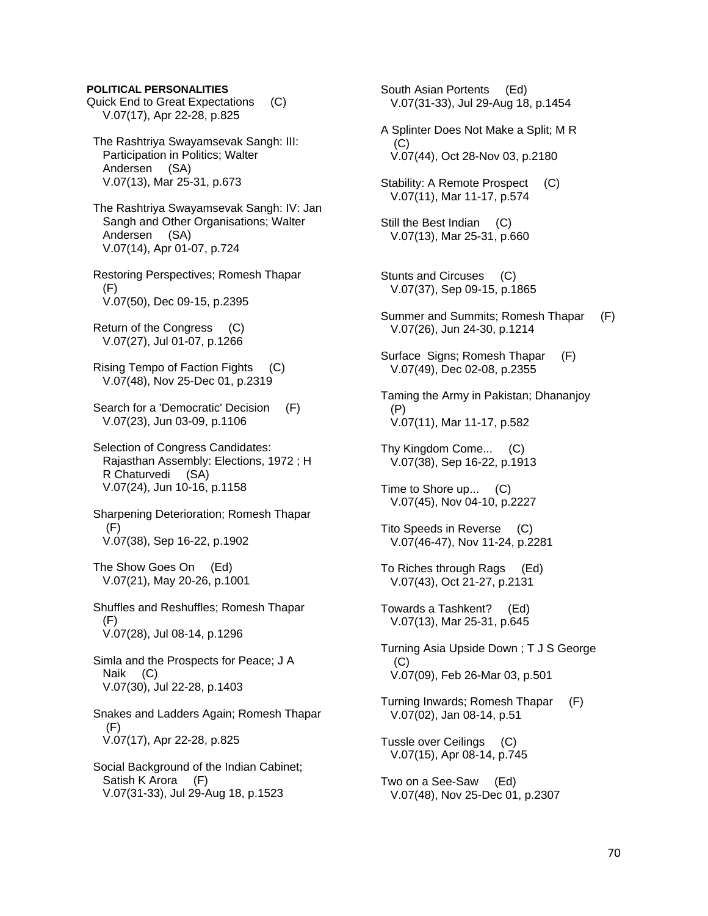#### **POLITICAL PERSONALITIES**

- Quick End to Great Expectations (C) V.07(17), Apr 22-28, p.825
- The Rashtriya Swayamsevak Sangh: III: Participation in Politics; Walter Andersen (SA) V.07(13), Mar 25-31, p.673
- The Rashtriya Swayamsevak Sangh: IV: Jan Sangh and Other Organisations; Walter Andersen (SA) V.07(14), Apr 01-07, p.724
- Restoring Perspectives; Romesh Thapar (F) V.07(50), Dec 09-15, p.2395
- Return of the Congress (C) V.07(27), Jul 01-07, p.1266
- Rising Tempo of Faction Fights (C) V.07(48), Nov 25-Dec 01, p.2319
- Search for a 'Democratic' Decision (F) V.07(23), Jun 03-09, p.1106
- Selection of Congress Candidates: Rajasthan Assembly: Elections, 1972 ; H R Chaturvedi (SA) V.07(24), Jun 10-16, p.1158
- Sharpening Deterioration; Romesh Thapar (F) V.07(38), Sep 16-22, p.1902
- The Show Goes On (Ed) V.07(21), May 20-26, p.1001
- Shuffles and Reshuffles; Romesh Thapar (F) V.07(28), Jul 08-14, p.1296
- Simla and the Prospects for Peace; J A Naik (C) V.07(30), Jul 22-28, p.1403
- Snakes and Ladders Again; Romesh Thapar (F) V.07(17), Apr 22-28, p.825
- Social Background of the Indian Cabinet; Satish K Arora (F) V.07(31-33), Jul 29-Aug 18, p.1523

 South Asian Portents (Ed) V.07(31-33), Jul 29-Aug 18, p.1454

- A Splinter Does Not Make a Split; M R (C) V.07(44), Oct 28-Nov 03, p.2180
- Stability: A Remote Prospect (C) V.07(11), Mar 11-17, p.574
- Still the Best Indian (C) V.07(13), Mar 25-31, p.660
- Stunts and Circuses (C) V.07(37), Sep 09-15, p.1865
- Summer and Summits; Romesh Thapar (F) V.07(26), Jun 24-30, p.1214
- Surface Signs; Romesh Thapar (F) V.07(49), Dec 02-08, p.2355
- Taming the Army in Pakistan; Dhananjoy (P) V.07(11), Mar 11-17, p.582
- Thy Kingdom Come... (C) V.07(38), Sep 16-22, p.1913
- Time to Shore up... (C) V.07(45), Nov 04-10, p.2227
- Tito Speeds in Reverse (C) V.07(46-47), Nov 11-24, p.2281
- To Riches through Rags (Ed) V.07(43), Oct 21-27, p.2131
- Towards a Tashkent? (Ed) V.07(13), Mar 25-31, p.645
- Turning Asia Upside Down ; T J S George (C) V.07(09), Feb 26-Mar 03, p.501
- Turning Inwards; Romesh Thapar (F) V.07(02), Jan 08-14, p.51
- Tussle over Ceilings (C) V.07(15), Apr 08-14, p.745
- Two on a See-Saw (Ed) V.07(48), Nov 25-Dec 01, p.2307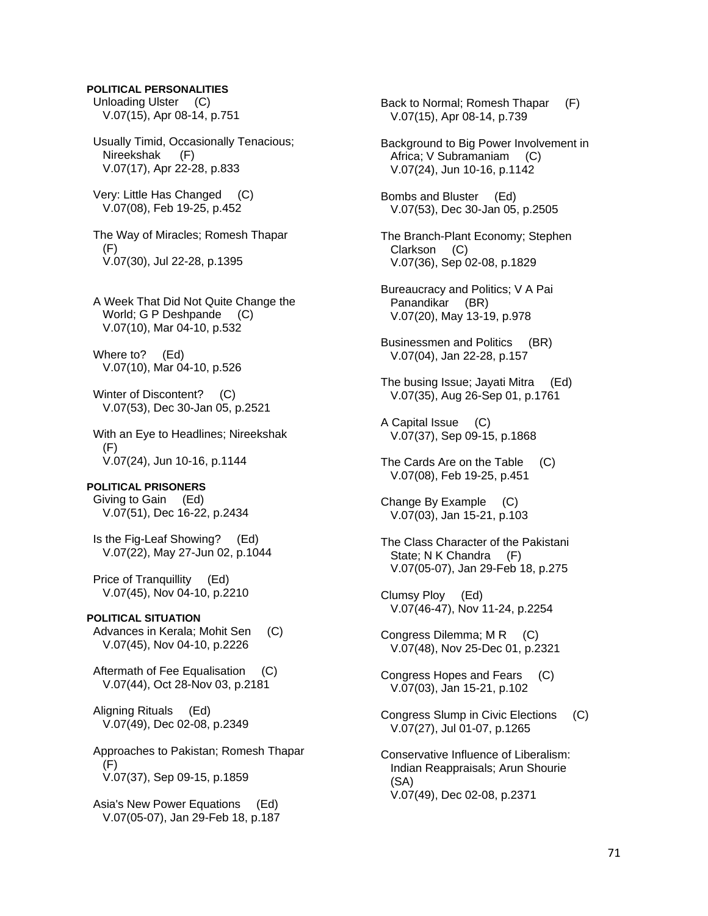#### **POLITICAL PERSONALITIES**

 Unloading Ulster (C) V.07(15), Apr 08-14, p.751

 Usually Timid, Occasionally Tenacious; Nireekshak (F) V.07(17), Apr 22-28, p.833

 Very: Little Has Changed (C) V.07(08), Feb 19-25, p.452

 The Way of Miracles; Romesh Thapar (F) V.07(30), Jul 22-28, p.1395

 A Week That Did Not Quite Change the World; G P Deshpande (C) V.07(10), Mar 04-10, p.532

 Where to? (Ed) V.07(10), Mar 04-10, p.526

Winter of Discontent? (C) V.07(53), Dec 30-Jan 05, p.2521

 With an Eye to Headlines; Nireekshak (F) V.07(24), Jun 10-16, p.1144

#### **POLITICAL PRISONERS**

 Giving to Gain (Ed) V.07(51), Dec 16-22, p.2434

 Is the Fig-Leaf Showing? (Ed) V.07(22), May 27-Jun 02, p.1044

 Price of Tranquillity (Ed) V.07(45), Nov 04-10, p.2210

# **POLITICAL SITUATION**

Advances in Kerala; Mohit Sen (C) V.07(45), Nov 04-10, p.2226

 Aftermath of Fee Equalisation (C) V.07(44), Oct 28-Nov 03, p.2181

 Aligning Rituals (Ed) V.07(49), Dec 02-08, p.2349

 Approaches to Pakistan; Romesh Thapar (F) V.07(37), Sep 09-15, p.1859

 Asia's New Power Equations (Ed) V.07(05-07), Jan 29-Feb 18, p.187  Back to Normal; Romesh Thapar (F) V.07(15), Apr 08-14, p.739

 Background to Big Power Involvement in Africa; V Subramaniam (C) V.07(24), Jun 10-16, p.1142

 Bombs and Bluster (Ed) V.07(53), Dec 30-Jan 05, p.2505

 The Branch-Plant Economy; Stephen Clarkson (C) V.07(36), Sep 02-08, p.1829

 Bureaucracy and Politics; V A Pai Panandikar (BR) V.07(20), May 13-19, p.978

 Businessmen and Politics (BR) V.07(04), Jan 22-28, p.157

 The busing Issue; Jayati Mitra (Ed) V.07(35), Aug 26-Sep 01, p.1761

 A Capital Issue (C) V.07(37), Sep 09-15, p.1868

 The Cards Are on the Table (C) V.07(08), Feb 19-25, p.451

 Change By Example (C) V.07(03), Jan 15-21, p.103

 The Class Character of the Pakistani State: N K Chandra (F) V.07(05-07), Jan 29-Feb 18, p.275

 Clumsy Ploy (Ed) V.07(46-47), Nov 11-24, p.2254

 Congress Dilemma; M R (C) V.07(48), Nov 25-Dec 01, p.2321

 Congress Hopes and Fears (C) V.07(03), Jan 15-21, p.102

 Congress Slump in Civic Elections (C) V.07(27), Jul 01-07, p.1265

 Conservative Influence of Liberalism: Indian Reappraisals; Arun Shourie (SA) V.07(49), Dec 02-08, p.2371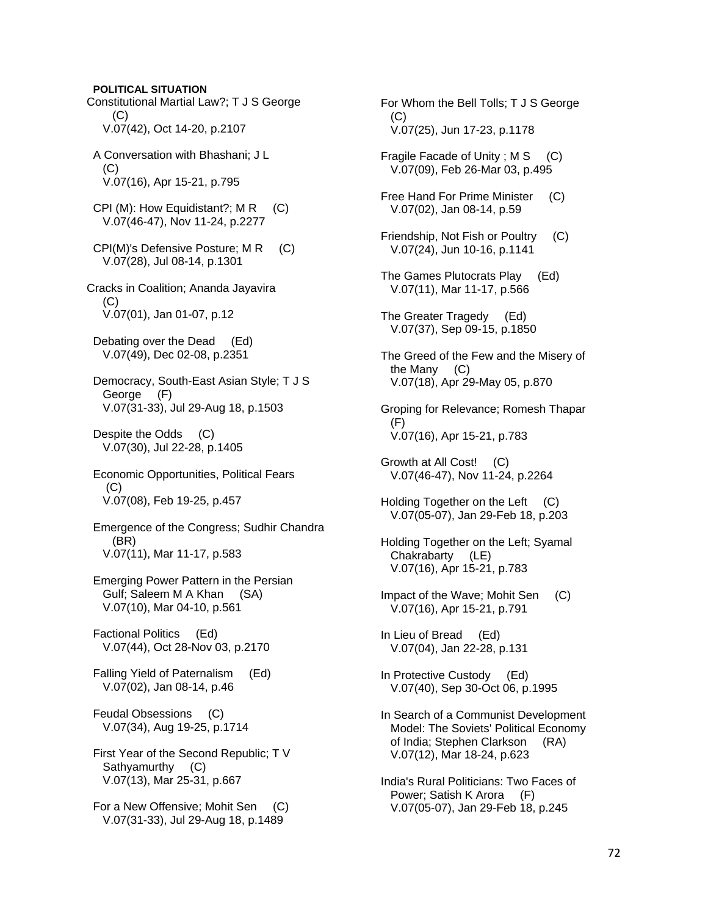**POLITICAL SITUATION**  Constitutional Martial Law?; T J S George (C) V.07(42), Oct 14-20, p.2107 A Conversation with Bhashani; J L (C) V.07(16), Apr 15-21, p.795 CPI (M): How Equidistant?;  $MR$  (C) V.07(46-47), Nov 11-24, p.2277 CPI(M)'s Defensive Posture; M R (C) V.07(28), Jul 08-14, p.1301 Cracks in Coalition; Ananda Jayavira  $(C)$  V.07(01), Jan 01-07, p.12 Debating over the Dead (Ed) V.07(49), Dec 02-08, p.2351 Democracy, South-East Asian Style; T J S George (F) V.07(31-33), Jul 29-Aug 18, p.1503 Despite the Odds (C) V.07(30), Jul 22-28, p.1405 Economic Opportunities, Political Fears (C) V.07(08), Feb 19-25, p.457 Emergence of the Congress; Sudhir Chandra (BR) V.07(11), Mar 11-17, p.583 Emerging Power Pattern in the Persian Gulf; Saleem M A Khan (SA) V.07(10), Mar 04-10, p.561 Factional Politics (Ed) V.07(44), Oct 28-Nov 03, p.2170 Falling Yield of Paternalism (Ed) V.07(02), Jan 08-14, p.46 Feudal Obsessions (C) V.07(34), Aug 19-25, p.1714 First Year of the Second Republic; T V Sathyamurthy (C) V.07(13), Mar 25-31, p.667 For a New Offensive; Mohit Sen (C) V.07(31-33), Jul 29-Aug 18, p.1489

 For Whom the Bell Tolls; T J S George (C) V.07(25), Jun 17-23, p.1178 Fragile Facade of Unity; M S (C) V.07(09), Feb 26-Mar 03, p.495 Free Hand For Prime Minister (C) V.07(02), Jan 08-14, p.59

- Friendship, Not Fish or Poultry (C) V.07(24), Jun 10-16, p.1141
- The Games Plutocrats Play (Ed) V.07(11), Mar 11-17, p.566
- The Greater Tragedy (Ed) V.07(37), Sep 09-15, p.1850
- The Greed of the Few and the Misery of the Many (C) V.07(18), Apr 29-May 05, p.870
- Groping for Relevance; Romesh Thapar (F) V.07(16), Apr 15-21, p.783
- Growth at All Cost! (C) V.07(46-47), Nov 11-24, p.2264
- Holding Together on the Left (C) V.07(05-07), Jan 29-Feb 18, p.203
- Holding Together on the Left; Syamal Chakrabarty (LE) V.07(16), Apr 15-21, p.783
- Impact of the Wave; Mohit Sen (C) V.07(16), Apr 15-21, p.791
- In Lieu of Bread (Ed) V.07(04), Jan 22-28, p.131
- In Protective Custody (Ed) V.07(40), Sep 30-Oct 06, p.1995
- In Search of a Communist Development Model: The Soviets' Political Economy of India; Stephen Clarkson (RA) V.07(12), Mar 18-24, p.623
- India's Rural Politicians: Two Faces of Power; Satish K Arora (F) V.07(05-07), Jan 29-Feb 18, p.245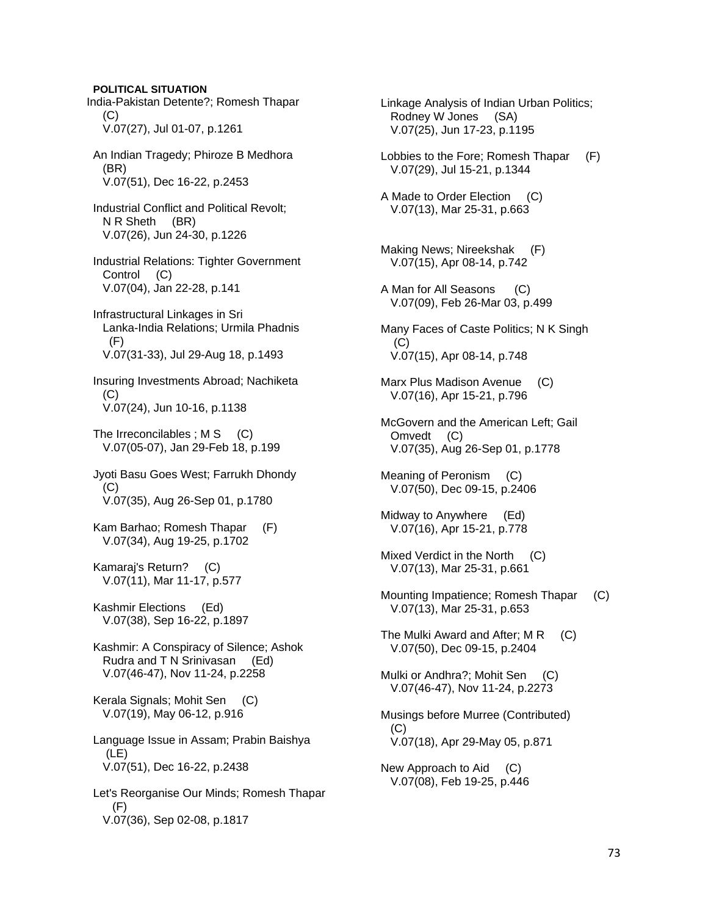**POLITICAL SITUATION**  India-Pakistan Detente?; Romesh Thapar  $(C)$  V.07(27), Jul 01-07, p.1261 An Indian Tragedy; Phiroze B Medhora (BR) V.07(51), Dec 16-22, p.2453 Industrial Conflict and Political Revolt; N R Sheth (BR) V.07(26), Jun 24-30, p.1226 Industrial Relations: Tighter Government Control (C) V.07(04), Jan 22-28, p.141 Infrastructural Linkages in Sri Lanka-India Relations; Urmila Phadnis  $(F)$  V.07(31-33), Jul 29-Aug 18, p.1493 Insuring Investments Abroad; Nachiketa (C) V.07(24), Jun 10-16, p.1138 The Irreconcilables ;  $MS$  (C) V.07(05-07), Jan 29-Feb 18, p.199 Jyoti Basu Goes West; Farrukh Dhondy (C) V.07(35), Aug 26-Sep 01, p.1780 Kam Barhao; Romesh Thapar (F) V.07(34), Aug 19-25, p.1702 Kamaraj's Return? (C) V.07(11), Mar 11-17, p.577 Kashmir Elections (Ed) V.07(38), Sep 16-22, p.1897 Kashmir: A Conspiracy of Silence; Ashok Rudra and T N Srinivasan (Ed) V.07(46-47), Nov 11-24, p.2258 Kerala Signals; Mohit Sen (C) V.07(19), May 06-12, p.916 Language Issue in Assam; Prabin Baishya (LE) V.07(51), Dec 16-22, p.2438 Let's Reorganise Our Minds; Romesh Thapar (F) V.07(36), Sep 02-08, p.1817

 Linkage Analysis of Indian Urban Politics; Rodney W Jones (SA) V.07(25), Jun 17-23, p.1195

 Lobbies to the Fore; Romesh Thapar (F) V.07(29), Jul 15-21, p.1344

 A Made to Order Election (C) V.07(13), Mar 25-31, p.663

 Making News; Nireekshak (F) V.07(15), Apr 08-14, p.742

 A Man for All Seasons (C) V.07(09), Feb 26-Mar 03, p.499

 Many Faces of Caste Politics; N K Singh (C) V.07(15), Apr 08-14, p.748

 Marx Plus Madison Avenue (C) V.07(16), Apr 15-21, p.796

 McGovern and the American Left; Gail Omvedt (C) V.07(35), Aug 26-Sep 01, p.1778

 Meaning of Peronism (C) V.07(50), Dec 09-15, p.2406

 Midway to Anywhere (Ed) V.07(16), Apr 15-21, p.778

 Mixed Verdict in the North (C) V.07(13), Mar 25-31, p.661

 Mounting Impatience; Romesh Thapar (C) V.07(13), Mar 25-31, p.653

The Mulki Award and After; M R (C) V.07(50), Dec 09-15, p.2404

Mulki or Andhra?; Mohit Sen (C) V.07(46-47), Nov 11-24, p.2273

 Musings before Murree (Contributed) (C) V.07(18), Apr 29-May 05, p.871

 New Approach to Aid (C) V.07(08), Feb 19-25, p.446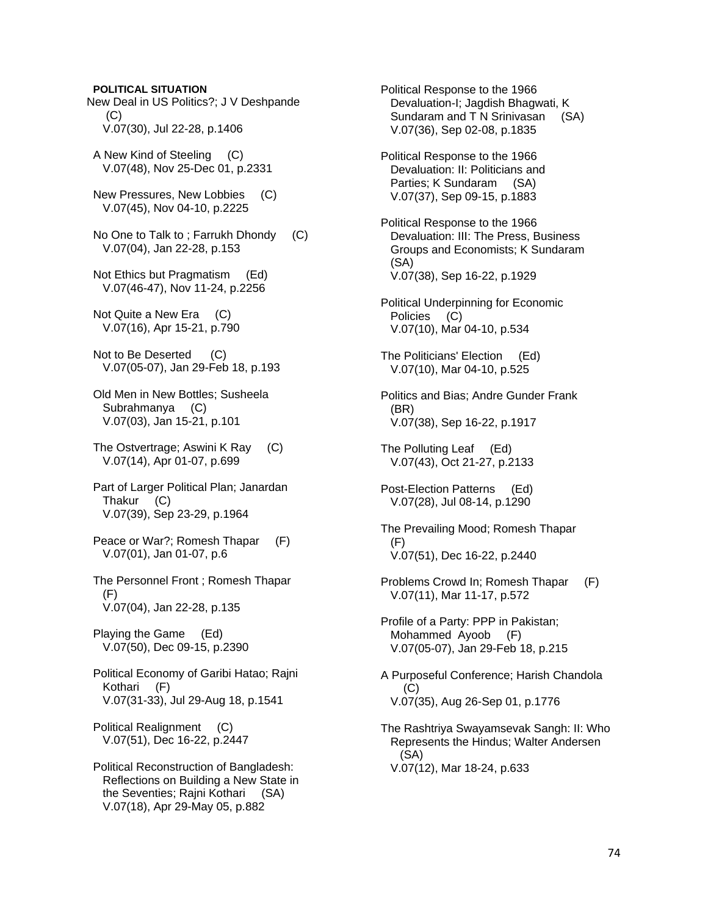**POLITICAL SITUATION** 

New Deal in US Politics?; J V Deshpande (C) V.07(30), Jul 22-28, p.1406

 A New Kind of Steeling (C) V.07(48), Nov 25-Dec 01, p.2331

 New Pressures, New Lobbies (C) V.07(45), Nov 04-10, p.2225

 No One to Talk to ; Farrukh Dhondy (C) V.07(04), Jan 22-28, p.153

 Not Ethics but Pragmatism (Ed) V.07(46-47), Nov 11-24, p.2256

 Not Quite a New Era (C) V.07(16), Apr 15-21, p.790

Not to Be Deserted (C) V.07(05-07), Jan 29-Feb 18, p.193

 Old Men in New Bottles; Susheela Subrahmanya (C) V.07(03), Jan 15-21, p.101

 The Ostvertrage; Aswini K Ray (C) V.07(14), Apr 01-07, p.699

 Part of Larger Political Plan; Janardan Thakur (C) V.07(39), Sep 23-29, p.1964

Peace or War?; Romesh Thapar (F) V.07(01), Jan 01-07, p.6

 The Personnel Front ; Romesh Thapar  $(F)$ V.07(04), Jan 22-28, p.135

 Playing the Game (Ed) V.07(50), Dec 09-15, p.2390

 Political Economy of Garibi Hatao; Rajni Kothari (F) V.07(31-33), Jul 29-Aug 18, p.1541

 Political Realignment (C) V.07(51), Dec 16-22, p.2447

 Political Reconstruction of Bangladesh: Reflections on Building a New State in the Seventies; Rajni Kothari (SA) V.07(18), Apr 29-May 05, p.882

 Political Response to the 1966 Devaluation-I; Jagdish Bhagwati, K Sundaram and T N Srinivasan (SA) V.07(36), Sep 02-08, p.1835 Political Response to the 1966 Devaluation: II: Politicians and Parties; K Sundaram (SA) V.07(37), Sep 09-15, p.1883 Political Response to the 1966 Devaluation: III: The Press, Business Groups and Economists; K Sundaram (SA) V.07(38), Sep 16-22, p.1929 Political Underpinning for Economic Policies (C) V.07(10), Mar 04-10, p.534 The Politicians' Election (Ed) V.07(10), Mar 04-10, p.525 Politics and Bias; Andre Gunder Frank (BR) V.07(38), Sep 16-22, p.1917 The Polluting Leaf (Ed) V.07(43), Oct 21-27, p.2133 Post-Election Patterns (Ed) V.07(28), Jul 08-14, p.1290 The Prevailing Mood; Romesh Thapar (F) V.07(51), Dec 16-22, p.2440 Problems Crowd In; Romesh Thapar (F) V.07(11), Mar 11-17, p.572 Profile of a Party: PPP in Pakistan; Mohammed Ayoob (F) V.07(05-07), Jan 29-Feb 18, p.215 A Purposeful Conference; Harish Chandola (C) V.07(35), Aug 26-Sep 01, p.1776 The Rashtriya Swayamsevak Sangh: II: Who Represents the Hindus; Walter Andersen (SA) V.07(12), Mar 18-24, p.633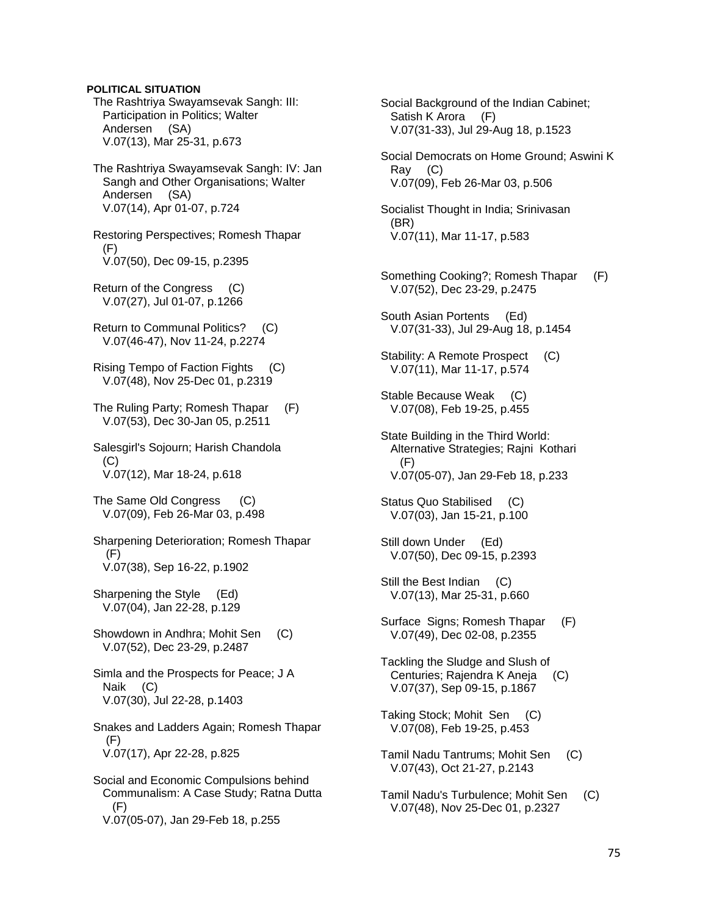### **POLITICAL SITUATION**

- The Rashtriya Swayamsevak Sangh: III: Participation in Politics; Walter Andersen (SA) V.07(13), Mar 25-31, p.673
- The Rashtriya Swayamsevak Sangh: IV: Jan Sangh and Other Organisations; Walter Andersen (SA) V.07(14), Apr 01-07, p.724

 Restoring Perspectives; Romesh Thapar (F) V.07(50), Dec 09-15, p.2395

- Return of the Congress (C) V.07(27), Jul 01-07, p.1266
- Return to Communal Politics? (C) V.07(46-47), Nov 11-24, p.2274
- Rising Tempo of Faction Fights (C) V.07(48), Nov 25-Dec 01, p.2319
- The Ruling Party; Romesh Thapar (F) V.07(53), Dec 30-Jan 05, p.2511
- Salesgirl's Sojourn; Harish Chandola (C) V.07(12), Mar 18-24, p.618
- The Same Old Congress (C) V.07(09), Feb 26-Mar 03, p.498
- Sharpening Deterioration; Romesh Thapar (F) V.07(38), Sep 16-22, p.1902
- Sharpening the Style (Ed) V.07(04), Jan 22-28, p.129
- Showdown in Andhra; Mohit Sen (C) V.07(52), Dec 23-29, p.2487
- Simla and the Prospects for Peace; J A Naik (C) V.07(30), Jul 22-28, p.1403
- Snakes and Ladders Again; Romesh Thapar (F) V.07(17), Apr 22-28, p.825
- Social and Economic Compulsions behind Communalism: A Case Study; Ratna Dutta (F) V.07(05-07), Jan 29-Feb 18, p.255

 Social Background of the Indian Cabinet; Satish K Arora (F) V.07(31-33), Jul 29-Aug 18, p.1523 Social Democrats on Home Ground; Aswini K Ray (C) V.07(09), Feb 26-Mar 03, p.506 Socialist Thought in India; Srinivasan (BR) V.07(11), Mar 11-17, p.583 Something Cooking?; Romesh Thapar (F) V.07(52), Dec 23-29, p.2475 South Asian Portents (Ed) V.07(31-33), Jul 29-Aug 18, p.1454 Stability: A Remote Prospect (C) V.07(11), Mar 11-17, p.574 Stable Because Weak (C) V.07(08), Feb 19-25, p.455 State Building in the Third World: Alternative Strategies; Rajni Kothari (F) V.07(05-07), Jan 29-Feb 18, p.233 Status Quo Stabilised (C) V.07(03), Jan 15-21, p.100 Still down Under (Ed) V.07(50), Dec 09-15, p.2393 Still the Best Indian (C) V.07(13), Mar 25-31, p.660 Surface Signs; Romesh Thapar (F) V.07(49), Dec 02-08, p.2355 Tackling the Sludge and Slush of Centuries; Rajendra K Aneja (C) V.07(37), Sep 09-15, p.1867 Taking Stock; Mohit Sen (C) V.07(08), Feb 19-25, p.453 Tamil Nadu Tantrums; Mohit Sen (C) V.07(43), Oct 21-27, p.2143

 Tamil Nadu's Turbulence; Mohit Sen (C) V.07(48), Nov 25-Dec 01, p.2327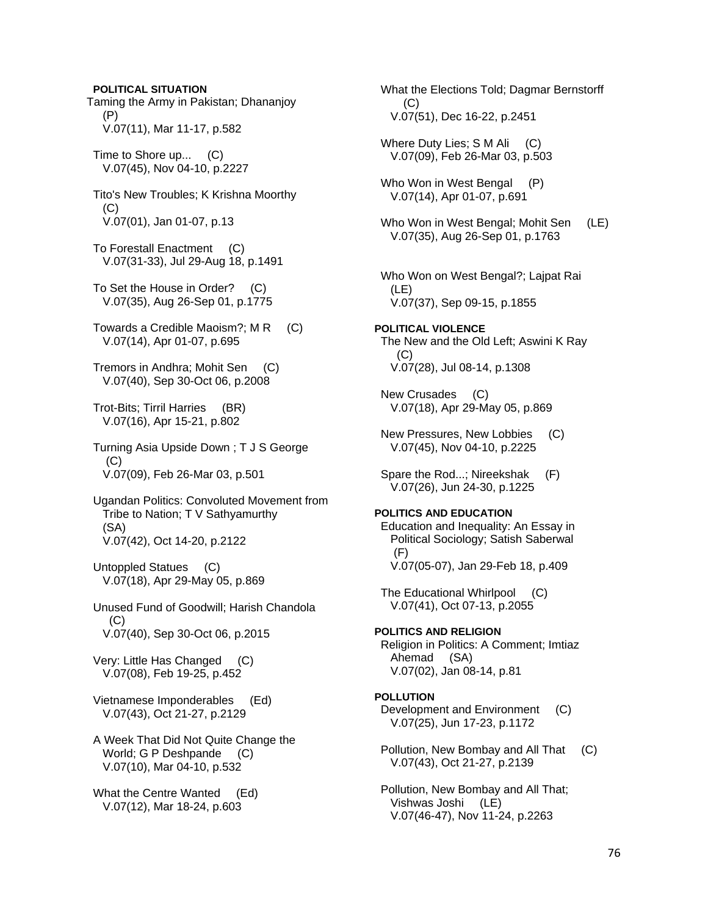Taming the Army in Pakistan; Dhananjoy (P) V.07(11), Mar 11-17, p.582 Time to Shore up... (C) V.07(45), Nov 04-10, p.2227 Tito's New Troubles; K Krishna Moorthy (C) V.07(01), Jan 01-07, p.13 To Forestall Enactment (C) V.07(31-33), Jul 29-Aug 18, p.1491 To Set the House in Order? (C) V.07(35), Aug 26-Sep 01, p.1775 Towards a Credible Maoism?; M R (C) V.07(14), Apr 01-07, p.695 Tremors in Andhra; Mohit Sen (C) V.07(40), Sep 30-Oct 06, p.2008 Trot-Bits; Tirril Harries (BR) V.07(16), Apr 15-21, p.802 Turning Asia Upside Down ; T J S George  $(C)$  V.07(09), Feb 26-Mar 03, p.501 Ugandan Politics: Convoluted Movement from Tribe to Nation; T V Sathyamurthy (SA) V.07(42), Oct 14-20, p.2122 Untoppled Statues (C) V.07(18), Apr 29-May 05, p.869 Unused Fund of Goodwill; Harish Chandola  $(C)$  V.07(40), Sep 30-Oct 06, p.2015 Very: Little Has Changed (C) V.07(08), Feb 19-25, p.452 Vietnamese Imponderables (Ed) V.07(43), Oct 21-27, p.2129 A Week That Did Not Quite Change the World; G P Deshpande (C) V.07(10), Mar 04-10, p.532 What the Centre Wanted (Ed) V.07(12), Mar 18-24, p.603

**POLITICAL SITUATION** 

 What the Elections Told; Dagmar Bernstorff (C) V.07(51), Dec 16-22, p.2451 Where Duty Lies; S M Ali (C) V.07(09), Feb 26-Mar 03, p.503 Who Won in West Bengal (P) V.07(14), Apr 01-07, p.691 Who Won in West Bengal; Mohit Sen (LE) V.07(35), Aug 26-Sep 01, p.1763 Who Won on West Bengal?; Lajpat Rai (LE) V.07(37), Sep 09-15, p.1855 **POLITICAL VIOLENCE**  The New and the Old Left; Aswini K Ray  $(C)$  V.07(28), Jul 08-14, p.1308 New Crusades (C) V.07(18), Apr 29-May 05, p.869 New Pressures, New Lobbies (C) V.07(45), Nov 04-10, p.2225 Spare the Rod...; Nireekshak (F) V.07(26), Jun 24-30, p.1225 **POLITICS AND EDUCATION**  Education and Inequality: An Essay in Political Sociology; Satish Saberwal  $(F)$  V.07(05-07), Jan 29-Feb 18, p.409 The Educational Whirlpool (C) V.07(41), Oct 07-13, p.2055 **POLITICS AND RELIGION**  Religion in Politics: A Comment; Imtiaz Ahemad (SA) V.07(02), Jan 08-14, p.81 **POLLUTION**  Development and Environment (C) V.07(25), Jun 17-23, p.1172 Pollution, New Bombay and All That (C) V.07(43), Oct 21-27, p.2139 Pollution, New Bombay and All That; Vishwas Joshi (LE) V.07(46-47), Nov 11-24, p.2263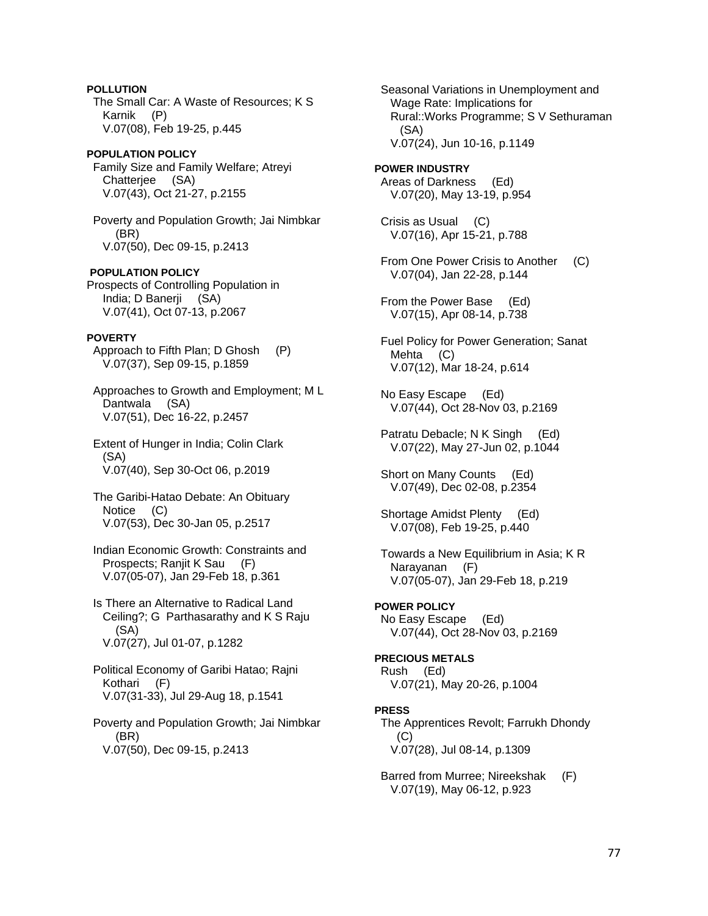**POLLUTION**  The Small Car: A Waste of Resources; K S Karnik (P) V.07(08), Feb 19-25, p.445

**POPULATION POLICY**  Family Size and Family Welfare; Atreyi Chatterjee (SA) V.07(43), Oct 21-27, p.2155

 Poverty and Population Growth; Jai Nimbkar (BR) V.07(50), Dec 09-15, p.2413

**POPULATION POLICY**  Prospects of Controlling Population in India; D Banerji (SA) V.07(41), Oct 07-13, p.2067

# **POVERTY**

 Approach to Fifth Plan; D Ghosh (P) V.07(37), Sep 09-15, p.1859

 Approaches to Growth and Employment; M L Dantwala (SA) V.07(51), Dec 16-22, p.2457

 Extent of Hunger in India; Colin Clark (SA) V.07(40), Sep 30-Oct 06, p.2019

 The Garibi-Hatao Debate: An Obituary Notice (C) V.07(53), Dec 30-Jan 05, p.2517

 Indian Economic Growth: Constraints and Prospects; Ranjit K Sau (F) V.07(05-07), Jan 29-Feb 18, p.361

 Is There an Alternative to Radical Land Ceiling?; G Parthasarathy and K S Raju (SA) V.07(27), Jul 01-07, p.1282

 Political Economy of Garibi Hatao; Rajni Kothari (F) V.07(31-33), Jul 29-Aug 18, p.1541

 Poverty and Population Growth; Jai Nimbkar (BR) V.07(50), Dec 09-15, p.2413

 Seasonal Variations in Unemployment and Wage Rate: Implications for Rural::Works Programme; S V Sethuraman (SA) V.07(24), Jun 10-16, p.1149

**POWER INDUSTRY**  Areas of Darkness (Ed) V.07(20), May 13-19, p.954

 Crisis as Usual (C) V.07(16), Apr 15-21, p.788

From One Power Crisis to Another (C) V.07(04), Jan 22-28, p.144

 From the Power Base (Ed) V.07(15), Apr 08-14, p.738

 Fuel Policy for Power Generation; Sanat Mehta (C) V.07(12), Mar 18-24, p.614

 No Easy Escape (Ed) V.07(44), Oct 28-Nov 03, p.2169

 Patratu Debacle; N K Singh (Ed) V.07(22), May 27-Jun 02, p.1044

 Short on Many Counts (Ed) V.07(49), Dec 02-08, p.2354

 Shortage Amidst Plenty (Ed) V.07(08), Feb 19-25, p.440

 Towards a New Equilibrium in Asia; K R Narayanan (F) V.07(05-07), Jan 29-Feb 18, p.219

# **POWER POLICY**

 No Easy Escape (Ed) V.07(44), Oct 28-Nov 03, p.2169

# **PRECIOUS METALS**  Rush (Ed)

V.07(21), May 20-26, p.1004

### **PRESS**

 The Apprentices Revolt; Farrukh Dhondy  $(C)$ V.07(28), Jul 08-14, p.1309

 Barred from Murree; Nireekshak (F) V.07(19), May 06-12, p.923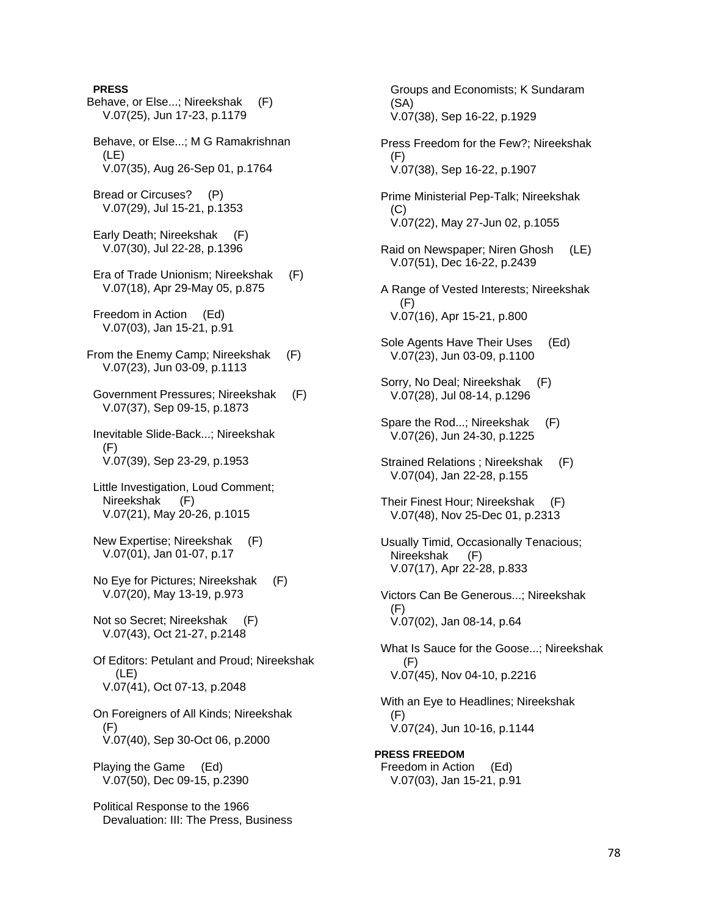## **PRESS**

Behave, or Else...; Nireekshak (F) V.07(25), Jun 17-23, p.1179 Behave, or Else...; M G Ramakrishnan (LE) V.07(35), Aug 26-Sep 01, p.1764 Bread or Circuses? (P) V.07(29), Jul 15-21, p.1353 Early Death; Nireekshak (F) V.07(30), Jul 22-28, p.1396 Era of Trade Unionism; Nireekshak (F) V.07(18), Apr 29-May 05, p.875 Freedom in Action (Ed) V.07(03), Jan 15-21, p.91 From the Enemy Camp; Nireekshak (F) V.07(23), Jun 03-09, p.1113 Government Pressures; Nireekshak (F) V.07(37), Sep 09-15, p.1873 Inevitable Slide-Back...; Nireekshak (F) V.07(39), Sep 23-29, p.1953 Little Investigation, Loud Comment; Nireekshak (F) V.07(21), May 20-26, p.1015 New Expertise; Nireekshak (F) V.07(01), Jan 01-07, p.17 No Eye for Pictures; Nireekshak (F) V.07(20), May 13-19, p.973 Not so Secret; Nireekshak (F) V.07(43), Oct 21-27, p.2148 Of Editors: Petulant and Proud; Nireekshak (LE) V.07(41), Oct 07-13, p.2048 On Foreigners of All Kinds; Nireekshak (F) V.07(40), Sep 30-Oct 06, p.2000 Playing the Game (Ed) V.07(50), Dec 09-15, p.2390 Political Response to the 1966 Devaluation: III: The Press, Business

 (SA) V.07(38), Sep 16-22, p.1929 Press Freedom for the Few?; Nireekshak (F) V.07(38), Sep 16-22, p.1907 Prime Ministerial Pep-Talk; Nireekshak (C) V.07(22), May 27-Jun 02, p.1055 Raid on Newspaper; Niren Ghosh (LE) V.07(51), Dec 16-22, p.2439 A Range of Vested Interests; Nireekshak (F) V.07(16), Apr 15-21, p.800 Sole Agents Have Their Uses (Ed) V.07(23), Jun 03-09, p.1100 Sorry, No Deal; Nireekshak (F) V.07(28), Jul 08-14, p.1296 Spare the Rod...; Nireekshak (F) V.07(26), Jun 24-30, p.1225 Strained Relations ; Nireekshak (F) V.07(04), Jan 22-28, p.155 Their Finest Hour; Nireekshak (F) V.07(48), Nov 25-Dec 01, p.2313 Usually Timid, Occasionally Tenacious; Nireekshak (F) V.07(17), Apr 22-28, p.833 Victors Can Be Generous...; Nireekshak (F) V.07(02), Jan 08-14, p.64 What Is Sauce for the Goose...; Nireekshak (F) V.07(45), Nov 04-10, p.2216 With an Eye to Headlines; Nireekshak (F) V.07(24), Jun 10-16, p.1144 **PRESS FREEDOM**  Freedom in Action (Ed) V.07(03), Jan 15-21, p.91

Groups and Economists; K Sundaram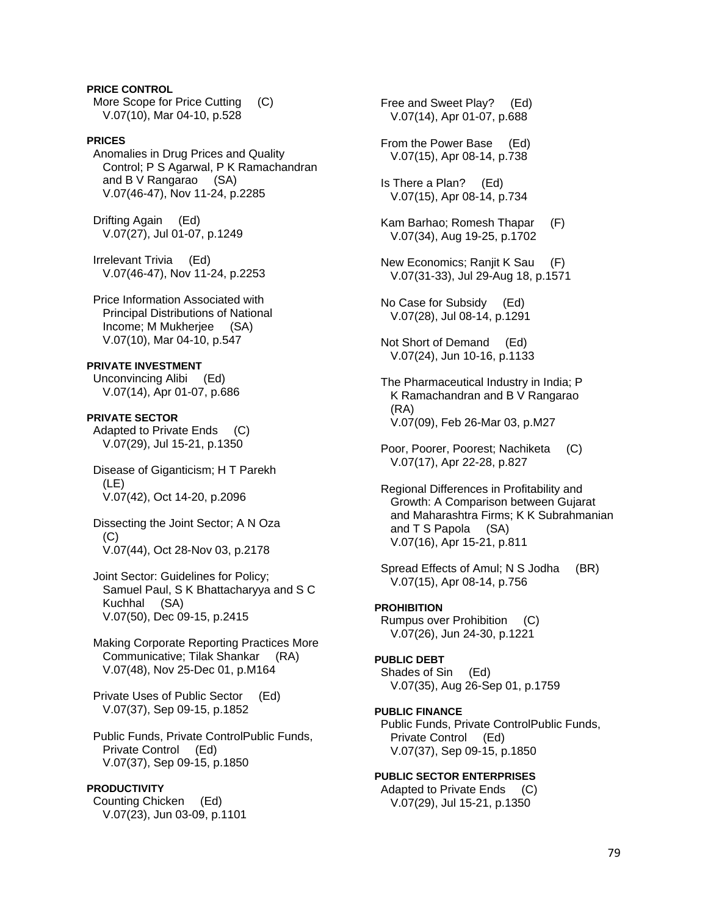**PRICE CONTROL**  More Scope for Price Cutting (C) V.07(10), Mar 04-10, p.528

# **PRICES**

 Anomalies in Drug Prices and Quality Control; P S Agarwal, P K Ramachandran and B V Rangarao (SA) V.07(46-47), Nov 11-24, p.2285

 Drifting Again (Ed) V.07(27), Jul 01-07, p.1249

 Irrelevant Trivia (Ed) V.07(46-47), Nov 11-24, p.2253

 Price Information Associated with Principal Distributions of National Income; M Mukherjee (SA) V.07(10), Mar 04-10, p.547

#### **PRIVATE INVESTMENT**

 Unconvincing Alibi (Ed) V.07(14), Apr 01-07, p.686

**PRIVATE SECTOR**  Adapted to Private Ends (C) V.07(29), Jul 15-21, p.1350

 Disease of Giganticism; H T Parekh (LE) V.07(42), Oct 14-20, p.2096

 Dissecting the Joint Sector; A N Oza (C) V.07(44), Oct 28-Nov 03, p.2178

 Joint Sector: Guidelines for Policy; Samuel Paul, S K Bhattacharyya and S C Kuchhal (SA) V.07(50), Dec 09-15, p.2415

 Making Corporate Reporting Practices More Communicative; Tilak Shankar (RA) V.07(48), Nov 25-Dec 01, p.M164

 Private Uses of Public Sector (Ed) V.07(37), Sep 09-15, p.1852

 Public Funds, Private ControlPublic Funds, Private Control (Ed) V.07(37), Sep 09-15, p.1850

#### **PRODUCTIVITY**

 Counting Chicken (Ed) V.07(23), Jun 03-09, p.1101  Free and Sweet Play? (Ed) V.07(14), Apr 01-07, p.688

 From the Power Base (Ed) V.07(15), Apr 08-14, p.738

 Is There a Plan? (Ed) V.07(15), Apr 08-14, p.734

 Kam Barhao; Romesh Thapar (F) V.07(34), Aug 19-25, p.1702

 New Economics; Ranjit K Sau (F) V.07(31-33), Jul 29-Aug 18, p.1571

 No Case for Subsidy (Ed) V.07(28), Jul 08-14, p.1291

 Not Short of Demand (Ed) V.07(24), Jun 10-16, p.1133

 The Pharmaceutical Industry in India; P K Ramachandran and B V Rangarao (RA) V.07(09), Feb 26-Mar 03, p.M27

 Poor, Poorer, Poorest; Nachiketa (C) V.07(17), Apr 22-28, p.827

 Regional Differences in Profitability and Growth: A Comparison between Gujarat and Maharashtra Firms; K K Subrahmanian and T S Papola (SA) V.07(16), Apr 15-21, p.811

 Spread Effects of Amul; N S Jodha (BR) V.07(15), Apr 08-14, p.756

### **PROHIBITION**

 Rumpus over Prohibition (C) V.07(26), Jun 24-30, p.1221

#### **PUBLIC DEBT**

 Shades of Sin (Ed) V.07(35), Aug 26-Sep 01, p.1759

**PUBLIC FINANCE** 

 Public Funds, Private ControlPublic Funds, Private Control (Ed) V.07(37), Sep 09-15, p.1850

### **PUBLIC SECTOR ENTERPRISES**

 Adapted to Private Ends (C) V.07(29), Jul 15-21, p.1350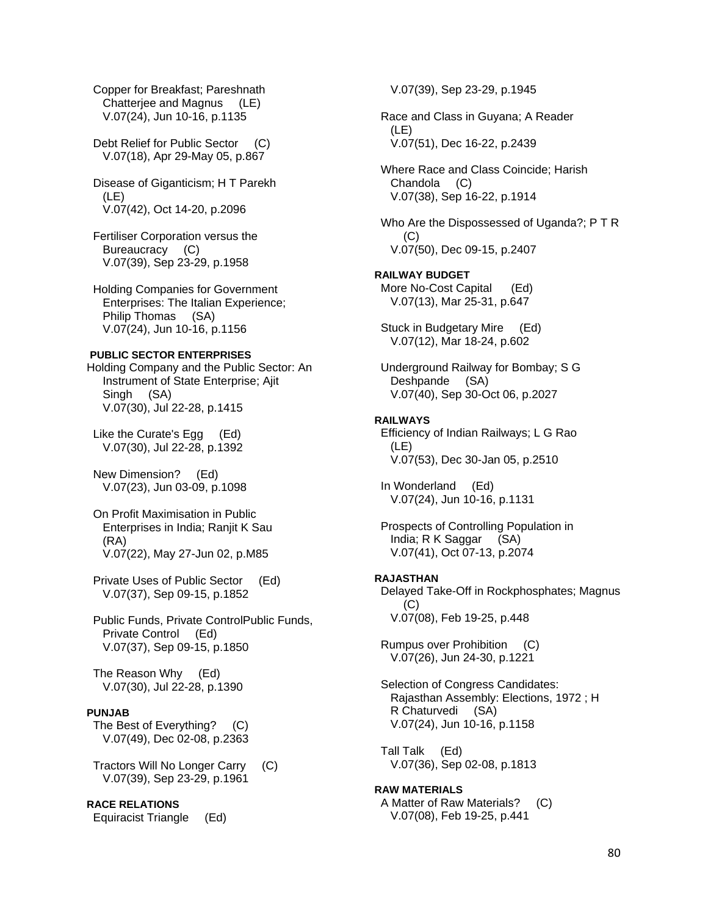Copper for Breakfast; Pareshnath Chatterjee and Magnus (LE) V.07(24), Jun 10-16, p.1135

 Debt Relief for Public Sector (C) V.07(18), Apr 29-May 05, p.867

 Disease of Giganticism; H T Parekh (LE) V.07(42), Oct 14-20, p.2096

 Fertiliser Corporation versus the Bureaucracy (C) V.07(39), Sep 23-29, p.1958

 Holding Companies for Government Enterprises: The Italian Experience; Philip Thomas (SA) V.07(24), Jun 10-16, p.1156

### **PUBLIC SECTOR ENTERPRISES**

Holding Company and the Public Sector: An Instrument of State Enterprise; Ajit Singh (SA) V.07(30), Jul 22-28, p.1415

 Like the Curate's Egg (Ed) V.07(30), Jul 22-28, p.1392

 New Dimension? (Ed) V.07(23), Jun 03-09, p.1098

 On Profit Maximisation in Public Enterprises in India; Ranjit K Sau (RA) V.07(22), May 27-Jun 02, p.M85

 Private Uses of Public Sector (Ed) V.07(37), Sep 09-15, p.1852

 Public Funds, Private ControlPublic Funds, Private Control (Ed) V.07(37), Sep 09-15, p.1850

 The Reason Why (Ed) V.07(30), Jul 22-28, p.1390

### **PUNJAB**

 The Best of Everything? (C) V.07(49), Dec 02-08, p.2363

 Tractors Will No Longer Carry (C) V.07(39), Sep 23-29, p.1961

**RACE RELATIONS** 

Equiracist Triangle (Ed)

V.07(39), Sep 23-29, p.1945

 Race and Class in Guyana; A Reader (LE) V.07(51), Dec 16-22, p.2439

 Where Race and Class Coincide; Harish Chandola (C) V.07(38), Sep 16-22, p.1914

 Who Are the Dispossessed of Uganda?; P T R (C) V.07(50), Dec 09-15, p.2407

**RAILWAY BUDGET**  More No-Cost Capital (Ed) V.07(13), Mar 25-31, p.647

 Stuck in Budgetary Mire (Ed) V.07(12), Mar 18-24, p.602

 Underground Railway for Bombay; S G Deshpande (SA) V.07(40), Sep 30-Oct 06, p.2027

### **RAILWAYS**

 Efficiency of Indian Railways; L G Rao (LE) V.07(53), Dec 30-Jan 05, p.2510

 In Wonderland (Ed) V.07(24), Jun 10-16, p.1131

 Prospects of Controlling Population in India; R K Saggar (SA) V.07(41), Oct 07-13, p.2074

# **RAJASTHAN**

 Delayed Take-Off in Rockphosphates; Magnus (C) V.07(08), Feb 19-25, p.448

 Rumpus over Prohibition (C) V.07(26), Jun 24-30, p.1221

 Selection of Congress Candidates: Rajasthan Assembly: Elections, 1972 ; H R Chaturvedi (SA) V.07(24), Jun 10-16, p.1158

 Tall Talk (Ed) V.07(36), Sep 02-08, p.1813

**RAW MATERIALS**  A Matter of Raw Materials? (C) V.07(08), Feb 19-25, p.441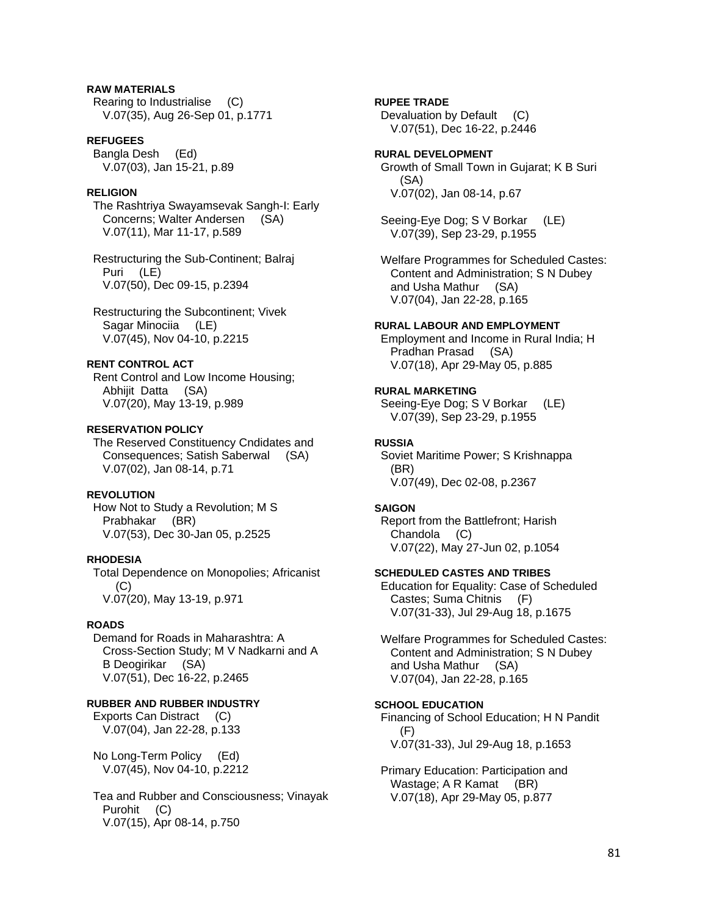# **RAW MATERIALS**

 Rearing to Industrialise (C) V.07(35), Aug 26-Sep 01, p.1771

#### **REFUGEES**

 Bangla Desh (Ed) V.07(03), Jan 15-21, p.89

### **RELIGION**

 The Rashtriya Swayamsevak Sangh-I: Early Concerns; Walter Andersen (SA) V.07(11), Mar 11-17, p.589

 Restructuring the Sub-Continent; Balraj Puri (LE) V.07(50), Dec 09-15, p.2394

 Restructuring the Subcontinent; Vivek Sagar Minociia (LE) V.07(45), Nov 04-10, p.2215

# **RENT CONTROL ACT**

 Rent Control and Low Income Housing; Abhijit Datta (SA) V.07(20), May 13-19, p.989

### **RESERVATION POLICY**

 The Reserved Constituency Cndidates and Consequences; Satish Saberwal (SA) V.07(02), Jan 08-14, p.71

# **REVOLUTION**

 How Not to Study a Revolution; M S Prabhakar (BR) V.07(53), Dec 30-Jan 05, p.2525

#### **RHODESIA**

 Total Dependence on Monopolies; Africanist (C) V.07(20), May 13-19, p.971

### **ROADS**

 Demand for Roads in Maharashtra: A Cross-Section Study; M V Nadkarni and A B Deogirikar (SA) V.07(51), Dec 16-22, p.2465

### **RUBBER AND RUBBER INDUSTRY**

 Exports Can Distract (C) V.07(04), Jan 22-28, p.133

 No Long-Term Policy (Ed) V.07(45), Nov 04-10, p.2212

 Tea and Rubber and Consciousness; Vinayak Purohit (C) V.07(15), Apr 08-14, p.750

### **RUPEE TRADE**

Devaluation by Default (C) V.07(51), Dec 16-22, p.2446

### **RURAL DEVELOPMENT**

 Growth of Small Town in Gujarat; K B Suri (SA) V.07(02), Jan 08-14, p.67

 Seeing-Eye Dog; S V Borkar (LE) V.07(39), Sep 23-29, p.1955

 Welfare Programmes for Scheduled Castes: Content and Administration; S N Dubey and Usha Mathur (SA) V.07(04), Jan 22-28, p.165

### **RURAL LABOUR AND EMPLOYMENT**

 Employment and Income in Rural India; H Pradhan Prasad (SA) V.07(18), Apr 29-May 05, p.885

### **RURAL MARKETING**

 Seeing-Eye Dog; S V Borkar (LE) V.07(39), Sep 23-29, p.1955

#### **RUSSIA**

 Soviet Maritime Power; S Krishnappa (BR) V.07(49), Dec 02-08, p.2367

#### **SAIGON**

 Report from the Battlefront; Harish Chandola (C) V.07(22), May 27-Jun 02, p.1054

### **SCHEDULED CASTES AND TRIBES**

 Education for Equality: Case of Scheduled Castes; Suma Chitnis (F) V.07(31-33), Jul 29-Aug 18, p.1675

 Welfare Programmes for Scheduled Castes: Content and Administration; S N Dubey and Usha Mathur (SA) V.07(04), Jan 22-28, p.165

### **SCHOOL EDUCATION**

 Financing of School Education; H N Pandit (F) V.07(31-33), Jul 29-Aug 18, p.1653

 Primary Education: Participation and Wastage; A R Kamat (BR) V.07(18), Apr 29-May 05, p.877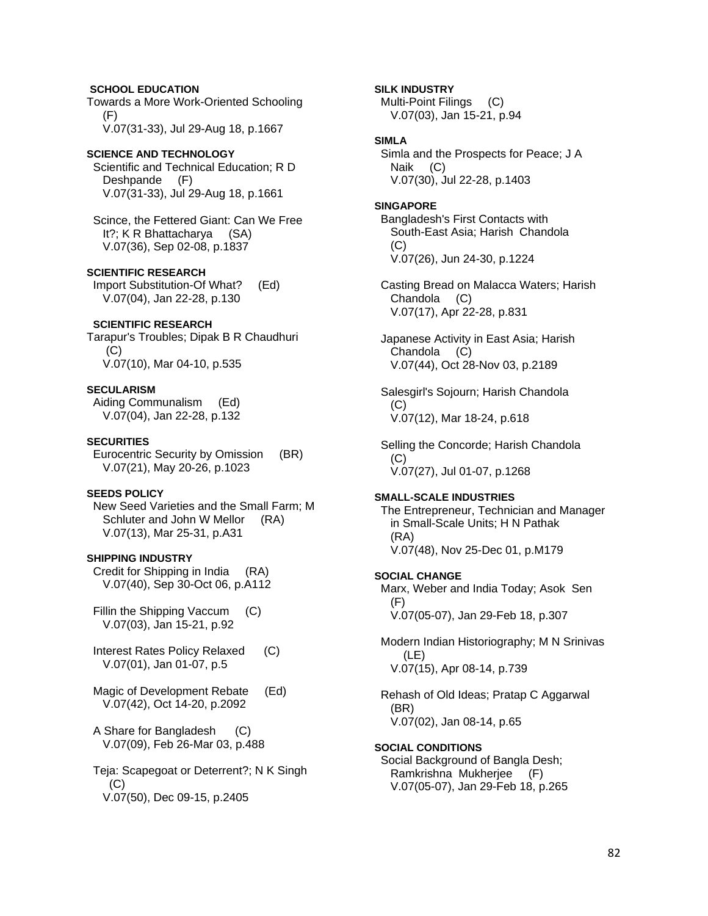# **SCHOOL EDUCATION**

Towards a More Work-Oriented Schooling (F)

V.07(31-33), Jul 29-Aug 18, p.1667

# **SCIENCE AND TECHNOLOGY**

 Scientific and Technical Education; R D Deshpande (F) V.07(31-33), Jul 29-Aug 18, p.1661

 Scince, the Fettered Giant: Can We Free It?; K R Bhattacharya (SA) V.07(36), Sep 02-08, p.1837

### **SCIENTIFIC RESEARCH**

 Import Substitution-Of What? (Ed) V.07(04), Jan 22-28, p.130

### **SCIENTIFIC RESEARCH**

Tarapur's Troubles; Dipak B R Chaudhuri (C) V.07(10), Mar 04-10, p.535

### **SECULARISM**

 Aiding Communalism (Ed) V.07(04), Jan 22-28, p.132

#### **SECURITIES**

 Eurocentric Security by Omission (BR) V.07(21), May 20-26, p.1023

### **SEEDS POLICY**

 New Seed Varieties and the Small Farm; M Schluter and John W Mellor (RA) V.07(13), Mar 25-31, p.A31

#### **SHIPPING INDUSTRY**

 Credit for Shipping in India (RA) V.07(40), Sep 30-Oct 06, p.A112

Fillin the Shipping Vaccum (C) V.07(03), Jan 15-21, p.92

- Interest Rates Policy Relaxed (C) V.07(01), Jan 01-07, p.5
- Magic of Development Rebate (Ed) V.07(42), Oct 14-20, p.2092
- A Share for Bangladesh (C) V.07(09), Feb 26-Mar 03, p.488

 Teja: Scapegoat or Deterrent?; N K Singh  $(C)$ V.07(50), Dec 09-15, p.2405

### **SILK INDUSTRY**

 Multi-Point Filings (C) V.07(03), Jan 15-21, p.94

# **SIMLA**

 Simla and the Prospects for Peace; J A Naik (C) V.07(30), Jul 22-28, p.1403

#### **SINGAPORE**

 Bangladesh's First Contacts with South-East Asia; Harish Chandola (C) V.07(26), Jun 24-30, p.1224

 Casting Bread on Malacca Waters; Harish Chandola (C) V.07(17), Apr 22-28, p.831

 Japanese Activity in East Asia; Harish Chandola (C) V.07(44), Oct 28-Nov 03, p.2189

 Salesgirl's Sojourn; Harish Chandola (C) V.07(12), Mar 18-24, p.618

 Selling the Concorde; Harish Chandola (C) V.07(27), Jul 01-07, p.1268

#### **SMALL-SCALE INDUSTRIES**

 The Entrepreneur, Technician and Manager in Small-Scale Units; H N Pathak (RA) V.07(48), Nov 25-Dec 01, p.M179

# **SOCIAL CHANGE**  Marx, Weber and India Today; Asok Sen

 (F) V.07(05-07), Jan 29-Feb 18, p.307

 Modern Indian Historiography; M N Srinivas (LE) V.07(15), Apr 08-14, p.739

 Rehash of Old Ideas; Pratap C Aggarwal (BR) V.07(02), Jan 08-14, p.65

### **SOCIAL CONDITIONS**

 Social Background of Bangla Desh; Ramkrishna Mukherjee (F) V.07(05-07), Jan 29-Feb 18, p.265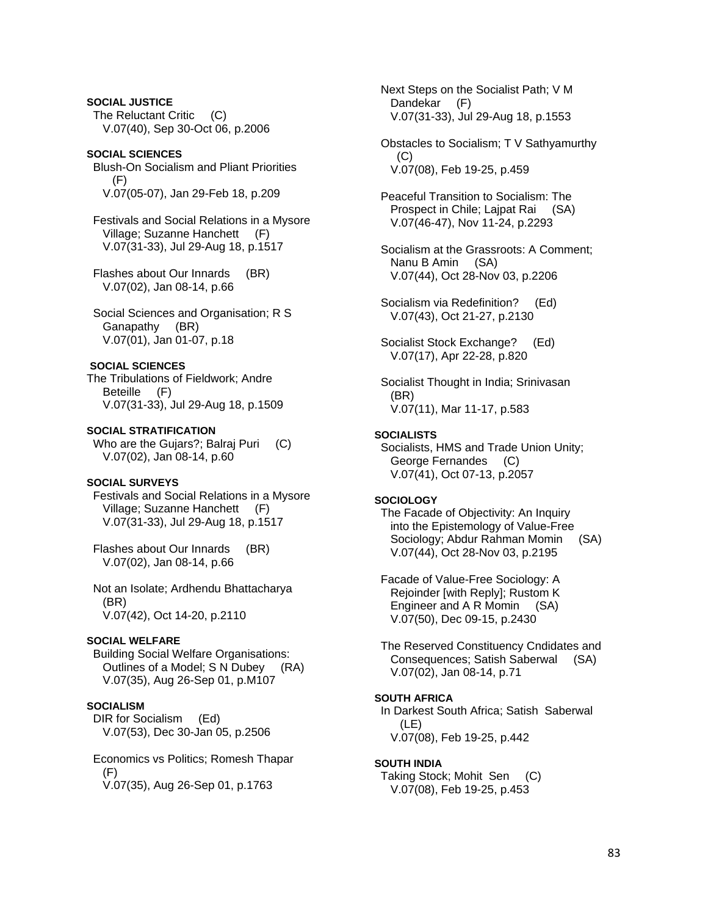**SOCIAL JUSTICE**  The Reluctant Critic (C) V.07(40), Sep 30-Oct 06, p.2006

### **SOCIAL SCIENCES**

 Blush-On Socialism and Pliant Priorities (F) V.07(05-07), Jan 29-Feb 18, p.209

 Festivals and Social Relations in a Mysore Village; Suzanne Hanchett (F) V.07(31-33), Jul 29-Aug 18, p.1517

 Flashes about Our Innards (BR) V.07(02), Jan 08-14, p.66

 Social Sciences and Organisation; R S Ganapathy (BR) V.07(01), Jan 01-07, p.18

#### **SOCIAL SCIENCES**

The Tribulations of Fieldwork; Andre Beteille (F) V.07(31-33), Jul 29-Aug 18, p.1509

#### **SOCIAL STRATIFICATION**

Who are the Gujars?; Balraj Puri (C) V.07(02), Jan 08-14, p.60

### **SOCIAL SURVEYS**

 Festivals and Social Relations in a Mysore Village; Suzanne Hanchett (F) V.07(31-33), Jul 29-Aug 18, p.1517

 Flashes about Our Innards (BR) V.07(02), Jan 08-14, p.66

 Not an Isolate; Ardhendu Bhattacharya (BR) V.07(42), Oct 14-20, p.2110

#### **SOCIAL WELFARE**

 Building Social Welfare Organisations: Outlines of a Model; S N Dubey (RA) V.07(35), Aug 26-Sep 01, p.M107

# **SOCIALISM**

 DIR for Socialism (Ed) V.07(53), Dec 30-Jan 05, p.2506

 Economics vs Politics; Romesh Thapar (F)

V.07(35), Aug 26-Sep 01, p.1763

 Next Steps on the Socialist Path; V M Dandekar (F) V.07(31-33), Jul 29-Aug 18, p.1553

 Obstacles to Socialism; T V Sathyamurthy  $(C)$ V.07(08), Feb 19-25, p.459

 Peaceful Transition to Socialism: The Prospect in Chile; Lajpat Rai (SA) V.07(46-47), Nov 11-24, p.2293

 Socialism at the Grassroots: A Comment; Nanu B Amin (SA) V.07(44), Oct 28-Nov 03, p.2206

 Socialism via Redefinition? (Ed) V.07(43), Oct 21-27, p.2130

 Socialist Stock Exchange? (Ed) V.07(17), Apr 22-28, p.820

 Socialist Thought in India; Srinivasan (BR) V.07(11), Mar 11-17, p.583

#### **SOCIALISTS**

 Socialists, HMS and Trade Union Unity; George Fernandes (C) V.07(41), Oct 07-13, p.2057

### **SOCIOLOGY**

 The Facade of Objectivity: An Inquiry into the Epistemology of Value-Free Sociology; Abdur Rahman Momin (SA) V.07(44), Oct 28-Nov 03, p.2195

 Facade of Value-Free Sociology: A Rejoinder [with Reply]; Rustom K Engineer and A R Momin (SA) V.07(50), Dec 09-15, p.2430

 The Reserved Constituency Cndidates and Consequences; Satish Saberwal (SA) V.07(02), Jan 08-14, p.71

#### **SOUTH AFRICA**

 In Darkest South Africa; Satish Saberwal (LE) V.07(08), Feb 19-25, p.442

#### **SOUTH INDIA**

 Taking Stock; Mohit Sen (C) V.07(08), Feb 19-25, p.453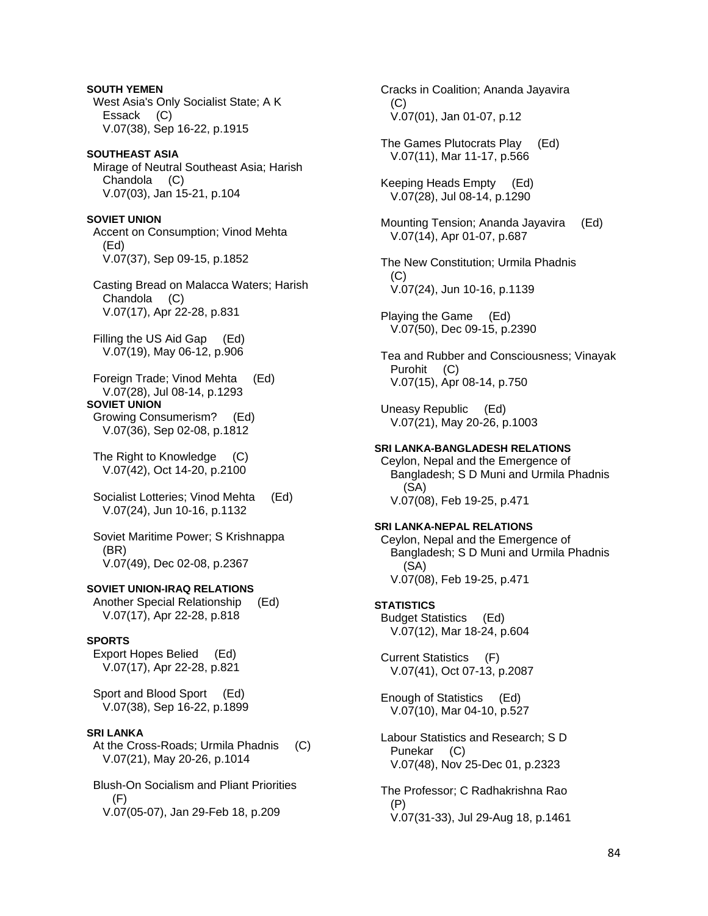**SOUTH YEMEN**  West Asia's Only Socialist State; A K Essack (C) V.07(38), Sep 16-22, p.1915 **SOUTHEAST ASIA**  Mirage of Neutral Southeast Asia; Harish Chandola (C) V.07(03), Jan 15-21, p.104 **SOVIET UNION**  Accent on Consumption; Vinod Mehta (Ed) V.07(37), Sep 09-15, p.1852 Casting Bread on Malacca Waters; Harish Chandola (C) V.07(17), Apr 22-28, p.831 Filling the US Aid Gap (Ed) V.07(19), May 06-12, p.906 Foreign Trade; Vinod Mehta (Ed) V.07(28), Jul 08-14, p.1293 **SOVIET UNION**  Growing Consumerism? (Ed) V.07(36), Sep 02-08, p.1812 The Right to Knowledge (C) V.07(42), Oct 14-20, p.2100 Socialist Lotteries; Vinod Mehta (Ed) V.07(24), Jun 10-16, p.1132 Soviet Maritime Power; S Krishnappa (BR) V.07(49), Dec 02-08, p.2367 **SOVIET UNION-IRAQ RELATIONS**  Another Special Relationship (Ed) V.07(17), Apr 22-28, p.818 **SPORTS**  Export Hopes Belied (Ed) V.07(17), Apr 22-28, p.821 Sport and Blood Sport (Ed) V.07(38), Sep 16-22, p.1899 **SRI LANKA**  At the Cross-Roads; Urmila Phadnis (C) V.07(21), May 20-26, p.1014 Blush-On Socialism and Pliant Priorities (F)

V.07(05-07), Jan 29-Feb 18, p.209

 Cracks in Coalition; Ananda Jayavira (C) V.07(01), Jan 01-07, p.12 The Games Plutocrats Play (Ed) V.07(11), Mar 11-17, p.566 Keeping Heads Empty (Ed) V.07(28), Jul 08-14, p.1290 Mounting Tension; Ananda Jayavira (Ed) V.07(14), Apr 01-07, p.687 The New Constitution; Urmila Phadnis (C) V.07(24), Jun 10-16, p.1139 Playing the Game (Ed) V.07(50), Dec 09-15, p.2390 Tea and Rubber and Consciousness; Vinayak Purohit (C) V.07(15), Apr 08-14, p.750 Uneasy Republic (Ed) V.07(21), May 20-26, p.1003 **SRI LANKA-BANGLADESH RELATIONS**  Ceylon, Nepal and the Emergence of Bangladesh; S D Muni and Urmila Phadnis (SA) V.07(08), Feb 19-25, p.471 **SRI LANKA-NEPAL RELATIONS**  Ceylon, Nepal and the Emergence of Bangladesh; S D Muni and Urmila Phadnis (SA) V.07(08), Feb 19-25, p.471 **STATISTICS**  Budget Statistics (Ed) V.07(12), Mar 18-24, p.604 Current Statistics (F) V.07(41), Oct 07-13, p.2087 Enough of Statistics (Ed) V.07(10), Mar 04-10, p.527 Labour Statistics and Research; S D Punekar (C) V.07(48), Nov 25-Dec 01, p.2323 The Professor; C Radhakrishna Rao (P) V.07(31-33), Jul 29-Aug 18, p.1461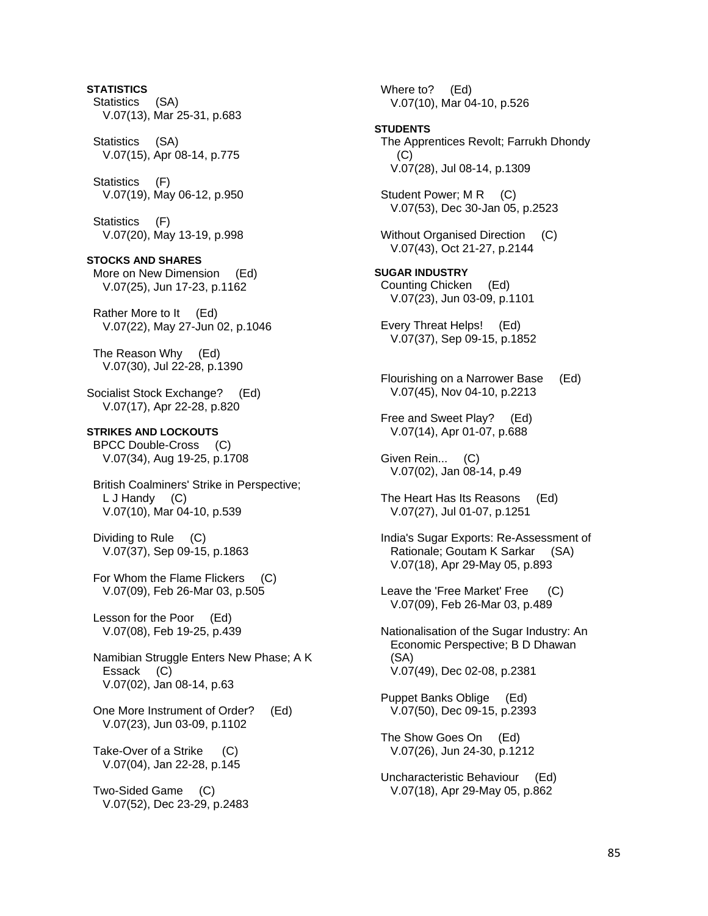# **STATISTICS**  Statistics (SA) V.07(13), Mar 25-31, p.683 Statistics (SA) V.07(15), Apr 08-14, p.775 Statistics (F) V.07(19), May 06-12, p.950 Statistics (F) V.07(20), May 13-19, p.998 **STOCKS AND SHARES**  More on New Dimension (Ed) V.07(25), Jun 17-23, p.1162 Rather More to It (Ed) V.07(22), May 27-Jun 02, p.1046 The Reason Why (Ed) V.07(30), Jul 22-28, p.1390 Socialist Stock Exchange? (Ed) V.07(17), Apr 22-28, p.820 **STRIKES AND LOCKOUTS**  BPCC Double-Cross (C) V.07(34), Aug 19-25, p.1708 British Coalminers' Strike in Perspective; L J Handy (C) V.07(10), Mar 04-10, p.539 Dividing to Rule (C) V.07(37), Sep 09-15, p.1863 For Whom the Flame Flickers (C) V.07(09), Feb 26-Mar 03, p.505 Lesson for the Poor (Ed) V.07(08), Feb 19-25, p.439 Namibian Struggle Enters New Phase; A K Essack (C) V.07(02), Jan 08-14, p.63 One More Instrument of Order? (Ed) V.07(23), Jun 03-09, p.1102 Take-Over of a Strike (C) V.07(04), Jan 22-28, p.145 Two-Sided Game (C)

V.07(52), Dec 23-29, p.2483

 Where to? (Ed) V.07(10), Mar 04-10, p.526 **STUDENTS**  The Apprentices Revolt; Farrukh Dhondy  $(C)$  V.07(28), Jul 08-14, p.1309 Student Power; M R (C) V.07(53), Dec 30-Jan 05, p.2523 Without Organised Direction (C) V.07(43), Oct 21-27, p.2144 **SUGAR INDUSTRY**  Counting Chicken (Ed) V.07(23), Jun 03-09, p.1101 Every Threat Helps! (Ed) V.07(37), Sep 09-15, p.1852 Flourishing on a Narrower Base (Ed) V.07(45), Nov 04-10, p.2213 Free and Sweet Play? (Ed) V.07(14), Apr 01-07, p.688 Given Rein... (C) V.07(02), Jan 08-14, p.49 The Heart Has Its Reasons (Ed) V.07(27), Jul 01-07, p.1251 India's Sugar Exports: Re-Assessment of Rationale; Goutam K Sarkar (SA) V.07(18), Apr 29-May 05, p.893 Leave the 'Free Market' Free (C) V.07(09), Feb 26-Mar 03, p.489 Nationalisation of the Sugar Industry: An Economic Perspective; B D Dhawan (SA) V.07(49), Dec 02-08, p.2381 Puppet Banks Oblige (Ed) V.07(50), Dec 09-15, p.2393 The Show Goes On (Ed) V.07(26), Jun 24-30, p.1212 Uncharacteristic Behaviour (Ed) V.07(18), Apr 29-May 05, p.862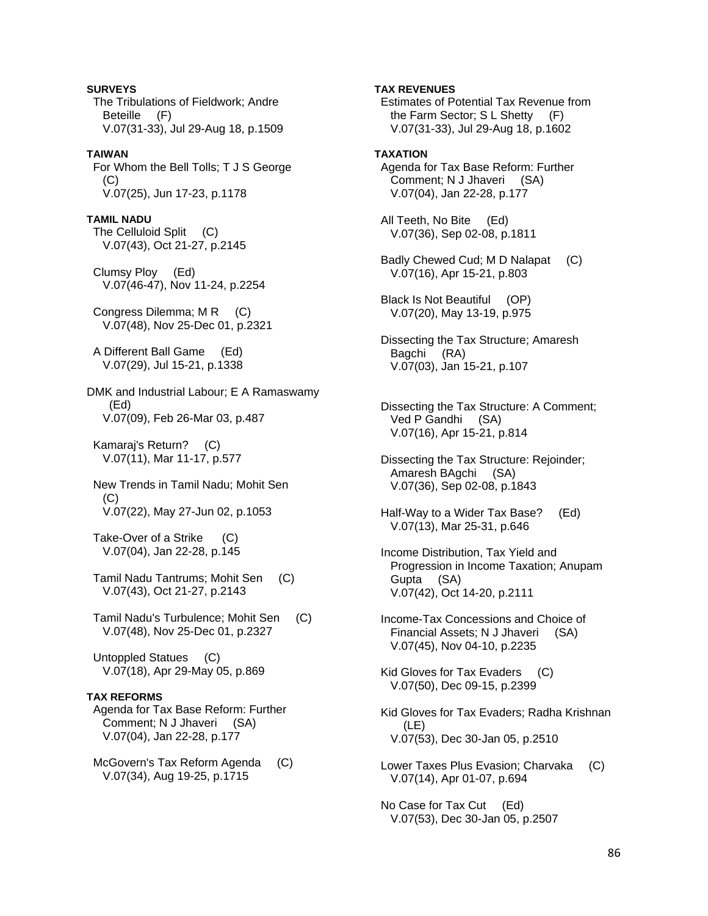**SURVEYS**  The Tribulations of Fieldwork; Andre Beteille (F) V.07(31-33), Jul 29-Aug 18, p.1509 **TAIWAN**  For Whom the Bell Tolls; T J S George  $(C)$  V.07(25), Jun 17-23, p.1178 **TAMIL NADU**  The Celluloid Split (C) V.07(43), Oct 21-27, p.2145 Clumsy Ploy (Ed) V.07(46-47), Nov 11-24, p.2254 Congress Dilemma; M R (C) V.07(48), Nov 25-Dec 01, p.2321 A Different Ball Game (Ed) V.07(29), Jul 15-21, p.1338 DMK and Industrial Labour; E A Ramaswamy (Ed) V.07(09), Feb 26-Mar 03, p.487 Kamaraj's Return? (C) V.07(11), Mar 11-17, p.577 New Trends in Tamil Nadu; Mohit Sen  $(C)$  V.07(22), May 27-Jun 02, p.1053 Take-Over of a Strike (C) V.07(04), Jan 22-28, p.145 Tamil Nadu Tantrums; Mohit Sen (C) V.07(43), Oct 21-27, p.2143 Tamil Nadu's Turbulence; Mohit Sen (C) V.07(48), Nov 25-Dec 01, p.2327 Untoppled Statues (C) V.07(18), Apr 29-May 05, p.869

### **TAX REFORMS**

 Agenda for Tax Base Reform: Further Comment; N J Jhaveri (SA) V.07(04), Jan 22-28, p.177

McGovern's Tax Reform Agenda (C) V.07(34), Aug 19-25, p.1715

**TAX REVENUES**  Estimates of Potential Tax Revenue from the Farm Sector; S L Shetty (F) V.07(31-33), Jul 29-Aug 18, p.1602 **TAXATION**  Agenda for Tax Base Reform: Further Comment; N J Jhaveri (SA) V.07(04), Jan 22-28, p.177 All Teeth, No Bite (Ed) V.07(36), Sep 02-08, p.1811 Badly Chewed Cud; M D Nalapat (C) V.07(16), Apr 15-21, p.803 Black Is Not Beautiful (OP) V.07(20), May 13-19, p.975 Dissecting the Tax Structure; Amaresh Bagchi (RA) V.07(03), Jan 15-21, p.107 Dissecting the Tax Structure: A Comment; Ved P Gandhi (SA) V.07(16), Apr 15-21, p.814 Dissecting the Tax Structure: Rejoinder; Amaresh BAgchi (SA) V.07(36), Sep 02-08, p.1843 Half-Way to a Wider Tax Base? (Ed) V.07(13), Mar 25-31, p.646 Income Distribution, Tax Yield and Progression in Income Taxation; Anupam Gupta (SA) V.07(42), Oct 14-20, p.2111 Income-Tax Concessions and Choice of Financial Assets; N J Jhaveri (SA) V.07(45), Nov 04-10, p.2235 Kid Gloves for Tax Evaders (C) V.07(50), Dec 09-15, p.2399 Kid Gloves for Tax Evaders; Radha Krishnan (LE) V.07(53), Dec 30-Jan 05, p.2510

 Lower Taxes Plus Evasion; Charvaka (C) V.07(14), Apr 01-07, p.694

 No Case for Tax Cut (Ed) V.07(53), Dec 30-Jan 05, p.2507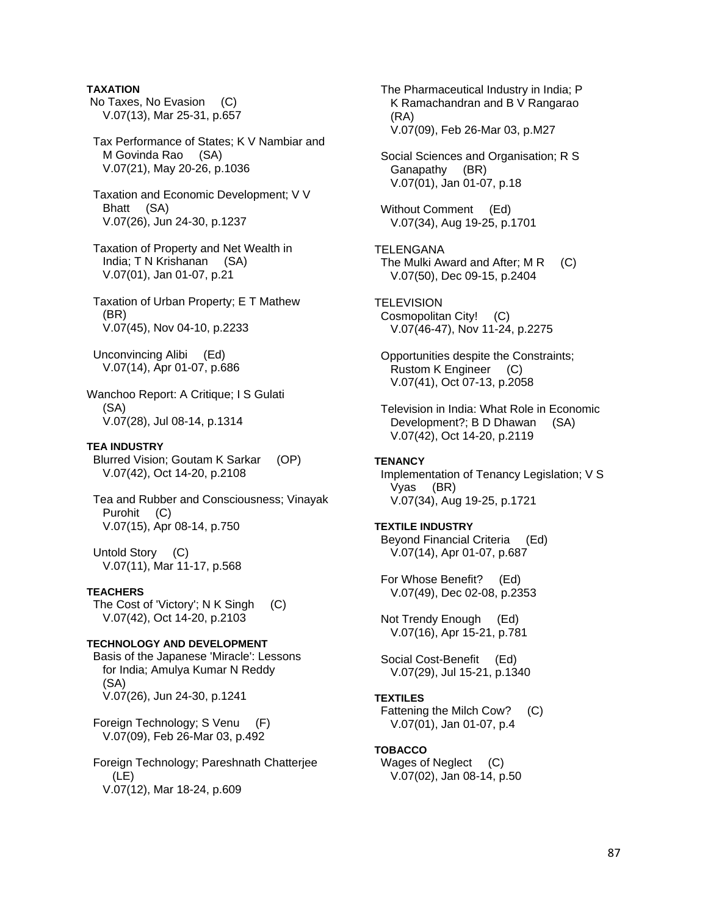**TAXATION** 

 No Taxes, No Evasion (C) V.07(13), Mar 25-31, p.657

 Tax Performance of States; K V Nambiar and M Govinda Rao (SA) V.07(21), May 20-26, p.1036

 Taxation and Economic Development; V V Bhatt (SA) V.07(26), Jun 24-30, p.1237

 Taxation of Property and Net Wealth in India; T N Krishanan (SA) V.07(01), Jan 01-07, p.21

 Taxation of Urban Property; E T Mathew (BR) V.07(45), Nov 04-10, p.2233

 Unconvincing Alibi (Ed) V.07(14), Apr 01-07, p.686

Wanchoo Report: A Critique; I S Gulati (SA) V.07(28), Jul 08-14, p.1314

# **TEA INDUSTRY**

 Blurred Vision; Goutam K Sarkar (OP) V.07(42), Oct 14-20, p.2108

 Tea and Rubber and Consciousness; Vinayak Purohit (C) V.07(15), Apr 08-14, p.750

 Untold Story (C) V.07(11), Mar 11-17, p.568

### **TEACHERS**

 The Cost of 'Victory'; N K Singh (C) V.07(42), Oct 14-20, p.2103

### **TECHNOLOGY AND DEVELOPMENT**

 Basis of the Japanese 'Miracle': Lessons for India; Amulya Kumar N Reddy (SA) V.07(26), Jun 24-30, p.1241

 Foreign Technology; S Venu (F) V.07(09), Feb 26-Mar 03, p.492

 Foreign Technology; Pareshnath Chatterjee  $(LE)$ V.07(12), Mar 18-24, p.609

 The Pharmaceutical Industry in India; P K Ramachandran and B V Rangarao (RA) V.07(09), Feb 26-Mar 03, p.M27

 Social Sciences and Organisation; R S Ganapathy (BR) V.07(01), Jan 01-07, p.18

 Without Comment (Ed) V.07(34), Aug 19-25, p.1701

TELENGANA The Mulki Award and After; M R (C) V.07(50), Dec 09-15, p.2404

**TELEVISION**  Cosmopolitan City! (C) V.07(46-47), Nov 11-24, p.2275

 Opportunities despite the Constraints; Rustom K Engineer (C) V.07(41), Oct 07-13, p.2058

 Television in India: What Role in Economic Development?; B D Dhawan (SA) V.07(42), Oct 14-20, p.2119

## **TENANCY**

 Implementation of Tenancy Legislation; V S Vyas (BR) V.07(34), Aug 19-25, p.1721

### **TEXTILE INDUSTRY**

 Beyond Financial Criteria (Ed) V.07(14), Apr 01-07, p.687

 For Whose Benefit? (Ed) V.07(49), Dec 02-08, p.2353

 Not Trendy Enough (Ed) V.07(16), Apr 15-21, p.781

 Social Cost-Benefit (Ed) V.07(29), Jul 15-21, p.1340

### **TEXTILES**

 Fattening the Milch Cow? (C) V.07(01), Jan 01-07, p.4

### **TOBACCO**

Wages of Neglect (C) V.07(02), Jan 08-14, p.50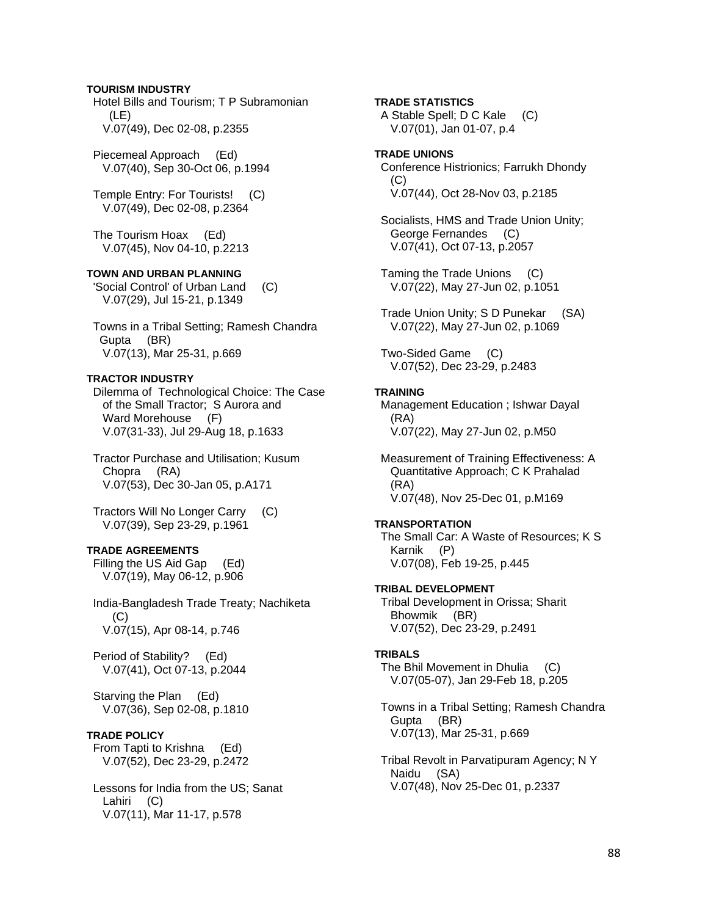### **TOURISM INDUSTRY**

 Hotel Bills and Tourism; T P Subramonian (LE) V.07(49), Dec 02-08, p.2355

 Piecemeal Approach (Ed) V.07(40), Sep 30-Oct 06, p.1994

 Temple Entry: For Tourists! (C) V.07(49), Dec 02-08, p.2364

 The Tourism Hoax (Ed) V.07(45), Nov 04-10, p.2213

#### **TOWN AND URBAN PLANNING**

 'Social Control' of Urban Land (C) V.07(29), Jul 15-21, p.1349

 Towns in a Tribal Setting; Ramesh Chandra Gupta (BR) V.07(13), Mar 25-31, p.669

### **TRACTOR INDUSTRY**

 Dilemma of Technological Choice: The Case of the Small Tractor; S Aurora and Ward Morehouse (F) V.07(31-33), Jul 29-Aug 18, p.1633

 Tractor Purchase and Utilisation; Kusum Chopra (RA) V.07(53), Dec 30-Jan 05, p.A171

 Tractors Will No Longer Carry (C) V.07(39), Sep 23-29, p.1961

# **TRADE AGREEMENTS**

 Filling the US Aid Gap (Ed) V.07(19), May 06-12, p.906

 India-Bangladesh Trade Treaty; Nachiketa  $(C)$ V.07(15), Apr 08-14, p.746

 Period of Stability? (Ed) V.07(41), Oct 07-13, p.2044

 Starving the Plan (Ed) V.07(36), Sep 02-08, p.1810

# **TRADE POLICY**

 From Tapti to Krishna (Ed) V.07(52), Dec 23-29, p.2472

 Lessons for India from the US; Sanat Lahiri (C) V.07(11), Mar 11-17, p.578

### **TRADE STATISTICS**

 A Stable Spell; D C Kale (C) V.07(01), Jan 01-07, p.4

# **TRADE UNIONS**  Conference Histrionics; Farrukh Dhondy (C) V.07(44), Oct 28-Nov 03, p.2185

 Socialists, HMS and Trade Union Unity; George Fernandes (C) V.07(41), Oct 07-13, p.2057

 Taming the Trade Unions (C) V.07(22), May 27-Jun 02, p.1051

 Trade Union Unity; S D Punekar (SA) V.07(22), May 27-Jun 02, p.1069

 Two-Sided Game (C) V.07(52), Dec 23-29, p.2483

#### **TRAINING**

 Management Education ; Ishwar Dayal (RA) V.07(22), May 27-Jun 02, p.M50

 Measurement of Training Effectiveness: A Quantitative Approach; C K Prahalad (RA) V.07(48), Nov 25-Dec 01, p.M169

# **TRANSPORTATION**

 The Small Car: A Waste of Resources; K S Karnik (P) V.07(08), Feb 19-25, p.445

#### **TRIBAL DEVELOPMENT**

 Tribal Development in Orissa; Sharit Bhowmik (BR) V.07(52), Dec 23-29, p.2491

### **TRIBALS**

 The Bhil Movement in Dhulia (C) V.07(05-07), Jan 29-Feb 18, p.205

 Towns in a Tribal Setting; Ramesh Chandra Gupta (BR) V.07(13), Mar 25-31, p.669

 Tribal Revolt in Parvatipuram Agency; N Y Naidu (SA) V.07(48), Nov 25-Dec 01, p.2337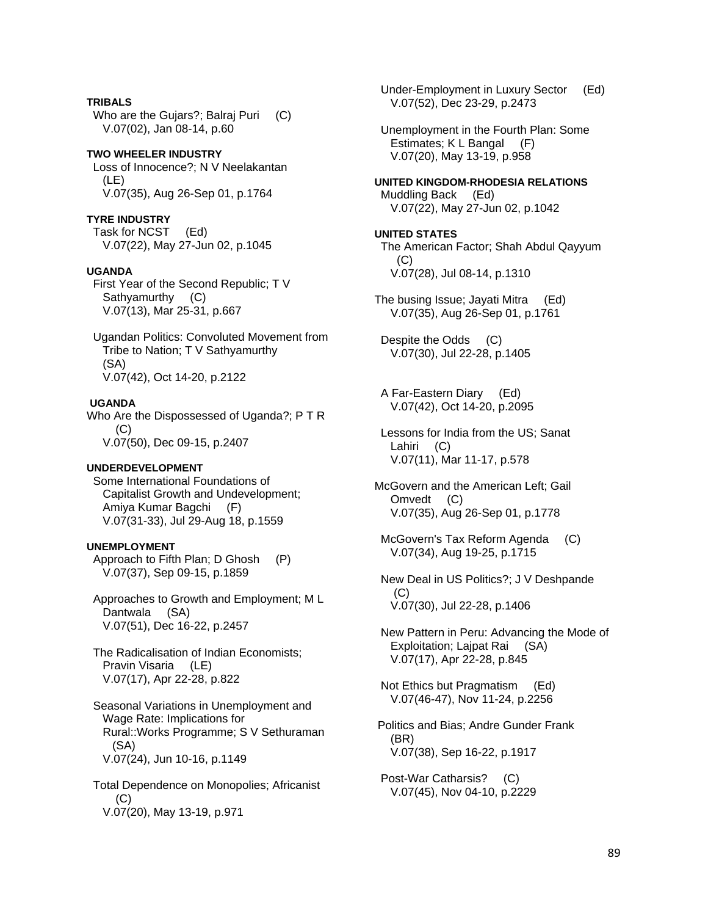**TRIBALS**  Who are the Gujars?; Balraj Puri (C) V.07(02), Jan 08-14, p.60

### **TWO WHEELER INDUSTRY**  Loss of Innocence?; N V Neelakantan (LE)

V.07(35), Aug 26-Sep 01, p.1764

# **TYRE INDUSTRY**

 Task for NCST (Ed) V.07(22), May 27-Jun 02, p.1045

# **UGANDA**

 First Year of the Second Republic; T V Sathyamurthy (C) V.07(13), Mar 25-31, p.667

 Ugandan Politics: Convoluted Movement from Tribe to Nation; T V Sathyamurthy (SA) V.07(42), Oct 14-20, p.2122

# **UGANDA**

Who Are the Dispossessed of Uganda?; P T R  $(C)$ V.07(50), Dec 09-15, p.2407

# **UNDERDEVELOPMENT**

 Some International Foundations of Capitalist Growth and Undevelopment; Amiya Kumar Bagchi (F) V.07(31-33), Jul 29-Aug 18, p.1559

# **UNEMPLOYMENT**

 Approach to Fifth Plan; D Ghosh (P) V.07(37), Sep 09-15, p.1859

 Approaches to Growth and Employment; M L Dantwala (SA) V.07(51), Dec 16-22, p.2457

 The Radicalisation of Indian Economists; Pravin Visaria (LE) V.07(17), Apr 22-28, p.822

 Seasonal Variations in Unemployment and Wage Rate: Implications for Rural::Works Programme; S V Sethuraman (SA) V.07(24), Jun 10-16, p.1149

 Total Dependence on Monopolies; Africanist (C) V.07(20), May 13-19, p.971

 Under-Employment in Luxury Sector (Ed) V.07(52), Dec 23-29, p.2473

 Unemployment in the Fourth Plan: Some Estimates; K L Bangal (F) V.07(20), May 13-19, p.958

**UNITED KINGDOM-RHODESIA RELATIONS**  Muddling Back (Ed) V.07(22), May 27-Jun 02, p.1042

### **UNITED STATES**  The American Factor; Shah Abdul Qayyum (C) V.07(28), Jul 08-14, p.1310

The busing Issue; Jayati Mitra (Ed) V.07(35), Aug 26-Sep 01, p.1761

 Despite the Odds (C) V.07(30), Jul 22-28, p.1405

 A Far-Eastern Diary (Ed) V.07(42), Oct 14-20, p.2095

 Lessons for India from the US; Sanat Lahiri (C) V.07(11), Mar 11-17, p.578

McGovern and the American Left; Gail Omvedt (C) V.07(35), Aug 26-Sep 01, p.1778

McGovern's Tax Reform Agenda (C) V.07(34), Aug 19-25, p.1715

 New Deal in US Politics?; J V Deshpande (C) V.07(30), Jul 22-28, p.1406

 New Pattern in Peru: Advancing the Mode of Exploitation; Lajpat Rai (SA) V.07(17), Apr 22-28, p.845

 Not Ethics but Pragmatism (Ed) V.07(46-47), Nov 11-24, p.2256

 Politics and Bias; Andre Gunder Frank (BR) V.07(38), Sep 16-22, p.1917

 Post-War Catharsis? (C) V.07(45), Nov 04-10, p.2229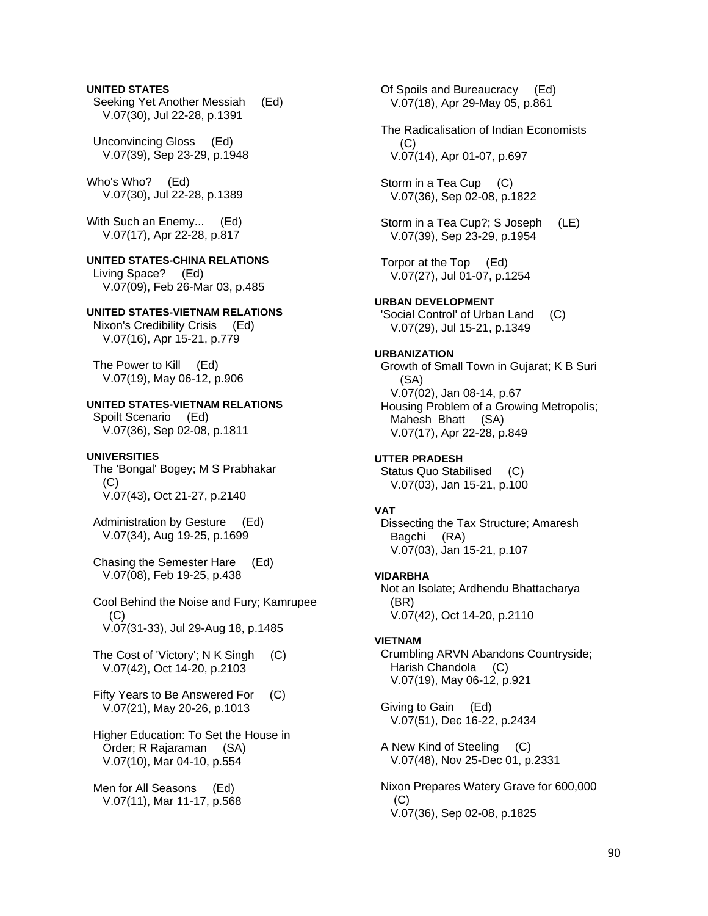### **UNITED STATES**

 Seeking Yet Another Messiah (Ed) V.07(30), Jul 22-28, p.1391

 Unconvincing Gloss (Ed) V.07(39), Sep 23-29, p.1948

Who's Who? (Ed) V.07(30), Jul 22-28, p.1389

With Such an Enemy... (Ed) V.07(17), Apr 22-28, p.817

## **UNITED STATES-CHINA RELATIONS**

 Living Space? (Ed) V.07(09), Feb 26-Mar 03, p.485

# **UNITED STATES-VIETNAM RELATIONS**

 Nixon's Credibility Crisis (Ed) V.07(16), Apr 15-21, p.779

 The Power to Kill (Ed) V.07(19), May 06-12, p.906

**UNITED STATES-VIETNAM RELATIONS** 

 Spoilt Scenario (Ed) V.07(36), Sep 02-08, p.1811

#### **UNIVERSITIES**

 The 'Bongal' Bogey; M S Prabhakar (C) V.07(43), Oct 21-27, p.2140

 Administration by Gesture (Ed) V.07(34), Aug 19-25, p.1699

 Chasing the Semester Hare (Ed) V.07(08), Feb 19-25, p.438

 Cool Behind the Noise and Fury; Kamrupee  $(C)$ V.07(31-33), Jul 29-Aug 18, p.1485

- The Cost of 'Victory'; N K Singh (C) V.07(42), Oct 14-20, p.2103
- Fifty Years to Be Answered For (C) V.07(21), May 20-26, p.1013

 Higher Education: To Set the House in Order; R Rajaraman (SA) V.07(10), Mar 04-10, p.554

 Men for All Seasons (Ed) V.07(11), Mar 11-17, p.568  Of Spoils and Bureaucracy (Ed) V.07(18), Apr 29-May 05, p.861

 The Radicalisation of Indian Economists (C) V.07(14), Apr 01-07, p.697

Storm in a Tea Cup (C) V.07(36), Sep 02-08, p.1822

 Storm in a Tea Cup?; S Joseph (LE) V.07(39), Sep 23-29, p.1954

 Torpor at the Top (Ed) V.07(27), Jul 01-07, p.1254

#### **URBAN DEVELOPMENT**

 'Social Control' of Urban Land (C) V.07(29), Jul 15-21, p.1349

### **URBANIZATION**

 Growth of Small Town in Gujarat; K B Suri (SA) V.07(02), Jan 08-14, p.67 Housing Problem of a Growing Metropolis; Mahesh Bhatt (SA) V.07(17), Apr 22-28, p.849

#### **UTTER PRADESH**

 Status Quo Stabilised (C) V.07(03), Jan 15-21, p.100

# **VAT**

 Dissecting the Tax Structure; Amaresh Bagchi (RA) V.07(03), Jan 15-21, p.107

### **VIDARBHA**

 Not an Isolate; Ardhendu Bhattacharya (BR) V.07(42), Oct 14-20, p.2110

#### **VIETNAM**

 Crumbling ARVN Abandons Countryside; Harish Chandola (C) V.07(19), May 06-12, p.921

 Giving to Gain (Ed) V.07(51), Dec 16-22, p.2434

 A New Kind of Steeling (C) V.07(48), Nov 25-Dec 01, p.2331

 Nixon Prepares Watery Grave for 600,000 (C) V.07(36), Sep 02-08, p.1825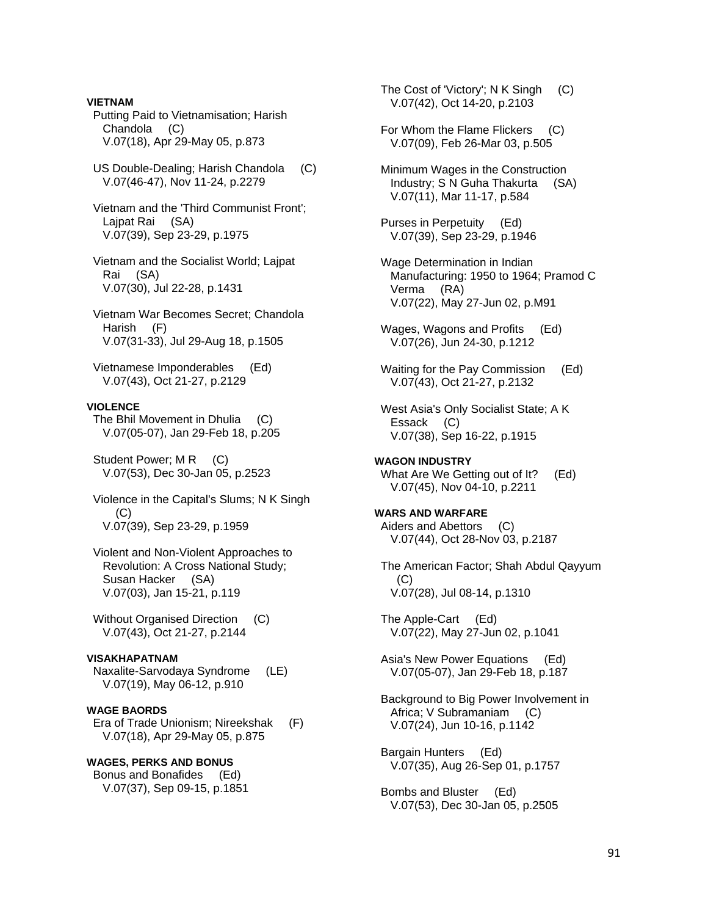Putting Paid to Vietnamisation; Harish Chandola (C) V.07(18), Apr 29-May 05, p.873 US Double-Dealing; Harish Chandola (C) V.07(46-47), Nov 11-24, p.2279 Vietnam and the 'Third Communist Front'; Lajpat Rai (SA) V.07(39), Sep 23-29, p.1975 Vietnam and the Socialist World; Lajpat Rai (SA) V.07(30), Jul 22-28, p.1431 Vietnam War Becomes Secret; Chandola Harish (F) V.07(31-33), Jul 29-Aug 18, p.1505 Vietnamese Imponderables (Ed) V.07(43), Oct 21-27, p.2129 **VIOLENCE**  The Bhil Movement in Dhulia (C) V.07(05-07), Jan 29-Feb 18, p.205 Student Power; M R (C) V.07(53), Dec 30-Jan 05, p.2523 Violence in the Capital's Slums; N K Singh (C) V.07(39), Sep 23-29, p.1959 Violent and Non-Violent Approaches to Revolution: A Cross National Study; Susan Hacker (SA) V.07(03), Jan 15-21, p.119 Without Organised Direction (C) V.07(43), Oct 21-27, p.2144 **VISAKHAPATNAM**  Naxalite-Sarvodaya Syndrome (LE) V.07(19), May 06-12, p.910 **WAGE BAORDS**  Era of Trade Unionism; Nireekshak (F) V.07(18), Apr 29-May 05, p.875 **WAGES, PERKS AND BONUS**  Bonus and Bonafides (Ed) V.07(37), Sep 09-15, p.1851

**VIETNAM** 

The Cost of 'Victory'; N K Singh (C) V.07(42), Oct 14-20, p.2103

- For Whom the Flame Flickers (C) V.07(09), Feb 26-Mar 03, p.505
- Minimum Wages in the Construction Industry; S N Guha Thakurta (SA) V.07(11), Mar 11-17, p.584
- Purses in Perpetuity (Ed) V.07(39), Sep 23-29, p.1946
- Wage Determination in Indian Manufacturing: 1950 to 1964; Pramod C Verma (RA) V.07(22), May 27-Jun 02, p.M91
- Wages, Wagons and Profits (Ed) V.07(26), Jun 24-30, p.1212
- Waiting for the Pay Commission (Ed) V.07(43), Oct 21-27, p.2132
- West Asia's Only Socialist State; A K Essack (C) V.07(38), Sep 16-22, p.1915
- **WAGON INDUSTRY**  What Are We Getting out of It? (Ed) V.07(45), Nov 04-10, p.2211

**WARS AND WARFARE**  Aiders and Abettors (C) V.07(44), Oct 28-Nov 03, p.2187

 The American Factor; Shah Abdul Qayyum (C) V.07(28), Jul 08-14, p.1310

 The Apple-Cart (Ed) V.07(22), May 27-Jun 02, p.1041

 Asia's New Power Equations (Ed) V.07(05-07), Jan 29-Feb 18, p.187

 Background to Big Power Involvement in Africa; V Subramaniam (C) V.07(24), Jun 10-16, p.1142

 Bargain Hunters (Ed) V.07(35), Aug 26-Sep 01, p.1757

 Bombs and Bluster (Ed) V.07(53), Dec 30-Jan 05, p.2505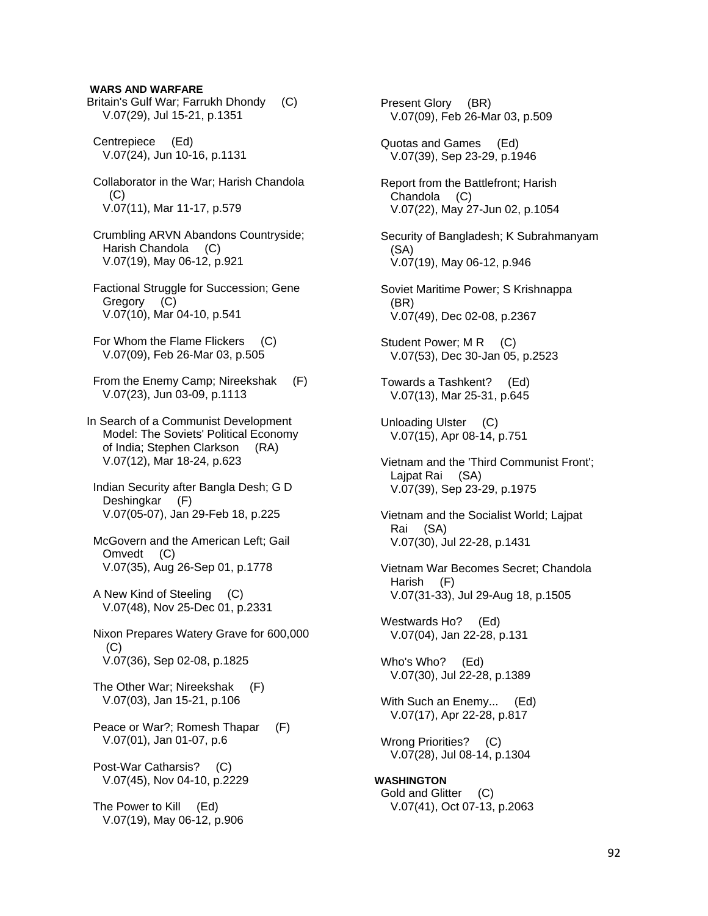### **WARS AND WARFARE**

Britain's Gulf War; Farrukh Dhondy (C) V.07(29), Jul 15-21, p.1351

 Centrepiece (Ed) V.07(24), Jun 10-16, p.1131

- Collaborator in the War; Harish Chandola  $(C)$ V.07(11), Mar 11-17, p.579
- Crumbling ARVN Abandons Countryside; Harish Chandola (C) V.07(19), May 06-12, p.921
- Factional Struggle for Succession; Gene Gregory (C) V.07(10), Mar 04-10, p.541
- For Whom the Flame Flickers (C) V.07(09), Feb 26-Mar 03, p.505
- From the Enemy Camp; Nireekshak (F) V.07(23), Jun 03-09, p.1113
- In Search of a Communist Development Model: The Soviets' Political Economy of India; Stephen Clarkson (RA) V.07(12), Mar 18-24, p.623
- Indian Security after Bangla Desh; G D Deshingkar (F) V.07(05-07), Jan 29-Feb 18, p.225
- McGovern and the American Left; Gail Omvedt (C) V.07(35), Aug 26-Sep 01, p.1778
- A New Kind of Steeling (C) V.07(48), Nov 25-Dec 01, p.2331
- Nixon Prepares Watery Grave for 600,000 (C) V.07(36), Sep 02-08, p.1825
- The Other War; Nireekshak (F) V.07(03), Jan 15-21, p.106
- Peace or War?; Romesh Thapar (F) V.07(01), Jan 01-07, p.6
- Post-War Catharsis? (C) V.07(45), Nov 04-10, p.2229

 The Power to Kill (Ed) V.07(19), May 06-12, p.906

 Present Glory (BR) V.07(09), Feb 26-Mar 03, p.509 Quotas and Games (Ed) V.07(39), Sep 23-29, p.1946 Report from the Battlefront; Harish Chandola (C) V.07(22), May 27-Jun 02, p.1054 Security of Bangladesh; K Subrahmanyam (SA) V.07(19), May 06-12, p.946 Soviet Maritime Power; S Krishnappa (BR) V.07(49), Dec 02-08, p.2367 Student Power; M R (C) V.07(53), Dec 30-Jan 05, p.2523 Towards a Tashkent? (Ed) V.07(13), Mar 25-31, p.645 Unloading Ulster (C) V.07(15), Apr 08-14, p.751 Vietnam and the 'Third Communist Front'; Lajpat Rai (SA) V.07(39), Sep 23-29, p.1975 Vietnam and the Socialist World; Lajpat Rai (SA) V.07(30), Jul 22-28, p.1431 Vietnam War Becomes Secret; Chandola Harish (F) V.07(31-33), Jul 29-Aug 18, p.1505 Westwards Ho? (Ed) V.07(04), Jan 22-28, p.131 Who's Who? (Ed) V.07(30), Jul 22-28, p.1389 With Such an Enemy... (Ed) V.07(17), Apr 22-28, p.817 Wrong Priorities? (C) V.07(28), Jul 08-14, p.1304 **WASHINGTON**  Gold and Glitter (C) V.07(41), Oct 07-13, p.2063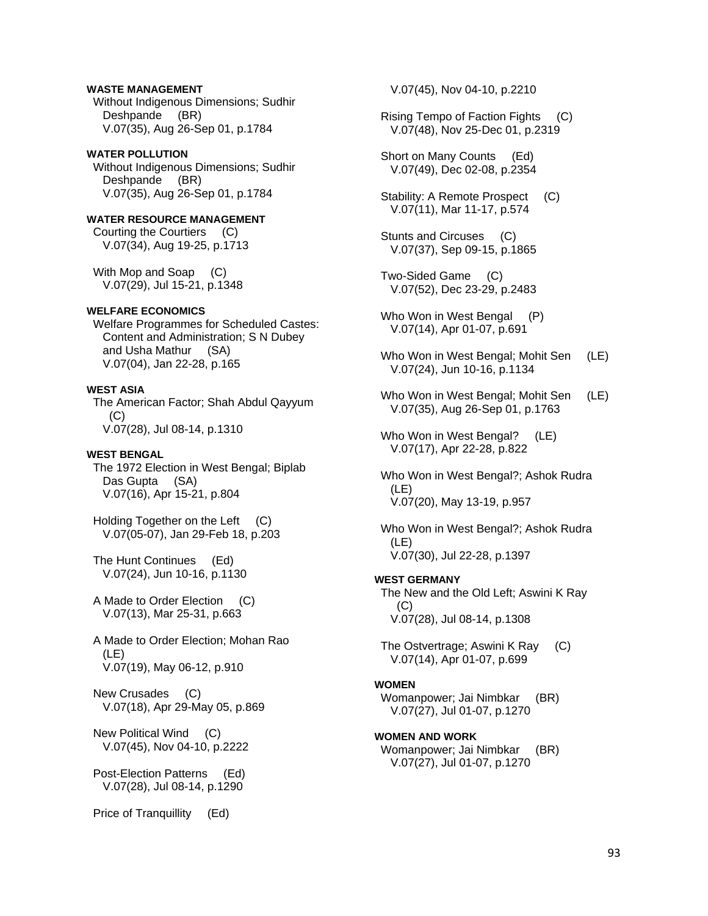## **WASTE MANAGEMENT**

 Without Indigenous Dimensions; Sudhir Deshpande (BR) V.07(35), Aug 26-Sep 01, p.1784

### **WATER POLLUTION**

 Without Indigenous Dimensions; Sudhir Deshpande (BR) V.07(35), Aug 26-Sep 01, p.1784

# **WATER RESOURCE MANAGEMENT**

 Courting the Courtiers (C) V.07(34), Aug 19-25, p.1713

With Mop and Soap (C) V.07(29), Jul 15-21, p.1348

### **WELFARE ECONOMICS**

 Welfare Programmes for Scheduled Castes: Content and Administration; S N Dubey and Usha Mathur (SA) V.07(04), Jan 22-28, p.165

## **WEST ASIA**

 The American Factor; Shah Abdul Qayyum  $(C)$ V.07(28), Jul 08-14, p.1310

#### **WEST BENGAL**

 The 1972 Election in West Bengal; Biplab Das Gupta (SA) V.07(16), Apr 15-21, p.804

Holding Together on the Left (C) V.07(05-07), Jan 29-Feb 18, p.203

 The Hunt Continues (Ed) V.07(24), Jun 10-16, p.1130

 A Made to Order Election (C) V.07(13), Mar 25-31, p.663

 A Made to Order Election; Mohan Rao (LE) V.07(19), May 06-12, p.910

 New Crusades (C) V.07(18), Apr 29-May 05, p.869

 New Political Wind (C) V.07(45), Nov 04-10, p.2222

 Post-Election Patterns (Ed) V.07(28), Jul 08-14, p.1290

Price of Tranquillity (Ed)

V.07(45), Nov 04-10, p.2210

 Rising Tempo of Faction Fights (C) V.07(48), Nov 25-Dec 01, p.2319

 Short on Many Counts (Ed) V.07(49), Dec 02-08, p.2354

Stability: A Remote Prospect (C) V.07(11), Mar 11-17, p.574

 Stunts and Circuses (C) V.07(37), Sep 09-15, p.1865

 Two-Sided Game (C) V.07(52), Dec 23-29, p.2483

Who Won in West Bengal (P) V.07(14), Apr 01-07, p.691

- Who Won in West Bengal; Mohit Sen (LE) V.07(24), Jun 10-16, p.1134
- Who Won in West Bengal; Mohit Sen (LE) V.07(35), Aug 26-Sep 01, p.1763

Who Won in West Bengal? (LE) V.07(17), Apr 22-28, p.822

 Who Won in West Bengal?; Ashok Rudra (LE) V.07(20), May 13-19, p.957

 Who Won in West Bengal?; Ashok Rudra (LE) V.07(30), Jul 22-28, p.1397

# **WEST GERMANY**

 The New and the Old Left; Aswini K Ray (C) V.07(28), Jul 08-14, p.1308

 The Ostvertrage; Aswini K Ray (C) V.07(14), Apr 01-07, p.699

#### **WOMEN**

 Womanpower; Jai Nimbkar (BR) V.07(27), Jul 01-07, p.1270

### **WOMEN AND WORK**

 Womanpower; Jai Nimbkar (BR) V.07(27), Jul 01-07, p.1270